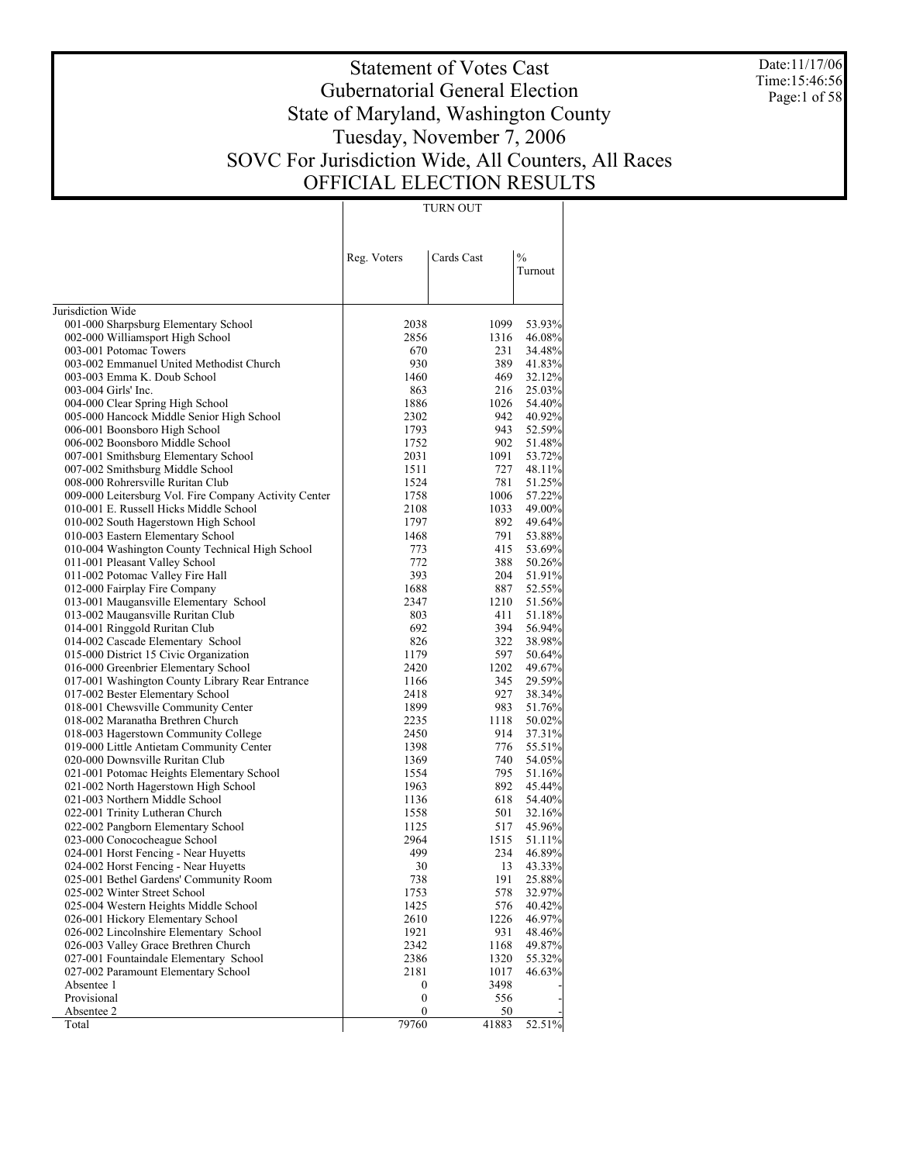Date:11/17/06 Time:15:46:56 Page:1 of 58

# Statement of Votes Cast Gubernatorial General Election State of Maryland, Washington County Tuesday, November 7, 2006 SOVC For Jurisdiction Wide, All Counters, All Races OFFICIAL ELECTION RESULTS

TURN OUT

|                                                                        | Reg. Voters      | Cards Cast   | $\frac{0}{0}$<br>Turnout |
|------------------------------------------------------------------------|------------------|--------------|--------------------------|
|                                                                        |                  |              |                          |
|                                                                        |                  |              |                          |
| Jurisdiction Wide                                                      |                  |              |                          |
| 001-000 Sharpsburg Elementary School                                   | 2038<br>2856     | 1099<br>1316 | 53.93%                   |
| 002-000 Williamsport High School<br>003-001 Potomac Towers             | 670              | 231          | 46.08%<br>34.48%         |
| 003-002 Emmanuel United Methodist Church                               | 930              | 389          | 41.83%                   |
| 003-003 Emma K. Doub School                                            | 1460             | 469          | 32.12%                   |
| 003-004 Girls' Inc.                                                    | 863              | 216          | 25.03%                   |
| 004-000 Clear Spring High School                                       | 1886             | 1026         | 54.40%                   |
| 005-000 Hancock Middle Senior High School                              | 2302             | 942          | 40.92%                   |
| 006-001 Boonsboro High School                                          | 1793             | 943          | 52.59%                   |
| 006-002 Boonsboro Middle School                                        | 1752             | 902          | 51.48%                   |
| 007-001 Smithsburg Elementary School                                   | 2031             | 1091         | 53.72%                   |
| 007-002 Smithsburg Middle School                                       | 1511             | 727          | 48.11%                   |
| 008-000 Rohrersville Ruritan Club                                      | 1524             | 781          | 51.25%                   |
| 009-000 Leitersburg Vol. Fire Company Activity Center                  | 1758             | 1006         | 57.22%                   |
| 010-001 E. Russell Hicks Middle School                                 | 2108             | 1033         | 49.00%                   |
| 010-002 South Hagerstown High School                                   | 1797             | 892          | 49.64%                   |
| 010-003 Eastern Elementary School                                      | 1468             | 791          | 53.88%                   |
| 010-004 Washington County Technical High School                        | 773              | 415          | 53.69%                   |
| 011-001 Pleasant Valley School                                         | 772              | 388          | 50.26%                   |
| 011-002 Potomac Valley Fire Hall                                       | 393              | 204          | 51.91%                   |
| 012-000 Fairplay Fire Company                                          | 1688             | 887          | 52.55%                   |
| 013-001 Maugansville Elementary School                                 | 2347             | 1210         | 51.56%                   |
| 013-002 Maugansville Ruritan Club                                      | 803              | 411          | 51.18%                   |
| 014-001 Ringgold Ruritan Club                                          | 692              | 394          | 56.94%                   |
| 014-002 Cascade Elementary School                                      | 826              | 322          | 38.98%                   |
| 015-000 District 15 Civic Organization                                 | 1179             | 597          | 50.64%                   |
| 016-000 Greenbrier Elementary School                                   | 2420             | 1202         | 49.67%                   |
| 017-001 Washington County Library Rear Entrance                        | 1166             | 345          | 29.59%                   |
| 017-002 Bester Elementary School                                       | 2418             | 927          | 38.34%                   |
| 018-001 Chewsville Community Center                                    | 1899             | 983          | 51.76%                   |
| 018-002 Maranatha Brethren Church                                      | 2235             | 1118         | 50.02%                   |
| 018-003 Hagerstown Community College                                   | 2450             | 914          | 37.31%                   |
| 019-000 Little Antietam Community Center                               | 1398             | 776          | 55.51%                   |
| 020-000 Downsville Ruritan Club                                        | 1369             | 740          | 54.05%                   |
| 021-001 Potomac Heights Elementary School                              | 1554             | 795          | 51.16%                   |
| 021-002 North Hagerstown High School<br>021-003 Northern Middle School | 1963<br>1136     | 892<br>618   | 45.44%                   |
| 022-001 Trinity Lutheran Church                                        | 1558             | 501          | 54.40%<br>32.16%         |
| 022-002 Pangborn Elementary School                                     | 1125             | 517          | 45.96%                   |
| 023-000 Conococheague School                                           | 2964             | 1515         | 51.11%                   |
| 024-001 Horst Fencing - Near Huyetts                                   | 499              | 234          | 46.89%                   |
| 024-002 Horst Fencing - Near Huyetts                                   | 30               | 13           | 43.33%                   |
| 025-001 Bethel Gardens' Community Room                                 | 738              | 191          | 25.88%                   |
| 025-002 Winter Street School                                           | 1753             | 578          | 32.97%                   |
| 025-004 Western Heights Middle School                                  | 1425             | 576          | 40.42%                   |
| 026-001 Hickory Elementary School                                      | 2610             | 1226         | 46.97%                   |
| 026-002 Lincolnshire Elementary School                                 | 1921             | 931          | 48.46%                   |
| 026-003 Valley Grace Brethren Church                                   | 2342             | 1168         | 49.87%                   |
| 027-001 Fountaindale Elementary School                                 | 2386             | 1320         | 55.32%                   |
| 027-002 Paramount Elementary School                                    | 2181             | 1017         | 46.63%                   |
| Absentee 1                                                             | 0                | 3498         |                          |
| Provisional                                                            | $\boldsymbol{0}$ | 556          |                          |
| Absentee 2                                                             | $\boldsymbol{0}$ | 50           |                          |
| Total                                                                  | 79760            | 41883        | 52.51%                   |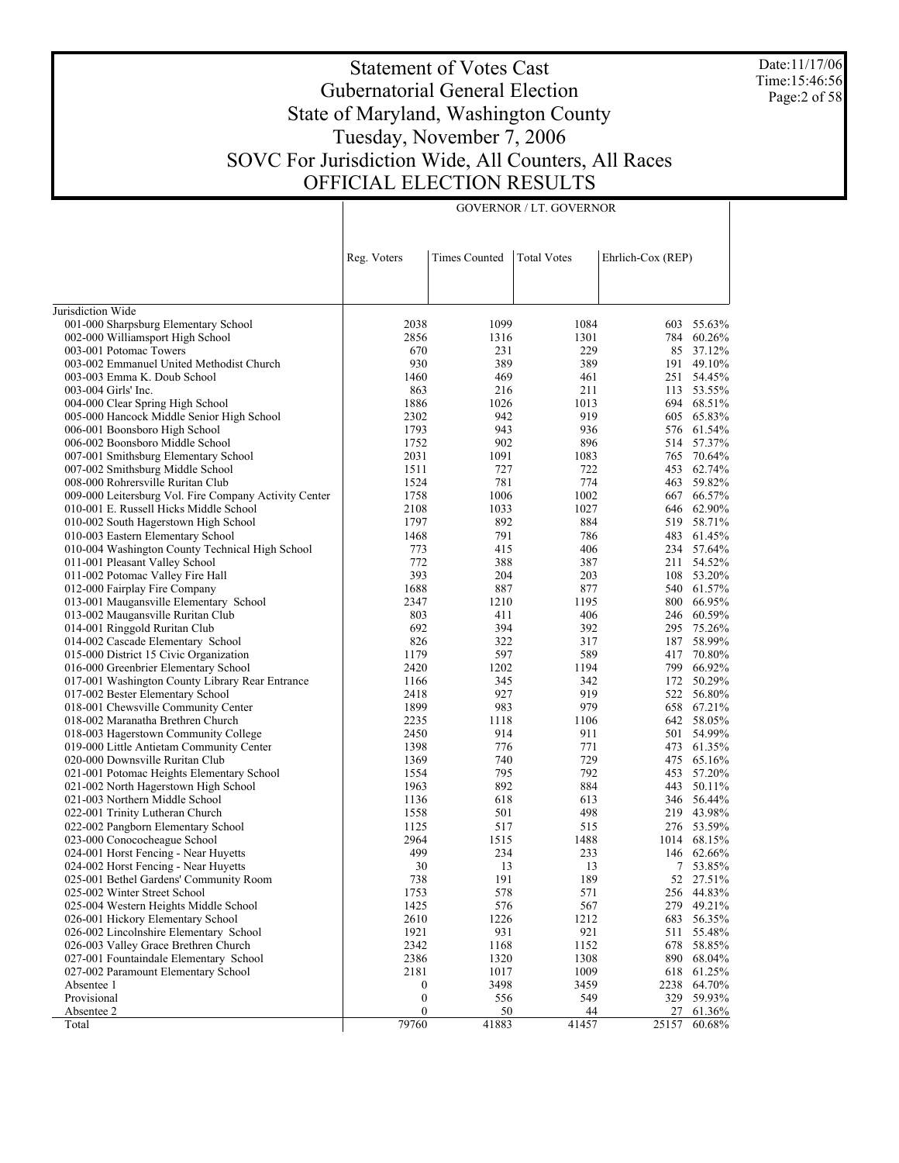Date:11/17/06 Time:15:46:56 Page:2 of 58

# Statement of Votes Cast Gubernatorial General Election State of Maryland, Washington County Tuesday, November 7, 2006 SOVC For Jurisdiction Wide, All Counters, All Races OFFICIAL ELECTION RESULTS

GOVERNOR / LT. GOVERNOR

|                                                            | Reg. Voters           | <b>Times Counted</b> | <b>Total Votes</b> | Ehrlich-Cox (REP) |                           |
|------------------------------------------------------------|-----------------------|----------------------|--------------------|-------------------|---------------------------|
|                                                            |                       |                      |                    |                   |                           |
|                                                            |                       |                      |                    |                   |                           |
| Jurisdiction Wide                                          |                       |                      |                    |                   |                           |
| 001-000 Sharpsburg Elementary School                       | 2038<br>2856          | 1099<br>1316         | 1084<br>1301       |                   | 603 55.63%<br>784 60.26%  |
| 002-000 Williamsport High School<br>003-001 Potomac Towers | 670                   | 231                  | 229                |                   | 85 37.12%                 |
| 003-002 Emmanuel United Methodist Church                   | 930                   | 389                  | 389                | 191               | 49.10%                    |
| 003-003 Emma K. Doub School                                | 1460                  | 469                  | 461                | 251               | 54.45%                    |
| 003-004 Girls' Inc.                                        | 863                   | 216                  | 211                |                   | 113 53.55%                |
| 004-000 Clear Spring High School                           | 1886                  | 1026                 | 1013               |                   | 694 68.51%                |
| 005-000 Hancock Middle Senior High School                  | 2302                  | 942                  | 919                |                   | 605 65.83%                |
| 006-001 Boonsboro High School                              | 1793                  | 943                  | 936                |                   | 576 61.54%                |
| 006-002 Boonsboro Middle School                            | 1752                  | 902                  | 896                |                   | 514 57.37%                |
| 007-001 Smithsburg Elementary School                       | 2031                  | 1091                 | 1083               |                   | 765 70.64%                |
| 007-002 Smithsburg Middle School                           | 1511                  | 727                  | 722                | 453               | 62.74%                    |
| 008-000 Rohrersville Ruritan Club                          | 1524                  | 781                  | 774                |                   | 463 59.82%                |
| 009-000 Leitersburg Vol. Fire Company Activity Center      | 1758                  | 1006                 | 1002               |                   | 667 66.57%                |
| 010-001 E. Russell Hicks Middle School                     | 2108                  | 1033                 | 1027               |                   | 646 62.90%                |
| 010-002 South Hagerstown High School                       | 1797                  | 892                  | 884                |                   | 519 58.71%                |
| 010-003 Eastern Elementary School                          | 1468                  | 791                  | 786                |                   | 483 61.45%                |
| 010-004 Washington County Technical High School            | 773                   | 415                  | 406                |                   | 234 57.64%                |
| 011-001 Pleasant Valley School                             | 772                   | 388                  | 387                | 211               | 54.52%                    |
| 011-002 Potomac Valley Fire Hall                           | 393                   | 204                  | 203                | 108               | 53.20%                    |
| 012-000 Fairplay Fire Company                              | 1688                  | 887                  | 877                |                   | 540 61.57%                |
| 013-001 Maugansville Elementary School                     | 2347                  | 1210                 | 1195               |                   | 800 66.95%                |
| 013-002 Maugansville Ruritan Club                          | 803                   | 411                  | 406                |                   | 246 60.59%                |
| 014-001 Ringgold Ruritan Club                              | 692                   | 394                  | 392                |                   | 295 75.26%                |
| 014-002 Cascade Elementary School                          | 826                   | 322                  | 317                |                   | 187 58.99%                |
| 015-000 District 15 Civic Organization                     | 1179                  | 597                  | 589                |                   | 417 70.80%                |
| 016-000 Greenbrier Elementary School                       | 2420                  | 1202                 | 1194               |                   | 799 66.92%                |
| 017-001 Washington County Library Rear Entrance            | 1166                  | 345                  | 342                | 172               | 50.29%                    |
| 017-002 Bester Elementary School                           | 2418                  | 927                  | 919                |                   | 522 56.80%                |
| 018-001 Chewsville Community Center                        | 1899                  | 983                  | 979                |                   | 658 67.21%                |
| 018-002 Maranatha Brethren Church                          | 2235                  | 1118                 | 1106               |                   | 642 58.05%                |
| 018-003 Hagerstown Community College                       | 2450                  | 914                  | 911                | 501               | 54.99%                    |
| 019-000 Little Antietam Community Center                   | 1398                  | 776                  | 771                |                   | 473 61.35%                |
| 020-000 Downsville Ruritan Club                            | 1369                  | 740                  | 729                |                   | 475 65.16%                |
| 021-001 Potomac Heights Elementary School                  | 1554                  | 795                  | 792                |                   | 453 57.20%                |
| 021-002 North Hagerstown High School                       | 1963                  | 892                  | 884                |                   | 443 50.11%                |
| 021-003 Northern Middle School                             | 1136                  | 618                  | 613                |                   | 346 56.44%                |
| 022-001 Trinity Lutheran Church                            | 1558                  | 501                  | 498                |                   | 219 43.98%                |
| 022-002 Pangborn Elementary School                         | 1125                  | 517                  | 515                |                   | 276 53.59%                |
| 023-000 Conococheague School                               | 2964                  | 1515                 | 1488               | 1014              | 68.15%                    |
| 024-001 Horst Fencing - Near Huyetts                       | 499                   | 234                  | 233                |                   | 146 62.66%                |
| 024-002 Horst Fencing - Near Huyetts                       | 30                    | 13                   | 13                 |                   | 7 53.85%                  |
| 025-001 Bethel Gardens' Community Room                     | 738                   | 191                  | 189                |                   | 52 27.51%                 |
| 025-002 Winter Street School                               | 1753                  | 578                  | 571                |                   | 256 44.83%                |
| 025-004 Western Heights Middle School                      | 1425                  | 576                  | 567                |                   | 279 49.21%                |
| 026-001 Hickory Elementary School                          | 2610                  | 1226                 | 1212               |                   | 683 56.35%                |
| 026-002 Lincolnshire Elementary School                     | 1921                  | 931                  | 921                | 511               | 55.48%                    |
| 026-003 Valley Grace Brethren Church                       | 2342                  | 1168                 | 1152               |                   | 678 58.85%                |
| 027-001 Fountaindale Elementary School                     | 2386                  | 1320                 | 1308               |                   | 890 68.04%                |
| 027-002 Paramount Elementary School                        | 2181                  | 1017                 | 1009               |                   | 618 61.25%<br>2238 64.70% |
| Absentee 1<br>Provisional                                  | 0<br>$\boldsymbol{0}$ | 3498                 | 3459               |                   | 329 59.93%                |
| Absentee 2                                                 | $\boldsymbol{0}$      | 556<br>50            | 549<br>44          | 27                | 61.36%                    |
| Total                                                      | 79760                 | 41883                | 41457              | 25157             | 60.68%                    |
|                                                            |                       |                      |                    |                   |                           |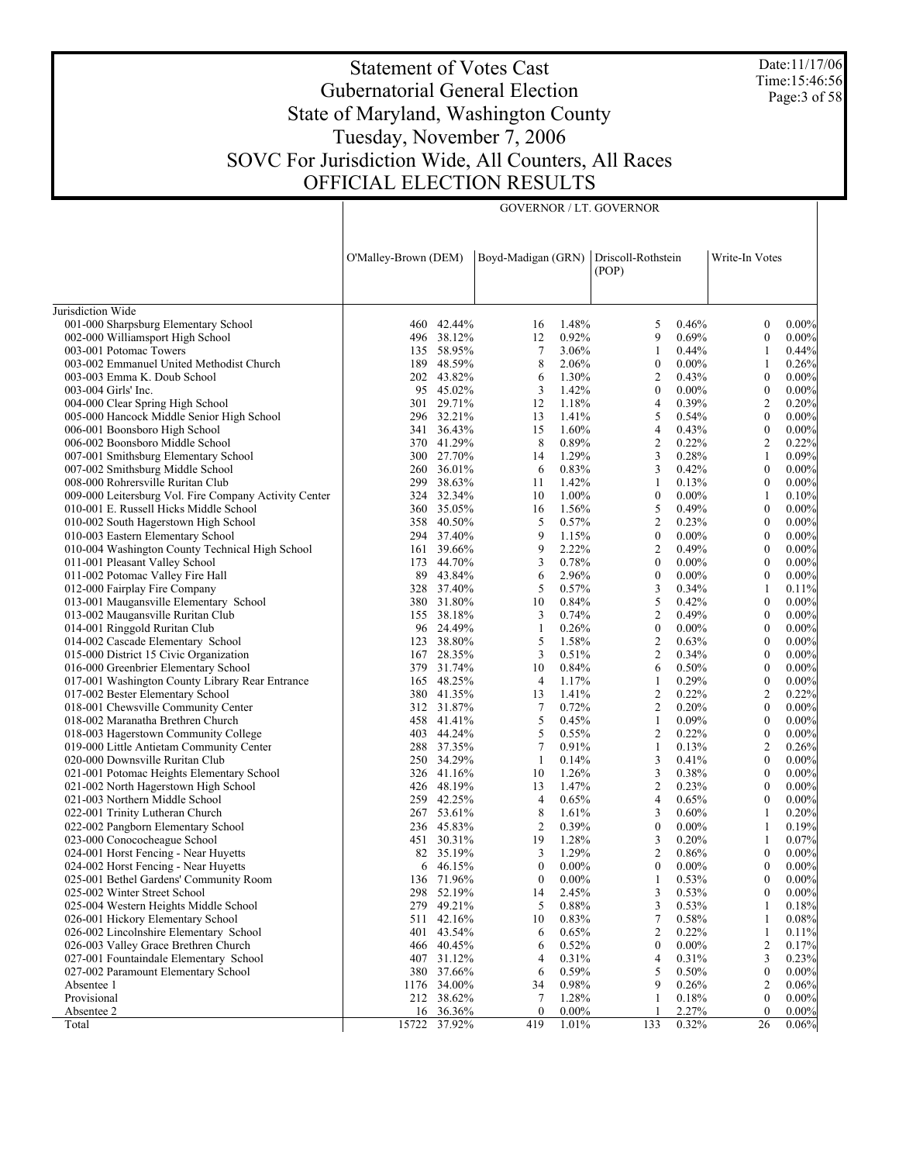Date:11/17/06 Time:15:46:56 Page:3 of 58

# Statement of Votes Cast Gubernatorial General Election State of Maryland, Washington County Tuesday, November 7, 2006 SOVC For Jurisdiction Wide, All Counters, All Races OFFICIAL ELECTION RESULTS

GOVERNOR / LT. GOVERNOR

|                                                                                   | O'Malley-Brown (DEM) |                          | Boyd-Madigan (GRN) |                | Driscoll-Rothstein<br>(POP) |                   | Write-In Votes                       |                   |
|-----------------------------------------------------------------------------------|----------------------|--------------------------|--------------------|----------------|-----------------------------|-------------------|--------------------------------------|-------------------|
|                                                                                   |                      |                          |                    |                |                             |                   |                                      |                   |
| Jurisdiction Wide                                                                 |                      |                          |                    |                |                             |                   |                                      |                   |
| 001-000 Sharpsburg Elementary School                                              |                      | 460 42.44%               | 16                 | 1.48%          | 5                           | 0.46%             | $\boldsymbol{0}$                     | $0.00\%$          |
| 002-000 Williamsport High School                                                  |                      | 496 38.12%               | 12                 | 0.92%          | 9                           | 0.69%             | $\boldsymbol{0}$                     | $0.00\%$          |
| 003-001 Potomac Towers                                                            |                      | 135 58.95%               | $\tau$             | 3.06%          | 1                           | 0.44%             | 1                                    | 0.44%             |
| 003-002 Emmanuel United Methodist Church                                          |                      | 189 48.59%               | 8                  | 2.06%          | $\bf{0}$                    | $0.00\%$          | 1                                    | 0.26%             |
| 003-003 Emma K. Doub School                                                       |                      | 202 43.82%               | 6                  | 1.30%          | $\overline{c}$              | 0.43%             | $\boldsymbol{0}$                     | 0.00%             |
| 003-004 Girls' Inc.                                                               |                      | 95 45.02%                | 3                  | 1.42%          | $\bf{0}$                    | $0.00\%$          | $\boldsymbol{0}$                     | 0.00%             |
| 004-000 Clear Spring High School                                                  |                      | 301 29.71%               | 12                 | 1.18%          | 4                           | 0.39%             | $\overline{2}$                       | 0.20%             |
| 005-000 Hancock Middle Senior High School                                         |                      | 296 32.21%               | 13                 | 1.41%          | 5                           | 0.54%             | $\boldsymbol{0}$                     | 0.00%             |
| 006-001 Boonsboro High School                                                     |                      | 341 36.43%               | 15                 | 1.60%          | 4                           | 0.43%             | $\boldsymbol{0}$                     | 0.00%             |
| 006-002 Boonsboro Middle School                                                   |                      | 370 41.29%               | 8                  | 0.89%          | $\overline{c}$              | 0.22%             | $\overline{c}$                       | 0.22%             |
| 007-001 Smithsburg Elementary School                                              |                      | 300 27.70%               | 14                 | 1.29%          | 3                           | 0.28%             | 1                                    | 0.09%             |
| 007-002 Smithsburg Middle School                                                  |                      | 260 36.01%               | 6                  | 0.83%          | 3                           | 0.42%             | $\boldsymbol{0}$                     | $0.00\%$          |
| 008-000 Rohrersville Ruritan Club                                                 |                      | 299 38.63%               | 11                 | 1.42%          | 1                           | 0.13%             | $\boldsymbol{0}$                     | $0.00\%$          |
| 009-000 Leitersburg Vol. Fire Company Activity Center                             |                      | 324 32.34%<br>360 35.05% | 10                 | 1.00%          | $\boldsymbol{0}$            | $0.00\%$          | 1                                    | 0.10%             |
| 010-001 E. Russell Hicks Middle School                                            |                      | 358 40.50%               | 16                 | 1.56%          | 5                           | 0.49%             | $\boldsymbol{0}$                     | $0.00\%$          |
| 010-002 South Hagerstown High School                                              |                      |                          | 5<br>9             | 0.57%<br>1.15% | 2<br>$\boldsymbol{0}$       | 0.23%             | $\boldsymbol{0}$<br>$\boldsymbol{0}$ | 0.00%             |
| 010-003 Eastern Elementary School                                                 |                      | 294 37.40%<br>161 39.66% | 9                  | 2.22%          | 2                           | $0.00\%$<br>0.49% | $\boldsymbol{0}$                     | $0.00\%$<br>0.00% |
| 010-004 Washington County Technical High School<br>011-001 Pleasant Valley School |                      | 173 44.70%               | 3                  | 0.78%          | $\boldsymbol{0}$            | $0.00\%$          | $\boldsymbol{0}$                     | $0.00\%$          |
| 011-002 Potomac Valley Fire Hall                                                  |                      | 89 43.84%                | 6                  | 2.96%          | $\bf{0}$                    | $0.00\%$          | $\boldsymbol{0}$                     | 0.00%             |
| 012-000 Fairplay Fire Company                                                     |                      | 328 37.40%               | 5                  | 0.57%          | 3                           | 0.34%             | 1                                    | 0.11%             |
| 013-001 Maugansville Elementary School                                            |                      | 380 31.80%               | 10                 | 0.84%          | 5                           | 0.42%             | $\boldsymbol{0}$                     | 0.00%             |
| 013-002 Maugansville Ruritan Club                                                 |                      | 155 38.18%               | 3                  | 0.74%          | $\overline{c}$              | 0.49%             | $\boldsymbol{0}$                     | $0.00\%$          |
| 014-001 Ringgold Ruritan Club                                                     |                      | 96 24.49%                | $\mathbf{1}$       | 0.26%          | $\bf{0}$                    | $0.00\%$          | $\boldsymbol{0}$                     | 0.00%             |
| 014-002 Cascade Elementary School                                                 |                      | 123 38.80%               | 5                  | 1.58%          | $\overline{c}$              | 0.63%             | $\boldsymbol{0}$                     | $0.00\%$          |
| 015-000 District 15 Civic Organization                                            |                      | 167 28.35%               | 3                  | 0.51%          | 2                           | 0.34%             | $\boldsymbol{0}$                     | 0.00%             |
| 016-000 Greenbrier Elementary School                                              |                      | 379 31.74%               | 10                 | 0.84%          | 6                           | 0.50%             | $\boldsymbol{0}$                     | $0.00\%$          |
| 017-001 Washington County Library Rear Entrance                                   |                      | 165 48.25%               | 4                  | 1.17%          | 1                           | 0.29%             | $\boldsymbol{0}$                     | 0.00%             |
| 017-002 Bester Elementary School                                                  |                      | 380 41.35%               | 13                 | 1.41%          | $\overline{c}$              | 0.22%             | $\overline{2}$                       | 0.22%             |
| 018-001 Chewsville Community Center                                               |                      | 312 31.87%               | $\tau$             | 0.72%          | 2                           | 0.20%             | $\boldsymbol{0}$                     | 0.00%             |
| 018-002 Maranatha Brethren Church                                                 |                      | 458 41.41%               | 5                  | 0.45%          | 1                           | 0.09%             | $\boldsymbol{0}$                     | $0.00\%$          |
| 018-003 Hagerstown Community College                                              |                      | 403 44.24%               | 5                  | 0.55%          | 2                           | 0.22%             | $\boldsymbol{0}$                     | 0.00%             |
| 019-000 Little Antietam Community Center                                          |                      | 288 37.35%               | 7                  | 0.91%          | 1                           | 0.13%             | $\overline{2}$                       | 0.26%             |
| 020-000 Downsville Ruritan Club                                                   |                      | 250 34.29%               | 1                  | 0.14%          | 3                           | 0.41%             | $\boldsymbol{0}$                     | 0.00%             |
| 021-001 Potomac Heights Elementary School                                         |                      | 326 41.16%               | 10                 | 1.26%          | 3                           | 0.38%             | $\boldsymbol{0}$                     | $0.00\%$          |
| 021-002 North Hagerstown High School                                              |                      | 426 48.19%               | 13                 | 1.47%          | 2                           | 0.23%             | $\boldsymbol{0}$                     | 0.00%             |
| 021-003 Northern Middle School                                                    |                      | 259 42.25%               | $\overline{4}$     | 0.65%          | 4                           | 0.65%             | $\boldsymbol{0}$                     | $0.00\%$          |
| 022-001 Trinity Lutheran Church                                                   |                      | 267 53.61%               | 8                  | 1.61%          | 3                           | 0.60%             | 1                                    | 0.20%             |
| 022-002 Pangborn Elementary School                                                |                      | 236 45.83%               | $\overline{2}$     | 0.39%          | $\boldsymbol{0}$            | $0.00\%$          | 1                                    | 0.19%             |
| 023-000 Conococheague School                                                      |                      | 451 30.31%               | 19                 | 1.28%          | 3                           | 0.20%             | 1                                    | 0.07%             |
| 024-001 Horst Fencing - Near Huyetts                                              |                      | 82 35.19%                | 3                  | 1.29%          | $\overline{c}$              | 0.86%             | $\boldsymbol{0}$                     | $0.00\%$          |
| 024-002 Horst Fencing - Near Huyetts                                              |                      | 6 46.15%                 | $\boldsymbol{0}$   | $0.00\%$       | $\mathbf{0}$                | $0.00\%$          | $\boldsymbol{0}$                     | $0.00\%$          |
| 025-001 Bethel Gardens' Community Room                                            |                      | 136 71.96%               | $\boldsymbol{0}$   | 0.00%          | 1                           | 0.53%             | $\boldsymbol{0}$                     | 0.00%             |
| 025-002 Winter Street School                                                      |                      | 298 52.19%               | 14                 | 2.45%          | 3                           | 0.53%             | $\boldsymbol{0}$                     | $0.00\%$          |
| 025-004 Western Heights Middle School                                             |                      | 279 49.21%               | 5                  | 0.88%          | 3                           | 0.53%             |                                      | 0.18%             |
| 026-001 Hickory Elementary School                                                 | 511                  | 42.16%                   | 10                 | 0.83%          | 7                           | 0.58%             | 1                                    | 0.08%             |
| 026-002 Lincolnshire Elementary School                                            | 401                  | 43.54%                   | 6                  | 0.65%          | 2                           | 0.22%             | 1                                    | 0.11%             |
| 026-003 Valley Grace Brethren Church                                              |                      | 466 40.45%               | 6                  | 0.52%          | $\boldsymbol{0}$            | $0.00\%$          | 2                                    | 0.17%             |
| 027-001 Fountaindale Elementary School                                            |                      | 407 31.12%               | 4                  | 0.31%          | 4                           | 0.31%             | 3                                    | 0.23%             |
| 027-002 Paramount Elementary School                                               |                      | 380 37.66%               | 6                  | 0.59%          | 5                           | 0.50%             | $\boldsymbol{0}$                     | $0.00\%$          |
| Absentee 1                                                                        |                      | 1176 34.00%              | 34                 | 0.98%          | 9                           | 0.26%             | 2                                    | 0.06%             |
| Provisional                                                                       |                      | 212 38.62%               | 7                  | 1.28%          | 1                           | 0.18%             | $\boldsymbol{0}$                     | $0.00\%$          |
| Absentee 2                                                                        |                      | 16 36.36%                | $\mathbf{0}$       | $0.00\%$       |                             | 2.27%             | $\mathbf{0}$                         | $0.00\%$          |
| Total                                                                             | 15722                | 37.92%                   | 419                | 1.01%          | 133                         | 0.32%             | 26                                   | 0.06%             |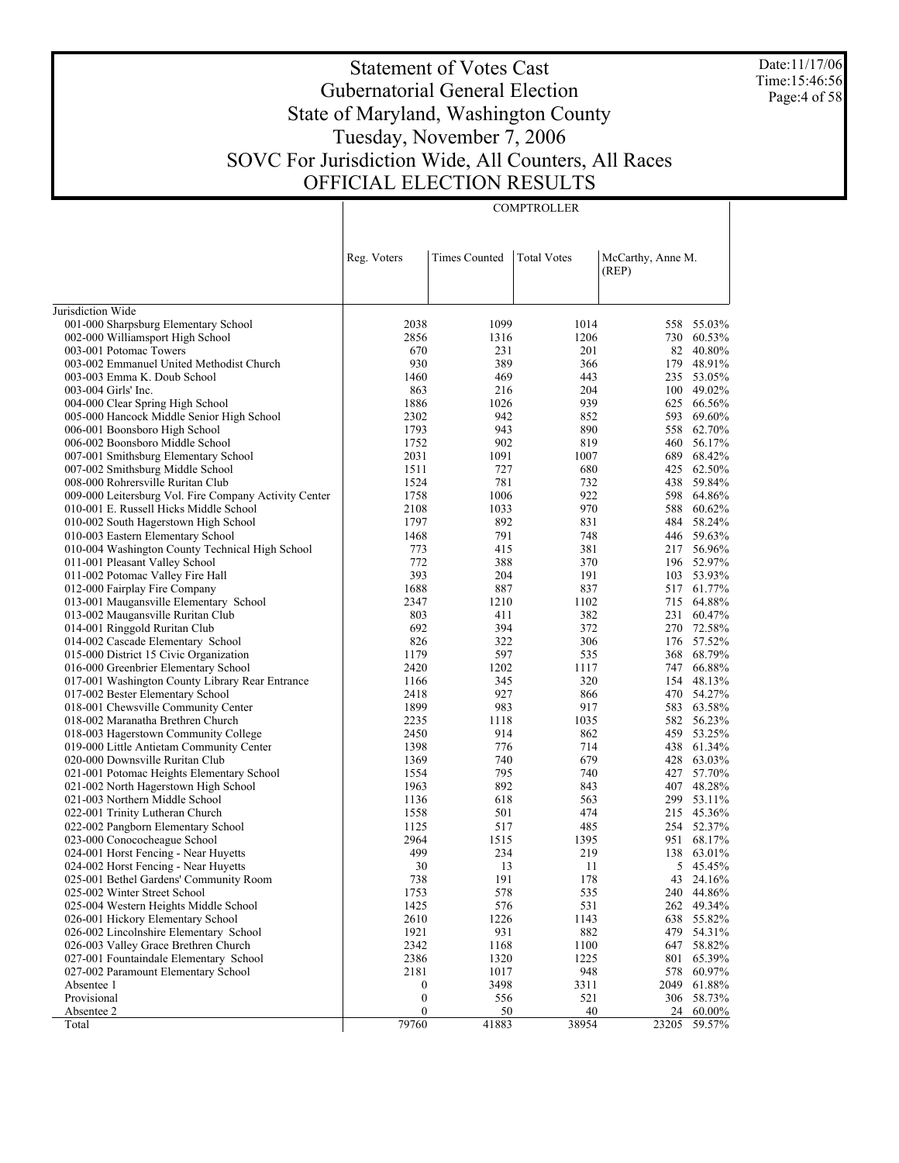Date:11/17/06 Time:15:46:56 Page:4 of 58

# Statement of Votes Cast Gubernatorial General Election State of Maryland, Washington County Tuesday, November 7, 2006 SOVC For Jurisdiction Wide, All Counters, All Races OFFICIAL ELECTION RESULTS

**COMPTROLLER** 

|                                                                             | Reg. Voters      | <b>Times Counted</b> | <b>Total Votes</b> | McCarthy, Anne M.<br>(REP) |                  |
|-----------------------------------------------------------------------------|------------------|----------------------|--------------------|----------------------------|------------------|
|                                                                             |                  |                      |                    |                            |                  |
| Jurisdiction Wide                                                           |                  |                      |                    |                            |                  |
| 001-000 Sharpsburg Elementary School                                        | 2038             | 1099                 | 1014               | 558                        | 55.03%           |
| 002-000 Williamsport High School                                            | 2856             | 1316                 | 1206               |                            | 730 60.53%       |
| 003-001 Potomac Towers                                                      | 670              | 231                  | 201                |                            | 82 40.80%        |
| 003-002 Emmanuel United Methodist Church                                    | 930              | 389                  | 366                |                            | 179 48.91%       |
| 003-003 Emma K. Doub School                                                 | 1460             | 469                  | 443                |                            | 235 53.05%       |
| 003-004 Girls' Inc.                                                         | 863              | 216                  | 204                |                            | 100 49.02%       |
| 004-000 Clear Spring High School                                            | 1886             | 1026                 | 939                | 625                        | 66.56%           |
| 005-000 Hancock Middle Senior High School                                   | 2302             | 942                  | 852                | 593                        | 69.60%           |
| 006-001 Boonsboro High School                                               | 1793             | 943                  | 890                | 558                        | 62.70%           |
| 006-002 Boonsboro Middle School                                             | 1752             | 902                  | 819                | 460                        | 56.17%           |
| 007-001 Smithsburg Elementary School                                        | 2031             | 1091                 | 1007               | 689                        | 68.42%           |
| 007-002 Smithsburg Middle School                                            | 1511             | 727                  | 680                | 425                        | 62.50%           |
| 008-000 Rohrersville Ruritan Club                                           | 1524             | 781                  | 732                | 438                        | 59.84%           |
| 009-000 Leitersburg Vol. Fire Company Activity Center                       | 1758             | 1006                 | 922                | 598                        | 64.86%           |
| 010-001 E. Russell Hicks Middle School                                      | 2108             | 1033                 | 970                | 588                        | 60.62%           |
| 010-002 South Hagerstown High School                                        | 1797             | 892                  | 831                | 484                        | 58.24%           |
| 010-003 Eastern Elementary School                                           | 1468             | 791                  | 748                |                            | 446 59.63%       |
| 010-004 Washington County Technical High School                             | 773              | 415                  | 381                |                            | 217 56.96%       |
| 011-001 Pleasant Valley School                                              | 772              | 388                  | 370                |                            | 196 52.97%       |
| 011-002 Potomac Valley Fire Hall                                            | 393              | 204                  | 191                |                            | 103 53.93%       |
| 012-000 Fairplay Fire Company                                               | 1688             | 887                  | 837                |                            | 517 61.77%       |
| 013-001 Maugansville Elementary School                                      | 2347             | 1210                 | 1102               | 715                        | 64.88%           |
| 013-002 Maugansville Ruritan Club                                           | 803              | 411                  | 382                | 231                        | 60.47%           |
| 014-001 Ringgold Ruritan Club                                               | 692              | 394                  | 372                |                            | 270 72.58%       |
| 014-002 Cascade Elementary School                                           | 826              | 322                  | 306                | 176                        | 57.52%           |
| 015-000 District 15 Civic Organization                                      | 1179             | 597                  | 535                |                            | 368 68.79%       |
| 016-000 Greenbrier Elementary School                                        | 2420             | 1202                 | 1117               | 747                        | 66.88%           |
| 017-001 Washington County Library Rear Entrance                             | 1166             | 345                  | 320                | 154                        | 48.13%           |
| 017-002 Bester Elementary School                                            | 2418             | 927                  | 866                |                            | 470 54.27%       |
| 018-001 Chewsville Community Center                                         | 1899             | 983                  | 917                |                            | 583 63.58%       |
| 018-002 Maranatha Brethren Church                                           | 2235             | 1118                 | 1035<br>862        | 582<br>459                 | 56.23%<br>53.25% |
| 018-003 Hagerstown Community College                                        | 2450<br>1398     | 914<br>776           | 714                |                            | 438 61.34%       |
| 019-000 Little Antietam Community Center<br>020-000 Downsville Ruritan Club | 1369             | 740                  | 679                | 428                        | 63.03%           |
| 021-001 Potomac Heights Elementary School                                   | 1554             | 795                  | 740                | 427                        | 57.70%           |
| 021-002 North Hagerstown High School                                        | 1963             | 892                  | 843                |                            | 407 48.28%       |
| 021-003 Northern Middle School                                              | 1136             | 618                  | 563                |                            | 299 53.11%       |
| 022-001 Trinity Lutheran Church                                             | 1558             | 501                  | 474                |                            | 215 45.36%       |
| 022-002 Pangborn Elementary School                                          | 1125             | 517                  | 485                |                            | 254 52.37%       |
| 023-000 Conococheague School                                                | 2964             | 1515                 | 1395               |                            | 951 68.17%       |
| 024-001 Horst Fencing - Near Huyetts                                        | 499              | 234                  | 219                | 138                        | 63.01%           |
| 024-002 Horst Fencing - Near Huyetts                                        | 30               | 13                   | 11                 | 5                          | 45.45%           |
| 025-001 Bethel Gardens' Community Room                                      | 738              | 191                  | 178                | 43                         | 24.16%           |
| 025-002 Winter Street School                                                | 1753             | 578                  | 535                |                            | 240 44.86%       |
| 025-004 Western Heights Middle School                                       | 1425             | 576                  | 531                |                            | 262 49.34%       |
| 026-001 Hickory Elementary School                                           | 2610             | 1226                 | 1143               | 638                        | 55.82%           |
| 026-002 Lincolnshire Elementary School                                      | 1921             | 931                  | 882                |                            | 479 54.31%       |
| 026-003 Valley Grace Brethren Church                                        | 2342             | 1168                 | 1100               |                            | 647 58.82%       |
| 027-001 Fountaindale Elementary School                                      | 2386             | 1320                 | 1225               | 801                        | 65.39%           |
| 027-002 Paramount Elementary School                                         | 2181             | 1017                 | 948                | 578                        | 60.97%           |
| Absentee 1                                                                  | $\boldsymbol{0}$ | 3498                 | 3311               | 2049                       | 61.88%           |
| Provisional                                                                 | $\boldsymbol{0}$ | 556                  | 521                |                            | 306 58.73%       |
| Absentee 2                                                                  | $\boldsymbol{0}$ | 50                   | 40                 | 24                         | 60.00%           |
| Total                                                                       | 79760            | 41883                | 38954              | 23205                      | 59.57%           |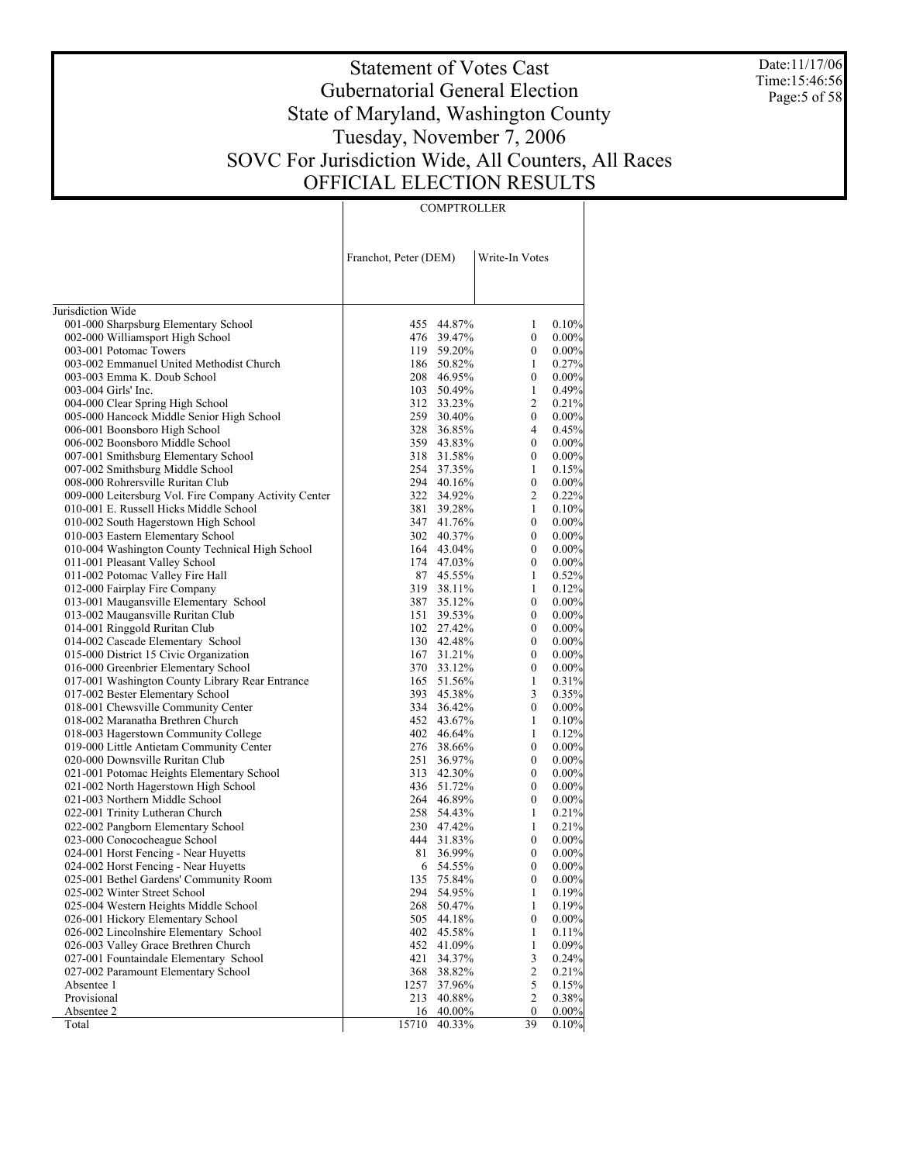Date:11/17/06 Time:15:46:56 Page:5 of 58

# Statement of Votes Cast Gubernatorial General Election State of Maryland, Washington County Tuesday, November 7, 2006 SOVC For Jurisdiction Wide, All Counters, All Races OFFICIAL ELECTION RESULTS

**COMPTROLLER** 

|                                                                        | Franchot, Peter (DEM) |                          | Write-In Votes        |                      |
|------------------------------------------------------------------------|-----------------------|--------------------------|-----------------------|----------------------|
| Jurisdiction Wide                                                      |                       |                          |                       |                      |
| 001-000 Sharpsburg Elementary School                                   |                       | 455 44.87%               | 1                     | 0.10%                |
| 002-000 Williamsport High School                                       |                       | 476 39.47%               | 0                     | 0.00%                |
| 003-001 Potomac Towers                                                 |                       | 119 59.20%               | 0                     | $0.00\%$             |
| 003-002 Emmanuel United Methodist Church                               |                       | 186 50.82%               | 1                     | 0.27%                |
| 003-003 Emma K. Doub School                                            |                       | 208 46.95%               | 0                     | 0.00%                |
| 003-004 Girls' Inc.                                                    |                       | 103 50.49%               | 1                     | 0.49%                |
| 004-000 Clear Spring High School                                       |                       | 312 33.23%               | 2                     | 0.21%                |
| 005-000 Hancock Middle Senior High School                              |                       | 259 30.40%               | $\mathbf{0}$          | 0.00%                |
| 006-001 Boonsboro High School                                          |                       | 328 36.85%               | 4                     | 0.45%                |
| 006-002 Boonsboro Middle School                                        |                       | 359 43.83%               | $\mathbf{0}$          | 0.00%                |
| 007-001 Smithsburg Elementary School                                   |                       | 318 31.58%               | 0                     | $0.00\%$             |
| 007-002 Smithsburg Middle School                                       |                       | 254 37.35%               | 1                     | 0.15%                |
| 008-000 Rohrersville Ruritan Club                                      |                       | 294 40.16%               | 0                     | 0.00%                |
| 009-000 Leitersburg Vol. Fire Company Activity Center                  |                       | 322 34.92%               | 2                     | 0.22%                |
| 010-001 E. Russell Hicks Middle School                                 |                       | 381 39.28%               | 1                     | 0.10%                |
| 010-002 South Hagerstown High School                                   |                       | 347 41.76%               | $\mathbf{0}$          | 0.00%                |
| 010-003 Eastern Elementary School                                      |                       | 302 40.37%               | 0                     | 0.00%                |
| 010-004 Washington County Technical High School                        |                       | 164 43.04%               | $\mathbf{0}$          | 0.00%                |
| 011-001 Pleasant Valley School                                         |                       | 174 47.03%               | 0                     | $0.00\%$             |
| 011-002 Potomac Valley Fire Hall                                       |                       | 87 45.55%                | 1                     | 0.52%                |
| 012-000 Fairplay Fire Company                                          |                       | 319 38.11%               | 1                     | 0.12%                |
| 013-001 Maugansville Elementary School                                 |                       | 387 35.12%               | 0                     | 0.00%                |
| 013-002 Maugansville Ruritan Club                                      |                       | 151 39.53%               | 0                     | $0.00\%$             |
| 014-001 Ringgold Ruritan Club                                          |                       | 102 27.42%               | $\mathbf{0}$          | 0.00%                |
| 014-002 Cascade Elementary School                                      |                       | 130 42.48%               | 0                     | 0.00%                |
| 015-000 District 15 Civic Organization                                 |                       | 167 31.21%               | $\mathbf{0}$          | 0.00%                |
| 016-000 Greenbrier Elementary School                                   |                       | 370 33.12%               | 0                     | $0.00\%$             |
| 017-001 Washington County Library Rear Entrance                        |                       | 165 51.56%               | 1                     | 0.31%                |
| 017-002 Bester Elementary School                                       |                       | 393 45.38%               | 3                     | 0.35%                |
| 018-001 Chewsville Community Center                                    |                       | 334 36.42%               | $\mathbf{0}$          | 0.00%                |
| 018-002 Maranatha Brethren Church                                      |                       | 452 43.67%               | 1                     | 0.10%                |
| 018-003 Hagerstown Community College                                   |                       | 402 46.64%               | 1                     | 0.12%                |
| 019-000 Little Antietam Community Center                               |                       | 276 38.66%               | 0                     | 0.00%                |
| 020-000 Downsville Ruritan Club                                        | 251                   | 36.97%                   | 0                     | 0.00%                |
| 021-001 Potomac Heights Elementary School                              | 313                   | 42.30%                   | 0                     | $0.00\%$             |
| 021-002 North Hagerstown High School                                   |                       | 436 51.72%               | $\mathbf{0}$          | $0.00\%$             |
| 021-003 Northern Middle School                                         |                       | 264 46.89%               | 0                     | 0.00%                |
| 022-001 Trinity Lutheran Church                                        |                       | 258 54.43%               | 1                     | 0.21%                |
| 022-002 Pangborn Elementary School                                     |                       | 230 47.42%<br>444 31.83% | 1                     | 0.21%                |
| 023-000 Conococheague School                                           |                       |                          | 0                     | $0.00\%$             |
| 024-001 Horst Fencing - Near Huyetts                                   | 81                    | 36.99%<br>54.55%         | 0<br>$\boldsymbol{0}$ | $0.00\%$             |
| 024-002 Horst Fencing - Near Huyetts                                   | 6                     |                          | $\boldsymbol{0}$      | $0.00\%$<br>$0.00\%$ |
| 025-001 Bethel Gardens' Community Room<br>025-002 Winter Street School | 135                   | 75.84%                   |                       | 0.19%                |
| 025-004 Western Heights Middle School                                  | 294<br>268            | 54.95%<br>50.47%         | 1<br>1                | 0.19%                |
| 026-001 Hickory Elementary School                                      | 505                   | 44.18%                   | 0                     | $0.00\%$             |
| 026-002 Lincolnshire Elementary School                                 | 402                   | 45.58%                   | 1                     | 0.11%                |
| 026-003 Valley Grace Brethren Church                                   | 452                   | 41.09%                   | 1                     | 0.09%                |
| 027-001 Fountaindale Elementary School                                 | 421                   | 34.37%                   | 3                     | 0.24%                |
| 027-002 Paramount Elementary School                                    | 368                   | 38.82%                   | 2                     | 0.21%                |
| Absentee 1                                                             | 1257                  | 37.96%                   | 5                     | 0.15%                |
| Provisional                                                            | 213                   | 40.88%                   | 2                     | 0.38%                |
| Absentee 2                                                             | 16                    | 40.00%                   | 0                     | $0.00\%$             |
| Total                                                                  | 15710                 | 40.33%                   | 39                    | 0.10%                |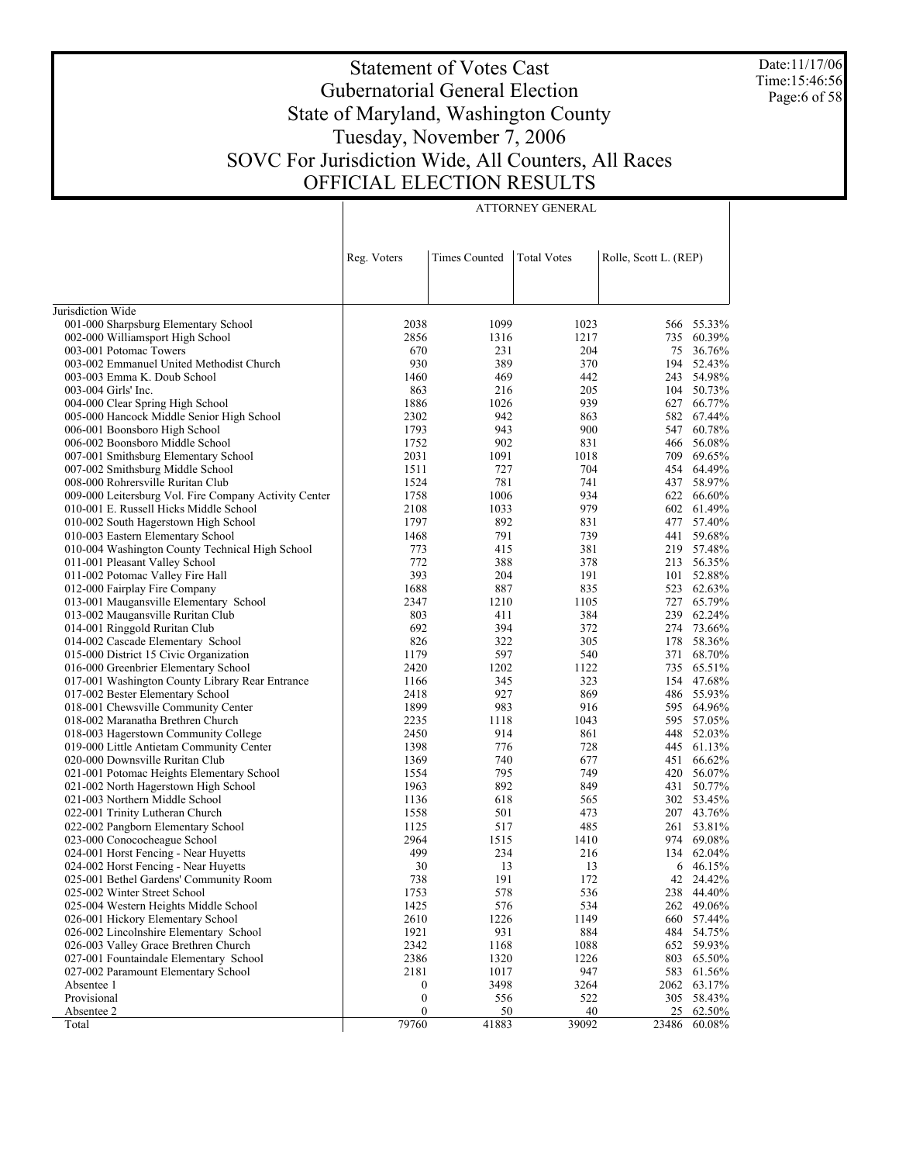Date:11/17/06 Time:15:46:56 Page:6 of 58

# Statement of Votes Cast Gubernatorial General Election State of Maryland, Washington County Tuesday, November 7, 2006 SOVC For Jurisdiction Wide, All Counters, All Races OFFICIAL ELECTION RESULTS

ATTORNEY GENERAL

|                                                                    | Reg. Voters | Times Counted | <b>Total Votes</b> | Rolle, Scott L. (REP) |                      |
|--------------------------------------------------------------------|-------------|---------------|--------------------|-----------------------|----------------------|
|                                                                    |             |               |                    |                       |                      |
| Jurisdiction Wide                                                  |             |               |                    |                       |                      |
| 001-000 Sharpsburg Elementary School                               | 2038        | 1099          | 1023               |                       | 566 55.33%           |
| 002-000 Williamsport High School                                   | 2856        | 1316          | 1217               | 735                   | 60.39%               |
| 003-001 Potomac Towers                                             | 670         | 231           | 204                |                       | 75 36.76%            |
| 003-002 Emmanuel United Methodist Church                           | 930         | 389           | 370                |                       | 194 52.43%           |
| 003-003 Emma K. Doub School                                        | 1460        | 469           | 442                |                       | 243 54.98%           |
| 003-004 Girls' Inc.                                                | 863         | 216           | 205                |                       | 104 50.73%           |
| 004-000 Clear Spring High School                                   | 1886        | 1026          | 939                |                       | 627 66.77%           |
| 005-000 Hancock Middle Senior High School                          | 2302        | 942           | 863                |                       | 582 67.44%           |
| 006-001 Boonsboro High School                                      | 1793        | 943           | 900                |                       | 547 60.78%           |
| 006-002 Boonsboro Middle School                                    | 1752        | 902           | 831                |                       | 466 56.08%           |
| 007-001 Smithsburg Elementary School                               | 2031        | 1091          | 1018               |                       | 709 69.65%           |
| 007-002 Smithsburg Middle School                                   | 1511        | 727           | 704                |                       | 454 64.49%           |
| 008-000 Rohrersville Ruritan Club                                  | 1524        | 781           | 741                |                       | 437 58.97%           |
| 009-000 Leitersburg Vol. Fire Company Activity Center              | 1758        | 1006          | 934                |                       | 622 66.60%           |
| 010-001 E. Russell Hicks Middle School                             | 2108        | 1033          | 979                |                       | 602 61.49%           |
| 010-002 South Hagerstown High School                               | 1797        | 892           | 831                | 477                   | 57.40%               |
| 010-003 Eastern Elementary School                                  | 1468        | 791           | 739                | 441                   | 59.68%               |
| 010-004 Washington County Technical High School                    | 773         | 415           | 381                |                       | 219 57.48%           |
| 011-001 Pleasant Valley School                                     | 772         | 388           | 378                | 213                   | 56.35%               |
| 011-002 Potomac Valley Fire Hall                                   | 393         | 204           | 191                | 101                   | 52.88%               |
| 012-000 Fairplay Fire Company                                      | 1688        | 887           | 835                | 523                   | 62.63%               |
| 013-001 Maugansville Elementary School                             | 2347        | 1210          | 1105               |                       | 727 65.79%           |
| 013-002 Maugansville Ruritan Club                                  | 803<br>692  | 411<br>394    | 384                | 274                   | 239 62.24%<br>73.66% |
| 014-001 Ringgold Ruritan Club<br>014-002 Cascade Elementary School | 826         | 322           | 372<br>305         | 178                   | 58.36%               |
| 015-000 District 15 Civic Organization                             | 1179        | 597           | 540                | 371                   | 68.70%               |
| 016-000 Greenbrier Elementary School                               | 2420        | 1202          | 1122               |                       | 735 65.51%           |
| 017-001 Washington County Library Rear Entrance                    | 1166        | 345           | 323                |                       | 154 47.68%           |
| 017-002 Bester Elementary School                                   | 2418        | 927           | 869                |                       | 486 55.93%           |
| 018-001 Chewsville Community Center                                | 1899        | 983           | 916                |                       | 595 64.96%           |
| 018-002 Maranatha Brethren Church                                  | 2235        | 1118          | 1043               |                       | 595 57.05%           |
| 018-003 Hagerstown Community College                               | 2450        | 914           | 861                | 448                   | 52.03%               |
| 019-000 Little Antietam Community Center                           | 1398        | 776           | 728                |                       | 445 61.13%           |
| 020-000 Downsville Ruritan Club                                    | 1369        | 740           | 677                |                       | 451 66.62%           |
| 021-001 Potomac Heights Elementary School                          | 1554        | 795           | 749                | 420                   | 56.07%               |
| 021-002 North Hagerstown High School                               | 1963        | 892           | 849                | 431                   | 50.77%               |
| 021-003 Northern Middle School                                     | 1136        | 618           | 565                |                       | 302 53.45%           |
| 022-001 Trinity Lutheran Church                                    | 1558        | 501           | 473                |                       | 207 43.76%           |
| 022-002 Pangborn Elementary School                                 | 1125        | 517           | 485                | 261                   | 53.81%               |
| 023-000 Conococheague School                                       | 2964        | 1515          | 1410               | 974                   | 69.08%               |
| 024-001 Horst Fencing - Near Huyetts                               | 499         | 234           | 216                |                       | 134 62.04%           |
| 024-002 Horst Fencing - Near Huyetts                               | 30          | 13            | 13                 |                       | 6 46.15%             |
| 025-001 Bethel Gardens' Community Room                             | 738         | 191           | 172                | 42                    | 24.42%               |
| 025-002 Winter Street School                                       | 1753        | 578           | 536                |                       | 238 44.40%           |
| 025-004 Western Heights Middle School                              | 1425        | 576           | 534                | 262                   | 49.06%               |
| 026-001 Hickory Elementary School                                  | 2610        | 1226          | 1149               | 660                   | 57.44%               |
| 026-002 Lincolnshire Elementary School                             | 1921        | 931           | 884                | 484                   | 54.75%               |
| 026-003 Valley Grace Brethren Church                               | 2342        | 1168          | 1088               | 652                   | 59.93%               |
| 027-001 Fountaindale Elementary School                             | 2386        | 1320          | 1226               | 803                   | 65.50%               |
| 027-002 Paramount Elementary School                                | 2181        | 1017          | 947                |                       | 583 61.56%           |
| Absentee 1                                                         | 0           | 3498          | 3264               |                       | 2062 63.17%          |
| Provisional                                                        | 0           | 556           | 522                |                       | 305 58.43%           |
| Absentee 2                                                         | 0           | <u>50</u>     | 40                 | 25                    | 62.50%               |
| Total                                                              | 79760       | 41883         | 39092              | 23486                 | 60.08%               |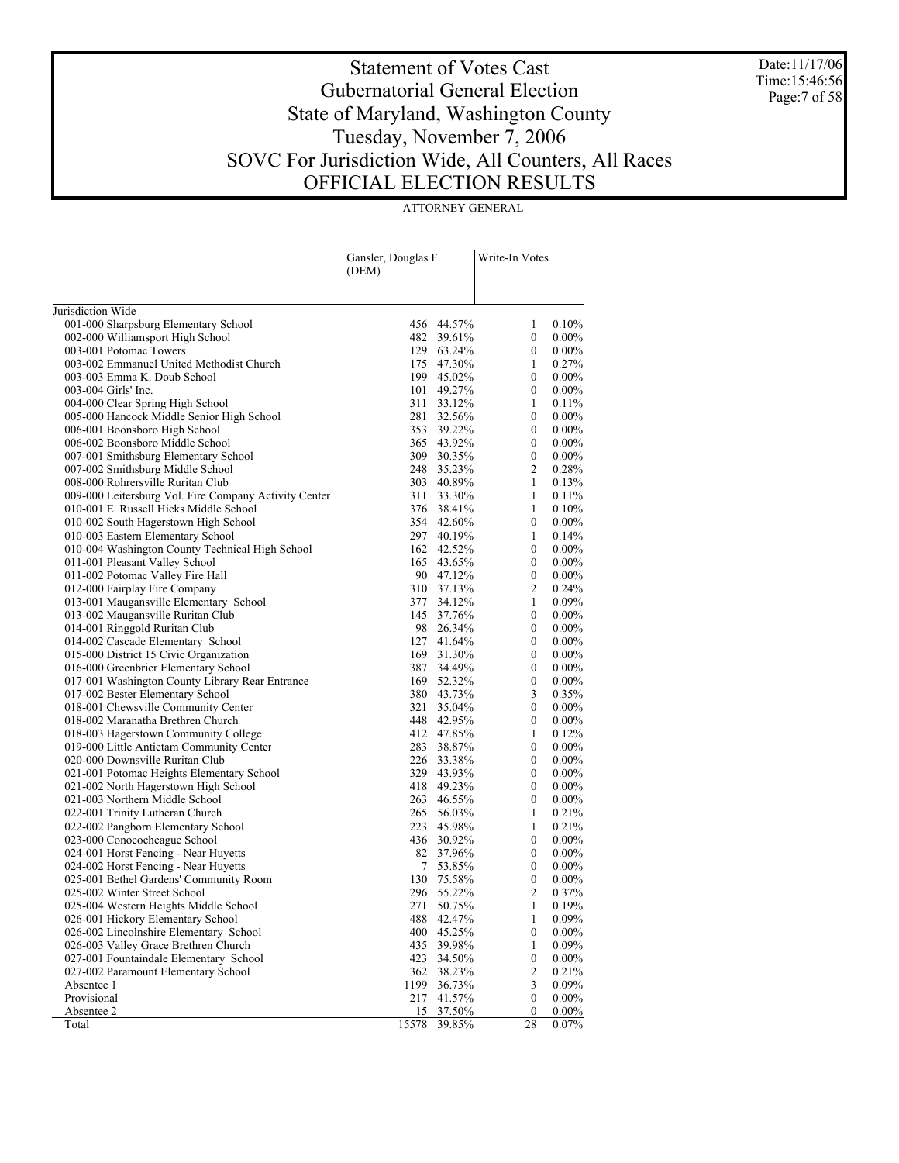Date:11/17/06 Time:15:46:56 Page:7 of 58

# Statement of Votes Cast Gubernatorial General Election State of Maryland, Washington County Tuesday, November 7, 2006 SOVC For Jurisdiction Wide, All Counters, All Races OFFICIAL ELECTION RESULTS

ATTORNEY GENERAL

|                                                       | Gansler, Douglas F.<br>(DEM) |            | Write-In Votes   |          |
|-------------------------------------------------------|------------------------------|------------|------------------|----------|
| Jurisdiction Wide                                     |                              |            |                  |          |
| 001-000 Sharpsburg Elementary School                  |                              | 456 44.57% | 1                | 0.10%    |
| 002-000 Williamsport High School                      |                              | 482 39.61% | $\boldsymbol{0}$ | 0.00%    |
| 003-001 Potomac Towers                                |                              | 129 63.24% | 0                | $0.00\%$ |
| 003-002 Emmanuel United Methodist Church              |                              | 175 47.30% | 1                | 0.27%    |
| 003-003 Emma K. Doub School                           |                              | 199 45.02% | $\mathbf{0}$     | 0.00%    |
| 003-004 Girls' Inc.                                   |                              | 101 49.27% | $\boldsymbol{0}$ | 0.00%    |
| 004-000 Clear Spring High School                      | 311                          | 33.12%     | 1                | 0.11%    |
| 005-000 Hancock Middle Senior High School             |                              | 281 32.56% | $\mathbf{0}$     | 0.00%    |
| 006-001 Boonsboro High School                         |                              | 353 39.22% | $\mathbf{0}$     | 0.00%    |
| 006-002 Boonsboro Middle School                       |                              | 365 43.92% | $\mathbf{0}$     | 0.00%    |
| 007-001 Smithsburg Elementary School                  |                              | 309 30.35% | $\boldsymbol{0}$ | 0.00%    |
| 007-002 Smithsburg Middle School                      |                              | 248 35.23% | 2                | 0.28%    |
| 008-000 Rohrersville Ruritan Club                     |                              | 303 40.89% | $\mathbf{1}$     | 0.13%    |
| 009-000 Leitersburg Vol. Fire Company Activity Center |                              | 311 33.30% | 1                | 0.11%    |
| 010-001 E. Russell Hicks Middle School                |                              | 376 38.41% | 1                | 0.10%    |
| 010-002 South Hagerstown High School                  |                              | 354 42.60% | $\boldsymbol{0}$ | 0.00%    |
| 010-003 Eastern Elementary School                     |                              | 297 40.19% | 1                | 0.14%    |
| 010-004 Washington County Technical High School       |                              | 162 42.52% | $\boldsymbol{0}$ | 0.00%    |
| 011-001 Pleasant Valley School                        |                              | 165 43.65% | $\mathbf{0}$     | 0.00%    |
| 011-002 Potomac Valley Fire Hall                      |                              | 90 47.12%  | $\boldsymbol{0}$ | 0.00%    |
| 012-000 Fairplay Fire Company                         |                              | 310 37.13% | 2                | 0.24%    |
| 013-001 Maugansville Elementary School                |                              | 377 34.12% | 1                | 0.09%    |
| 013-002 Maugansville Ruritan Club                     |                              | 145 37.76% | 0                | 0.00%    |
| 014-001 Ringgold Ruritan Club                         |                              | 98 26.34%  | 0                | 0.00%    |
| 014-002 Cascade Elementary School                     |                              | 127 41.64% | $\mathbf{0}$     | 0.00%    |
| 015-000 District 15 Civic Organization                |                              | 169 31.30% | 0                | 0.00%    |
| 016-000 Greenbrier Elementary School                  |                              | 387 34.49% | 0                | 0.00%    |
| 017-001 Washington County Library Rear Entrance       |                              | 169 52.32% | $\boldsymbol{0}$ | 0.00%    |
| 017-002 Bester Elementary School                      |                              | 380 43.73% | 3                | 0.35%    |
| 018-001 Chewsville Community Center                   |                              | 321 35.04% | $\boldsymbol{0}$ | 0.00%    |
| 018-002 Maranatha Brethren Church                     |                              | 448 42.95% | $\boldsymbol{0}$ | 0.00%    |
| 018-003 Hagerstown Community College                  |                              | 412 47.85% | 1                | 0.12%    |
| 019-000 Little Antietam Community Center              |                              | 283 38.87% | $\mathbf{0}$     | 0.00%    |
| 020-000 Downsville Ruritan Club                       |                              | 226 33.38% | 0                | 0.00%    |
| 021-001 Potomac Heights Elementary School             |                              | 329 43.93% | $\mathbf{0}$     | 0.00%    |
| 021-002 North Hagerstown High School                  |                              | 418 49.23% | $\mathbf{0}$     | 0.00%    |
| 021-003 Northern Middle School                        |                              | 263 46.55% | $\mathbf{0}$     | 0.00%    |
| 022-001 Trinity Lutheran Church                       |                              | 265 56.03% | 1                | 0.21%    |
| 022-002 Pangborn Elementary School                    |                              | 223 45.98% | 1                | 0.21%    |
| 023-000 Conococheague School                          |                              | 436 30.92% | $\boldsymbol{0}$ | $0.00\%$ |
| 024-001 Horst Fencing - Near Huyetts                  |                              | 82 37.96%  | 0                | $0.00\%$ |
| 024-002 Horst Fencing - Near Huyetts                  |                              | 7 53.85%   | $\boldsymbol{0}$ | 0.00%    |
| 025-001 Bethel Gardens' Community Room                | 130                          | 75.58%     | $\mathbf{0}$     | $0.00\%$ |
| 025-002 Winter Street School                          | 296                          | 55.22%     | $\overline{c}$   | 0.37%    |
| 025-004 Western Heights Middle School                 | 271                          | 50.75%     | $\mathbf{1}$     | 0.19%    |
| 026-001 Hickory Elementary School                     | 488                          | 42.47%     | 1                | 0.09%    |
| 026-002 Lincolnshire Elementary School                | 400                          | 45.25%     | 0                | $0.00\%$ |
| 026-003 Valley Grace Brethren Church                  | 435                          | 39.98%     | 1                | 0.09%    |
| 027-001 Fountaindale Elementary School                | 423                          | 34.50%     | 0                | $0.00\%$ |
| 027-002 Paramount Elementary School                   | 362                          | 38.23%     | 2                | 0.21%    |
| Absentee 1                                            | 1199                         | 36.73%     | 3                | 0.09%    |
| Provisional                                           | 217                          | 41.57%     | $\boldsymbol{0}$ | $0.00\%$ |
| Absentee 2                                            | 15                           | 37.50%     | $\theta$         | $0.00\%$ |
| Total                                                 | 15578                        | 39.85%     | 28               | 0.07%    |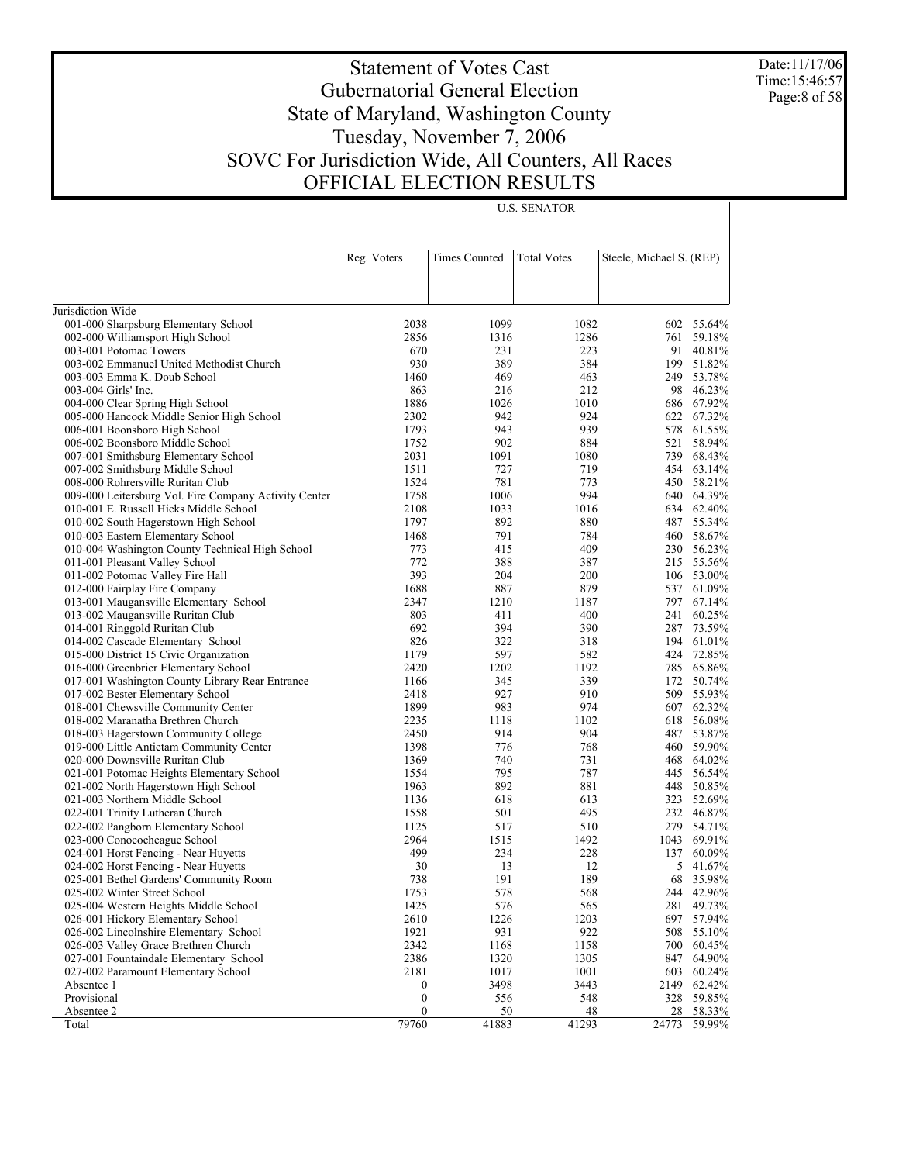Date:11/17/06 Time:15:46:57 Page:8 of 58

# Statement of Votes Cast Gubernatorial General Election State of Maryland, Washington County Tuesday, November 7, 2006 SOVC For Jurisdiction Wide, All Counters, All Races OFFICIAL ELECTION RESULTS

U.S. SENATOR

|                                                                                            | Reg. Voters      | <b>Times Counted</b> | <b>Total Votes</b> | Steele, Michael S. (REP) |                          |
|--------------------------------------------------------------------------------------------|------------------|----------------------|--------------------|--------------------------|--------------------------|
|                                                                                            |                  |                      |                    |                          |                          |
| Jurisdiction Wide                                                                          |                  |                      |                    |                          |                          |
| 001-000 Sharpsburg Elementary School                                                       | 2038             | 1099                 | 1082               |                          | 602 55.64%               |
| 002-000 Williamsport High School                                                           | 2856             | 1316                 | 1286               |                          | 761 59.18%               |
| 003-001 Potomac Towers                                                                     | 670              | 231                  | 223                |                          | 91 40.81%                |
| 003-002 Emmanuel United Methodist Church                                                   | 930              | 389                  | 384                | 199                      | 51.82%                   |
| 003-003 Emma K. Doub School                                                                | 1460             | 469                  | 463                |                          | 249 53.78%               |
| 003-004 Girls' Inc.                                                                        | 863              | 216                  | 212                | 98                       | 46.23%                   |
| 004-000 Clear Spring High School                                                           | 1886             | 1026                 | 1010               |                          | 686 67.92%               |
| 005-000 Hancock Middle Senior High School                                                  | 2302             | 942                  | 924                |                          | 622 67.32%               |
| 006-001 Boonsboro High School                                                              | 1793             | 943                  | 939                | 578                      | 61.55%                   |
| 006-002 Boonsboro Middle School                                                            | 1752             | 902                  | 884                | 521                      | 58.94%                   |
| 007-001 Smithsburg Elementary School                                                       | 2031             | 1091                 | 1080               | 739                      | 68.43%                   |
| 007-002 Smithsburg Middle School                                                           | 1511<br>1524     | 727<br>781           | 719<br>773         |                          | 454 63.14%<br>450 58.21% |
| 008-000 Rohrersville Ruritan Club<br>009-000 Leitersburg Vol. Fire Company Activity Center | 1758             | 1006                 | 994                |                          | 640 64.39%               |
| 010-001 E. Russell Hicks Middle School                                                     | 2108             | 1033                 | 1016               |                          | 634 62.40%               |
| 010-002 South Hagerstown High School                                                       | 1797             | 892                  | 880                |                          | 487 55.34%               |
| 010-003 Eastern Elementary School                                                          | 1468             | 791                  | 784                | 460                      | 58.67%                   |
| 010-004 Washington County Technical High School                                            | 773              | 415                  | 409                |                          | 230 56.23%               |
| 011-001 Pleasant Valley School                                                             | 772              | 388                  | 387                |                          | 215 55.56%               |
| 011-002 Potomac Valley Fire Hall                                                           | 393              | 204                  | 200                |                          | 106 53.00%               |
| 012-000 Fairplay Fire Company                                                              | 1688             | 887                  | 879                |                          | 537 61.09%               |
| 013-001 Maugansville Elementary School                                                     | 2347             | 1210                 | 1187               |                          | 797 67.14%               |
| 013-002 Maugansville Ruritan Club                                                          | 803              | 411                  | 400                | 241                      | 60.25%                   |
| 014-001 Ringgold Ruritan Club                                                              | 692              | 394                  | 390                | 287                      | 73.59%                   |
| 014-002 Cascade Elementary School                                                          | 826              | 322                  | 318                |                          | 194 61.01%               |
| 015-000 District 15 Civic Organization                                                     | 1179             | 597                  | 582                |                          | 424 72.85%               |
| 016-000 Greenbrier Elementary School                                                       | 2420             | 1202                 | 1192               |                          | 785 65.86%               |
| 017-001 Washington County Library Rear Entrance                                            | 1166             | 345                  | 339                |                          | 172 50.74%               |
| 017-002 Bester Elementary School                                                           | 2418             | 927                  | 910                | 509                      | 55.93%                   |
| 018-001 Chewsville Community Center                                                        | 1899             | 983                  | 974                |                          | 607 62.32%               |
| 018-002 Maranatha Brethren Church                                                          | 2235             | 1118                 | 1102               |                          | 618 56.08%               |
| 018-003 Hagerstown Community College                                                       | 2450             | 914                  | 904                |                          | 487 53.87%               |
| 019-000 Little Antietam Community Center                                                   | 1398             | 776                  | 768                | 460                      | 59.90%                   |
| 020-000 Downsville Ruritan Club                                                            | 1369             | 740                  | 731                | 468                      | 64.02%                   |
| 021-001 Potomac Heights Elementary School                                                  | 1554             | 795                  | 787                | 445                      | 56.54%                   |
| 021-002 North Hagerstown High School                                                       | 1963             | 892                  | 881                | 448                      | 50.85%                   |
| 021-003 Northern Middle School                                                             | 1136             | 618                  | 613                |                          | 323 52.69%               |
| 022-001 Trinity Lutheran Church                                                            | 1558             | 501                  | 495                |                          | 232 46.87%               |
| 022-002 Pangborn Elementary School                                                         | 1125             | 517                  | 510                | 279                      | 54.71%                   |
| 023-000 Conococheague School                                                               | 2964             | 1515                 | 1492               |                          | 1043 69.91%              |
| 024-001 Horst Fencing - Near Huyetts                                                       | 499              | 234                  | 228                |                          | 137 60.09%               |
| 024-002 Horst Fencing - Near Huyetts                                                       | 30               | 13                   | 12                 | 5                        | 41.67%                   |
| 025-001 Bethel Gardens' Community Room                                                     | 738              | 191                  | 189                |                          | 68 35.98%                |
| 025-002 Winter Street School<br>025-004 Western Heights Middle School                      | 1753<br>1425     | 578<br>576           | 568<br>565         |                          | 244 42.96%<br>281 49.73% |
| 026-001 Hickory Elementary School                                                          | 2610             | 1226                 | 1203               |                          | 697 57.94%               |
| 026-002 Lincolnshire Elementary School                                                     | 1921             | 931                  | 922                |                          | 508 55.10%               |
| 026-003 Valley Grace Brethren Church                                                       | 2342             | 1168                 | 1158               |                          | 700 60.45%               |
| 027-001 Fountaindale Elementary School                                                     | 2386             | 1320                 | 1305               |                          | 847 64.90%               |
| 027-002 Paramount Elementary School                                                        | 2181             | 1017                 | 1001               |                          | 603 60.24%               |
| Absentee 1                                                                                 | $\bf{0}$         | 3498                 | 3443               |                          | 2149 62.42%              |
| Provisional                                                                                | $\boldsymbol{0}$ | 556                  | 548                |                          | 328 59.85%               |
| Absentee 2                                                                                 | $\boldsymbol{0}$ | 50                   | 48                 |                          | 28 58.33%                |
| Total                                                                                      | 79760            | 41883                | 41293              |                          | 24773 59.99%             |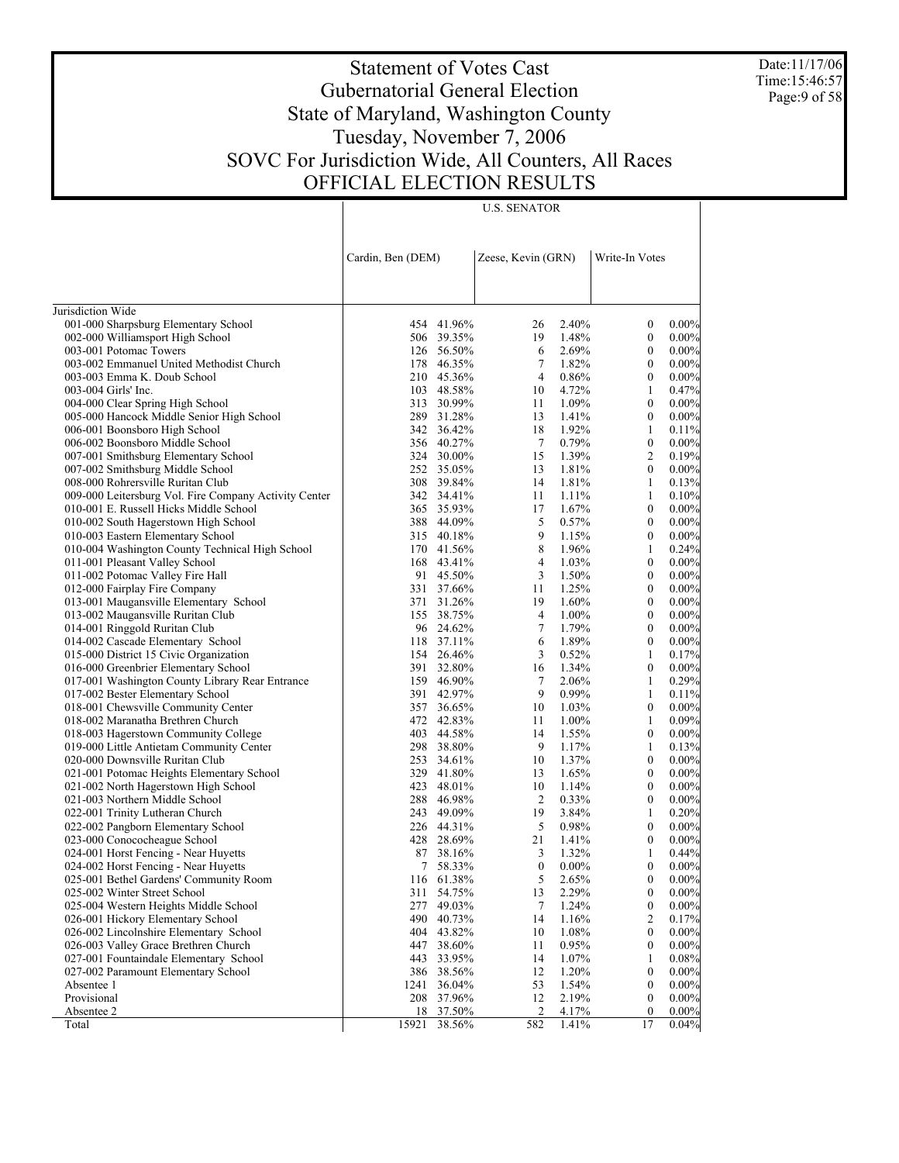Date:11/17/06 Time:15:46:57 Page:9 of 58

# Statement of Votes Cast Gubernatorial General Election State of Maryland, Washington County Tuesday, November 7, 2006 SOVC For Jurisdiction Wide, All Counters, All Races OFFICIAL ELECTION RESULTS

U.S. SENATOR

|                                                       | Cardin, Ben (DEM) |            | Zeese, Kevin (GRN) |          | Write-In Votes   |          |
|-------------------------------------------------------|-------------------|------------|--------------------|----------|------------------|----------|
| Jurisdiction Wide                                     |                   |            |                    |          |                  |          |
| 001-000 Sharpsburg Elementary School                  |                   | 454 41.96% | 26                 | 2.40%    | $\boldsymbol{0}$ | $0.00\%$ |
| 002-000 Williamsport High School                      |                   | 506 39.35% | 19                 | 1.48%    | $\boldsymbol{0}$ | $0.00\%$ |
| 003-001 Potomac Towers                                |                   | 126 56.50% | 6                  | 2.69%    | $\boldsymbol{0}$ | $0.00\%$ |
| 003-002 Emmanuel United Methodist Church              |                   | 178 46.35% | 7                  | 1.82%    | $\mathbf{0}$     | $0.00\%$ |
| 003-003 Emma K. Doub School                           |                   | 210 45.36% | $\overline{4}$     | 0.86%    | $\boldsymbol{0}$ | $0.00\%$ |
| 003-004 Girls' Inc.                                   |                   | 103 48.58% | 10                 | 4.72%    | $\mathbf{1}$     | 0.47%    |
| 004-000 Clear Spring High School                      |                   | 313 30.99% | 11                 | 1.09%    | $\boldsymbol{0}$ | $0.00\%$ |
| 005-000 Hancock Middle Senior High School             |                   | 289 31.28% | 13                 | 1.41%    | $\mathbf{0}$     | $0.00\%$ |
| 006-001 Boonsboro High School                         |                   | 342 36.42% | 18                 | 1.92%    | 1                | 0.11%    |
| 006-002 Boonsboro Middle School                       |                   | 356 40.27% | $\tau$             | 0.79%    | $\boldsymbol{0}$ | $0.00\%$ |
| 007-001 Smithsburg Elementary School                  |                   | 324 30.00% | 15                 | 1.39%    | 2                | 0.19%    |
| 007-002 Smithsburg Middle School                      |                   | 252 35.05% | 13                 | 1.81%    | $\mathbf{0}$     | $0.00\%$ |
| 008-000 Rohrersville Ruritan Club                     |                   | 308 39.84% | 14                 | 1.81%    | 1                | 0.13%    |
| 009-000 Leitersburg Vol. Fire Company Activity Center |                   | 342 34.41% | 11                 | 1.11%    | $\mathbf{1}$     | 0.10%    |
| 010-001 E. Russell Hicks Middle School                |                   | 365 35.93% | 17                 | 1.67%    | $\boldsymbol{0}$ | $0.00\%$ |
| 010-002 South Hagerstown High School                  |                   | 388 44.09% | 5                  | 0.57%    | $\mathbf{0}$     | $0.00\%$ |
| 010-003 Eastern Elementary School                     |                   | 315 40.18% | 9                  | 1.15%    | $\boldsymbol{0}$ | $0.00\%$ |
| 010-004 Washington County Technical High School       |                   | 170 41.56% | 8                  | 1.96%    | 1                | 0.24%    |
| 011-001 Pleasant Valley School                        |                   | 168 43.41% | $\overline{4}$     | 1.03%    | $\boldsymbol{0}$ | $0.00\%$ |
| 011-002 Potomac Valley Fire Hall                      |                   | 91 45.50%  | 3                  | 1.50%    | $\boldsymbol{0}$ | $0.00\%$ |
| 012-000 Fairplay Fire Company                         |                   | 331 37.66% | 11                 | 1.25%    | $\boldsymbol{0}$ | $0.00\%$ |
| 013-001 Maugansville Elementary School                |                   | 371 31.26% | 19                 | 1.60%    | $\boldsymbol{0}$ | $0.00\%$ |
| 013-002 Maugansville Ruritan Club                     |                   | 155 38.75% | $\overline{4}$     | 1.00%    | $\boldsymbol{0}$ | $0.00\%$ |
| 014-001 Ringgold Ruritan Club                         |                   | 96 24.62%  | 7                  | 1.79%    | $\boldsymbol{0}$ | $0.00\%$ |
| 014-002 Cascade Elementary School                     |                   | 118 37.11% | 6                  | 1.89%    | $\boldsymbol{0}$ | $0.00\%$ |
| 015-000 District 15 Civic Organization                |                   | 154 26.46% | 3                  | 0.52%    | $\mathbf{1}$     | 0.17%    |
| 016-000 Greenbrier Elementary School                  |                   | 391 32.80% | 16                 | 1.34%    | $\boldsymbol{0}$ | $0.00\%$ |
| 017-001 Washington County Library Rear Entrance       |                   | 159 46.90% | 7                  | 2.06%    | $\mathbf{1}$     | 0.29%    |
| 017-002 Bester Elementary School                      |                   | 391 42.97% | 9                  | 0.99%    | $\mathbf{1}$     | 0.11%    |
| 018-001 Chewsville Community Center                   |                   | 357 36.65% | 10                 | 1.03%    | $\boldsymbol{0}$ | $0.00\%$ |
| 018-002 Maranatha Brethren Church                     |                   | 472 42.83% | 11                 | 1.00%    | 1                | 0.09%    |
| 018-003 Hagerstown Community College                  |                   | 403 44.58% | 14                 | 1.55%    | $\boldsymbol{0}$ | $0.00\%$ |
| 019-000 Little Antietam Community Center              |                   | 298 38.80% | 9                  | 1.17%    | 1                | 0.13%    |
| 020-000 Downsville Ruritan Club                       |                   | 253 34.61% | 10                 | 1.37%    | $\boldsymbol{0}$ | $0.00\%$ |
| 021-001 Potomac Heights Elementary School             |                   | 329 41.80% | 13                 | 1.65%    | $\boldsymbol{0}$ | $0.00\%$ |
| 021-002 North Hagerstown High School                  |                   | 423 48.01% | 10                 | 1.14%    | $\boldsymbol{0}$ | $0.00\%$ |
| 021-003 Northern Middle School                        |                   | 288 46.98% | $\overline{2}$     | 0.33%    | $\boldsymbol{0}$ | $0.00\%$ |
| 022-001 Trinity Lutheran Church                       |                   | 243 49.09% | 19                 | 3.84%    | 1                | 0.20%    |
| 022-002 Pangborn Elementary School                    |                   | 226 44.31% | 5                  | 0.98%    | $\boldsymbol{0}$ | $0.00\%$ |
| 023-000 Conococheague School                          |                   | 428 28.69% | 21                 | 1.41%    | $\mathbf{0}$     | $0.00\%$ |
| 024-001 Horst Fencing - Near Huyetts                  |                   | 87 38.16%  | 3                  | 1.32%    | 1                | 0.44%    |
| 024-002 Horst Fencing - Near Huyetts                  | 7                 | 58.33%     | $\mathbf{0}$       | $0.00\%$ | $\mathbf{0}$     | $0.00\%$ |
| 025-001 Bethel Gardens' Community Room                | 116               | 61.38%     | 5                  | 2.65%    | $\theta$         | 0.00%    |
| 025-002 Winter Street School                          |                   | 311 54.75% | 13                 | 2.29%    | $\boldsymbol{0}$ | $0.00\%$ |
| 025-004 Western Heights Middle School                 | 277               | 49.03%     | 7                  | 1.24%    | $\boldsymbol{0}$ | 0.00%    |
| 026-001 Hickory Elementary School                     | 490               | 40.73%     | 14                 | 1.16%    | $\overline{c}$   | 0.17%    |
| 026-002 Lincolnshire Elementary School                | 404               | 43.82%     | 10                 | 1.08%    | $\boldsymbol{0}$ | $0.00\%$ |
| 026-003 Valley Grace Brethren Church                  |                   | 447 38.60% | 11                 | 0.95%    | $\boldsymbol{0}$ | $0.00\%$ |
| 027-001 Fountaindale Elementary School                | 443               | 33.95%     | 14                 | 1.07%    | 1                | 0.08%    |
| 027-002 Paramount Elementary School                   |                   | 386 38.56% | 12                 | 1.20%    | $\boldsymbol{0}$ | $0.00\%$ |
| Absentee 1                                            | 1241              | 36.04%     | 53                 | 1.54%    | $\boldsymbol{0}$ | $0.00\%$ |
| Provisional                                           | 208               | 37.96%     | 12                 | 2.19%    | $\boldsymbol{0}$ | $0.00\%$ |
| Absentee 2                                            |                   | 18 37.50%  | 2                  | 4.17%    | $\boldsymbol{0}$ | $0.00\%$ |
| Total                                                 | 15921             | 38.56%     | 582                | 1.41%    | 17               | 0.04%    |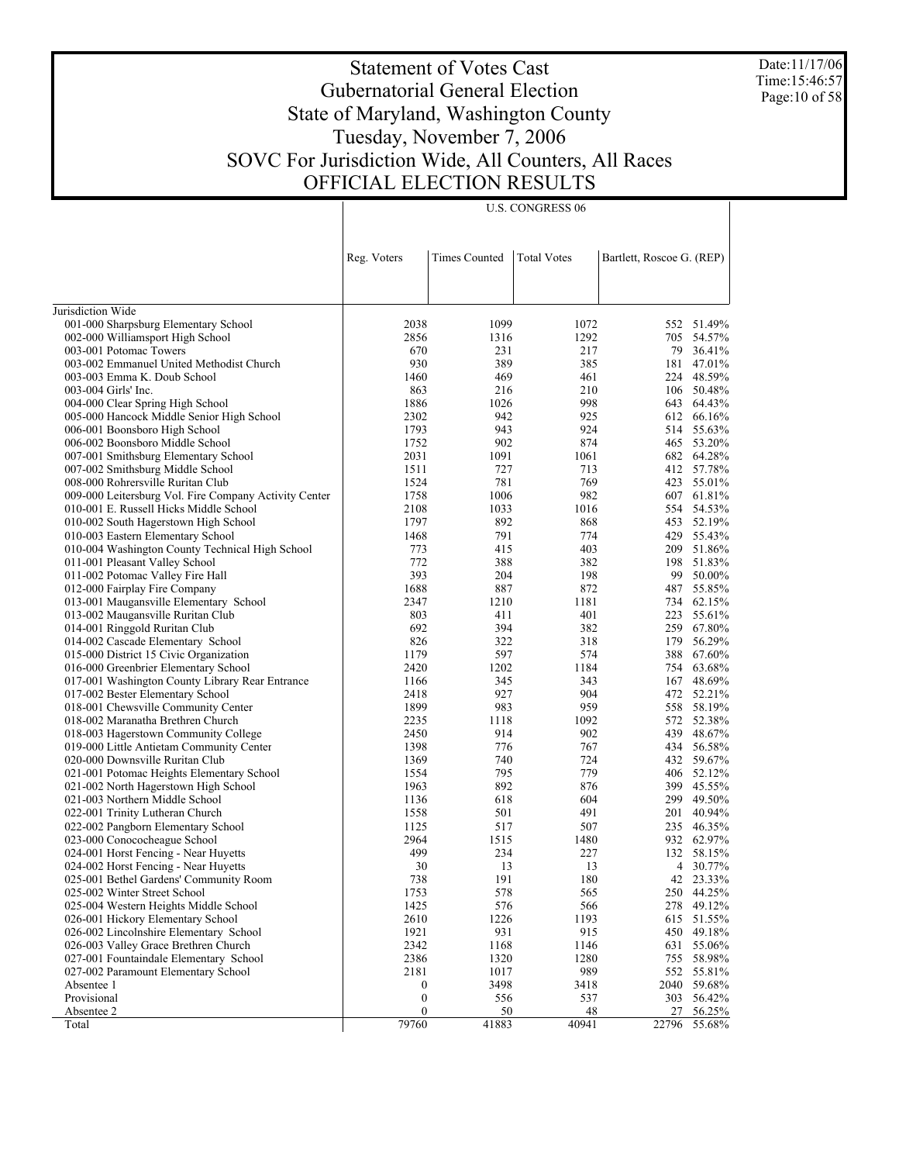Date:11/17/06 Time:15:46:57 Page:10 of 58

## Statement of Votes Cast Gubernatorial General Election State of Maryland, Washington County Tuesday, November 7, 2006 SOVC For Jurisdiction Wide, All Counters, All Races OFFICIAL ELECTION RESULTS

U.S. CONGRESS 06

|                                                       | Reg. Voters               | <b>Times Counted</b> | <b>Total Votes</b> | Bartlett, Roscoe G. (REP) |                  |
|-------------------------------------------------------|---------------------------|----------------------|--------------------|---------------------------|------------------|
|                                                       |                           |                      |                    |                           |                  |
|                                                       |                           |                      |                    |                           |                  |
| Jurisdiction Wide                                     |                           |                      |                    |                           |                  |
| 001-000 Sharpsburg Elementary School                  | 2038                      | 1099                 | 1072               | 552                       | 51.49%           |
| 002-000 Williamsport High School                      | 2856                      | 1316                 | 1292               |                           | 705 54.57%       |
| 003-001 Potomac Towers                                | 670                       | 231                  | 217                | 79                        | 36.41%           |
| 003-002 Emmanuel United Methodist Church              | 930                       | 389                  | 385                | 181                       | 47.01%           |
| 003-003 Emma K. Doub School                           | 1460                      | 469                  | 461                | 224                       | 48.59%           |
| 003-004 Girls' Inc.                                   | 863                       | 216                  | 210                |                           | 106 50.48%       |
| 004-000 Clear Spring High School                      | 1886                      | 1026                 | 998                | 643                       | 64.43%           |
| 005-000 Hancock Middle Senior High School             | 2302                      | 942                  | 925                | 612                       | 66.16%           |
| 006-001 Boonsboro High School                         | 1793                      | 943                  | 924                | 514                       | 55.63%           |
| 006-002 Boonsboro Middle School                       | 1752                      | 902                  | 874                |                           | 465 53.20%       |
| 007-001 Smithsburg Elementary School                  | 2031                      | 1091                 | 1061               | 682                       | 64.28%           |
| 007-002 Smithsburg Middle School                      | 1511                      | 727                  | 713                |                           | 412 57.78%       |
| 008-000 Rohrersville Ruritan Club                     | 1524                      | 781                  | 769                | 423                       | 55.01%           |
| 009-000 Leitersburg Vol. Fire Company Activity Center | 1758                      | 1006                 | 982                | 607                       | 61.81%           |
| 010-001 E. Russell Hicks Middle School                | 2108                      | 1033                 | 1016               |                           | 554 54.53%       |
| 010-002 South Hagerstown High School                  | 1797                      | 892                  | 868                |                           | 453 52.19%       |
| 010-003 Eastern Elementary School                     | 1468                      | 791                  | 774                | 429                       | 55.43%           |
| 010-004 Washington County Technical High School       | 773                       | 415                  | 403                | 209                       | 51.86%           |
| 011-001 Pleasant Valley School                        | 772                       | 388                  | 382                | 198                       | 51.83%           |
| 011-002 Potomac Valley Fire Hall                      | 393                       | 204                  | 198                | 99                        | 50.00%           |
| 012-000 Fairplay Fire Company                         | 1688                      | 887                  | 872                | 487                       | 55.85%           |
| 013-001 Maugansville Elementary School                | 2347                      | 1210                 | 1181               |                           | 734 62.15%       |
| 013-002 Maugansville Ruritan Club                     | 803                       | 411                  | 401                | 223                       | 55.61%           |
| 014-001 Ringgold Ruritan Club                         | 692                       | 394                  | 382                | 259                       | 67.80%           |
| 014-002 Cascade Elementary School                     | 826                       | 322                  | 318                | 179                       | 56.29%           |
| 015-000 District 15 Civic Organization                | 1179                      | 597                  | 574                | 388                       | 67.60%           |
| 016-000 Greenbrier Elementary School                  | 2420                      | 1202                 | 1184               | 754                       | 63.68%           |
| 017-001 Washington County Library Rear Entrance       | 1166                      | 345                  | 343                | 167                       | 48.69%           |
| 017-002 Bester Elementary School                      | 2418                      | 927                  | 904                |                           | 472 52.21%       |
| 018-001 Chewsville Community Center                   | 1899                      | 983                  | 959                |                           | 558 58.19%       |
| 018-002 Maranatha Brethren Church                     | 2235                      | 1118                 | 1092               | 572                       | 52.38%           |
| 018-003 Hagerstown Community College                  | 2450                      | 914                  | 902                | 439                       | 48.67%           |
| 019-000 Little Antietam Community Center              | 1398                      | 776                  | 767                |                           | 434 56.58%       |
| 020-000 Downsville Ruritan Club                       | 1369                      | 740                  | 724                |                           | 432 59.67%       |
| 021-001 Potomac Heights Elementary School             | 1554                      | 795                  | 779                | 406                       | 52.12%           |
| 021-002 North Hagerstown High School                  | 1963                      | 892                  | 876                | 399                       | 45.55%           |
| 021-003 Northern Middle School                        | 1136                      | 618                  | 604                |                           | 299 49.50%       |
| 022-001 Trinity Lutheran Church                       | 1558                      | 501                  | 491                | 201                       | 40.94%           |
| 022-002 Pangborn Elementary School                    | 1125                      | 517                  | 507                |                           | 235 46.35%       |
| 023-000 Conococheague School                          | 2964                      | 1515                 | 1480               |                           | 932 62.97%       |
| 024-001 Horst Fencing - Near Huyetts                  | 499                       | 234                  | 227                |                           | 132 58.15%       |
| 024-002 Horst Fencing - Near Huyetts                  | 30                        | 13                   | 13                 |                           | 4 30.77%         |
| 025-001 Bethel Gardens' Community Room                | 738                       | 191                  | 180                |                           | 42 23.33%        |
| 025-002 Winter Street School                          | 1753                      | 578                  | 565                |                           | 250 44.25%       |
| 025-004 Western Heights Middle School                 | 1425                      | 576                  | 566                | 278                       | 49.12%           |
| 026-001 Hickory Elementary School                     | 2610                      | 1226                 | 1193               | 615                       | 51.55%           |
| 026-002 Lincolnshire Elementary School                | 1921                      | 931                  | 915                | 450                       | 49.18%           |
|                                                       | 2342                      |                      |                    |                           |                  |
| 026-003 Valley Grace Brethren Church                  | 2386                      | 1168                 | 1146               | 631                       | 55.06%<br>58.98% |
| 027-001 Fountaindale Elementary School                |                           | 1320                 | 1280               | 755                       |                  |
| 027-002 Paramount Elementary School                   | 2181                      | 1017                 | 989                | 552                       | 55.81%           |
| Absentee 1                                            | $\boldsymbol{0}$          | 3498                 | 3418               | 2040                      | 59.68%           |
| Provisional                                           | $\boldsymbol{0}$          | 556                  | 537                | 303                       | 56.42%           |
| Absentee 2                                            | $\boldsymbol{0}$<br>79760 | 50<br>41883          | 48<br>40941        | 27<br>22796               | 56.25%           |
| Total                                                 |                           |                      |                    |                           | 55.68%           |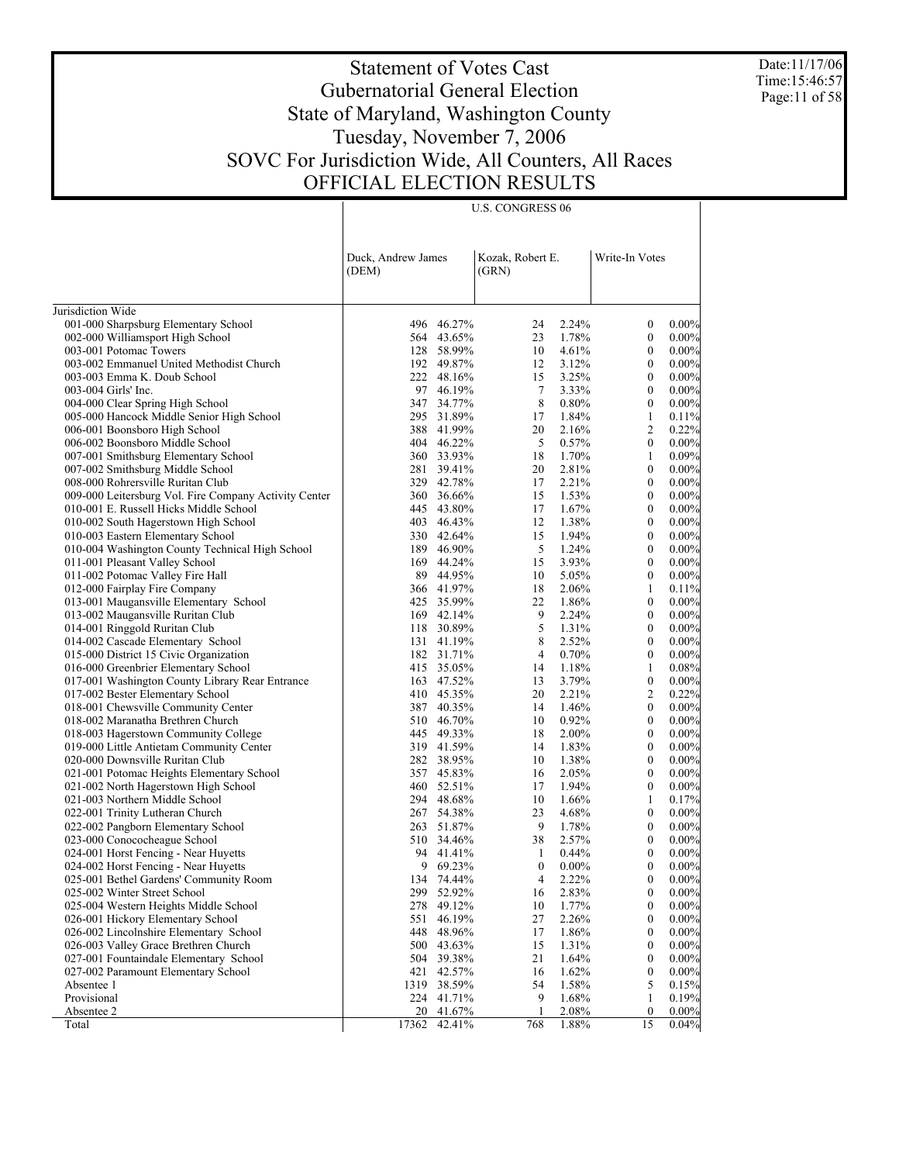Date:11/17/06 Time:15:46:57 Page:11 of 58

 $\top$ 

# Statement of Votes Cast Gubernatorial General Election State of Maryland, Washington County Tuesday, November 7, 2006 SOVC For Jurisdiction Wide, All Counters, All Races OFFICIAL ELECTION RESULTS

|                                                                                  | <b>U.S. CONGRESS 06</b>     |                          |                           |                |                                      |                      |
|----------------------------------------------------------------------------------|-----------------------------|--------------------------|---------------------------|----------------|--------------------------------------|----------------------|
|                                                                                  |                             |                          |                           |                |                                      |                      |
|                                                                                  |                             |                          |                           |                |                                      |                      |
|                                                                                  | Duck, Andrew James<br>(DEM) |                          | Kozak, Robert E.<br>(GRN) |                | Write-In Votes                       |                      |
|                                                                                  |                             |                          |                           |                |                                      |                      |
|                                                                                  |                             |                          |                           |                |                                      |                      |
| Jurisdiction Wide                                                                |                             |                          |                           |                |                                      |                      |
| 001-000 Sharpsburg Elementary School<br>002-000 Williamsport High School         |                             | 496 46.27%<br>564 43.65% | 24<br>23                  | 2.24%<br>1.78% | $\mathbf{0}$<br>$\mathbf{0}$         | $0.00\%$<br>$0.00\%$ |
| 003-001 Potomac Towers                                                           |                             | 128 58.99%               | 10                        | 4.61%          | $\mathbf{0}$                         | $0.00\%$             |
| 003-002 Emmanuel United Methodist Church                                         |                             | 192 49.87%               | 12                        | 3.12%          | $\mathbf{0}$                         | $0.00\%$             |
| 003-003 Emma K. Doub School                                                      |                             | 222 48.16%               | 15                        | 3.25%          | $\mathbf{0}$                         | $0.00\%$             |
| 003-004 Girls' Inc.                                                              |                             | 97 46.19%                | $\tau$                    | 3.33%          | $\mathbf{0}$                         | $0.00\%$             |
| 004-000 Clear Spring High School                                                 |                             | 347 34.77%               | 8                         | 0.80%          | $\mathbf{0}$                         | $0.00\%$             |
| 005-000 Hancock Middle Senior High School                                        |                             | 295 31.89%               | 17                        | 1.84%          | $\mathbf{1}$                         | 0.11%                |
| 006-001 Boonsboro High School                                                    |                             | 388 41.99%               | 20                        | 2.16%          | $\overline{c}$                       | 0.22%                |
| 006-002 Boonsboro Middle School                                                  |                             | 404 46.22%               | 5                         | 0.57%          | $\mathbf{0}$                         | $0.00\%$             |
| 007-001 Smithsburg Elementary School                                             |                             | 360 33.93%               | 18                        | 1.70%          | $\mathbf{1}$                         | 0.09%                |
| 007-002 Smithsburg Middle School                                                 |                             | 281 39.41%               | 20                        | 2.81%          | $\mathbf{0}$                         | $0.00\%$             |
| 008-000 Rohrersville Ruritan Club                                                |                             | 329 42.78%               | 17                        | 2.21%          | $\mathbf{0}$                         | $0.00\%$             |
| 009-000 Leitersburg Vol. Fire Company Activity Center                            |                             | 360 36.66%               | 15<br>17                  | 1.53%          | $\mathbf{0}$<br>$\mathbf{0}$         | $0.00\%$<br>$0.00\%$ |
| 010-001 E. Russell Hicks Middle School<br>010-002 South Hagerstown High School   |                             | 445 43.80%<br>403 46.43% | 12                        | 1.67%<br>1.38% | $\mathbf{0}$                         | $0.00\%$             |
| 010-003 Eastern Elementary School                                                |                             | 330 42.64%               | 15                        | 1.94%          | $\mathbf{0}$                         | $0.00\%$             |
| 010-004 Washington County Technical High School                                  |                             | 189 46.90%               | 5                         | 1.24%          | $\mathbf{0}$                         | $0.00\%$             |
| 011-001 Pleasant Valley School                                                   |                             | 169 44.24%               | 15                        | 3.93%          | $\mathbf{0}$                         | $0.00\%$             |
| 011-002 Potomac Valley Fire Hall                                                 |                             | 89 44.95%                | 10                        | 5.05%          | $\mathbf{0}$                         | $0.00\%$             |
| 012-000 Fairplay Fire Company                                                    |                             | 366 41.97%               | 18                        | 2.06%          | $\mathbf{1}$                         | 0.11%                |
| 013-001 Maugansville Elementary School                                           |                             | 425 35.99%               | 22                        | 1.86%          | $\mathbf{0}$                         | $0.00\%$             |
| 013-002 Maugansville Ruritan Club                                                |                             | 169 42.14%               | 9                         | 2.24%          | $\mathbf{0}$                         | $0.00\%$             |
| 014-001 Ringgold Ruritan Club                                                    |                             | 118 30.89%               | 5                         | 1.31%          | $\mathbf{0}$                         | $0.00\%$             |
| 014-002 Cascade Elementary School                                                |                             | 131 41.19%               | 8                         | 2.52%          | $\mathbf{0}$                         | $0.00\%$             |
| 015-000 District 15 Civic Organization                                           |                             | 182 31.71%               | $\overline{4}$            | 0.70%          | $\mathbf{0}$                         | $0.00\%$             |
| 016-000 Greenbrier Elementary School                                             |                             | 415 35.05%               | 14                        | 1.18%          | $\mathbf{1}$                         | 0.08%                |
| 017-001 Washington County Library Rear Entrance                                  |                             | 163 47.52%               | 13                        | 3.79%          | $\boldsymbol{0}$                     | $0.00\%$             |
| 017-002 Bester Elementary School                                                 |                             | 410 45.35%               | 20                        | 2.21%          | $\overline{c}$                       | 0.22%                |
| 018-001 Chewsville Community Center                                              |                             | 387 40.35%               | 14                        | 1.46%          | $\boldsymbol{0}$                     | $0.00\%$             |
| 018-002 Maranatha Brethren Church                                                |                             | 510 46.70%<br>445 49.33% | 10<br>18                  | 0.92%<br>2.00% | $\mathbf{0}$<br>$\mathbf{0}$         | $0.00\%$<br>$0.00\%$ |
| 018-003 Hagerstown Community College<br>019-000 Little Antietam Community Center |                             | 319 41.59%               | 14                        | 1.83%          | $\mathbf{0}$                         | $0.00\%$             |
| 020-000 Downsville Ruritan Club                                                  |                             | 282 38.95%               | 10                        | 1.38%          | $\mathbf{0}$                         | $0.00\%$             |
| 021-001 Potomac Heights Elementary School                                        |                             | 357 45.83%               | 16                        | 2.05%          | $\mathbf{0}$                         | $0.00\%$             |
| 021-002 North Hagerstown High School                                             |                             | 460 52.51%               | 17                        | 1.94%          | $\mathbf{0}$                         | $0.00\%$             |
| 021-003 Northern Middle School                                                   |                             | 294 48.68%               | 10                        | 1.66%          | $\mathbf{1}$                         | 0.17%                |
| 022-001 Trinity Lutheran Church                                                  | 267                         | 54.38%                   | 23                        | 4.68%          | $\boldsymbol{0}$                     | 0.00%                |
| 022-002 Pangborn Elementary School                                               |                             | 263 51.87%               | 9                         | 1.78%          | $\mathbf{0}$                         | $0.00\%$             |
| 023-000 Conococheague School                                                     |                             | 510 34.46%               | 38                        | 2.57%          | $\boldsymbol{0}$                     | 0.00%                |
| 024-001 Horst Fencing - Near Huyetts                                             |                             | 94 41.41%                | 1                         | 0.44%          | $\theta$                             | 0.00%                |
| 024-002 Horst Fencing - Near Huyetts                                             |                             | 9 69.23%                 | $\boldsymbol{0}$          | $0.00\%$       | $\boldsymbol{0}$                     | 0.00%                |
| 025-001 Bethel Gardens' Community Room                                           | 134                         | 74.44%                   | $\overline{4}$            | 2.22%          | $\boldsymbol{0}$                     | $0.00\%$             |
| 025-002 Winter Street School                                                     | 299                         | 52.92%                   | 16                        | 2.83%          | $\boldsymbol{0}$                     | $0.00\%$             |
| 025-004 Western Heights Middle School                                            | 278                         | 49.12%                   | 10                        | 1.77%          | $\boldsymbol{0}$                     | $0.00\%$             |
| 026-001 Hickory Elementary School                                                | 551                         | 46.19%                   | 27                        | 2.26%          | $\boldsymbol{0}$                     | $0.00\%$             |
| 026-002 Lincolnshire Elementary School                                           | 448                         | 48.96%                   | 17                        | 1.86%          | $\boldsymbol{0}$                     | $0.00\%$             |
| 026-003 Valley Grace Brethren Church                                             | 500                         | 43.63%                   | 15                        | 1.31%          | $\boldsymbol{0}$                     | $0.00\%$             |
| 027-001 Fountaindale Elementary School<br>027-002 Paramount Elementary School    | 504<br>421                  | 39.38%<br>42.57%         | 21<br>16                  | 1.64%<br>1.62% | $\boldsymbol{0}$<br>$\boldsymbol{0}$ | $0.00\%$<br>$0.00\%$ |
| Absentee 1                                                                       | 1319                        | 38.59%                   | 54                        | 1.58%          | 5                                    | 0.15%                |
| Provisional                                                                      |                             | 224 41.71%               | 9                         | 1.68%          | $\mathbf{1}$                         | 0.19%                |
| Absentee 2                                                                       | 20                          | 41.67%                   | 1                         | 2.08%          | $\boldsymbol{0}$                     | 0.00%                |
| Total                                                                            | 17362                       | 42.41%                   | 768                       | 1.88%          | 15                                   | 0.04%                |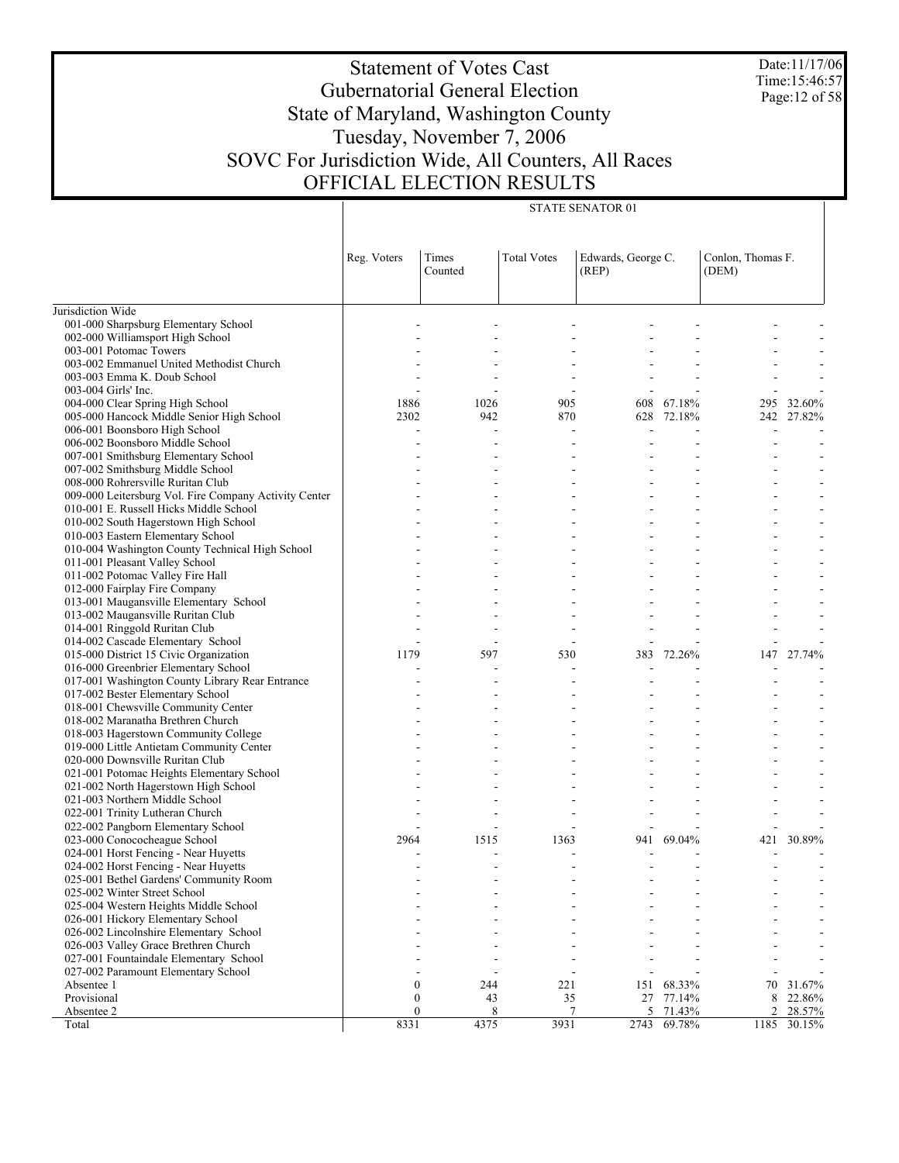Date:11/17/06 Time:15:46:57 Page:12 of 58

# Statement of Votes Cast Gubernatorial General Election State of Maryland, Washington County Tuesday, November 7, 2006 SOVC For Jurisdiction Wide, All Counters, All Races OFFICIAL ELECTION RESULTS

|                                                                       | Reg. Voters      | Times<br>Counted | <b>Total Votes</b> | Edwards, George C.<br>(REP) |            | Conlon, Thomas F.<br>(DEM) |            |
|-----------------------------------------------------------------------|------------------|------------------|--------------------|-----------------------------|------------|----------------------------|------------|
| Jurisdiction Wide                                                     |                  |                  |                    |                             |            |                            |            |
| 001-000 Sharpsburg Elementary School                                  |                  |                  |                    |                             |            |                            |            |
| 002-000 Williamsport High School                                      |                  |                  |                    |                             |            |                            |            |
| 003-001 Potomac Towers                                                |                  |                  |                    |                             |            |                            |            |
| 003-002 Emmanuel United Methodist Church                              |                  |                  |                    |                             |            |                            |            |
| 003-003 Emma K. Doub School                                           |                  |                  |                    |                             |            |                            |            |
| 003-004 Girls' Inc.                                                   |                  |                  |                    |                             |            |                            |            |
| 004-000 Clear Spring High School                                      | 1886             | 1026             | 905                | 608                         | 67.18%     | 295                        | 32.60%     |
| 005-000 Hancock Middle Senior High School                             | 2302             | 942              | 870                | 628                         | 72.18%     |                            | 242 27.82% |
| 006-001 Boonsboro High School                                         |                  |                  |                    |                             |            |                            |            |
| 006-002 Boonsboro Middle School                                       |                  |                  |                    |                             |            |                            |            |
| 007-001 Smithsburg Elementary School                                  |                  |                  |                    |                             |            |                            |            |
| 007-002 Smithsburg Middle School                                      |                  |                  |                    |                             |            |                            |            |
| 008-000 Rohrersville Ruritan Club                                     |                  |                  |                    |                             |            |                            |            |
| 009-000 Leitersburg Vol. Fire Company Activity Center                 |                  |                  |                    |                             |            |                            |            |
| 010-001 E. Russell Hicks Middle School                                |                  |                  |                    |                             |            |                            |            |
| 010-002 South Hagerstown High School                                  |                  |                  |                    |                             |            |                            |            |
| 010-003 Eastern Elementary School                                     |                  |                  |                    |                             |            |                            |            |
| 010-004 Washington County Technical High School                       |                  |                  |                    |                             |            |                            |            |
| 011-001 Pleasant Valley School                                        |                  |                  |                    |                             |            |                            |            |
| 011-002 Potomac Valley Fire Hall                                      |                  |                  |                    |                             |            |                            |            |
| 012-000 Fairplay Fire Company                                         |                  |                  |                    |                             |            |                            |            |
| 013-001 Maugansville Elementary School                                |                  |                  |                    |                             |            |                            |            |
| 013-002 Maugansville Ruritan Club                                     |                  |                  |                    |                             |            |                            |            |
| 014-001 Ringgold Ruritan Club                                         |                  |                  |                    |                             |            |                            |            |
| 014-002 Cascade Elementary School                                     |                  |                  |                    |                             |            |                            |            |
| 015-000 District 15 Civic Organization                                | 1179             | 597              | 530                | 383                         | 72.26%     | 147                        | 27.74%     |
| 016-000 Greenbrier Elementary School                                  |                  |                  |                    | $\overline{\phantom{a}}$    |            |                            |            |
| 017-001 Washington County Library Rear Entrance                       |                  |                  |                    |                             |            |                            |            |
| 017-002 Bester Elementary School                                      |                  |                  |                    |                             |            |                            |            |
| 018-001 Chewsville Community Center                                   |                  |                  |                    |                             |            |                            |            |
| 018-002 Maranatha Brethren Church                                     |                  |                  |                    |                             |            |                            |            |
| 018-003 Hagerstown Community College                                  |                  |                  |                    |                             |            |                            |            |
| 019-000 Little Antietam Community Center                              |                  |                  |                    |                             |            |                            |            |
| 020-000 Downsville Ruritan Club                                       |                  |                  |                    |                             |            |                            |            |
| 021-001 Potomac Heights Elementary School                             |                  |                  |                    |                             |            |                            |            |
| 021-002 North Hagerstown High School                                  |                  |                  |                    |                             |            |                            |            |
| 021-003 Northern Middle School                                        |                  |                  |                    |                             |            |                            |            |
| 022-001 Trinity Lutheran Church                                       |                  |                  |                    |                             |            |                            |            |
| 022-002 Pangborn Elementary School                                    |                  |                  |                    | $\overline{\phantom{a}}$    |            |                            |            |
| 023-000 Conococheague School                                          | 2964             | 1515             | 1363               |                             | 941 69.04% | 421                        | 30.89%     |
| 024-001 Horst Fencing - Near Huyetts                                  |                  |                  |                    |                             |            |                            |            |
| 024-002 Horst Fencing - Near Huyetts                                  |                  |                  |                    |                             |            |                            |            |
| 025-001 Bethel Gardens' Community Room                                |                  |                  |                    |                             |            |                            |            |
| 025-002 Winter Street School<br>025-004 Western Heights Middle School |                  |                  |                    |                             |            |                            |            |
| 026-001 Hickory Elementary School                                     |                  |                  |                    |                             |            |                            |            |
| 026-002 Lincolnshire Elementary School                                |                  |                  |                    |                             |            |                            |            |
| 026-003 Valley Grace Brethren Church                                  |                  |                  |                    |                             |            |                            |            |
| 027-001 Fountaindale Elementary School                                |                  |                  |                    |                             |            |                            |            |
| 027-002 Paramount Elementary School                                   |                  |                  |                    |                             |            |                            |            |
| Absentee 1                                                            | $\boldsymbol{0}$ | 244              | 221                | 151                         | 68.33%     | 70                         | 31.67%     |
| Provisional                                                           | $\mathbf{0}$     | 43               | 35                 | 27                          | 77.14%     | 8                          | 22.86%     |
| Absentee 2                                                            | $\boldsymbol{0}$ | 8                | 7                  | 5                           | 71.43%     | 2                          | 28.57%     |
| Total                                                                 | 8331             | 4375             | 3931               | 2743                        | 69.78%     | 1185                       | 30.15%     |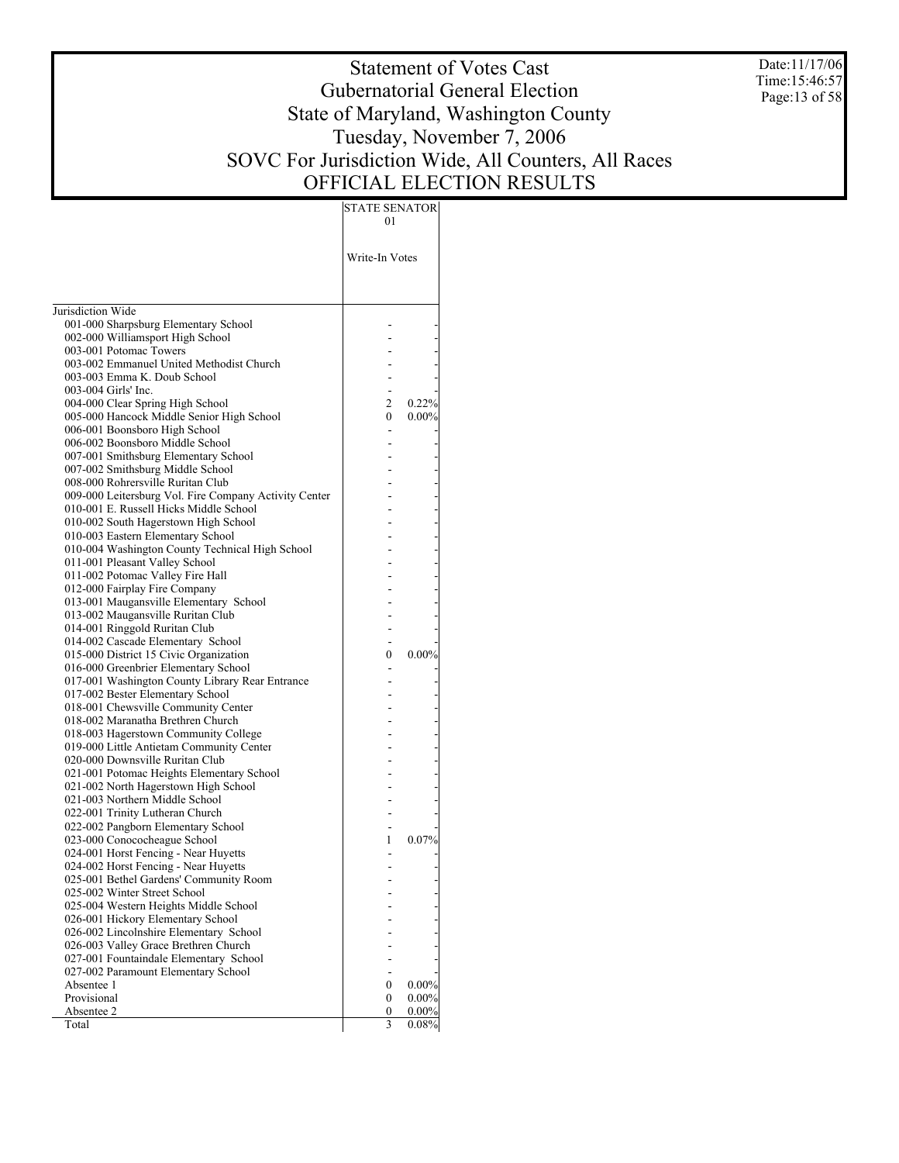Date:11/17/06 Time:15:46:57 Page:13 of 58

# Statement of Votes Cast Gubernatorial General Election State of Maryland, Washington County Tuesday, November 7, 2006 SOVC For Jurisdiction Wide, All Counters, All Races OFFICIAL ELECTION RESULTS

|                                                                               | 01             |          |
|-------------------------------------------------------------------------------|----------------|----------|
|                                                                               |                |          |
|                                                                               | Write-In Votes |          |
|                                                                               |                |          |
| Jurisdiction Wide                                                             |                |          |
| 001-000 Sharpsburg Elementary School                                          |                |          |
| 002-000 Williamsport High School                                              |                |          |
| 003-001 Potomac Towers                                                        |                |          |
| 003-002 Emmanuel United Methodist Church                                      |                |          |
| 003-003 Emma K. Doub School                                                   |                |          |
| 003-004 Girls' Inc.                                                           |                |          |
| 004-000 Clear Spring High School                                              | 2              | $0.22\%$ |
| 005-000 Hancock Middle Senior High School                                     | 0              | $0.00\%$ |
| 006-001 Boonsboro High School                                                 |                |          |
| 006-002 Boonsboro Middle School                                               |                |          |
| 007-001 Smithsburg Elementary School<br>007-002 Smithsburg Middle School      |                |          |
| 008-000 Rohrersville Ruritan Club                                             |                |          |
| 009-000 Leitersburg Vol. Fire Company Activity Center                         |                |          |
| 010-001 E. Russell Hicks Middle School                                        |                |          |
| 010-002 South Hagerstown High School                                          |                |          |
| 010-003 Eastern Elementary School                                             |                |          |
| 010-004 Washington County Technical High School                               |                |          |
| 011-001 Pleasant Valley School                                                |                |          |
| 011-002 Potomac Valley Fire Hall                                              |                |          |
| 012-000 Fairplay Fire Company                                                 |                |          |
| 013-001 Maugansville Elementary School                                        |                |          |
| 013-002 Maugansville Ruritan Club                                             |                |          |
| 014-001 Ringgold Ruritan Club                                                 |                |          |
| 014-002 Cascade Elementary School                                             |                |          |
| 015-000 District 15 Civic Organization                                        | 0              | $0.00\%$ |
| 016-000 Greenbrier Elementary School                                          |                |          |
| 017-001 Washington County Library Rear Entrance                               |                |          |
| 017-002 Bester Elementary School                                              |                |          |
| 018-001 Chewsville Community Center<br>018-002 Maranatha Brethren Church      |                |          |
| 018-003 Hagerstown Community College                                          |                |          |
| 019-000 Little Antietam Community Center                                      |                |          |
| 020-000 Downsville Ruritan Club                                               |                |          |
| 021-001 Potomac Heights Elementary School                                     |                |          |
| 021-002 North Hagerstown High School                                          |                |          |
| 021-003 Northern Middle School                                                |                |          |
| 022-001 Trinity Lutheran Church                                               |                |          |
| 022-002 Pangborn Elementary School                                            |                |          |
| 023-000 Conococheague School                                                  | 1              | 0.07%    |
| 024-001 Horst Fencing - Near Huyetts                                          |                |          |
| 024-002 Horst Fencing - Near Huyetts                                          |                |          |
| 025-001 Bethel Gardens' Community Room                                        |                |          |
| 025-002 Winter Street School                                                  |                |          |
| 025-004 Western Heights Middle School                                         |                |          |
| 026-001 Hickory Elementary School                                             |                |          |
| 026-002 Lincolnshire Elementary School                                        |                |          |
| 026-003 Valley Grace Brethren Church                                          |                |          |
| 027-001 Fountaindale Elementary School<br>027-002 Paramount Elementary School |                |          |
| Absentee 1                                                                    | 0              | $0.00\%$ |
| Provisional                                                                   | $\mathbf{0}$   | 0.00%    |
| Absentee 2                                                                    | 0              | $0.00\%$ |
| Total                                                                         | 3              | 0.08%    |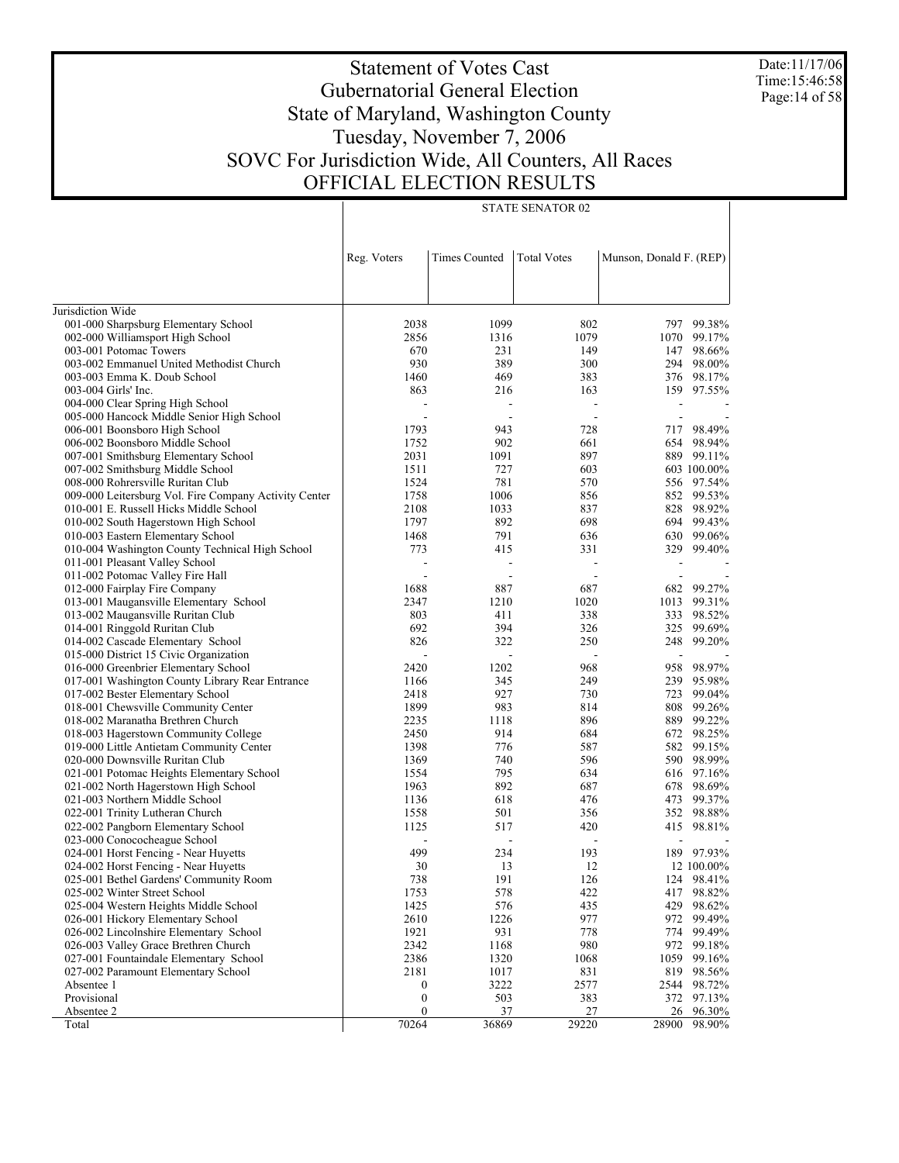Date:11/17/06 Time:15:46:58 Page:14 of 58

#### Statement of Votes Cast Gubernatorial General Election State of Maryland, Washington County Tuesday, November 7, 2006 SOVC For Jurisdiction Wide, All Counters, All Races OFFICIAL ELECTION RESULTS

|                                                                               | Reg. Voters      | <b>Times Counted</b> | <b>Total Votes</b> | Munson, Donald F. (REP) |                      |
|-------------------------------------------------------------------------------|------------------|----------------------|--------------------|-------------------------|----------------------|
|                                                                               |                  |                      |                    |                         |                      |
|                                                                               |                  |                      |                    |                         |                      |
| Jurisdiction Wide                                                             |                  |                      |                    |                         |                      |
| 001-000 Sharpsburg Elementary School                                          | 2038             | 1099                 | 802                |                         | 797 99.38%           |
| 002-000 Williamsport High School                                              | 2856             | 1316                 | 1079               | 1070                    | 99.17%               |
| 003-001 Potomac Towers                                                        | 670              | 231                  | 149                |                         | 147 98.66%           |
| 003-002 Emmanuel United Methodist Church                                      | 930              | 389                  | 300                | 294                     | 98.00%               |
| 003-003 Emma K. Doub School                                                   | 1460             | 469                  | 383                |                         | 376 98.17%           |
| 003-004 Girls' Inc.                                                           | 863              | 216                  | 163                |                         | 159 97.55%           |
| 004-000 Clear Spring High School<br>005-000 Hancock Middle Senior High School |                  |                      |                    | $\overline{a}$          |                      |
| 006-001 Boonsboro High School                                                 | 1793             | 943                  | 728                |                         | 717 98.49%           |
| 006-002 Boonsboro Middle School                                               | 1752             | 902                  | 661                |                         | 654 98.94%           |
| 007-001 Smithsburg Elementary School                                          | 2031             | 1091                 | 897                |                         | 889 99.11%           |
| 007-002 Smithsburg Middle School                                              | 1511             | 727                  | 603                |                         | 603 100.00%          |
| 008-000 Rohrersville Ruritan Club                                             | 1524             | 781                  | 570                |                         | 556 97.54%           |
| 009-000 Leitersburg Vol. Fire Company Activity Center                         | 1758             | 1006                 | 856                |                         | 852 99.53%           |
| 010-001 E. Russell Hicks Middle School                                        | 2108             | 1033                 | 837                | 828                     | 98.92%               |
| 010-002 South Hagerstown High School                                          | 1797             | 892                  | 698                | 694                     | 99.43%               |
| 010-003 Eastern Elementary School                                             | 1468             | 791                  | 636                | 630                     | 99.06%               |
| 010-004 Washington County Technical High School                               | 773              | 415                  | 331                | 329                     | 99.40%               |
| 011-001 Pleasant Valley School                                                |                  | $\overline{a}$       |                    | $\overline{a}$          |                      |
| 011-002 Potomac Valley Fire Hall                                              |                  |                      |                    |                         |                      |
| 012-000 Fairplay Fire Company                                                 | 1688             | 887                  | 687                | 682                     | 99.27%               |
| 013-001 Maugansville Elementary School                                        | 2347             | 1210                 | 1020               | 1013                    | 99.31%               |
| 013-002 Maugansville Ruritan Club                                             | 803              | 411                  | 338                | 333                     | 98.52%               |
| 014-001 Ringgold Ruritan Club                                                 | 692              | 394                  | 326                | 325                     | 99.69%               |
| 014-002 Cascade Elementary School                                             | 826              | 322                  | 250                |                         | 248 99.20%           |
| 015-000 District 15 Civic Organization                                        |                  |                      |                    |                         |                      |
| 016-000 Greenbrier Elementary School                                          | 2420             | 1202                 | 968                | 958                     | 98.97%               |
| 017-001 Washington County Library Rear Entrance                               | 1166             | 345                  | 249                |                         | 239 95.98%           |
| 017-002 Bester Elementary School                                              | 2418             | 927                  | 730                | 723                     | 99.04%               |
| 018-001 Chewsville Community Center                                           | 1899             | 983                  | 814                | 808                     | 99.26%               |
| 018-002 Maranatha Brethren Church                                             | 2235             | 1118                 | 896                | 889                     | 99.22%               |
| 018-003 Hagerstown Community College                                          | 2450             | 914                  | 684                | 672                     | 98.25%               |
| 019-000 Little Antietam Community Center                                      | 1398             | 776                  | 587                | 582                     | 99.15%               |
| 020-000 Downsville Ruritan Club                                               | 1369             | 740                  | 596                | 590                     | 98.99%               |
| 021-001 Potomac Heights Elementary School                                     | 1554             | 795                  | 634                | 616                     | 97.16%               |
| 021-002 North Hagerstown High School                                          | 1963             | 892                  | 687                | 678                     | 98.69%               |
| 021-003 Northern Middle School<br>022-001 Trinity Lutheran Church             | 1136<br>1558     | 618                  | 476                | 473                     | 99.37%<br>352 98.88% |
| 022-002 Pangborn Elementary School                                            | 1125             | 501<br>517           | 356<br>420         |                         | 415 98.81%           |
| 023-000 Conococheague School                                                  |                  |                      |                    |                         |                      |
| 024-001 Horst Fencing - Near Huyetts                                          | 499              | 234                  | 193                |                         | 189 97.93%           |
| 024-002 Horst Fencing - Near Huyetts                                          | 30               | 13                   | 12                 |                         | 12 100.00%           |
| 025-001 Bethel Gardens' Community Room                                        | 738              | 191                  | 126                |                         | 124 98.41%           |
| 025-002 Winter Street School                                                  | 1753             | 578                  | 422                |                         | 417 98.82%           |
| 025-004 Western Heights Middle School                                         | 1425             | 576                  | 435                |                         | 429 98.62%           |
| 026-001 Hickory Elementary School                                             | 2610             | 1226                 | 977                | 972                     | 99.49%               |
| 026-002 Lincolnshire Elementary School                                        | 1921             | 931                  | 778                | 774                     | 99.49%               |
| 026-003 Valley Grace Brethren Church                                          | 2342             | 1168                 | 980                | 972                     | 99.18%               |
| 027-001 Fountaindale Elementary School                                        | 2386             | 1320                 | 1068               | 1059                    | 99.16%               |
| 027-002 Paramount Elementary School                                           | 2181             | 1017                 | 831                | 819                     | 98.56%               |
| Absentee 1                                                                    | $\boldsymbol{0}$ | 3222                 | 2577               | 2544                    | 98.72%               |
| Provisional                                                                   | $\boldsymbol{0}$ | 503                  | 383                | 372                     | 97.13%               |
| Absentee 2                                                                    | $\boldsymbol{0}$ | 37                   | 27                 | 26                      | 96.30%               |
| Total                                                                         | 70264            | 36869                | 29220              | 28900                   | 98.90%               |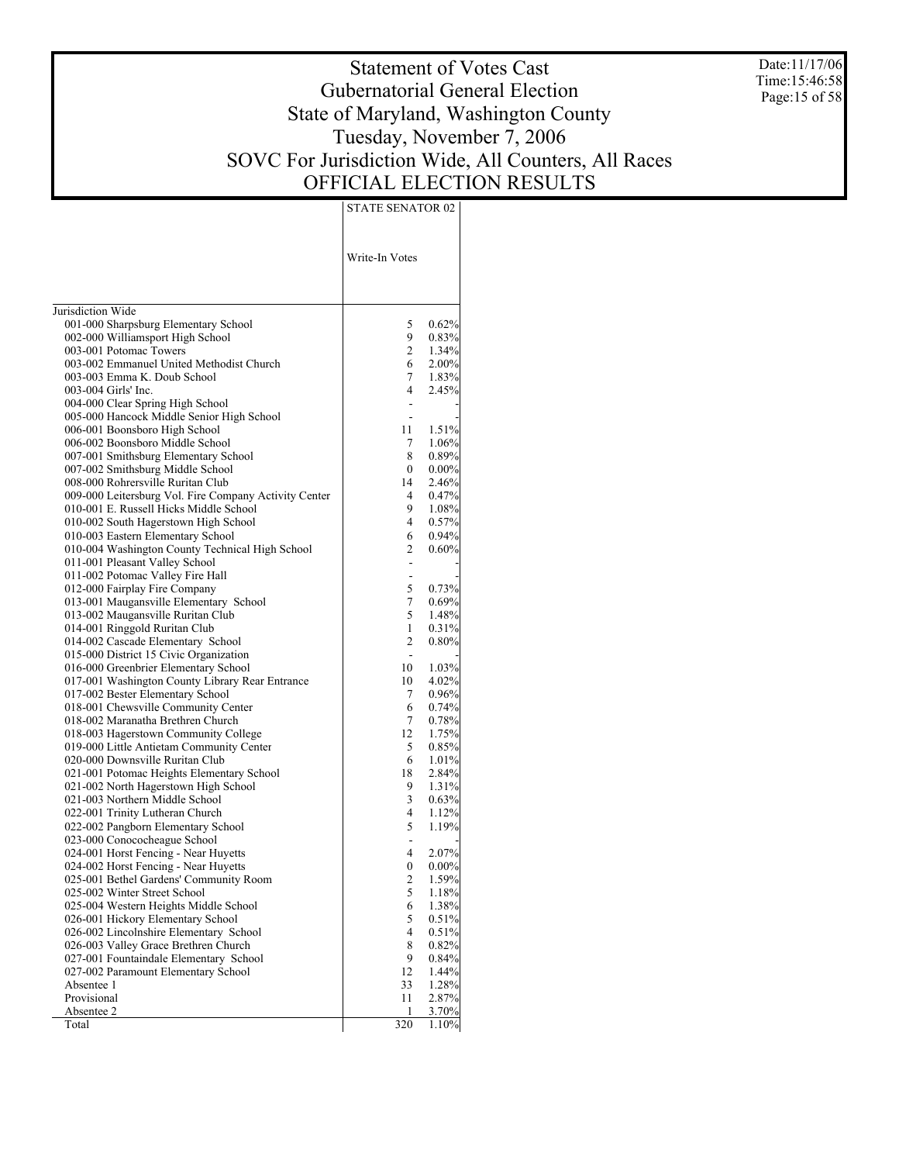Date:11/17/06 Time:15:46:58 Page:15 of 58

# Statement of Votes Cast Gubernatorial General Election State of Maryland, Washington County Tuesday, November 7, 2006 SOVC For Jurisdiction Wide, All Counters, All Races OFFICIAL ELECTION RESULTS

|                                                                                     | Write-In Votes |                   |
|-------------------------------------------------------------------------------------|----------------|-------------------|
| Jurisdiction Wide                                                                   |                |                   |
| 001-000 Sharpsburg Elementary School                                                | 5              | 0.62%             |
| 002-000 Williamsport High School                                                    | 9              | 0.83%             |
| 003-001 Potomac Towers                                                              | 2              | $1.34\%$          |
| 003-002 Emmanuel United Methodist Church                                            | 6              | $2.00\%$          |
| 003-003 Emma K. Doub School                                                         | 7              | 1.83%             |
| 003-004 Girls' Inc.                                                                 | 4              | 2.45%             |
| 004-000 Clear Spring High School                                                    | ä,             |                   |
| 005-000 Hancock Middle Senior High School                                           |                |                   |
| 006-001 Boonsboro High School                                                       | 11             | 1.51%             |
| 006-002 Boonsboro Middle School                                                     | 7              | $1.06\%$          |
| 007-001 Smithsburg Elementary School                                                | 8              | 0.89%             |
| 007-002 Smithsburg Middle School                                                    | 0              | $0.00\%$          |
| 008-000 Rohrersville Ruritan Club                                                   | 14             | 2.46%             |
| 009-000 Leitersburg Vol. Fire Company Activity Center                               | 4              | 0.47%             |
| 010-001 E. Russell Hicks Middle School                                              | 9.             | $1.08\%$          |
| 010-002 South Hagerstown High School                                                | 4              | 0.57%             |
| 010-003 Eastern Elementary School                                                   | 6              | $0.94\%$          |
| 010-004 Washington County Technical High School                                     | 2              | 0.60%             |
| 011-001 Pleasant Valley School                                                      |                |                   |
| 011-002 Potomac Valley Fire Hall                                                    |                |                   |
| 012-000 Fairplay Fire Company                                                       | 5              | 0.73%             |
| 013-001 Maugansville Elementary School                                              | 7              | 0.69%             |
| 013-002 Maugansville Ruritan Club                                                   | 5              | 1.48%             |
| 014-001 Ringgold Ruritan Club                                                       | 1<br>2         | 0.31%             |
| 014-002 Cascade Elementary School                                                   |                | $0.80\%$          |
| 015-000 District 15 Civic Organization<br>016-000 Greenbrier Elementary School      | 10             | 1.03%             |
|                                                                                     | 10             |                   |
| 017-001 Washington County Library Rear Entrance<br>017-002 Bester Elementary School | 7              | 4.02%<br>$0.96\%$ |
| 018-001 Chewsville Community Center                                                 | 6              | 0.74%             |
| 018-002 Maranatha Brethren Church                                                   | 7              | 0.78%             |
| 018-003 Hagerstown Community College                                                | 12             | 1.75%             |
| 019-000 Little Antietam Community Center                                            | 5              | 0.85%             |
| 020-000 Downsville Ruritan Club                                                     | 6              | $1.01\%$          |
| 021-001 Potomac Heights Elementary School                                           | 18             | 2.84%             |
| 021-002 North Hagerstown High School                                                | 9              | 1.31%             |
| 021-003 Northern Middle School                                                      | 3              | 0.63%             |
| 022-001 Trinity Lutheran Church                                                     | 4              | 1.12%             |
| 022-002 Pangborn Elementary School                                                  | 5              | 1.19%             |
| 023-000 Conococheague School                                                        | ÷,             |                   |
| 024-001 Horst Fencing - Near Huyetts                                                | 4              | 2.07%             |
| 024-002 Horst Fencing - Near Huyetts                                                | 0              | $0.00\%$          |
| 025-001 Bethel Gardens' Community Room                                              | 2              | 1.59%             |
| 025-002 Winter Street School                                                        | 5              | 1.18%             |
| 025-004 Western Heights Middle School                                               | 6              | 1.38%             |
| 026-001 Hickory Elementary School                                                   | 5              | 0.51%             |
| 026-002 Lincolnshire Elementary School                                              | 4              | 0.51%             |
| 026-003 Valley Grace Brethren Church                                                | 8              | 0.82%             |
| 027-001 Fountaindale Elementary School                                              | 9              | 0.84%             |
| 027-002 Paramount Elementary School                                                 | 12             | 1.44%             |
| Absentee 1                                                                          | 33             | 1.28%             |
| Provisional                                                                         | 11             | 2.87%             |
| Absentee 2                                                                          | 1              | 3.70%             |
| Total                                                                               | 320            | 1.10%             |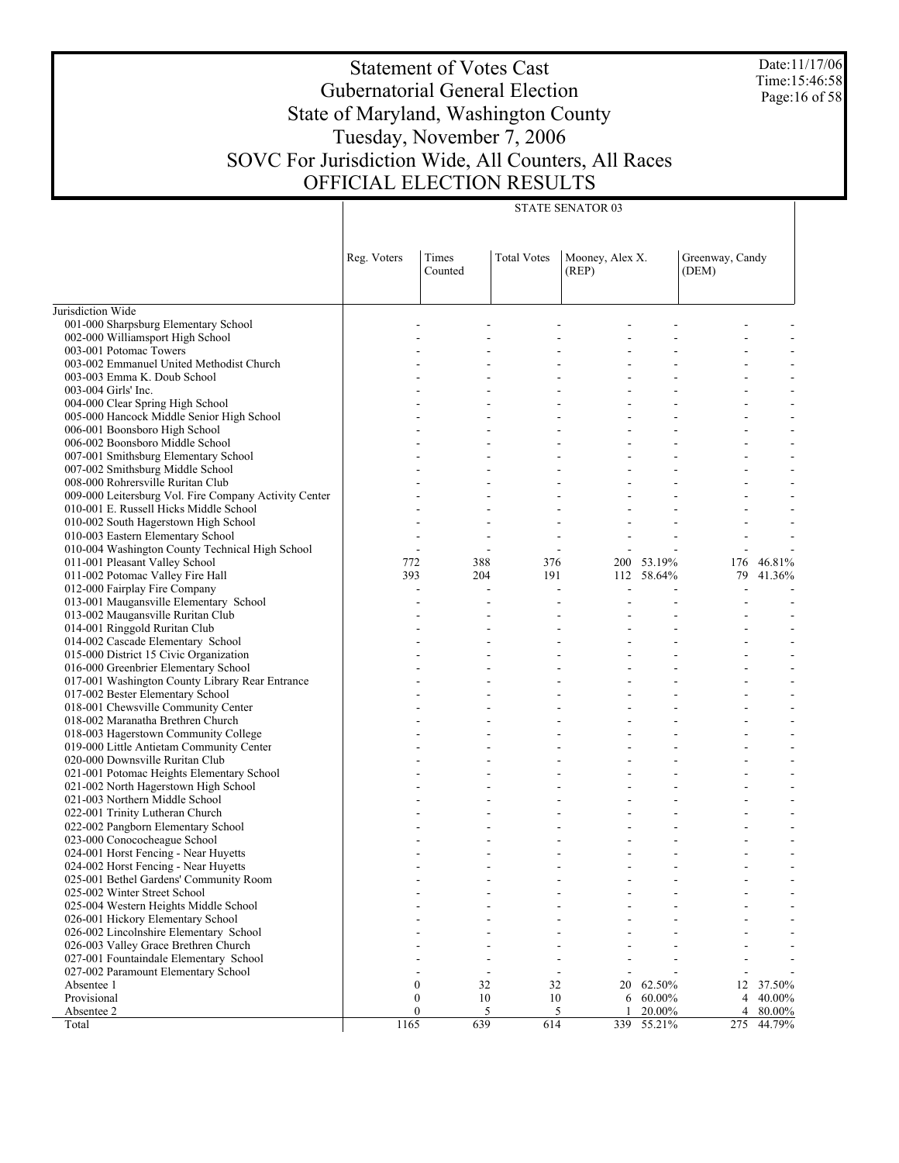Date:11/17/06 Time:15:46:58 Page:16 of 58

# Statement of Votes Cast Gubernatorial General Election State of Maryland, Washington County Tuesday, November 7, 2006 SOVC For Jurisdiction Wide, All Counters, All Races OFFICIAL ELECTION RESULTS

| <b>Total Votes</b><br>Reg. Voters<br>Times<br>Mooney, Alex X.<br>Greenway, Candy<br>Counted<br>(REP)<br>(DEM)<br>Jurisdiction Wide<br>001-000 Sharpsburg Elementary School<br>002-000 Williamsport High School<br>003-001 Potomac Towers<br>003-002 Emmanuel United Methodist Church<br>003-003 Emma K. Doub School<br>003-004 Girls' Inc.<br>004-000 Clear Spring High School<br>005-000 Hancock Middle Senior High School<br>006-001 Boonsboro High School<br>006-002 Boonsboro Middle School<br>007-001 Smithsburg Elementary School<br>007-002 Smithsburg Middle School<br>008-000 Rohrersville Ruritan Club<br>009-000 Leitersburg Vol. Fire Company Activity Center<br>010-001 E. Russell Hicks Middle School<br>010-002 South Hagerstown High School<br>010-003 Eastern Elementary School<br>010-004 Washington County Technical High School<br>$\overline{\phantom{a}}$<br>011-001 Pleasant Valley School<br>772<br>388<br>376<br>200 53.19%<br>176<br>46.81%<br>011-002 Potomac Valley Fire Hall<br>393<br>204<br>191<br>112 58.64%<br>79<br>41.36%<br>012-000 Fairplay Fire Company<br>$\overline{a}$<br>$\frac{1}{2}$<br>013-001 Maugansville Elementary School<br>013-002 Maugansville Ruritan Club<br>014-001 Ringgold Ruritan Club<br>014-002 Cascade Elementary School<br>015-000 District 15 Civic Organization<br>016-000 Greenbrier Elementary School<br>017-001 Washington County Library Rear Entrance<br>017-002 Bester Elementary School<br>018-001 Chewsville Community Center<br>018-002 Maranatha Brethren Church<br>018-003 Hagerstown Community College<br>019-000 Little Antietam Community Center<br>020-000 Downsville Ruritan Club<br>021-001 Potomac Heights Elementary School<br>021-002 North Hagerstown High School<br>021-003 Northern Middle School<br>022-001 Trinity Lutheran Church<br>022-002 Pangborn Elementary School<br>023-000 Conococheague School<br>024-001 Horst Fencing - Near Huyetts<br>024-002 Horst Fencing - Near Huyetts<br>025-001 Bethel Gardens' Community Room<br>025-002 Winter Street School<br>025-004 Western Heights Middle School<br>026-001 Hickory Elementary School<br>026-002 Lincolnshire Elementary School<br>026-003 Valley Grace Brethren Church<br>027-001 Fountaindale Elementary School<br>027-002 Paramount Elementary School<br>$\mathbf{0}$<br>32<br>32<br>Absentee 1<br>20<br>62.50%<br>12<br>37.50%<br>Provisional<br>0<br>10<br>10<br>60.00%<br>4<br>40.00%<br>6<br>$\overline{0}$<br>Absentee 2<br>$\overline{5}$<br>5<br>20.00%<br>4<br>80.00%<br>1<br>639<br>1165<br>614<br>339<br>55.21%<br>275<br>44.79%<br>Total |  |  | <b>STATE SENATOR 03</b> |  |  |
|------------------------------------------------------------------------------------------------------------------------------------------------------------------------------------------------------------------------------------------------------------------------------------------------------------------------------------------------------------------------------------------------------------------------------------------------------------------------------------------------------------------------------------------------------------------------------------------------------------------------------------------------------------------------------------------------------------------------------------------------------------------------------------------------------------------------------------------------------------------------------------------------------------------------------------------------------------------------------------------------------------------------------------------------------------------------------------------------------------------------------------------------------------------------------------------------------------------------------------------------------------------------------------------------------------------------------------------------------------------------------------------------------------------------------------------------------------------------------------------------------------------------------------------------------------------------------------------------------------------------------------------------------------------------------------------------------------------------------------------------------------------------------------------------------------------------------------------------------------------------------------------------------------------------------------------------------------------------------------------------------------------------------------------------------------------------------------------------------------------------------------------------------------------------------------------------------------------------------------------------------------------------------------------------------------------------------------------------------------------------------------------------------------------------------------------------------------------------------------------------------------------------------------------------------------------------------------------------------------|--|--|-------------------------|--|--|
|                                                                                                                                                                                                                                                                                                                                                                                                                                                                                                                                                                                                                                                                                                                                                                                                                                                                                                                                                                                                                                                                                                                                                                                                                                                                                                                                                                                                                                                                                                                                                                                                                                                                                                                                                                                                                                                                                                                                                                                                                                                                                                                                                                                                                                                                                                                                                                                                                                                                                                                                                                                                            |  |  |                         |  |  |
|                                                                                                                                                                                                                                                                                                                                                                                                                                                                                                                                                                                                                                                                                                                                                                                                                                                                                                                                                                                                                                                                                                                                                                                                                                                                                                                                                                                                                                                                                                                                                                                                                                                                                                                                                                                                                                                                                                                                                                                                                                                                                                                                                                                                                                                                                                                                                                                                                                                                                                                                                                                                            |  |  |                         |  |  |
|                                                                                                                                                                                                                                                                                                                                                                                                                                                                                                                                                                                                                                                                                                                                                                                                                                                                                                                                                                                                                                                                                                                                                                                                                                                                                                                                                                                                                                                                                                                                                                                                                                                                                                                                                                                                                                                                                                                                                                                                                                                                                                                                                                                                                                                                                                                                                                                                                                                                                                                                                                                                            |  |  |                         |  |  |
|                                                                                                                                                                                                                                                                                                                                                                                                                                                                                                                                                                                                                                                                                                                                                                                                                                                                                                                                                                                                                                                                                                                                                                                                                                                                                                                                                                                                                                                                                                                                                                                                                                                                                                                                                                                                                                                                                                                                                                                                                                                                                                                                                                                                                                                                                                                                                                                                                                                                                                                                                                                                            |  |  |                         |  |  |
|                                                                                                                                                                                                                                                                                                                                                                                                                                                                                                                                                                                                                                                                                                                                                                                                                                                                                                                                                                                                                                                                                                                                                                                                                                                                                                                                                                                                                                                                                                                                                                                                                                                                                                                                                                                                                                                                                                                                                                                                                                                                                                                                                                                                                                                                                                                                                                                                                                                                                                                                                                                                            |  |  |                         |  |  |
|                                                                                                                                                                                                                                                                                                                                                                                                                                                                                                                                                                                                                                                                                                                                                                                                                                                                                                                                                                                                                                                                                                                                                                                                                                                                                                                                                                                                                                                                                                                                                                                                                                                                                                                                                                                                                                                                                                                                                                                                                                                                                                                                                                                                                                                                                                                                                                                                                                                                                                                                                                                                            |  |  |                         |  |  |
|                                                                                                                                                                                                                                                                                                                                                                                                                                                                                                                                                                                                                                                                                                                                                                                                                                                                                                                                                                                                                                                                                                                                                                                                                                                                                                                                                                                                                                                                                                                                                                                                                                                                                                                                                                                                                                                                                                                                                                                                                                                                                                                                                                                                                                                                                                                                                                                                                                                                                                                                                                                                            |  |  |                         |  |  |
|                                                                                                                                                                                                                                                                                                                                                                                                                                                                                                                                                                                                                                                                                                                                                                                                                                                                                                                                                                                                                                                                                                                                                                                                                                                                                                                                                                                                                                                                                                                                                                                                                                                                                                                                                                                                                                                                                                                                                                                                                                                                                                                                                                                                                                                                                                                                                                                                                                                                                                                                                                                                            |  |  |                         |  |  |
|                                                                                                                                                                                                                                                                                                                                                                                                                                                                                                                                                                                                                                                                                                                                                                                                                                                                                                                                                                                                                                                                                                                                                                                                                                                                                                                                                                                                                                                                                                                                                                                                                                                                                                                                                                                                                                                                                                                                                                                                                                                                                                                                                                                                                                                                                                                                                                                                                                                                                                                                                                                                            |  |  |                         |  |  |
|                                                                                                                                                                                                                                                                                                                                                                                                                                                                                                                                                                                                                                                                                                                                                                                                                                                                                                                                                                                                                                                                                                                                                                                                                                                                                                                                                                                                                                                                                                                                                                                                                                                                                                                                                                                                                                                                                                                                                                                                                                                                                                                                                                                                                                                                                                                                                                                                                                                                                                                                                                                                            |  |  |                         |  |  |
|                                                                                                                                                                                                                                                                                                                                                                                                                                                                                                                                                                                                                                                                                                                                                                                                                                                                                                                                                                                                                                                                                                                                                                                                                                                                                                                                                                                                                                                                                                                                                                                                                                                                                                                                                                                                                                                                                                                                                                                                                                                                                                                                                                                                                                                                                                                                                                                                                                                                                                                                                                                                            |  |  |                         |  |  |
|                                                                                                                                                                                                                                                                                                                                                                                                                                                                                                                                                                                                                                                                                                                                                                                                                                                                                                                                                                                                                                                                                                                                                                                                                                                                                                                                                                                                                                                                                                                                                                                                                                                                                                                                                                                                                                                                                                                                                                                                                                                                                                                                                                                                                                                                                                                                                                                                                                                                                                                                                                                                            |  |  |                         |  |  |
|                                                                                                                                                                                                                                                                                                                                                                                                                                                                                                                                                                                                                                                                                                                                                                                                                                                                                                                                                                                                                                                                                                                                                                                                                                                                                                                                                                                                                                                                                                                                                                                                                                                                                                                                                                                                                                                                                                                                                                                                                                                                                                                                                                                                                                                                                                                                                                                                                                                                                                                                                                                                            |  |  |                         |  |  |
|                                                                                                                                                                                                                                                                                                                                                                                                                                                                                                                                                                                                                                                                                                                                                                                                                                                                                                                                                                                                                                                                                                                                                                                                                                                                                                                                                                                                                                                                                                                                                                                                                                                                                                                                                                                                                                                                                                                                                                                                                                                                                                                                                                                                                                                                                                                                                                                                                                                                                                                                                                                                            |  |  |                         |  |  |
|                                                                                                                                                                                                                                                                                                                                                                                                                                                                                                                                                                                                                                                                                                                                                                                                                                                                                                                                                                                                                                                                                                                                                                                                                                                                                                                                                                                                                                                                                                                                                                                                                                                                                                                                                                                                                                                                                                                                                                                                                                                                                                                                                                                                                                                                                                                                                                                                                                                                                                                                                                                                            |  |  |                         |  |  |
|                                                                                                                                                                                                                                                                                                                                                                                                                                                                                                                                                                                                                                                                                                                                                                                                                                                                                                                                                                                                                                                                                                                                                                                                                                                                                                                                                                                                                                                                                                                                                                                                                                                                                                                                                                                                                                                                                                                                                                                                                                                                                                                                                                                                                                                                                                                                                                                                                                                                                                                                                                                                            |  |  |                         |  |  |
|                                                                                                                                                                                                                                                                                                                                                                                                                                                                                                                                                                                                                                                                                                                                                                                                                                                                                                                                                                                                                                                                                                                                                                                                                                                                                                                                                                                                                                                                                                                                                                                                                                                                                                                                                                                                                                                                                                                                                                                                                                                                                                                                                                                                                                                                                                                                                                                                                                                                                                                                                                                                            |  |  |                         |  |  |
|                                                                                                                                                                                                                                                                                                                                                                                                                                                                                                                                                                                                                                                                                                                                                                                                                                                                                                                                                                                                                                                                                                                                                                                                                                                                                                                                                                                                                                                                                                                                                                                                                                                                                                                                                                                                                                                                                                                                                                                                                                                                                                                                                                                                                                                                                                                                                                                                                                                                                                                                                                                                            |  |  |                         |  |  |
|                                                                                                                                                                                                                                                                                                                                                                                                                                                                                                                                                                                                                                                                                                                                                                                                                                                                                                                                                                                                                                                                                                                                                                                                                                                                                                                                                                                                                                                                                                                                                                                                                                                                                                                                                                                                                                                                                                                                                                                                                                                                                                                                                                                                                                                                                                                                                                                                                                                                                                                                                                                                            |  |  |                         |  |  |
|                                                                                                                                                                                                                                                                                                                                                                                                                                                                                                                                                                                                                                                                                                                                                                                                                                                                                                                                                                                                                                                                                                                                                                                                                                                                                                                                                                                                                                                                                                                                                                                                                                                                                                                                                                                                                                                                                                                                                                                                                                                                                                                                                                                                                                                                                                                                                                                                                                                                                                                                                                                                            |  |  |                         |  |  |
|                                                                                                                                                                                                                                                                                                                                                                                                                                                                                                                                                                                                                                                                                                                                                                                                                                                                                                                                                                                                                                                                                                                                                                                                                                                                                                                                                                                                                                                                                                                                                                                                                                                                                                                                                                                                                                                                                                                                                                                                                                                                                                                                                                                                                                                                                                                                                                                                                                                                                                                                                                                                            |  |  |                         |  |  |
|                                                                                                                                                                                                                                                                                                                                                                                                                                                                                                                                                                                                                                                                                                                                                                                                                                                                                                                                                                                                                                                                                                                                                                                                                                                                                                                                                                                                                                                                                                                                                                                                                                                                                                                                                                                                                                                                                                                                                                                                                                                                                                                                                                                                                                                                                                                                                                                                                                                                                                                                                                                                            |  |  |                         |  |  |
|                                                                                                                                                                                                                                                                                                                                                                                                                                                                                                                                                                                                                                                                                                                                                                                                                                                                                                                                                                                                                                                                                                                                                                                                                                                                                                                                                                                                                                                                                                                                                                                                                                                                                                                                                                                                                                                                                                                                                                                                                                                                                                                                                                                                                                                                                                                                                                                                                                                                                                                                                                                                            |  |  |                         |  |  |
|                                                                                                                                                                                                                                                                                                                                                                                                                                                                                                                                                                                                                                                                                                                                                                                                                                                                                                                                                                                                                                                                                                                                                                                                                                                                                                                                                                                                                                                                                                                                                                                                                                                                                                                                                                                                                                                                                                                                                                                                                                                                                                                                                                                                                                                                                                                                                                                                                                                                                                                                                                                                            |  |  |                         |  |  |
|                                                                                                                                                                                                                                                                                                                                                                                                                                                                                                                                                                                                                                                                                                                                                                                                                                                                                                                                                                                                                                                                                                                                                                                                                                                                                                                                                                                                                                                                                                                                                                                                                                                                                                                                                                                                                                                                                                                                                                                                                                                                                                                                                                                                                                                                                                                                                                                                                                                                                                                                                                                                            |  |  |                         |  |  |
|                                                                                                                                                                                                                                                                                                                                                                                                                                                                                                                                                                                                                                                                                                                                                                                                                                                                                                                                                                                                                                                                                                                                                                                                                                                                                                                                                                                                                                                                                                                                                                                                                                                                                                                                                                                                                                                                                                                                                                                                                                                                                                                                                                                                                                                                                                                                                                                                                                                                                                                                                                                                            |  |  |                         |  |  |
|                                                                                                                                                                                                                                                                                                                                                                                                                                                                                                                                                                                                                                                                                                                                                                                                                                                                                                                                                                                                                                                                                                                                                                                                                                                                                                                                                                                                                                                                                                                                                                                                                                                                                                                                                                                                                                                                                                                                                                                                                                                                                                                                                                                                                                                                                                                                                                                                                                                                                                                                                                                                            |  |  |                         |  |  |
|                                                                                                                                                                                                                                                                                                                                                                                                                                                                                                                                                                                                                                                                                                                                                                                                                                                                                                                                                                                                                                                                                                                                                                                                                                                                                                                                                                                                                                                                                                                                                                                                                                                                                                                                                                                                                                                                                                                                                                                                                                                                                                                                                                                                                                                                                                                                                                                                                                                                                                                                                                                                            |  |  |                         |  |  |
|                                                                                                                                                                                                                                                                                                                                                                                                                                                                                                                                                                                                                                                                                                                                                                                                                                                                                                                                                                                                                                                                                                                                                                                                                                                                                                                                                                                                                                                                                                                                                                                                                                                                                                                                                                                                                                                                                                                                                                                                                                                                                                                                                                                                                                                                                                                                                                                                                                                                                                                                                                                                            |  |  |                         |  |  |
|                                                                                                                                                                                                                                                                                                                                                                                                                                                                                                                                                                                                                                                                                                                                                                                                                                                                                                                                                                                                                                                                                                                                                                                                                                                                                                                                                                                                                                                                                                                                                                                                                                                                                                                                                                                                                                                                                                                                                                                                                                                                                                                                                                                                                                                                                                                                                                                                                                                                                                                                                                                                            |  |  |                         |  |  |
|                                                                                                                                                                                                                                                                                                                                                                                                                                                                                                                                                                                                                                                                                                                                                                                                                                                                                                                                                                                                                                                                                                                                                                                                                                                                                                                                                                                                                                                                                                                                                                                                                                                                                                                                                                                                                                                                                                                                                                                                                                                                                                                                                                                                                                                                                                                                                                                                                                                                                                                                                                                                            |  |  |                         |  |  |
|                                                                                                                                                                                                                                                                                                                                                                                                                                                                                                                                                                                                                                                                                                                                                                                                                                                                                                                                                                                                                                                                                                                                                                                                                                                                                                                                                                                                                                                                                                                                                                                                                                                                                                                                                                                                                                                                                                                                                                                                                                                                                                                                                                                                                                                                                                                                                                                                                                                                                                                                                                                                            |  |  |                         |  |  |
|                                                                                                                                                                                                                                                                                                                                                                                                                                                                                                                                                                                                                                                                                                                                                                                                                                                                                                                                                                                                                                                                                                                                                                                                                                                                                                                                                                                                                                                                                                                                                                                                                                                                                                                                                                                                                                                                                                                                                                                                                                                                                                                                                                                                                                                                                                                                                                                                                                                                                                                                                                                                            |  |  |                         |  |  |
|                                                                                                                                                                                                                                                                                                                                                                                                                                                                                                                                                                                                                                                                                                                                                                                                                                                                                                                                                                                                                                                                                                                                                                                                                                                                                                                                                                                                                                                                                                                                                                                                                                                                                                                                                                                                                                                                                                                                                                                                                                                                                                                                                                                                                                                                                                                                                                                                                                                                                                                                                                                                            |  |  |                         |  |  |
|                                                                                                                                                                                                                                                                                                                                                                                                                                                                                                                                                                                                                                                                                                                                                                                                                                                                                                                                                                                                                                                                                                                                                                                                                                                                                                                                                                                                                                                                                                                                                                                                                                                                                                                                                                                                                                                                                                                                                                                                                                                                                                                                                                                                                                                                                                                                                                                                                                                                                                                                                                                                            |  |  |                         |  |  |
|                                                                                                                                                                                                                                                                                                                                                                                                                                                                                                                                                                                                                                                                                                                                                                                                                                                                                                                                                                                                                                                                                                                                                                                                                                                                                                                                                                                                                                                                                                                                                                                                                                                                                                                                                                                                                                                                                                                                                                                                                                                                                                                                                                                                                                                                                                                                                                                                                                                                                                                                                                                                            |  |  |                         |  |  |
|                                                                                                                                                                                                                                                                                                                                                                                                                                                                                                                                                                                                                                                                                                                                                                                                                                                                                                                                                                                                                                                                                                                                                                                                                                                                                                                                                                                                                                                                                                                                                                                                                                                                                                                                                                                                                                                                                                                                                                                                                                                                                                                                                                                                                                                                                                                                                                                                                                                                                                                                                                                                            |  |  |                         |  |  |
|                                                                                                                                                                                                                                                                                                                                                                                                                                                                                                                                                                                                                                                                                                                                                                                                                                                                                                                                                                                                                                                                                                                                                                                                                                                                                                                                                                                                                                                                                                                                                                                                                                                                                                                                                                                                                                                                                                                                                                                                                                                                                                                                                                                                                                                                                                                                                                                                                                                                                                                                                                                                            |  |  |                         |  |  |
|                                                                                                                                                                                                                                                                                                                                                                                                                                                                                                                                                                                                                                                                                                                                                                                                                                                                                                                                                                                                                                                                                                                                                                                                                                                                                                                                                                                                                                                                                                                                                                                                                                                                                                                                                                                                                                                                                                                                                                                                                                                                                                                                                                                                                                                                                                                                                                                                                                                                                                                                                                                                            |  |  |                         |  |  |
|                                                                                                                                                                                                                                                                                                                                                                                                                                                                                                                                                                                                                                                                                                                                                                                                                                                                                                                                                                                                                                                                                                                                                                                                                                                                                                                                                                                                                                                                                                                                                                                                                                                                                                                                                                                                                                                                                                                                                                                                                                                                                                                                                                                                                                                                                                                                                                                                                                                                                                                                                                                                            |  |  |                         |  |  |
|                                                                                                                                                                                                                                                                                                                                                                                                                                                                                                                                                                                                                                                                                                                                                                                                                                                                                                                                                                                                                                                                                                                                                                                                                                                                                                                                                                                                                                                                                                                                                                                                                                                                                                                                                                                                                                                                                                                                                                                                                                                                                                                                                                                                                                                                                                                                                                                                                                                                                                                                                                                                            |  |  |                         |  |  |
|                                                                                                                                                                                                                                                                                                                                                                                                                                                                                                                                                                                                                                                                                                                                                                                                                                                                                                                                                                                                                                                                                                                                                                                                                                                                                                                                                                                                                                                                                                                                                                                                                                                                                                                                                                                                                                                                                                                                                                                                                                                                                                                                                                                                                                                                                                                                                                                                                                                                                                                                                                                                            |  |  |                         |  |  |
|                                                                                                                                                                                                                                                                                                                                                                                                                                                                                                                                                                                                                                                                                                                                                                                                                                                                                                                                                                                                                                                                                                                                                                                                                                                                                                                                                                                                                                                                                                                                                                                                                                                                                                                                                                                                                                                                                                                                                                                                                                                                                                                                                                                                                                                                                                                                                                                                                                                                                                                                                                                                            |  |  |                         |  |  |
|                                                                                                                                                                                                                                                                                                                                                                                                                                                                                                                                                                                                                                                                                                                                                                                                                                                                                                                                                                                                                                                                                                                                                                                                                                                                                                                                                                                                                                                                                                                                                                                                                                                                                                                                                                                                                                                                                                                                                                                                                                                                                                                                                                                                                                                                                                                                                                                                                                                                                                                                                                                                            |  |  |                         |  |  |
|                                                                                                                                                                                                                                                                                                                                                                                                                                                                                                                                                                                                                                                                                                                                                                                                                                                                                                                                                                                                                                                                                                                                                                                                                                                                                                                                                                                                                                                                                                                                                                                                                                                                                                                                                                                                                                                                                                                                                                                                                                                                                                                                                                                                                                                                                                                                                                                                                                                                                                                                                                                                            |  |  |                         |  |  |
|                                                                                                                                                                                                                                                                                                                                                                                                                                                                                                                                                                                                                                                                                                                                                                                                                                                                                                                                                                                                                                                                                                                                                                                                                                                                                                                                                                                                                                                                                                                                                                                                                                                                                                                                                                                                                                                                                                                                                                                                                                                                                                                                                                                                                                                                                                                                                                                                                                                                                                                                                                                                            |  |  |                         |  |  |
|                                                                                                                                                                                                                                                                                                                                                                                                                                                                                                                                                                                                                                                                                                                                                                                                                                                                                                                                                                                                                                                                                                                                                                                                                                                                                                                                                                                                                                                                                                                                                                                                                                                                                                                                                                                                                                                                                                                                                                                                                                                                                                                                                                                                                                                                                                                                                                                                                                                                                                                                                                                                            |  |  |                         |  |  |
|                                                                                                                                                                                                                                                                                                                                                                                                                                                                                                                                                                                                                                                                                                                                                                                                                                                                                                                                                                                                                                                                                                                                                                                                                                                                                                                                                                                                                                                                                                                                                                                                                                                                                                                                                                                                                                                                                                                                                                                                                                                                                                                                                                                                                                                                                                                                                                                                                                                                                                                                                                                                            |  |  |                         |  |  |
|                                                                                                                                                                                                                                                                                                                                                                                                                                                                                                                                                                                                                                                                                                                                                                                                                                                                                                                                                                                                                                                                                                                                                                                                                                                                                                                                                                                                                                                                                                                                                                                                                                                                                                                                                                                                                                                                                                                                                                                                                                                                                                                                                                                                                                                                                                                                                                                                                                                                                                                                                                                                            |  |  |                         |  |  |
|                                                                                                                                                                                                                                                                                                                                                                                                                                                                                                                                                                                                                                                                                                                                                                                                                                                                                                                                                                                                                                                                                                                                                                                                                                                                                                                                                                                                                                                                                                                                                                                                                                                                                                                                                                                                                                                                                                                                                                                                                                                                                                                                                                                                                                                                                                                                                                                                                                                                                                                                                                                                            |  |  |                         |  |  |
|                                                                                                                                                                                                                                                                                                                                                                                                                                                                                                                                                                                                                                                                                                                                                                                                                                                                                                                                                                                                                                                                                                                                                                                                                                                                                                                                                                                                                                                                                                                                                                                                                                                                                                                                                                                                                                                                                                                                                                                                                                                                                                                                                                                                                                                                                                                                                                                                                                                                                                                                                                                                            |  |  |                         |  |  |
|                                                                                                                                                                                                                                                                                                                                                                                                                                                                                                                                                                                                                                                                                                                                                                                                                                                                                                                                                                                                                                                                                                                                                                                                                                                                                                                                                                                                                                                                                                                                                                                                                                                                                                                                                                                                                                                                                                                                                                                                                                                                                                                                                                                                                                                                                                                                                                                                                                                                                                                                                                                                            |  |  |                         |  |  |
|                                                                                                                                                                                                                                                                                                                                                                                                                                                                                                                                                                                                                                                                                                                                                                                                                                                                                                                                                                                                                                                                                                                                                                                                                                                                                                                                                                                                                                                                                                                                                                                                                                                                                                                                                                                                                                                                                                                                                                                                                                                                                                                                                                                                                                                                                                                                                                                                                                                                                                                                                                                                            |  |  |                         |  |  |
|                                                                                                                                                                                                                                                                                                                                                                                                                                                                                                                                                                                                                                                                                                                                                                                                                                                                                                                                                                                                                                                                                                                                                                                                                                                                                                                                                                                                                                                                                                                                                                                                                                                                                                                                                                                                                                                                                                                                                                                                                                                                                                                                                                                                                                                                                                                                                                                                                                                                                                                                                                                                            |  |  |                         |  |  |
|                                                                                                                                                                                                                                                                                                                                                                                                                                                                                                                                                                                                                                                                                                                                                                                                                                                                                                                                                                                                                                                                                                                                                                                                                                                                                                                                                                                                                                                                                                                                                                                                                                                                                                                                                                                                                                                                                                                                                                                                                                                                                                                                                                                                                                                                                                                                                                                                                                                                                                                                                                                                            |  |  |                         |  |  |
|                                                                                                                                                                                                                                                                                                                                                                                                                                                                                                                                                                                                                                                                                                                                                                                                                                                                                                                                                                                                                                                                                                                                                                                                                                                                                                                                                                                                                                                                                                                                                                                                                                                                                                                                                                                                                                                                                                                                                                                                                                                                                                                                                                                                                                                                                                                                                                                                                                                                                                                                                                                                            |  |  |                         |  |  |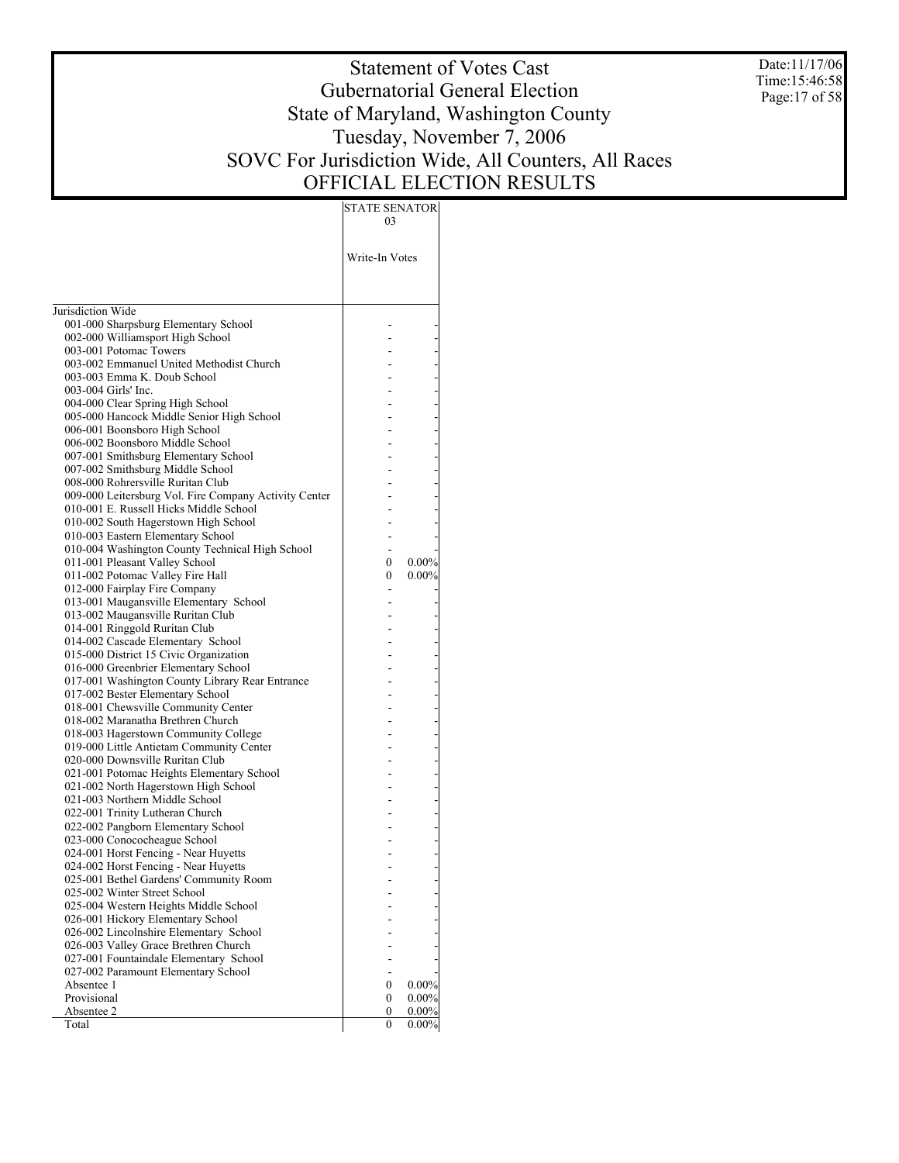Date:11/17/06 Time:15:46:58 Page:17 of 58

# Statement of Votes Cast Gubernatorial General Election State of Maryland, Washington County Tuesday, November 7, 2006 SOVC For Jurisdiction Wide, All Counters, All Races OFFICIAL ELECTION RESULTS

| Write-In Votes<br>Jurisdiction Wide<br>001-000 Sharpsburg Elementary School<br>002-000 Williamsport High School<br>003-001 Potomac Towers<br>003-002 Emmanuel United Methodist Church<br>003-003 Emma K. Doub School<br>003-004 Girls' Inc.<br>004-000 Clear Spring High School<br>005-000 Hancock Middle Senior High School<br>006-001 Boonsboro High School<br>006-002 Boonsboro Middle School<br>007-001 Smithsburg Elementary School<br>007-002 Smithsburg Middle School<br>008-000 Rohrersville Ruritan Club<br>009-000 Leitersburg Vol. Fire Company Activity Center<br>010-001 E. Russell Hicks Middle School<br>010-002 South Hagerstown High School<br>010-003 Eastern Elementary School<br>010-004 Washington County Technical High School<br>011-001 Pleasant Valley School<br>$0.00\%$<br>0<br>011-002 Potomac Valley Fire Hall<br>$0.00\%$<br>0<br>012-000 Fairplay Fire Company<br>013-001 Maugansville Elementary School<br>013-002 Maugansville Ruritan Club<br>014-001 Ringgold Ruritan Club<br>014-002 Cascade Elementary School<br>015-000 District 15 Civic Organization<br>016-000 Greenbrier Elementary School<br>017-001 Washington County Library Rear Entrance<br>017-002 Bester Elementary School<br>018-001 Chewsville Community Center<br>018-002 Maranatha Brethren Church<br>018-003 Hagerstown Community College<br>019-000 Little Antietam Community Center<br>020-000 Downsville Ruritan Club<br>021-001 Potomac Heights Elementary School<br>021-002 North Hagerstown High School<br>021-003 Northern Middle School<br>022-001 Trinity Lutheran Church<br>022-002 Pangborn Elementary School<br>023-000 Conococheague School<br>024-001 Horst Fencing - Near Huyetts<br>024-002 Horst Fencing - Near Huyetts<br>025-001 Bethel Gardens' Community Room<br>025-002 Winter Street School<br>025-004 Western Heights Middle School<br>026-001 Hickory Elementary School<br>026-002 Lincolnshire Elementary School<br>026-003 Valley Grace Brethren Church<br>027-001 Fountaindale Elementary School<br>027-002 Paramount Elementary School<br>Absentee 1<br>$0.00\%$<br>0<br>Provisional<br>0.00%<br>0<br>Absentee 2<br>0<br>0.00%<br>Total<br>0<br>$0.00\%$ | 03 |  |
|---------------------------------------------------------------------------------------------------------------------------------------------------------------------------------------------------------------------------------------------------------------------------------------------------------------------------------------------------------------------------------------------------------------------------------------------------------------------------------------------------------------------------------------------------------------------------------------------------------------------------------------------------------------------------------------------------------------------------------------------------------------------------------------------------------------------------------------------------------------------------------------------------------------------------------------------------------------------------------------------------------------------------------------------------------------------------------------------------------------------------------------------------------------------------------------------------------------------------------------------------------------------------------------------------------------------------------------------------------------------------------------------------------------------------------------------------------------------------------------------------------------------------------------------------------------------------------------------------------------------------------------------------------------------------------------------------------------------------------------------------------------------------------------------------------------------------------------------------------------------------------------------------------------------------------------------------------------------------------------------------------------------------------------------------------------------------------------------------------------------------------------------------------------------------------------------|----|--|
|                                                                                                                                                                                                                                                                                                                                                                                                                                                                                                                                                                                                                                                                                                                                                                                                                                                                                                                                                                                                                                                                                                                                                                                                                                                                                                                                                                                                                                                                                                                                                                                                                                                                                                                                                                                                                                                                                                                                                                                                                                                                                                                                                                                             |    |  |
|                                                                                                                                                                                                                                                                                                                                                                                                                                                                                                                                                                                                                                                                                                                                                                                                                                                                                                                                                                                                                                                                                                                                                                                                                                                                                                                                                                                                                                                                                                                                                                                                                                                                                                                                                                                                                                                                                                                                                                                                                                                                                                                                                                                             |    |  |
|                                                                                                                                                                                                                                                                                                                                                                                                                                                                                                                                                                                                                                                                                                                                                                                                                                                                                                                                                                                                                                                                                                                                                                                                                                                                                                                                                                                                                                                                                                                                                                                                                                                                                                                                                                                                                                                                                                                                                                                                                                                                                                                                                                                             |    |  |
|                                                                                                                                                                                                                                                                                                                                                                                                                                                                                                                                                                                                                                                                                                                                                                                                                                                                                                                                                                                                                                                                                                                                                                                                                                                                                                                                                                                                                                                                                                                                                                                                                                                                                                                                                                                                                                                                                                                                                                                                                                                                                                                                                                                             |    |  |
|                                                                                                                                                                                                                                                                                                                                                                                                                                                                                                                                                                                                                                                                                                                                                                                                                                                                                                                                                                                                                                                                                                                                                                                                                                                                                                                                                                                                                                                                                                                                                                                                                                                                                                                                                                                                                                                                                                                                                                                                                                                                                                                                                                                             |    |  |
|                                                                                                                                                                                                                                                                                                                                                                                                                                                                                                                                                                                                                                                                                                                                                                                                                                                                                                                                                                                                                                                                                                                                                                                                                                                                                                                                                                                                                                                                                                                                                                                                                                                                                                                                                                                                                                                                                                                                                                                                                                                                                                                                                                                             |    |  |
|                                                                                                                                                                                                                                                                                                                                                                                                                                                                                                                                                                                                                                                                                                                                                                                                                                                                                                                                                                                                                                                                                                                                                                                                                                                                                                                                                                                                                                                                                                                                                                                                                                                                                                                                                                                                                                                                                                                                                                                                                                                                                                                                                                                             |    |  |
|                                                                                                                                                                                                                                                                                                                                                                                                                                                                                                                                                                                                                                                                                                                                                                                                                                                                                                                                                                                                                                                                                                                                                                                                                                                                                                                                                                                                                                                                                                                                                                                                                                                                                                                                                                                                                                                                                                                                                                                                                                                                                                                                                                                             |    |  |
|                                                                                                                                                                                                                                                                                                                                                                                                                                                                                                                                                                                                                                                                                                                                                                                                                                                                                                                                                                                                                                                                                                                                                                                                                                                                                                                                                                                                                                                                                                                                                                                                                                                                                                                                                                                                                                                                                                                                                                                                                                                                                                                                                                                             |    |  |
|                                                                                                                                                                                                                                                                                                                                                                                                                                                                                                                                                                                                                                                                                                                                                                                                                                                                                                                                                                                                                                                                                                                                                                                                                                                                                                                                                                                                                                                                                                                                                                                                                                                                                                                                                                                                                                                                                                                                                                                                                                                                                                                                                                                             |    |  |
|                                                                                                                                                                                                                                                                                                                                                                                                                                                                                                                                                                                                                                                                                                                                                                                                                                                                                                                                                                                                                                                                                                                                                                                                                                                                                                                                                                                                                                                                                                                                                                                                                                                                                                                                                                                                                                                                                                                                                                                                                                                                                                                                                                                             |    |  |
|                                                                                                                                                                                                                                                                                                                                                                                                                                                                                                                                                                                                                                                                                                                                                                                                                                                                                                                                                                                                                                                                                                                                                                                                                                                                                                                                                                                                                                                                                                                                                                                                                                                                                                                                                                                                                                                                                                                                                                                                                                                                                                                                                                                             |    |  |
|                                                                                                                                                                                                                                                                                                                                                                                                                                                                                                                                                                                                                                                                                                                                                                                                                                                                                                                                                                                                                                                                                                                                                                                                                                                                                                                                                                                                                                                                                                                                                                                                                                                                                                                                                                                                                                                                                                                                                                                                                                                                                                                                                                                             |    |  |
|                                                                                                                                                                                                                                                                                                                                                                                                                                                                                                                                                                                                                                                                                                                                                                                                                                                                                                                                                                                                                                                                                                                                                                                                                                                                                                                                                                                                                                                                                                                                                                                                                                                                                                                                                                                                                                                                                                                                                                                                                                                                                                                                                                                             |    |  |
|                                                                                                                                                                                                                                                                                                                                                                                                                                                                                                                                                                                                                                                                                                                                                                                                                                                                                                                                                                                                                                                                                                                                                                                                                                                                                                                                                                                                                                                                                                                                                                                                                                                                                                                                                                                                                                                                                                                                                                                                                                                                                                                                                                                             |    |  |
|                                                                                                                                                                                                                                                                                                                                                                                                                                                                                                                                                                                                                                                                                                                                                                                                                                                                                                                                                                                                                                                                                                                                                                                                                                                                                                                                                                                                                                                                                                                                                                                                                                                                                                                                                                                                                                                                                                                                                                                                                                                                                                                                                                                             |    |  |
|                                                                                                                                                                                                                                                                                                                                                                                                                                                                                                                                                                                                                                                                                                                                                                                                                                                                                                                                                                                                                                                                                                                                                                                                                                                                                                                                                                                                                                                                                                                                                                                                                                                                                                                                                                                                                                                                                                                                                                                                                                                                                                                                                                                             |    |  |
|                                                                                                                                                                                                                                                                                                                                                                                                                                                                                                                                                                                                                                                                                                                                                                                                                                                                                                                                                                                                                                                                                                                                                                                                                                                                                                                                                                                                                                                                                                                                                                                                                                                                                                                                                                                                                                                                                                                                                                                                                                                                                                                                                                                             |    |  |
|                                                                                                                                                                                                                                                                                                                                                                                                                                                                                                                                                                                                                                                                                                                                                                                                                                                                                                                                                                                                                                                                                                                                                                                                                                                                                                                                                                                                                                                                                                                                                                                                                                                                                                                                                                                                                                                                                                                                                                                                                                                                                                                                                                                             |    |  |
|                                                                                                                                                                                                                                                                                                                                                                                                                                                                                                                                                                                                                                                                                                                                                                                                                                                                                                                                                                                                                                                                                                                                                                                                                                                                                                                                                                                                                                                                                                                                                                                                                                                                                                                                                                                                                                                                                                                                                                                                                                                                                                                                                                                             |    |  |
|                                                                                                                                                                                                                                                                                                                                                                                                                                                                                                                                                                                                                                                                                                                                                                                                                                                                                                                                                                                                                                                                                                                                                                                                                                                                                                                                                                                                                                                                                                                                                                                                                                                                                                                                                                                                                                                                                                                                                                                                                                                                                                                                                                                             |    |  |
|                                                                                                                                                                                                                                                                                                                                                                                                                                                                                                                                                                                                                                                                                                                                                                                                                                                                                                                                                                                                                                                                                                                                                                                                                                                                                                                                                                                                                                                                                                                                                                                                                                                                                                                                                                                                                                                                                                                                                                                                                                                                                                                                                                                             |    |  |
|                                                                                                                                                                                                                                                                                                                                                                                                                                                                                                                                                                                                                                                                                                                                                                                                                                                                                                                                                                                                                                                                                                                                                                                                                                                                                                                                                                                                                                                                                                                                                                                                                                                                                                                                                                                                                                                                                                                                                                                                                                                                                                                                                                                             |    |  |
|                                                                                                                                                                                                                                                                                                                                                                                                                                                                                                                                                                                                                                                                                                                                                                                                                                                                                                                                                                                                                                                                                                                                                                                                                                                                                                                                                                                                                                                                                                                                                                                                                                                                                                                                                                                                                                                                                                                                                                                                                                                                                                                                                                                             |    |  |
|                                                                                                                                                                                                                                                                                                                                                                                                                                                                                                                                                                                                                                                                                                                                                                                                                                                                                                                                                                                                                                                                                                                                                                                                                                                                                                                                                                                                                                                                                                                                                                                                                                                                                                                                                                                                                                                                                                                                                                                                                                                                                                                                                                                             |    |  |
|                                                                                                                                                                                                                                                                                                                                                                                                                                                                                                                                                                                                                                                                                                                                                                                                                                                                                                                                                                                                                                                                                                                                                                                                                                                                                                                                                                                                                                                                                                                                                                                                                                                                                                                                                                                                                                                                                                                                                                                                                                                                                                                                                                                             |    |  |
|                                                                                                                                                                                                                                                                                                                                                                                                                                                                                                                                                                                                                                                                                                                                                                                                                                                                                                                                                                                                                                                                                                                                                                                                                                                                                                                                                                                                                                                                                                                                                                                                                                                                                                                                                                                                                                                                                                                                                                                                                                                                                                                                                                                             |    |  |
|                                                                                                                                                                                                                                                                                                                                                                                                                                                                                                                                                                                                                                                                                                                                                                                                                                                                                                                                                                                                                                                                                                                                                                                                                                                                                                                                                                                                                                                                                                                                                                                                                                                                                                                                                                                                                                                                                                                                                                                                                                                                                                                                                                                             |    |  |
|                                                                                                                                                                                                                                                                                                                                                                                                                                                                                                                                                                                                                                                                                                                                                                                                                                                                                                                                                                                                                                                                                                                                                                                                                                                                                                                                                                                                                                                                                                                                                                                                                                                                                                                                                                                                                                                                                                                                                                                                                                                                                                                                                                                             |    |  |
|                                                                                                                                                                                                                                                                                                                                                                                                                                                                                                                                                                                                                                                                                                                                                                                                                                                                                                                                                                                                                                                                                                                                                                                                                                                                                                                                                                                                                                                                                                                                                                                                                                                                                                                                                                                                                                                                                                                                                                                                                                                                                                                                                                                             |    |  |
|                                                                                                                                                                                                                                                                                                                                                                                                                                                                                                                                                                                                                                                                                                                                                                                                                                                                                                                                                                                                                                                                                                                                                                                                                                                                                                                                                                                                                                                                                                                                                                                                                                                                                                                                                                                                                                                                                                                                                                                                                                                                                                                                                                                             |    |  |
|                                                                                                                                                                                                                                                                                                                                                                                                                                                                                                                                                                                                                                                                                                                                                                                                                                                                                                                                                                                                                                                                                                                                                                                                                                                                                                                                                                                                                                                                                                                                                                                                                                                                                                                                                                                                                                                                                                                                                                                                                                                                                                                                                                                             |    |  |
|                                                                                                                                                                                                                                                                                                                                                                                                                                                                                                                                                                                                                                                                                                                                                                                                                                                                                                                                                                                                                                                                                                                                                                                                                                                                                                                                                                                                                                                                                                                                                                                                                                                                                                                                                                                                                                                                                                                                                                                                                                                                                                                                                                                             |    |  |
|                                                                                                                                                                                                                                                                                                                                                                                                                                                                                                                                                                                                                                                                                                                                                                                                                                                                                                                                                                                                                                                                                                                                                                                                                                                                                                                                                                                                                                                                                                                                                                                                                                                                                                                                                                                                                                                                                                                                                                                                                                                                                                                                                                                             |    |  |
|                                                                                                                                                                                                                                                                                                                                                                                                                                                                                                                                                                                                                                                                                                                                                                                                                                                                                                                                                                                                                                                                                                                                                                                                                                                                                                                                                                                                                                                                                                                                                                                                                                                                                                                                                                                                                                                                                                                                                                                                                                                                                                                                                                                             |    |  |
|                                                                                                                                                                                                                                                                                                                                                                                                                                                                                                                                                                                                                                                                                                                                                                                                                                                                                                                                                                                                                                                                                                                                                                                                                                                                                                                                                                                                                                                                                                                                                                                                                                                                                                                                                                                                                                                                                                                                                                                                                                                                                                                                                                                             |    |  |
|                                                                                                                                                                                                                                                                                                                                                                                                                                                                                                                                                                                                                                                                                                                                                                                                                                                                                                                                                                                                                                                                                                                                                                                                                                                                                                                                                                                                                                                                                                                                                                                                                                                                                                                                                                                                                                                                                                                                                                                                                                                                                                                                                                                             |    |  |
|                                                                                                                                                                                                                                                                                                                                                                                                                                                                                                                                                                                                                                                                                                                                                                                                                                                                                                                                                                                                                                                                                                                                                                                                                                                                                                                                                                                                                                                                                                                                                                                                                                                                                                                                                                                                                                                                                                                                                                                                                                                                                                                                                                                             |    |  |
|                                                                                                                                                                                                                                                                                                                                                                                                                                                                                                                                                                                                                                                                                                                                                                                                                                                                                                                                                                                                                                                                                                                                                                                                                                                                                                                                                                                                                                                                                                                                                                                                                                                                                                                                                                                                                                                                                                                                                                                                                                                                                                                                                                                             |    |  |
|                                                                                                                                                                                                                                                                                                                                                                                                                                                                                                                                                                                                                                                                                                                                                                                                                                                                                                                                                                                                                                                                                                                                                                                                                                                                                                                                                                                                                                                                                                                                                                                                                                                                                                                                                                                                                                                                                                                                                                                                                                                                                                                                                                                             |    |  |
|                                                                                                                                                                                                                                                                                                                                                                                                                                                                                                                                                                                                                                                                                                                                                                                                                                                                                                                                                                                                                                                                                                                                                                                                                                                                                                                                                                                                                                                                                                                                                                                                                                                                                                                                                                                                                                                                                                                                                                                                                                                                                                                                                                                             |    |  |
|                                                                                                                                                                                                                                                                                                                                                                                                                                                                                                                                                                                                                                                                                                                                                                                                                                                                                                                                                                                                                                                                                                                                                                                                                                                                                                                                                                                                                                                                                                                                                                                                                                                                                                                                                                                                                                                                                                                                                                                                                                                                                                                                                                                             |    |  |
|                                                                                                                                                                                                                                                                                                                                                                                                                                                                                                                                                                                                                                                                                                                                                                                                                                                                                                                                                                                                                                                                                                                                                                                                                                                                                                                                                                                                                                                                                                                                                                                                                                                                                                                                                                                                                                                                                                                                                                                                                                                                                                                                                                                             |    |  |
|                                                                                                                                                                                                                                                                                                                                                                                                                                                                                                                                                                                                                                                                                                                                                                                                                                                                                                                                                                                                                                                                                                                                                                                                                                                                                                                                                                                                                                                                                                                                                                                                                                                                                                                                                                                                                                                                                                                                                                                                                                                                                                                                                                                             |    |  |
|                                                                                                                                                                                                                                                                                                                                                                                                                                                                                                                                                                                                                                                                                                                                                                                                                                                                                                                                                                                                                                                                                                                                                                                                                                                                                                                                                                                                                                                                                                                                                                                                                                                                                                                                                                                                                                                                                                                                                                                                                                                                                                                                                                                             |    |  |
|                                                                                                                                                                                                                                                                                                                                                                                                                                                                                                                                                                                                                                                                                                                                                                                                                                                                                                                                                                                                                                                                                                                                                                                                                                                                                                                                                                                                                                                                                                                                                                                                                                                                                                                                                                                                                                                                                                                                                                                                                                                                                                                                                                                             |    |  |
|                                                                                                                                                                                                                                                                                                                                                                                                                                                                                                                                                                                                                                                                                                                                                                                                                                                                                                                                                                                                                                                                                                                                                                                                                                                                                                                                                                                                                                                                                                                                                                                                                                                                                                                                                                                                                                                                                                                                                                                                                                                                                                                                                                                             |    |  |
|                                                                                                                                                                                                                                                                                                                                                                                                                                                                                                                                                                                                                                                                                                                                                                                                                                                                                                                                                                                                                                                                                                                                                                                                                                                                                                                                                                                                                                                                                                                                                                                                                                                                                                                                                                                                                                                                                                                                                                                                                                                                                                                                                                                             |    |  |
|                                                                                                                                                                                                                                                                                                                                                                                                                                                                                                                                                                                                                                                                                                                                                                                                                                                                                                                                                                                                                                                                                                                                                                                                                                                                                                                                                                                                                                                                                                                                                                                                                                                                                                                                                                                                                                                                                                                                                                                                                                                                                                                                                                                             |    |  |
|                                                                                                                                                                                                                                                                                                                                                                                                                                                                                                                                                                                                                                                                                                                                                                                                                                                                                                                                                                                                                                                                                                                                                                                                                                                                                                                                                                                                                                                                                                                                                                                                                                                                                                                                                                                                                                                                                                                                                                                                                                                                                                                                                                                             |    |  |
|                                                                                                                                                                                                                                                                                                                                                                                                                                                                                                                                                                                                                                                                                                                                                                                                                                                                                                                                                                                                                                                                                                                                                                                                                                                                                                                                                                                                                                                                                                                                                                                                                                                                                                                                                                                                                                                                                                                                                                                                                                                                                                                                                                                             |    |  |
|                                                                                                                                                                                                                                                                                                                                                                                                                                                                                                                                                                                                                                                                                                                                                                                                                                                                                                                                                                                                                                                                                                                                                                                                                                                                                                                                                                                                                                                                                                                                                                                                                                                                                                                                                                                                                                                                                                                                                                                                                                                                                                                                                                                             |    |  |
|                                                                                                                                                                                                                                                                                                                                                                                                                                                                                                                                                                                                                                                                                                                                                                                                                                                                                                                                                                                                                                                                                                                                                                                                                                                                                                                                                                                                                                                                                                                                                                                                                                                                                                                                                                                                                                                                                                                                                                                                                                                                                                                                                                                             |    |  |
|                                                                                                                                                                                                                                                                                                                                                                                                                                                                                                                                                                                                                                                                                                                                                                                                                                                                                                                                                                                                                                                                                                                                                                                                                                                                                                                                                                                                                                                                                                                                                                                                                                                                                                                                                                                                                                                                                                                                                                                                                                                                                                                                                                                             |    |  |
|                                                                                                                                                                                                                                                                                                                                                                                                                                                                                                                                                                                                                                                                                                                                                                                                                                                                                                                                                                                                                                                                                                                                                                                                                                                                                                                                                                                                                                                                                                                                                                                                                                                                                                                                                                                                                                                                                                                                                                                                                                                                                                                                                                                             |    |  |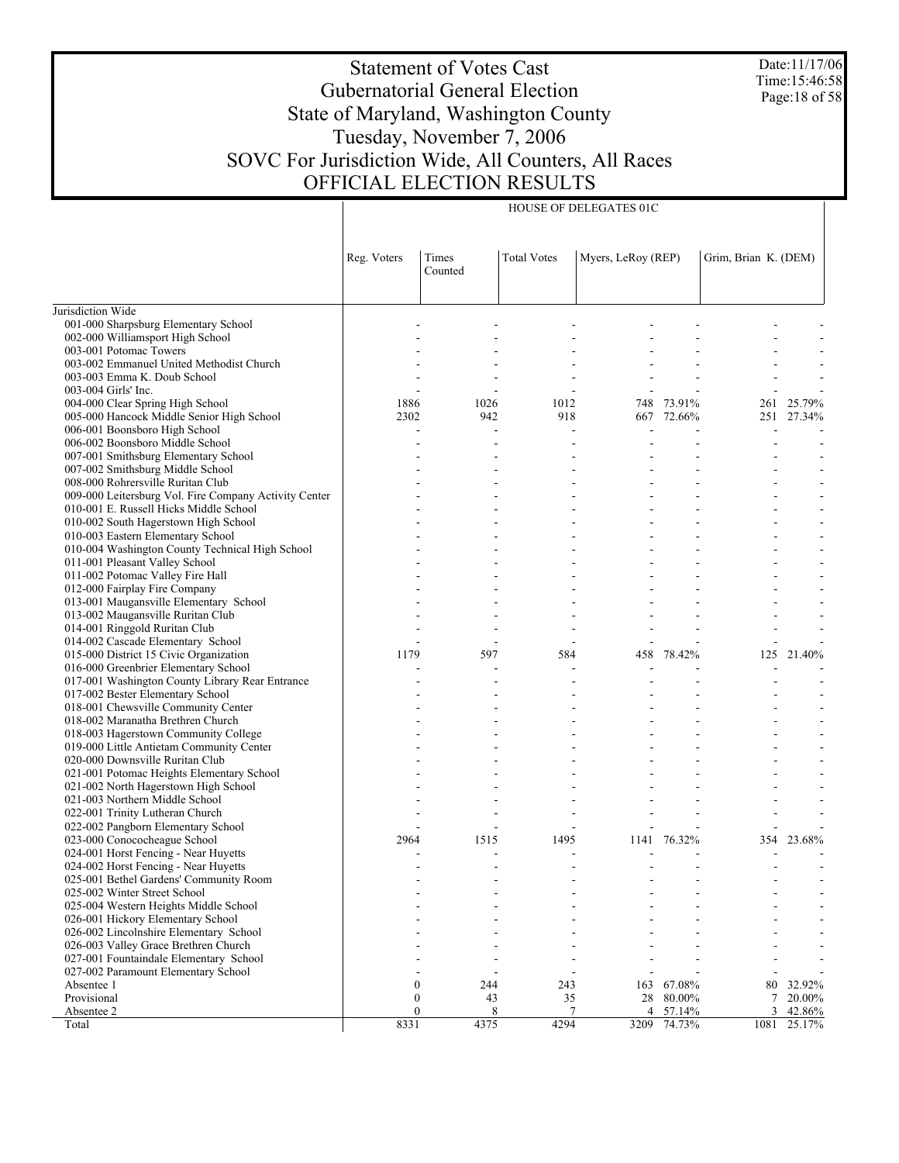Date:11/17/06 Time:15:46:58 Page:18 of 58

# Statement of Votes Cast Gubernatorial General Election State of Maryland, Washington County Tuesday, November 7, 2006 SOVC For Jurisdiction Wide, All Counters, All Races OFFICIAL ELECTION RESULTS

HOUSE OF DELEGATES 01C

|                                                                               | Reg. Voters      | Times<br>Counted | <b>Total Votes</b> | Myers, LeRoy (REP) |             | Grim, Brian K. (DEM) |                              |
|-------------------------------------------------------------------------------|------------------|------------------|--------------------|--------------------|-------------|----------------------|------------------------------|
| Jurisdiction Wide                                                             |                  |                  |                    |                    |             |                      |                              |
| 001-000 Sharpsburg Elementary School                                          |                  |                  |                    |                    |             |                      |                              |
| 002-000 Williamsport High School                                              |                  |                  |                    |                    |             |                      |                              |
| 003-001 Potomac Towers                                                        |                  |                  |                    |                    |             |                      |                              |
| 003-002 Emmanuel United Methodist Church                                      |                  |                  |                    |                    |             |                      | $\overline{a}$               |
| 003-003 Emma K. Doub School                                                   |                  |                  |                    |                    |             |                      |                              |
| 003-004 Girls' Inc.                                                           |                  |                  |                    |                    |             |                      |                              |
| 004-000 Clear Spring High School                                              | 1886             | 1026             | 1012               | 748                | 73.91%      | 261                  | 25.79%                       |
| 005-000 Hancock Middle Senior High School                                     | 2302             | 942              | 918                |                    | 667 72.66%  |                      | 251 27.34%                   |
| 006-001 Boonsboro High School                                                 |                  |                  |                    |                    |             |                      |                              |
| 006-002 Boonsboro Middle School                                               |                  |                  |                    |                    |             |                      |                              |
| 007-001 Smithsburg Elementary School                                          |                  |                  |                    |                    |             |                      |                              |
| 007-002 Smithsburg Middle School                                              |                  |                  |                    |                    |             |                      |                              |
| 008-000 Rohrersville Ruritan Club                                             |                  |                  |                    |                    |             |                      |                              |
| 009-000 Leitersburg Vol. Fire Company Activity Center                         |                  |                  |                    |                    |             |                      |                              |
| 010-001 E. Russell Hicks Middle School                                        |                  |                  |                    |                    |             |                      |                              |
| 010-002 South Hagerstown High School                                          |                  |                  |                    |                    |             |                      | $\qquad \qquad \blacksquare$ |
| 010-003 Eastern Elementary School                                             |                  |                  |                    |                    |             |                      |                              |
| 010-004 Washington County Technical High School                               |                  |                  |                    |                    |             |                      |                              |
| 011-001 Pleasant Valley School                                                |                  |                  |                    |                    |             |                      |                              |
| 011-002 Potomac Valley Fire Hall                                              |                  |                  |                    |                    |             |                      | $\overline{\phantom{a}}$     |
| 012-000 Fairplay Fire Company                                                 |                  |                  |                    |                    |             |                      |                              |
| 013-001 Maugansville Elementary School                                        |                  |                  |                    |                    |             |                      |                              |
| 013-002 Maugansville Ruritan Club                                             |                  |                  |                    |                    |             |                      | $\overline{a}$               |
| 014-001 Ringgold Ruritan Club                                                 |                  |                  |                    |                    |             |                      | $\overline{a}$               |
| 014-002 Cascade Elementary School                                             |                  |                  |                    |                    |             |                      |                              |
| 015-000 District 15 Civic Organization                                        | 1179             | 597              | 584                | 458                | 78.42%      | 125                  | 21.40%                       |
| 016-000 Greenbrier Elementary School                                          |                  |                  |                    |                    |             |                      |                              |
| 017-001 Washington County Library Rear Entrance                               |                  |                  |                    |                    |             |                      |                              |
| 017-002 Bester Elementary School                                              |                  |                  |                    |                    |             |                      |                              |
| 018-001 Chewsville Community Center                                           |                  |                  |                    |                    |             |                      | $\overline{a}$               |
| 018-002 Maranatha Brethren Church                                             |                  |                  |                    |                    |             |                      |                              |
| 018-003 Hagerstown Community College                                          |                  |                  |                    |                    |             |                      | $\qquad \qquad \blacksquare$ |
| 019-000 Little Antietam Community Center                                      |                  |                  |                    |                    |             |                      |                              |
| 020-000 Downsville Ruritan Club                                               |                  |                  |                    |                    |             |                      |                              |
| 021-001 Potomac Heights Elementary School                                     |                  |                  |                    |                    |             |                      |                              |
| 021-002 North Hagerstown High School                                          |                  |                  |                    |                    |             |                      |                              |
| 021-003 Northern Middle School                                                |                  |                  |                    |                    |             |                      |                              |
| 022-001 Trinity Lutheran Church                                               |                  |                  |                    |                    |             |                      | $\overline{a}$               |
| 022-002 Pangborn Elementary School                                            |                  |                  |                    |                    |             |                      |                              |
| 023-000 Conococheague School                                                  | 2964             | 1515             | 1495               |                    | 1141 76.32% | 354                  | 23.68%                       |
| 024-001 Horst Fencing - Near Huyetts                                          |                  |                  |                    |                    |             |                      |                              |
| 024-002 Horst Fencing - Near Huyetts                                          |                  |                  |                    |                    |             |                      |                              |
| 025-001 Bethel Gardens' Community Room                                        |                  |                  |                    |                    |             |                      |                              |
| 025-002 Winter Street School<br>025-004 Western Heights Middle School         |                  |                  |                    |                    |             |                      |                              |
|                                                                               |                  |                  |                    |                    |             |                      |                              |
| 026-001 Hickory Elementary School<br>026-002 Lincolnshire Elementary School   |                  |                  |                    |                    |             |                      |                              |
| 026-003 Valley Grace Brethren Church                                          |                  |                  |                    |                    |             |                      |                              |
|                                                                               |                  |                  |                    |                    |             |                      |                              |
| 027-001 Fountaindale Elementary School<br>027-002 Paramount Elementary School |                  |                  |                    |                    |             |                      |                              |
| Absentee 1                                                                    | 0                | 244              | 243                | 163                | 67.08%      | 80                   | 32.92%                       |
| Provisional                                                                   | $\boldsymbol{0}$ | 43               | 35                 | 28                 | 80.00%      | 7                    | 20.00%                       |
| Absentee 2                                                                    | $\boldsymbol{0}$ | 8                | $7\phantom{.0}$    | 4                  | 57.14%      | 3                    | 42.86%                       |
| Total                                                                         | 8331             | 4375             | 4294               | 3209               | 74.73%      | 1081                 | 25.17%                       |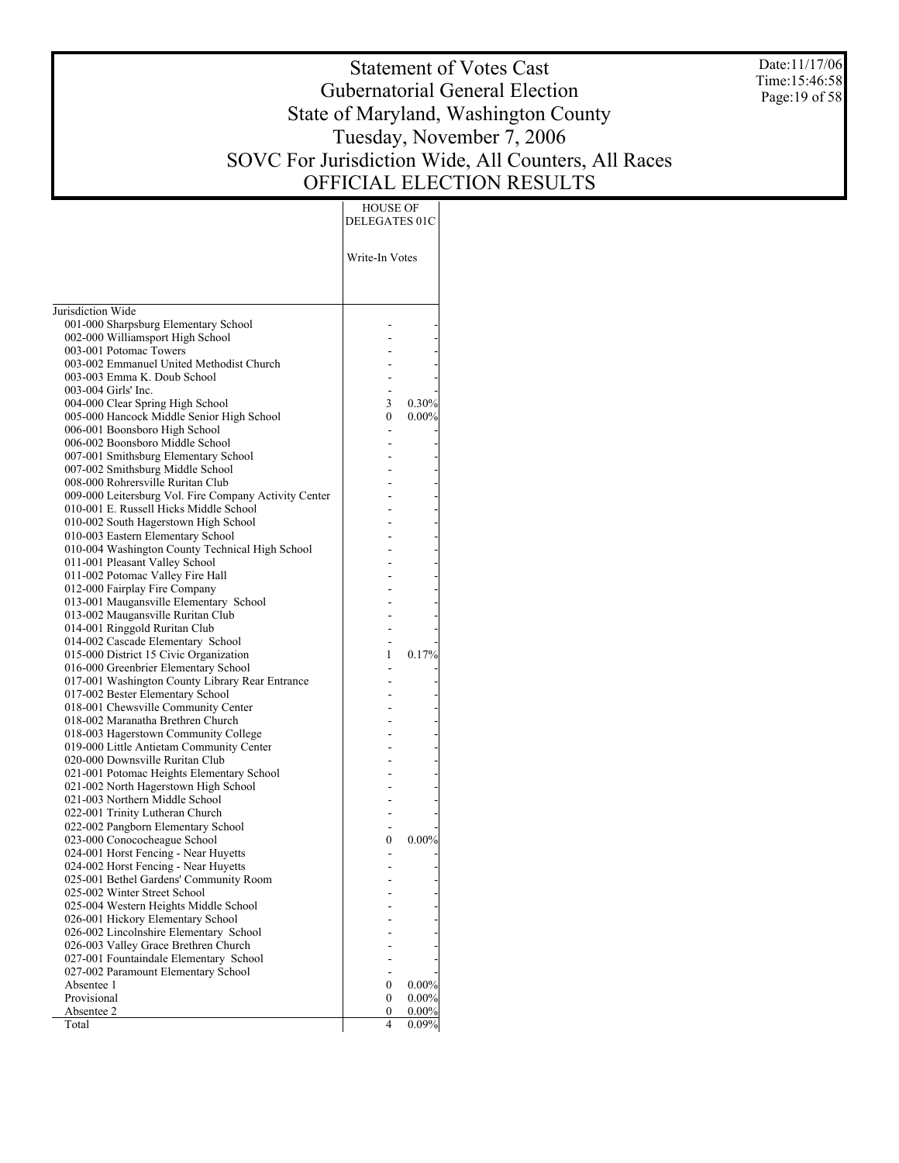Date:11/17/06 Time:15:46:58 Page:19 of 58

# Statement of Votes Cast Gubernatorial General Election State of Maryland, Washington County Tuesday, November 7, 2006 SOVC For Jurisdiction Wide, All Counters, All Races OFFICIAL ELECTION RESULTS

| HOUSE OF |

| Write-In Votes<br>Jurisdiction Wide<br>001-000 Sharpsburg Elementary School<br>002-000 Williamsport High School<br>003-001 Potomac Towers<br>003-002 Emmanuel United Methodist Church<br>003-003 Emma K. Doub School<br>003-004 Girls' Inc.<br>004-000 Clear Spring High School<br>3<br>0.30%<br>005-000 Hancock Middle Senior High School<br>0<br>$0.00\%$<br>006-001 Boonsboro High School<br>006-002 Boonsboro Middle School<br>007-001 Smithsburg Elementary School<br>007-002 Smithsburg Middle School<br>008-000 Rohrersville Ruritan Club<br>009-000 Leitersburg Vol. Fire Company Activity Center<br>010-001 E. Russell Hicks Middle School<br>010-002 South Hagerstown High School<br>010-003 Eastern Elementary School<br>010-004 Washington County Technical High School<br>011-001 Pleasant Valley School<br>011-002 Potomac Valley Fire Hall<br>012-000 Fairplay Fire Company<br>013-001 Maugansville Elementary School<br>013-002 Maugansville Ruritan Club<br>014-001 Ringgold Ruritan Club<br>014-002 Cascade Elementary School<br>0.17%<br>015-000 District 15 Civic Organization<br>1<br>016-000 Greenbrier Elementary School<br>017-001 Washington County Library Rear Entrance<br>017-002 Bester Elementary School<br>018-001 Chewsville Community Center<br>018-002 Maranatha Brethren Church<br>018-003 Hagerstown Community College<br>019-000 Little Antietam Community Center<br>020-000 Downsville Ruritan Club<br>021-001 Potomac Heights Elementary School<br>021-002 North Hagerstown High School<br>021-003 Northern Middle School<br>022-001 Trinity Lutheran Church<br>022-002 Pangborn Elementary School<br>023-000 Conococheague School<br>$0.00\%$<br>0<br>024-001 Horst Fencing - Near Huyetts<br>024-002 Horst Fencing - Near Huyetts<br>025-001 Bethel Gardens' Community Room<br>025-002 Winter Street School<br>025-004 Western Heights Middle School<br>026-001 Hickory Elementary School<br>026-002 Lincolnshire Elementary School<br>026-003 Valley Grace Brethren Church<br>027-001 Fountaindale Elementary School<br>027-002 Paramount Elementary School<br>Absentee 1<br>$0.00\%$<br>0<br>Provisional<br>0.00%<br>0<br>Absentee 2<br>0<br>$0.00\%$<br>4<br>Total<br>0.09% | DELEGATES 01C |  |
|-------------------------------------------------------------------------------------------------------------------------------------------------------------------------------------------------------------------------------------------------------------------------------------------------------------------------------------------------------------------------------------------------------------------------------------------------------------------------------------------------------------------------------------------------------------------------------------------------------------------------------------------------------------------------------------------------------------------------------------------------------------------------------------------------------------------------------------------------------------------------------------------------------------------------------------------------------------------------------------------------------------------------------------------------------------------------------------------------------------------------------------------------------------------------------------------------------------------------------------------------------------------------------------------------------------------------------------------------------------------------------------------------------------------------------------------------------------------------------------------------------------------------------------------------------------------------------------------------------------------------------------------------------------------------------------------------------------------------------------------------------------------------------------------------------------------------------------------------------------------------------------------------------------------------------------------------------------------------------------------------------------------------------------------------------------------------------------------------------------------------------------------------------------------------------------------------------------------------|---------------|--|
|                                                                                                                                                                                                                                                                                                                                                                                                                                                                                                                                                                                                                                                                                                                                                                                                                                                                                                                                                                                                                                                                                                                                                                                                                                                                                                                                                                                                                                                                                                                                                                                                                                                                                                                                                                                                                                                                                                                                                                                                                                                                                                                                                                                                                         |               |  |
|                                                                                                                                                                                                                                                                                                                                                                                                                                                                                                                                                                                                                                                                                                                                                                                                                                                                                                                                                                                                                                                                                                                                                                                                                                                                                                                                                                                                                                                                                                                                                                                                                                                                                                                                                                                                                                                                                                                                                                                                                                                                                                                                                                                                                         |               |  |
|                                                                                                                                                                                                                                                                                                                                                                                                                                                                                                                                                                                                                                                                                                                                                                                                                                                                                                                                                                                                                                                                                                                                                                                                                                                                                                                                                                                                                                                                                                                                                                                                                                                                                                                                                                                                                                                                                                                                                                                                                                                                                                                                                                                                                         |               |  |
|                                                                                                                                                                                                                                                                                                                                                                                                                                                                                                                                                                                                                                                                                                                                                                                                                                                                                                                                                                                                                                                                                                                                                                                                                                                                                                                                                                                                                                                                                                                                                                                                                                                                                                                                                                                                                                                                                                                                                                                                                                                                                                                                                                                                                         |               |  |
|                                                                                                                                                                                                                                                                                                                                                                                                                                                                                                                                                                                                                                                                                                                                                                                                                                                                                                                                                                                                                                                                                                                                                                                                                                                                                                                                                                                                                                                                                                                                                                                                                                                                                                                                                                                                                                                                                                                                                                                                                                                                                                                                                                                                                         |               |  |
|                                                                                                                                                                                                                                                                                                                                                                                                                                                                                                                                                                                                                                                                                                                                                                                                                                                                                                                                                                                                                                                                                                                                                                                                                                                                                                                                                                                                                                                                                                                                                                                                                                                                                                                                                                                                                                                                                                                                                                                                                                                                                                                                                                                                                         |               |  |
|                                                                                                                                                                                                                                                                                                                                                                                                                                                                                                                                                                                                                                                                                                                                                                                                                                                                                                                                                                                                                                                                                                                                                                                                                                                                                                                                                                                                                                                                                                                                                                                                                                                                                                                                                                                                                                                                                                                                                                                                                                                                                                                                                                                                                         |               |  |
|                                                                                                                                                                                                                                                                                                                                                                                                                                                                                                                                                                                                                                                                                                                                                                                                                                                                                                                                                                                                                                                                                                                                                                                                                                                                                                                                                                                                                                                                                                                                                                                                                                                                                                                                                                                                                                                                                                                                                                                                                                                                                                                                                                                                                         |               |  |
|                                                                                                                                                                                                                                                                                                                                                                                                                                                                                                                                                                                                                                                                                                                                                                                                                                                                                                                                                                                                                                                                                                                                                                                                                                                                                                                                                                                                                                                                                                                                                                                                                                                                                                                                                                                                                                                                                                                                                                                                                                                                                                                                                                                                                         |               |  |
|                                                                                                                                                                                                                                                                                                                                                                                                                                                                                                                                                                                                                                                                                                                                                                                                                                                                                                                                                                                                                                                                                                                                                                                                                                                                                                                                                                                                                                                                                                                                                                                                                                                                                                                                                                                                                                                                                                                                                                                                                                                                                                                                                                                                                         |               |  |
|                                                                                                                                                                                                                                                                                                                                                                                                                                                                                                                                                                                                                                                                                                                                                                                                                                                                                                                                                                                                                                                                                                                                                                                                                                                                                                                                                                                                                                                                                                                                                                                                                                                                                                                                                                                                                                                                                                                                                                                                                                                                                                                                                                                                                         |               |  |
|                                                                                                                                                                                                                                                                                                                                                                                                                                                                                                                                                                                                                                                                                                                                                                                                                                                                                                                                                                                                                                                                                                                                                                                                                                                                                                                                                                                                                                                                                                                                                                                                                                                                                                                                                                                                                                                                                                                                                                                                                                                                                                                                                                                                                         |               |  |
|                                                                                                                                                                                                                                                                                                                                                                                                                                                                                                                                                                                                                                                                                                                                                                                                                                                                                                                                                                                                                                                                                                                                                                                                                                                                                                                                                                                                                                                                                                                                                                                                                                                                                                                                                                                                                                                                                                                                                                                                                                                                                                                                                                                                                         |               |  |
|                                                                                                                                                                                                                                                                                                                                                                                                                                                                                                                                                                                                                                                                                                                                                                                                                                                                                                                                                                                                                                                                                                                                                                                                                                                                                                                                                                                                                                                                                                                                                                                                                                                                                                                                                                                                                                                                                                                                                                                                                                                                                                                                                                                                                         |               |  |
|                                                                                                                                                                                                                                                                                                                                                                                                                                                                                                                                                                                                                                                                                                                                                                                                                                                                                                                                                                                                                                                                                                                                                                                                                                                                                                                                                                                                                                                                                                                                                                                                                                                                                                                                                                                                                                                                                                                                                                                                                                                                                                                                                                                                                         |               |  |
|                                                                                                                                                                                                                                                                                                                                                                                                                                                                                                                                                                                                                                                                                                                                                                                                                                                                                                                                                                                                                                                                                                                                                                                                                                                                                                                                                                                                                                                                                                                                                                                                                                                                                                                                                                                                                                                                                                                                                                                                                                                                                                                                                                                                                         |               |  |
|                                                                                                                                                                                                                                                                                                                                                                                                                                                                                                                                                                                                                                                                                                                                                                                                                                                                                                                                                                                                                                                                                                                                                                                                                                                                                                                                                                                                                                                                                                                                                                                                                                                                                                                                                                                                                                                                                                                                                                                                                                                                                                                                                                                                                         |               |  |
|                                                                                                                                                                                                                                                                                                                                                                                                                                                                                                                                                                                                                                                                                                                                                                                                                                                                                                                                                                                                                                                                                                                                                                                                                                                                                                                                                                                                                                                                                                                                                                                                                                                                                                                                                                                                                                                                                                                                                                                                                                                                                                                                                                                                                         |               |  |
|                                                                                                                                                                                                                                                                                                                                                                                                                                                                                                                                                                                                                                                                                                                                                                                                                                                                                                                                                                                                                                                                                                                                                                                                                                                                                                                                                                                                                                                                                                                                                                                                                                                                                                                                                                                                                                                                                                                                                                                                                                                                                                                                                                                                                         |               |  |
|                                                                                                                                                                                                                                                                                                                                                                                                                                                                                                                                                                                                                                                                                                                                                                                                                                                                                                                                                                                                                                                                                                                                                                                                                                                                                                                                                                                                                                                                                                                                                                                                                                                                                                                                                                                                                                                                                                                                                                                                                                                                                                                                                                                                                         |               |  |
|                                                                                                                                                                                                                                                                                                                                                                                                                                                                                                                                                                                                                                                                                                                                                                                                                                                                                                                                                                                                                                                                                                                                                                                                                                                                                                                                                                                                                                                                                                                                                                                                                                                                                                                                                                                                                                                                                                                                                                                                                                                                                                                                                                                                                         |               |  |
|                                                                                                                                                                                                                                                                                                                                                                                                                                                                                                                                                                                                                                                                                                                                                                                                                                                                                                                                                                                                                                                                                                                                                                                                                                                                                                                                                                                                                                                                                                                                                                                                                                                                                                                                                                                                                                                                                                                                                                                                                                                                                                                                                                                                                         |               |  |
|                                                                                                                                                                                                                                                                                                                                                                                                                                                                                                                                                                                                                                                                                                                                                                                                                                                                                                                                                                                                                                                                                                                                                                                                                                                                                                                                                                                                                                                                                                                                                                                                                                                                                                                                                                                                                                                                                                                                                                                                                                                                                                                                                                                                                         |               |  |
|                                                                                                                                                                                                                                                                                                                                                                                                                                                                                                                                                                                                                                                                                                                                                                                                                                                                                                                                                                                                                                                                                                                                                                                                                                                                                                                                                                                                                                                                                                                                                                                                                                                                                                                                                                                                                                                                                                                                                                                                                                                                                                                                                                                                                         |               |  |
|                                                                                                                                                                                                                                                                                                                                                                                                                                                                                                                                                                                                                                                                                                                                                                                                                                                                                                                                                                                                                                                                                                                                                                                                                                                                                                                                                                                                                                                                                                                                                                                                                                                                                                                                                                                                                                                                                                                                                                                                                                                                                                                                                                                                                         |               |  |
|                                                                                                                                                                                                                                                                                                                                                                                                                                                                                                                                                                                                                                                                                                                                                                                                                                                                                                                                                                                                                                                                                                                                                                                                                                                                                                                                                                                                                                                                                                                                                                                                                                                                                                                                                                                                                                                                                                                                                                                                                                                                                                                                                                                                                         |               |  |
|                                                                                                                                                                                                                                                                                                                                                                                                                                                                                                                                                                                                                                                                                                                                                                                                                                                                                                                                                                                                                                                                                                                                                                                                                                                                                                                                                                                                                                                                                                                                                                                                                                                                                                                                                                                                                                                                                                                                                                                                                                                                                                                                                                                                                         |               |  |
|                                                                                                                                                                                                                                                                                                                                                                                                                                                                                                                                                                                                                                                                                                                                                                                                                                                                                                                                                                                                                                                                                                                                                                                                                                                                                                                                                                                                                                                                                                                                                                                                                                                                                                                                                                                                                                                                                                                                                                                                                                                                                                                                                                                                                         |               |  |
|                                                                                                                                                                                                                                                                                                                                                                                                                                                                                                                                                                                                                                                                                                                                                                                                                                                                                                                                                                                                                                                                                                                                                                                                                                                                                                                                                                                                                                                                                                                                                                                                                                                                                                                                                                                                                                                                                                                                                                                                                                                                                                                                                                                                                         |               |  |
|                                                                                                                                                                                                                                                                                                                                                                                                                                                                                                                                                                                                                                                                                                                                                                                                                                                                                                                                                                                                                                                                                                                                                                                                                                                                                                                                                                                                                                                                                                                                                                                                                                                                                                                                                                                                                                                                                                                                                                                                                                                                                                                                                                                                                         |               |  |
|                                                                                                                                                                                                                                                                                                                                                                                                                                                                                                                                                                                                                                                                                                                                                                                                                                                                                                                                                                                                                                                                                                                                                                                                                                                                                                                                                                                                                                                                                                                                                                                                                                                                                                                                                                                                                                                                                                                                                                                                                                                                                                                                                                                                                         |               |  |
|                                                                                                                                                                                                                                                                                                                                                                                                                                                                                                                                                                                                                                                                                                                                                                                                                                                                                                                                                                                                                                                                                                                                                                                                                                                                                                                                                                                                                                                                                                                                                                                                                                                                                                                                                                                                                                                                                                                                                                                                                                                                                                                                                                                                                         |               |  |
|                                                                                                                                                                                                                                                                                                                                                                                                                                                                                                                                                                                                                                                                                                                                                                                                                                                                                                                                                                                                                                                                                                                                                                                                                                                                                                                                                                                                                                                                                                                                                                                                                                                                                                                                                                                                                                                                                                                                                                                                                                                                                                                                                                                                                         |               |  |
|                                                                                                                                                                                                                                                                                                                                                                                                                                                                                                                                                                                                                                                                                                                                                                                                                                                                                                                                                                                                                                                                                                                                                                                                                                                                                                                                                                                                                                                                                                                                                                                                                                                                                                                                                                                                                                                                                                                                                                                                                                                                                                                                                                                                                         |               |  |
|                                                                                                                                                                                                                                                                                                                                                                                                                                                                                                                                                                                                                                                                                                                                                                                                                                                                                                                                                                                                                                                                                                                                                                                                                                                                                                                                                                                                                                                                                                                                                                                                                                                                                                                                                                                                                                                                                                                                                                                                                                                                                                                                                                                                                         |               |  |
|                                                                                                                                                                                                                                                                                                                                                                                                                                                                                                                                                                                                                                                                                                                                                                                                                                                                                                                                                                                                                                                                                                                                                                                                                                                                                                                                                                                                                                                                                                                                                                                                                                                                                                                                                                                                                                                                                                                                                                                                                                                                                                                                                                                                                         |               |  |
|                                                                                                                                                                                                                                                                                                                                                                                                                                                                                                                                                                                                                                                                                                                                                                                                                                                                                                                                                                                                                                                                                                                                                                                                                                                                                                                                                                                                                                                                                                                                                                                                                                                                                                                                                                                                                                                                                                                                                                                                                                                                                                                                                                                                                         |               |  |
|                                                                                                                                                                                                                                                                                                                                                                                                                                                                                                                                                                                                                                                                                                                                                                                                                                                                                                                                                                                                                                                                                                                                                                                                                                                                                                                                                                                                                                                                                                                                                                                                                                                                                                                                                                                                                                                                                                                                                                                                                                                                                                                                                                                                                         |               |  |
|                                                                                                                                                                                                                                                                                                                                                                                                                                                                                                                                                                                                                                                                                                                                                                                                                                                                                                                                                                                                                                                                                                                                                                                                                                                                                                                                                                                                                                                                                                                                                                                                                                                                                                                                                                                                                                                                                                                                                                                                                                                                                                                                                                                                                         |               |  |
|                                                                                                                                                                                                                                                                                                                                                                                                                                                                                                                                                                                                                                                                                                                                                                                                                                                                                                                                                                                                                                                                                                                                                                                                                                                                                                                                                                                                                                                                                                                                                                                                                                                                                                                                                                                                                                                                                                                                                                                                                                                                                                                                                                                                                         |               |  |
|                                                                                                                                                                                                                                                                                                                                                                                                                                                                                                                                                                                                                                                                                                                                                                                                                                                                                                                                                                                                                                                                                                                                                                                                                                                                                                                                                                                                                                                                                                                                                                                                                                                                                                                                                                                                                                                                                                                                                                                                                                                                                                                                                                                                                         |               |  |
|                                                                                                                                                                                                                                                                                                                                                                                                                                                                                                                                                                                                                                                                                                                                                                                                                                                                                                                                                                                                                                                                                                                                                                                                                                                                                                                                                                                                                                                                                                                                                                                                                                                                                                                                                                                                                                                                                                                                                                                                                                                                                                                                                                                                                         |               |  |
|                                                                                                                                                                                                                                                                                                                                                                                                                                                                                                                                                                                                                                                                                                                                                                                                                                                                                                                                                                                                                                                                                                                                                                                                                                                                                                                                                                                                                                                                                                                                                                                                                                                                                                                                                                                                                                                                                                                                                                                                                                                                                                                                                                                                                         |               |  |
|                                                                                                                                                                                                                                                                                                                                                                                                                                                                                                                                                                                                                                                                                                                                                                                                                                                                                                                                                                                                                                                                                                                                                                                                                                                                                                                                                                                                                                                                                                                                                                                                                                                                                                                                                                                                                                                                                                                                                                                                                                                                                                                                                                                                                         |               |  |
|                                                                                                                                                                                                                                                                                                                                                                                                                                                                                                                                                                                                                                                                                                                                                                                                                                                                                                                                                                                                                                                                                                                                                                                                                                                                                                                                                                                                                                                                                                                                                                                                                                                                                                                                                                                                                                                                                                                                                                                                                                                                                                                                                                                                                         |               |  |
|                                                                                                                                                                                                                                                                                                                                                                                                                                                                                                                                                                                                                                                                                                                                                                                                                                                                                                                                                                                                                                                                                                                                                                                                                                                                                                                                                                                                                                                                                                                                                                                                                                                                                                                                                                                                                                                                                                                                                                                                                                                                                                                                                                                                                         |               |  |
|                                                                                                                                                                                                                                                                                                                                                                                                                                                                                                                                                                                                                                                                                                                                                                                                                                                                                                                                                                                                                                                                                                                                                                                                                                                                                                                                                                                                                                                                                                                                                                                                                                                                                                                                                                                                                                                                                                                                                                                                                                                                                                                                                                                                                         |               |  |
|                                                                                                                                                                                                                                                                                                                                                                                                                                                                                                                                                                                                                                                                                                                                                                                                                                                                                                                                                                                                                                                                                                                                                                                                                                                                                                                                                                                                                                                                                                                                                                                                                                                                                                                                                                                                                                                                                                                                                                                                                                                                                                                                                                                                                         |               |  |
|                                                                                                                                                                                                                                                                                                                                                                                                                                                                                                                                                                                                                                                                                                                                                                                                                                                                                                                                                                                                                                                                                                                                                                                                                                                                                                                                                                                                                                                                                                                                                                                                                                                                                                                                                                                                                                                                                                                                                                                                                                                                                                                                                                                                                         |               |  |
|                                                                                                                                                                                                                                                                                                                                                                                                                                                                                                                                                                                                                                                                                                                                                                                                                                                                                                                                                                                                                                                                                                                                                                                                                                                                                                                                                                                                                                                                                                                                                                                                                                                                                                                                                                                                                                                                                                                                                                                                                                                                                                                                                                                                                         |               |  |
|                                                                                                                                                                                                                                                                                                                                                                                                                                                                                                                                                                                                                                                                                                                                                                                                                                                                                                                                                                                                                                                                                                                                                                                                                                                                                                                                                                                                                                                                                                                                                                                                                                                                                                                                                                                                                                                                                                                                                                                                                                                                                                                                                                                                                         |               |  |
|                                                                                                                                                                                                                                                                                                                                                                                                                                                                                                                                                                                                                                                                                                                                                                                                                                                                                                                                                                                                                                                                                                                                                                                                                                                                                                                                                                                                                                                                                                                                                                                                                                                                                                                                                                                                                                                                                                                                                                                                                                                                                                                                                                                                                         |               |  |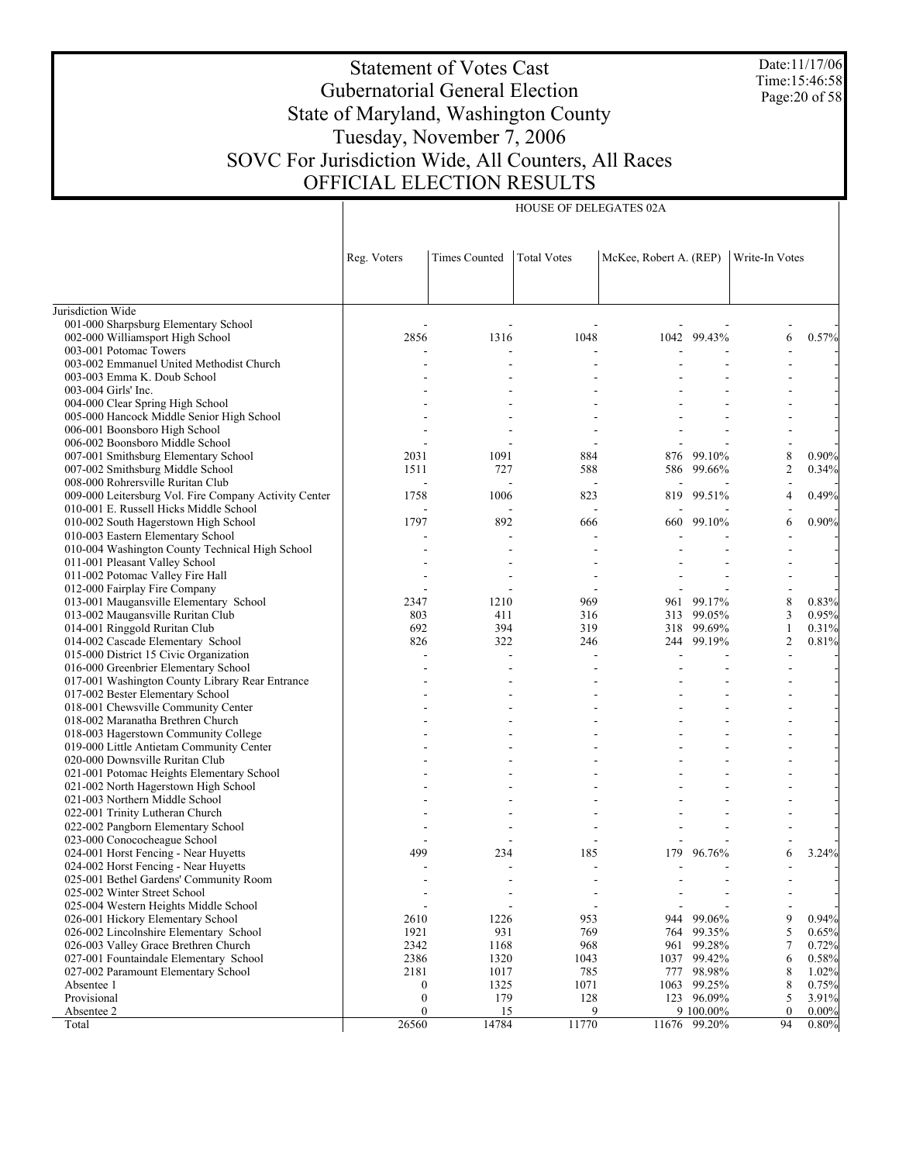Date:11/17/06 Time:15:46:58 Page:20 of 58

#### Statement of Votes Cast Gubernatorial General Election State of Maryland, Washington County Tuesday, November 7, 2006 SOVC For Jurisdiction Wide, All Counters, All Races OFFICIAL ELECTION RESULTS

HOUSE OF DELEGATES 02A

Jurisdiction Wide 001-000 Sharpsburg Elementary School 002-000 Williamsport High School 003-001 Potomac Towers 003-002 Emmanuel United Methodist Church 003-003 Emma K. Doub School 003-004 Girls' Inc. 004-000 Clear Spring High School 005-000 Hancock Middle Senior High School 006-001 Boonsboro High School 006-002 Boonsboro Middle School 007-001 Smithsburg Elementary School 007-002 Smithsburg Middle School 008-000 Rohrersville Ruritan Club 009-000 Leitersburg Vol. Fire Company Activity Center 010-001 E. Russell Hicks Middle School 010-002 South Hagerstown High School 010-003 Eastern Elementary School 010-004 Washington County Technical High School 011-001 Pleasant Valley School 011-002 Potomac Valley Fire Hall 012-000 Fairplay Fire Company 013-001 Maugansville Elementary School 013-002 Maugansville Ruritan Club 014-001 Ringgold Ruritan Club 014-002 Cascade Elementary School 015-000 District 15 Civic Organization 016-000 Greenbrier Elementary School 017-001 Washington County Library Rear Entrance 017-002 Bester Elementary School 018-001 Chewsville Community Center 018-002 Maranatha Brethren Church 018-003 Hagerstown Community College 019-000 Little Antietam Community Center 020-000 Downsville Ruritan Club 021-001 Potomac Heights Elementary School 021-002 North Hagerstown High School 021-003 Northern Middle School 022-001 Trinity Lutheran Church 022-002 Pangborn Elementary School 023-000 Conococheague School 024-001 Horst Fencing - Near Huyetts 024-002 Horst Fencing - Near Huyetts 025-001 Bethel Gardens' Community Room 025-002 Winter Street School 025-004 Western Heights Middle School 026-001 Hickory Elementary School 026-002 Lincolnshire Elementary School 026-003 Valley Grace Brethren Church 027-001 Fountaindale Elementary School 027-002 Paramount Elementary School Absentee 1 Provisional Absentee 2 Total Reg. Voters | Times Counted | Total Votes | McKee, Robert A. (REP) | Write-In Votes - - - - - - - 2856 1316 1048 1042 99.43% 6 0.57% - - - - - - - - - - - - - - - - - - - - - - - - - - - - - - - - - - - - - - - - - - - - - - - - - - - - - - - - 2031 1091 884 876 99.10% 8 0.90% 1511 727 588 586 99.66% 2 0.34% - - - - - - - 1758 1006 823 819 99.51% 4 0.49% - - - - - - - 1797 892 666 660 99.10% 6 0.90% - - - - - - - - - - - - - - - - - - - - - - - - - - - - - - - - - - - 2347 1210 969 961 99.17% 8 0.83% 803 411 316 313 99.05% 3 0.95% 692 394 319 318 99.69% 1 0.31% 826 322 246 244 99.19% 2 0.81% - - - - - - - - - - - - - - - - - - - - - - - - - - - - - - - - - - - - - - - - - - - - - - - - - - - - - - - - - - - - - - - - - - - - - - - - - - - - - - - - - - - - - - - - - - - - - - - - - - - - - - - - - 499 234 185 179 96.76% 6 3.24% - - - - - - - - - - - - - - - - - - - - - - - - - - - - 2610 1226 953 944 99.06% 9 0.94% 1921 931 769 764 99.35% 5 0.65% 2342 1168 968 961 99.28% 7 0.72% 2386 1320 1043 1037 99.42% 6 0.58% 2181 1017 785 777 98.98% 8 1.02% 0 1325 1071 1063 99.25% 8 0.75% 0 179 128 123 96.09% 5 3.91%  $\frac{0}{26560}$  15 9 9 100.00% 0 0.00%<br>26560 14784 11770 11676 99.20% 94 0.80% 11676 99.20%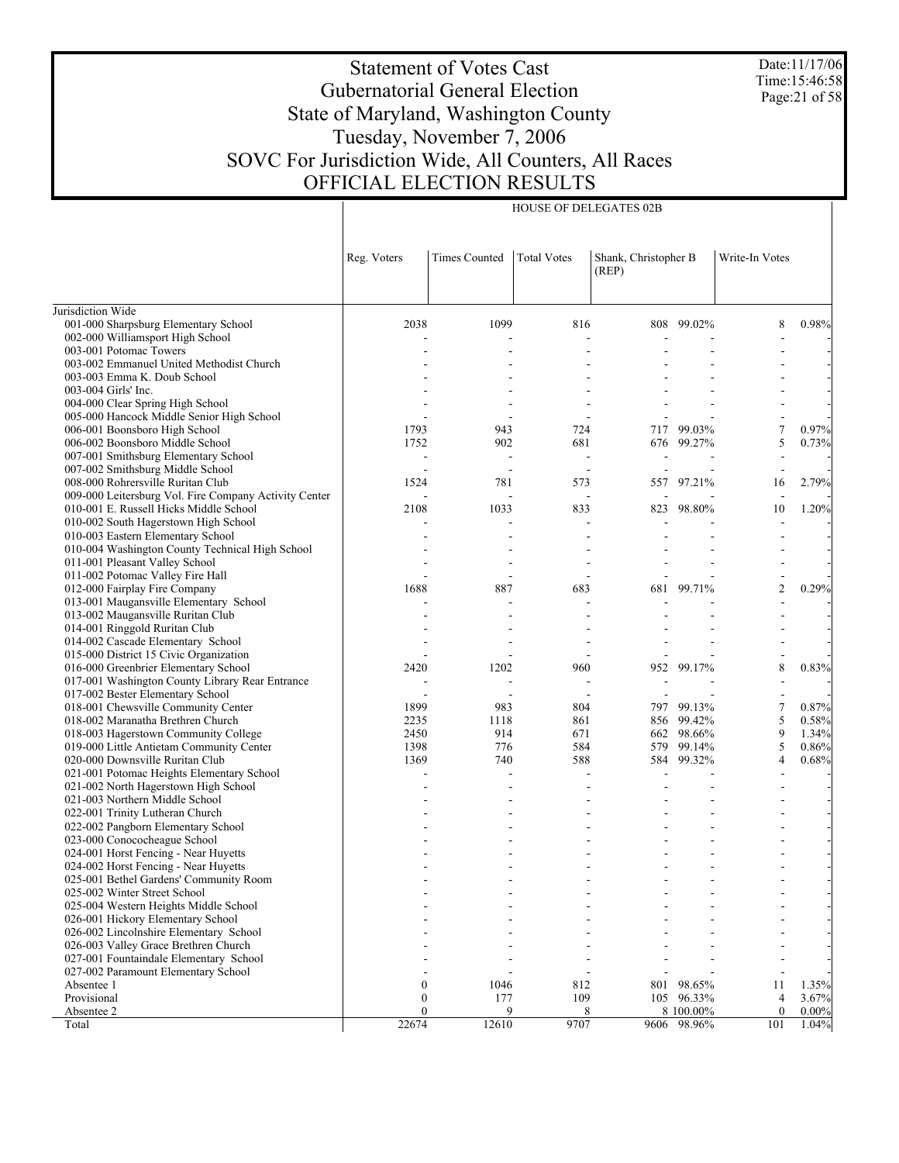Date:11/17/06 Time:15:46:58 Page:21 of 58

# Statement of Votes Cast Gubernatorial General Election State of Maryland, Washington County Tuesday, November 7, 2006 SOVC For Jurisdiction Wide, All Counters, All Races OFFICIAL ELECTION RESULTS

HOUSE OF DELEGATES 02B

|                                                       | Reg. Voters       | <b>Times Counted</b> | <b>Total Votes</b>       | Shank, Christopher B<br>(REP) |                          | Write-In Votes  |                   |
|-------------------------------------------------------|-------------------|----------------------|--------------------------|-------------------------------|--------------------------|-----------------|-------------------|
| Jurisdiction Wide                                     |                   |                      |                          |                               |                          |                 |                   |
| 001-000 Sharpsburg Elementary School                  | 2038              | 1099                 | 816                      |                               | 808 99.02%               | 8               | 0.98%             |
| 002-000 Williamsport High School                      |                   |                      | ä,                       |                               |                          |                 |                   |
| 003-001 Potomac Towers                                |                   |                      |                          |                               |                          |                 |                   |
| 003-002 Emmanuel United Methodist Church              |                   |                      |                          |                               |                          |                 |                   |
| 003-003 Emma K. Doub School                           |                   |                      |                          |                               |                          |                 |                   |
| 003-004 Girls' Inc.                                   |                   |                      |                          |                               |                          |                 |                   |
| 004-000 Clear Spring High School                      |                   |                      |                          |                               |                          |                 |                   |
| 005-000 Hancock Middle Senior High School             |                   |                      | $\overline{\phantom{a}}$ |                               |                          |                 |                   |
| 006-001 Boonsboro High School                         | 1793              | 943                  | 724                      | 717                           | 99.03%                   | $\overline{7}$  | 0.97%             |
| 006-002 Boonsboro Middle School                       | 1752              | 902                  | 681                      |                               | 676 99.27%               | 5               | 0.73%             |
| 007-001 Smithsburg Elementary School                  |                   |                      | $\blacksquare$           |                               |                          |                 |                   |
| 007-002 Smithsburg Middle School                      |                   |                      | $\overline{\phantom{a}}$ |                               |                          |                 |                   |
| 008-000 Rohrersville Ruritan Club                     | 1524              | 781                  | 573                      |                               | 557 97.21%               | 16              | 2.79%             |
| 009-000 Leitersburg Vol. Fire Company Activity Center |                   |                      | $\overline{\phantom{a}}$ |                               |                          |                 |                   |
| 010-001 E. Russell Hicks Middle School                | 2108              | 1033                 | 833                      | 823                           | 98.80%                   | 10              | 1.20%             |
| 010-002 South Hagerstown High School                  |                   |                      |                          |                               |                          |                 |                   |
| 010-003 Eastern Elementary School                     |                   |                      |                          |                               |                          |                 |                   |
| 010-004 Washington County Technical High School       |                   |                      |                          |                               |                          |                 |                   |
| 011-001 Pleasant Valley School                        |                   |                      | ÷.                       |                               |                          |                 |                   |
| 011-002 Potomac Valley Fire Hall                      |                   |                      | $\overline{\phantom{a}}$ |                               |                          |                 |                   |
| 012-000 Fairplay Fire Company                         | 1688              | 887                  | 683                      | 681                           | 99.71%                   | $\overline{2}$  | 0.29%             |
| 013-001 Maugansville Elementary School                |                   |                      |                          |                               |                          |                 |                   |
| 013-002 Maugansville Ruritan Club                     |                   |                      |                          |                               |                          |                 |                   |
| 014-001 Ringgold Ruritan Club                         |                   |                      |                          |                               |                          |                 |                   |
| 014-002 Cascade Elementary School                     |                   |                      |                          |                               |                          |                 |                   |
| 015-000 District 15 Civic Organization                |                   |                      |                          |                               |                          |                 |                   |
| 016-000 Greenbrier Elementary School                  | 2420              | 1202                 | 960                      | 952                           | 99.17%                   | 8               | 0.83%             |
| 017-001 Washington County Library Rear Entrance       |                   |                      | ÷.                       |                               |                          |                 |                   |
| 017-002 Bester Elementary School                      |                   | $\sim$               | $\blacksquare$           |                               |                          |                 |                   |
| 018-001 Chewsville Community Center                   | 1899              | 983                  | 804                      | 797                           | 99.13%                   | $\overline{7}$  | 0.87%             |
| 018-002 Maranatha Brethren Church                     | 2235              | 1118                 | 861                      | 856                           | 99.42%                   | 5               | 0.58%             |
| 018-003 Hagerstown Community College                  | 2450              | 914                  | 671                      | 662                           | 98.66%                   | 9               | 1.34%             |
| 019-000 Little Antietam Community Center              | 1398              | 776                  | 584                      | 579                           | 99.14%                   | 5               | 0.86%             |
| 020-000 Downsville Ruritan Club                       | 1369              | 740                  | 588                      | 584                           | 99.32%                   | $\overline{4}$  | 0.68%             |
| 021-001 Potomac Heights Elementary School             |                   |                      |                          |                               |                          |                 |                   |
| 021-002 North Hagerstown High School                  |                   |                      |                          |                               |                          |                 |                   |
| 021-003 Northern Middle School                        |                   |                      |                          |                               |                          |                 |                   |
| 022-001 Trinity Lutheran Church                       |                   |                      |                          |                               |                          |                 |                   |
| 022-002 Pangborn Elementary School                    |                   |                      |                          |                               |                          |                 |                   |
| 023-000 Conococheague School                          |                   |                      |                          |                               |                          |                 |                   |
| 024-001 Horst Fencing - Near Huyetts                  |                   |                      |                          |                               |                          |                 |                   |
| 024-002 Horst Fencing - Near Huyetts                  |                   |                      |                          |                               |                          |                 |                   |
| 025-001 Bethel Gardens' Community Room                |                   |                      |                          |                               |                          | ÷               |                   |
| 025-002 Winter Street School                          |                   |                      |                          |                               |                          |                 |                   |
| 025-004 Western Heights Middle School                 |                   |                      |                          |                               |                          |                 |                   |
| 026-001 Hickory Elementary School                     |                   |                      |                          |                               |                          |                 |                   |
| 026-002 Lincolnshire Elementary School                |                   |                      |                          |                               |                          |                 |                   |
| 026-003 Valley Grace Brethren Church                  |                   |                      |                          |                               |                          |                 |                   |
| 027-001 Fountaindale Elementary School                |                   |                      |                          |                               |                          |                 |                   |
| 027-002 Paramount Elementary School                   |                   |                      |                          |                               |                          |                 |                   |
| Absentee 1                                            | $\theta$          | 1046                 | 812                      | 801                           | 98.65%                   | 11              | 1.35%             |
| Provisional                                           | 0                 | 177                  | 109                      |                               | 105 96.33%               | 4               | 3.67%             |
| Absentee 2<br>Total                                   | $\theta$<br>22674 | 12610                | 8<br>9707                |                               | 8 100.00%<br>9606 98.96% | $\theta$<br>101 | $0.00\%$<br>1.04% |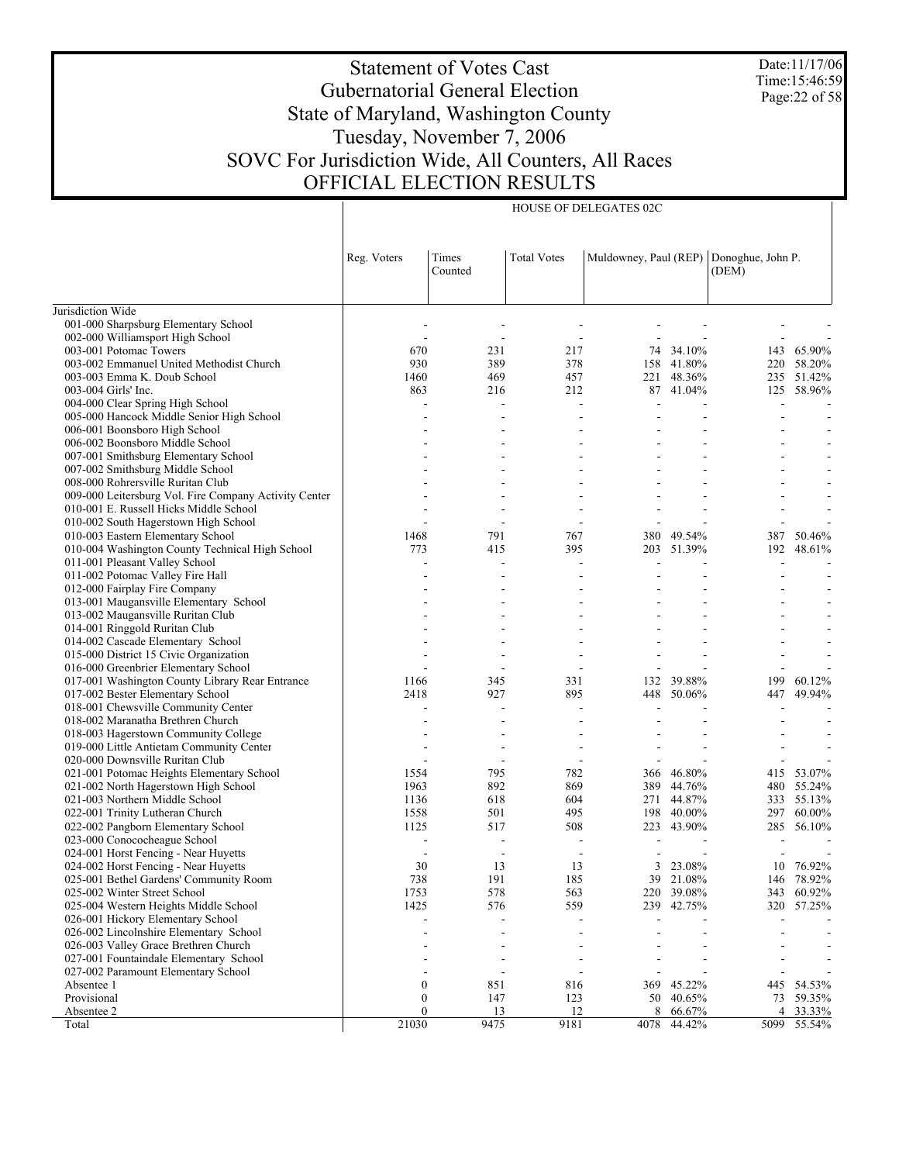Date:11/17/06 Time:15:46:59 Page:22 of 58

#### Statement of Votes Cast Gubernatorial General Election State of Maryland, Washington County Tuesday, November 7, 2006 SOVC For Jurisdiction Wide, All Counters, All Races OFFICIAL ELECTION RESULTS

HOUSE OF DELEGATES 02C

Jurisdiction Wide 001-000 Sharpsburg Elementary School 002-000 Williamsport High School 003-001 Potomac Towers 003-002 Emmanuel United Methodist Church 003-003 Emma K. Doub School 003-004 Girls' Inc. 004-000 Clear Spring High School 005-000 Hancock Middle Senior High School 006-001 Boonsboro High School 006-002 Boonsboro Middle School 007-001 Smithsburg Elementary School 007-002 Smithsburg Middle School 008-000 Rohrersville Ruritan Club 009-000 Leitersburg Vol. Fire Company Activity Center 010-001 E. Russell Hicks Middle School 010-002 South Hagerstown High School 010-003 Eastern Elementary School 010-004 Washington County Technical High School 011-001 Pleasant Valley School 011-002 Potomac Valley Fire Hall 012-000 Fairplay Fire Company 013-001 Maugansville Elementary School 013-002 Maugansville Ruritan Club 014-001 Ringgold Ruritan Club 014-002 Cascade Elementary School 015-000 District 15 Civic Organization 016-000 Greenbrier Elementary School 017-001 Washington County Library Rear Entrance 017-002 Bester Elementary School 018-001 Chewsville Community Center 018-002 Maranatha Brethren Church 018-003 Hagerstown Community College 019-000 Little Antietam Community Center 020-000 Downsville Ruritan Club 021-001 Potomac Heights Elementary School 021-002 North Hagerstown High School 021-003 Northern Middle School 022-001 Trinity Lutheran Church 022-002 Pangborn Elementary School 023-000 Conococheague School 024-001 Horst Fencing - Near Huyetts 024-002 Horst Fencing - Near Huyetts 025-001 Bethel Gardens' Community Room 025-002 Winter Street School 025-004 Western Heights Middle School 026-001 Hickory Elementary School 026-002 Lincolnshire Elementary School 026-003 Valley Grace Brethren Church 027-001 Fountaindale Elementary School 027-002 Paramount Elementary School Absentee 1 Provisional Absentee 2 Total Reg. Voters | Times Counted Total Votes | Muldowney, Paul (REP) | Donoghue, John P. (DEM) - - - - - - - - - - - - - - 670 231 217 74 34.10% 143 65.90% 930 389 378 158 41.80% 220 58.20% 1460 469 457 221 48.36% 235 51.42% 863 216 212 87 41.04% 125 58.96% - - - - - - - - - - - - - - - - - - - - - - - - - - - - - - - - - - - - - - - - - - - - - - - - - - - - - - - - - - - - - - - - - - - - - - 1468 791 767 380 49.54% 387 50.46% 773 415 395 203 51.39% 192 48.61% - - - - - - - - - - - - - - - - - - - - - - - - - - - - - - - - - - - - - - - - - - - - - - - - - - - - - - - - - - - - - - - 1166 345 331 132 39.88% 199 60.12%<br>2418 227 895 448 50.06% 447 49.94% 2418 927 895 448 50.06% 447 49.94% - - - - - - - - - - - - - - - - - - - - - - - - - - - - - - - - - - - 1554 795 782 366 46.80% 415 53.07%<br>1963 892 869 389 44.76% 480 55.24% 1963 892 869 389 44.76% 480 55.24% 1136 618 604 271 44.87% 333 55.13% 1558 501 495 198 40.00% 297 60.00% 1125 517 508 223 43.90% 285 56.10% - - - - - - - - - - - - - - 30 13 13 3 23.08% 10 76.92%<br>738 191 185 39 21.08% 146 78.92% 738 191 185 39 21.08% 146 78.92% 1753 578 563 220 39.08% 343 60.92% 1425 576 559 239 42.75% 320 57.25% - - - - - - - - - - - - - - - - - - - - - - - - - - - - - - - - - - - 0 851 816 369 45.22% 445 54.53%  $\begin{array}{ccccccc}\n 0 & & & 147 & & 123 & & 50 & 40.65\% \n 0 & & & & 13 & & 12 & & 8 & 66.67\% & & & 4 & 33.33\% \n \end{array}$ 0 13 12 8 66.67% 4 33.33% 21030 9475 9181 4078 44.42% 5099 55.54%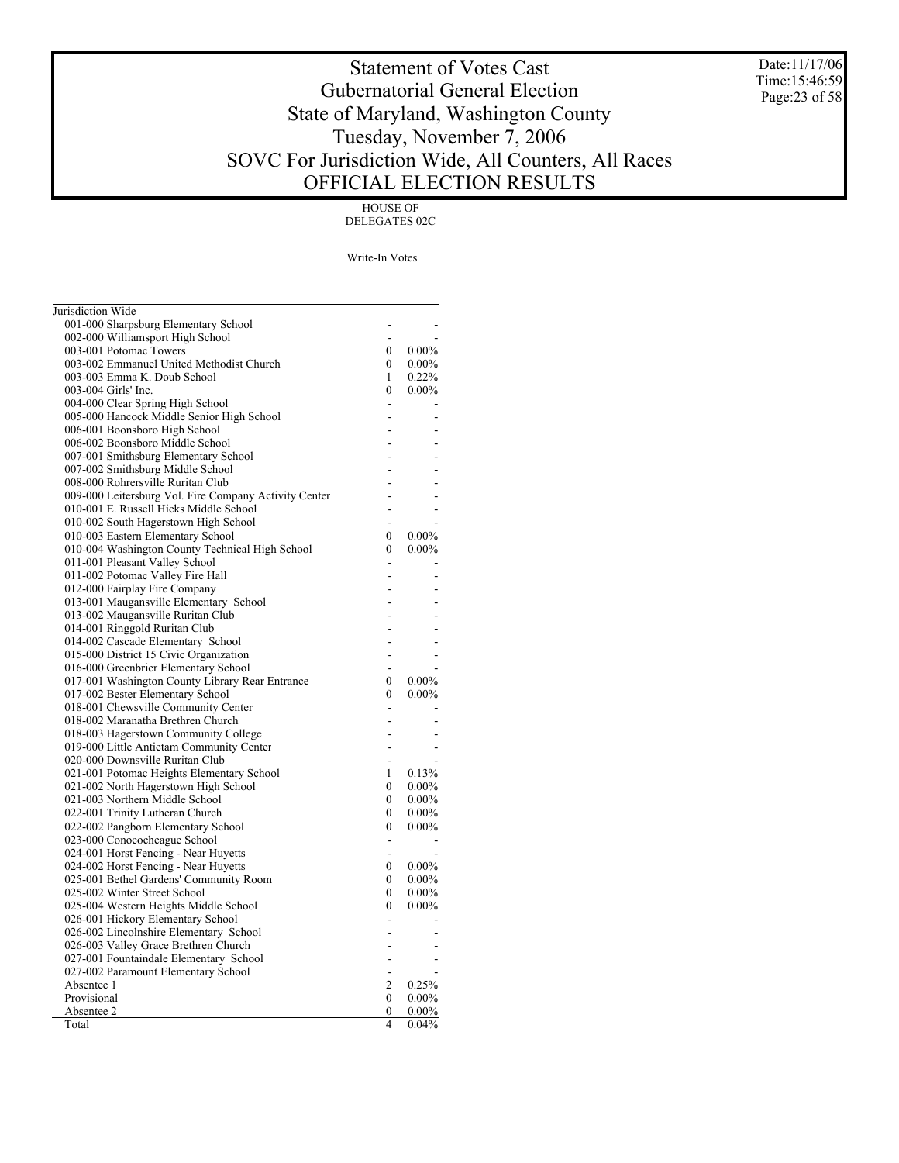Date:11/17/06 Time:15:46:59 Page:23 of 58

# Statement of Votes Cast Gubernatorial General Election State of Maryland, Washington County Tuesday, November 7, 2006 SOVC For Jurisdiction Wide, All Counters, All Races OFFICIAL ELECTION RESULTS

HOUSE OF

| Write-In Votes<br>Jurisdiction Wide<br>001-000 Sharpsburg Elementary School<br>002-000 Williamsport High School<br>003-001 Potomac Towers<br>0.00%<br>0<br>003-002 Emmanuel United Methodist Church<br>$\boldsymbol{0}$<br>$0.00\%$<br>003-003 Emma K. Doub School<br>1<br>0.22%<br>003-004 Girls' Inc.<br>$\mathbf{0}$<br>$0.00\%$<br>004-000 Clear Spring High School<br>005-000 Hancock Middle Senior High School<br>006-001 Boonsboro High School<br>006-002 Boonsboro Middle School |
|------------------------------------------------------------------------------------------------------------------------------------------------------------------------------------------------------------------------------------------------------------------------------------------------------------------------------------------------------------------------------------------------------------------------------------------------------------------------------------------|
|                                                                                                                                                                                                                                                                                                                                                                                                                                                                                          |
|                                                                                                                                                                                                                                                                                                                                                                                                                                                                                          |
|                                                                                                                                                                                                                                                                                                                                                                                                                                                                                          |
|                                                                                                                                                                                                                                                                                                                                                                                                                                                                                          |
|                                                                                                                                                                                                                                                                                                                                                                                                                                                                                          |
|                                                                                                                                                                                                                                                                                                                                                                                                                                                                                          |
|                                                                                                                                                                                                                                                                                                                                                                                                                                                                                          |
|                                                                                                                                                                                                                                                                                                                                                                                                                                                                                          |
|                                                                                                                                                                                                                                                                                                                                                                                                                                                                                          |
|                                                                                                                                                                                                                                                                                                                                                                                                                                                                                          |
|                                                                                                                                                                                                                                                                                                                                                                                                                                                                                          |
|                                                                                                                                                                                                                                                                                                                                                                                                                                                                                          |
| 007-001 Smithsburg Elementary School                                                                                                                                                                                                                                                                                                                                                                                                                                                     |
| 007-002 Smithsburg Middle School                                                                                                                                                                                                                                                                                                                                                                                                                                                         |
| 008-000 Rohrersville Ruritan Club                                                                                                                                                                                                                                                                                                                                                                                                                                                        |
| 009-000 Leitersburg Vol. Fire Company Activity Center                                                                                                                                                                                                                                                                                                                                                                                                                                    |
| 010-001 E. Russell Hicks Middle School<br>010-002 South Hagerstown High School                                                                                                                                                                                                                                                                                                                                                                                                           |
| 010-003 Eastern Elementary School<br>$0.00\%$<br>0                                                                                                                                                                                                                                                                                                                                                                                                                                       |
| 010-004 Washington County Technical High School<br>0<br>$0.00\%$                                                                                                                                                                                                                                                                                                                                                                                                                         |
| 011-001 Pleasant Valley School                                                                                                                                                                                                                                                                                                                                                                                                                                                           |
| 011-002 Potomac Valley Fire Hall                                                                                                                                                                                                                                                                                                                                                                                                                                                         |
| 012-000 Fairplay Fire Company                                                                                                                                                                                                                                                                                                                                                                                                                                                            |
| 013-001 Maugansville Elementary School                                                                                                                                                                                                                                                                                                                                                                                                                                                   |
| 013-002 Maugansville Ruritan Club                                                                                                                                                                                                                                                                                                                                                                                                                                                        |
| 014-001 Ringgold Ruritan Club                                                                                                                                                                                                                                                                                                                                                                                                                                                            |
| 014-002 Cascade Elementary School                                                                                                                                                                                                                                                                                                                                                                                                                                                        |
| 015-000 District 15 Civic Organization                                                                                                                                                                                                                                                                                                                                                                                                                                                   |
| 016-000 Greenbrier Elementary School                                                                                                                                                                                                                                                                                                                                                                                                                                                     |
| $0.00\%$<br>017-001 Washington County Library Rear Entrance<br>0                                                                                                                                                                                                                                                                                                                                                                                                                         |
| 017-002 Bester Elementary School<br>0<br>$0.00\%$                                                                                                                                                                                                                                                                                                                                                                                                                                        |
| 018-001 Chewsville Community Center                                                                                                                                                                                                                                                                                                                                                                                                                                                      |
| 018-002 Maranatha Brethren Church                                                                                                                                                                                                                                                                                                                                                                                                                                                        |
| 018-003 Hagerstown Community College                                                                                                                                                                                                                                                                                                                                                                                                                                                     |
| 019-000 Little Antietam Community Center<br>020-000 Downsville Ruritan Club                                                                                                                                                                                                                                                                                                                                                                                                              |
| 021-001 Potomac Heights Elementary School<br>1<br>0.13%                                                                                                                                                                                                                                                                                                                                                                                                                                  |
| $\boldsymbol{0}$<br>021-002 North Hagerstown High School<br>0.00%                                                                                                                                                                                                                                                                                                                                                                                                                        |
| 021-003 Northern Middle School<br>0<br>$0.00\%$                                                                                                                                                                                                                                                                                                                                                                                                                                          |
| 022-001 Trinity Lutheran Church<br>$\boldsymbol{0}$<br>0.00%                                                                                                                                                                                                                                                                                                                                                                                                                             |
| 022-002 Pangborn Elementary School<br>0<br>$0.00\%$                                                                                                                                                                                                                                                                                                                                                                                                                                      |
| 023-000 Conococheague School                                                                                                                                                                                                                                                                                                                                                                                                                                                             |
| 024-001 Horst Fencing - Near Huyetts                                                                                                                                                                                                                                                                                                                                                                                                                                                     |
| 024-002 Horst Fencing - Near Huyetts<br>0.00%<br>$\theta$                                                                                                                                                                                                                                                                                                                                                                                                                                |
| 025-001 Bethel Gardens' Community Room<br>0<br>$0.00\%$                                                                                                                                                                                                                                                                                                                                                                                                                                  |
| 025-002 Winter Street School<br>0<br>$0.00\%$                                                                                                                                                                                                                                                                                                                                                                                                                                            |
| 025-004 Western Heights Middle School<br>$\mathbf{0}$<br>$0.00\%$                                                                                                                                                                                                                                                                                                                                                                                                                        |
| 026-001 Hickory Elementary School                                                                                                                                                                                                                                                                                                                                                                                                                                                        |
| 026-002 Lincolnshire Elementary School                                                                                                                                                                                                                                                                                                                                                                                                                                                   |
| 026-003 Valley Grace Brethren Church                                                                                                                                                                                                                                                                                                                                                                                                                                                     |
| 027-001 Fountaindale Elementary School                                                                                                                                                                                                                                                                                                                                                                                                                                                   |
| 027-002 Paramount Elementary School<br>0.25%                                                                                                                                                                                                                                                                                                                                                                                                                                             |
| Absentee 1<br>2<br>Provisional<br>$\mathbf{0}$<br>$0.00\%$                                                                                                                                                                                                                                                                                                                                                                                                                               |
| Absentee 2<br>0.00%<br>0                                                                                                                                                                                                                                                                                                                                                                                                                                                                 |
| Total<br>4<br>0.04%                                                                                                                                                                                                                                                                                                                                                                                                                                                                      |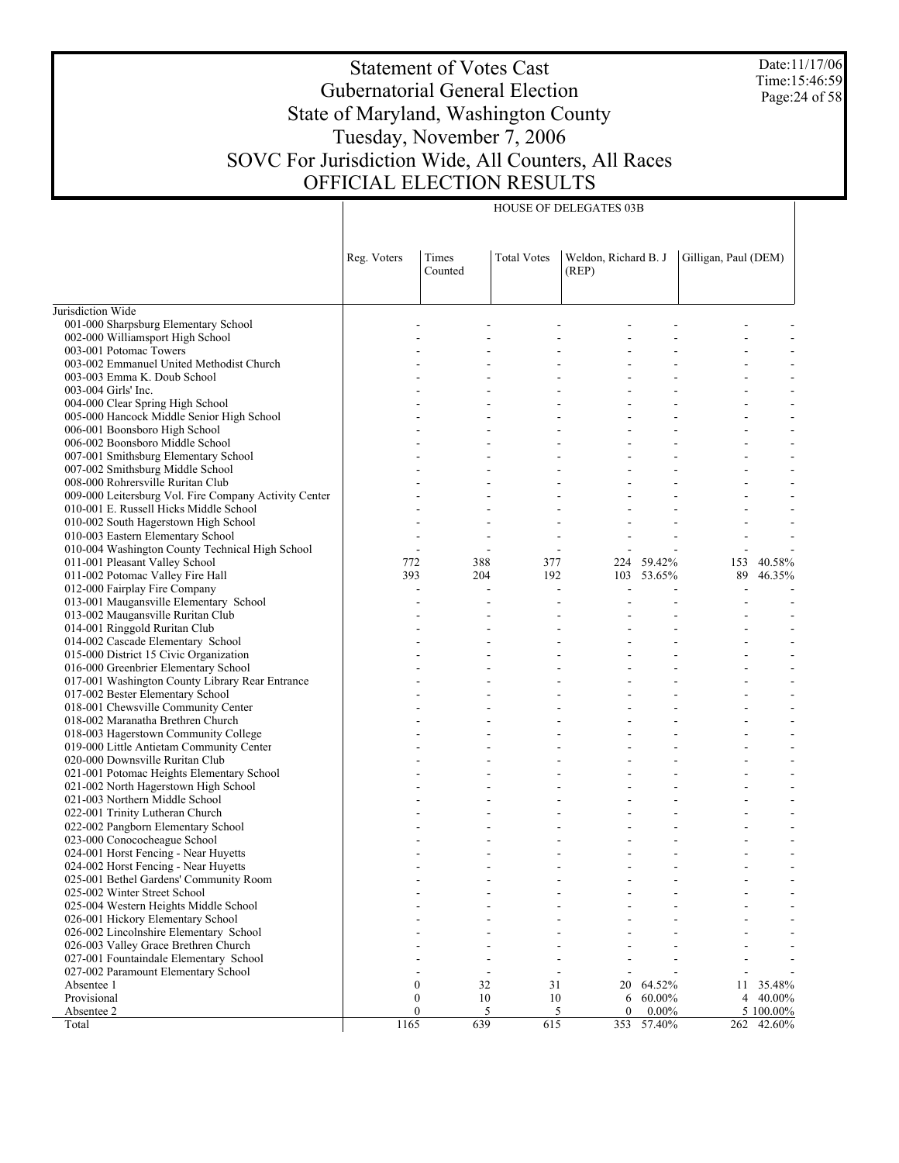Date:11/17/06 Time:15:46:59 Page:24 of 58

# Statement of Votes Cast Gubernatorial General Election State of Maryland, Washington County Tuesday, November 7, 2006 SOVC For Jurisdiction Wide, All Counters, All Races OFFICIAL ELECTION RESULTS

HOUSE OF DELEGATES 03B

|                                                                        | Reg. Voters | Times<br>Counted       | <b>Total Votes</b> | Weldon, Richard B. J<br>(REP) |            | Gilligan, Paul (DEM) |           |
|------------------------------------------------------------------------|-------------|------------------------|--------------------|-------------------------------|------------|----------------------|-----------|
|                                                                        |             |                        |                    |                               |            |                      |           |
| Jurisdiction Wide                                                      |             |                        |                    |                               |            |                      |           |
| 001-000 Sharpsburg Elementary School                                   |             |                        |                    |                               |            |                      |           |
| 002-000 Williamsport High School                                       |             |                        |                    |                               |            |                      |           |
| 003-001 Potomac Towers                                                 |             |                        |                    |                               |            |                      |           |
| 003-002 Emmanuel United Methodist Church                               |             |                        |                    |                               |            |                      |           |
| 003-003 Emma K. Doub School                                            |             |                        |                    |                               |            |                      |           |
| 003-004 Girls' Inc.                                                    |             |                        |                    |                               |            |                      |           |
| 004-000 Clear Spring High School                                       |             |                        |                    |                               |            |                      |           |
| 005-000 Hancock Middle Senior High School                              |             |                        |                    |                               |            |                      |           |
| 006-001 Boonsboro High School                                          |             |                        |                    |                               |            |                      |           |
| 006-002 Boonsboro Middle School                                        |             |                        |                    |                               |            |                      |           |
| 007-001 Smithsburg Elementary School                                   |             |                        |                    |                               |            |                      |           |
| 007-002 Smithsburg Middle School                                       |             |                        |                    |                               |            |                      |           |
| 008-000 Rohrersville Ruritan Club                                      |             |                        |                    |                               |            |                      |           |
| 009-000 Leitersburg Vol. Fire Company Activity Center                  |             |                        |                    |                               |            |                      |           |
| 010-001 E. Russell Hicks Middle School                                 |             |                        |                    |                               |            |                      |           |
| 010-002 South Hagerstown High School                                   |             |                        |                    |                               |            |                      |           |
| 010-003 Eastern Elementary School                                      |             |                        |                    |                               |            |                      |           |
| 010-004 Washington County Technical High School                        |             |                        |                    |                               |            |                      |           |
| 011-001 Pleasant Valley School                                         | 772         | 388                    | 377                |                               | 224 59.42% | 153                  | 40.58%    |
| 011-002 Potomac Valley Fire Hall                                       | 393         | 204                    | 192                |                               | 103 53.65% | 89                   | 46.35%    |
| 012-000 Fairplay Fire Company                                          |             |                        |                    |                               |            |                      |           |
| 013-001 Maugansville Elementary School                                 |             |                        |                    |                               |            |                      |           |
| 013-002 Maugansville Ruritan Club                                      |             |                        |                    |                               |            |                      |           |
| 014-001 Ringgold Ruritan Club                                          |             |                        |                    |                               |            |                      |           |
| 014-002 Cascade Elementary School                                      |             |                        |                    |                               |            |                      |           |
| 015-000 District 15 Civic Organization                                 |             |                        |                    |                               |            |                      |           |
| 016-000 Greenbrier Elementary School                                   |             |                        |                    |                               |            |                      |           |
| 017-001 Washington County Library Rear Entrance                        |             |                        |                    |                               |            |                      |           |
| 017-002 Bester Elementary School                                       |             |                        |                    |                               |            |                      |           |
| 018-001 Chewsville Community Center                                    |             |                        |                    |                               |            |                      |           |
| 018-002 Maranatha Brethren Church                                      |             |                        |                    |                               |            |                      |           |
| 018-003 Hagerstown Community College                                   |             |                        |                    |                               |            |                      |           |
| 019-000 Little Antietam Community Center                               |             |                        |                    |                               |            |                      |           |
| 020-000 Downsville Ruritan Club                                        |             |                        |                    |                               |            |                      |           |
| 021-001 Potomac Heights Elementary School                              |             |                        |                    |                               |            |                      |           |
| 021-002 North Hagerstown High School<br>021-003 Northern Middle School |             |                        |                    |                               |            |                      |           |
| 022-001 Trinity Lutheran Church                                        |             |                        |                    |                               |            |                      |           |
| 022-002 Pangborn Elementary School                                     |             |                        |                    |                               |            |                      |           |
| 023-000 Conococheague School                                           |             |                        |                    |                               |            |                      |           |
| 024-001 Horst Fencing - Near Huyetts                                   |             |                        |                    |                               |            |                      |           |
| 024-002 Horst Fencing - Near Huyetts                                   |             |                        |                    |                               |            |                      |           |
| 025-001 Bethel Gardens' Community Room                                 |             |                        |                    |                               |            |                      |           |
| 025-002 Winter Street School                                           |             |                        |                    |                               |            |                      |           |
| 025-004 Western Heights Middle School                                  |             |                        |                    |                               |            |                      |           |
| 026-001 Hickory Elementary School                                      |             |                        |                    |                               |            |                      |           |
| 026-002 Lincolnshire Elementary School                                 |             |                        |                    |                               |            |                      |           |
| 026-003 Valley Grace Brethren Church                                   |             |                        |                    |                               |            |                      |           |
| 027-001 Fountaindale Elementary School                                 |             |                        |                    |                               |            |                      |           |
| 027-002 Paramount Elementary School                                    |             |                        |                    |                               |            |                      |           |
| Absentee 1                                                             |             | $\boldsymbol{0}$<br>32 | 31                 | 20                            | 64.52%     | 11                   | 35.48%    |
| Provisional                                                            |             | $\boldsymbol{0}$<br>10 | 10                 | 6                             | 60.00%     | 4                    | 40.00%    |
| Absentee 2                                                             |             | $\overline{0}$<br>5    | 5                  | $\theta$                      | $0.00\%$   |                      | 5 100.00% |
| Total                                                                  | 1165        | 639                    | 615                | 353                           | 57.40%     | 262                  | 42.60%    |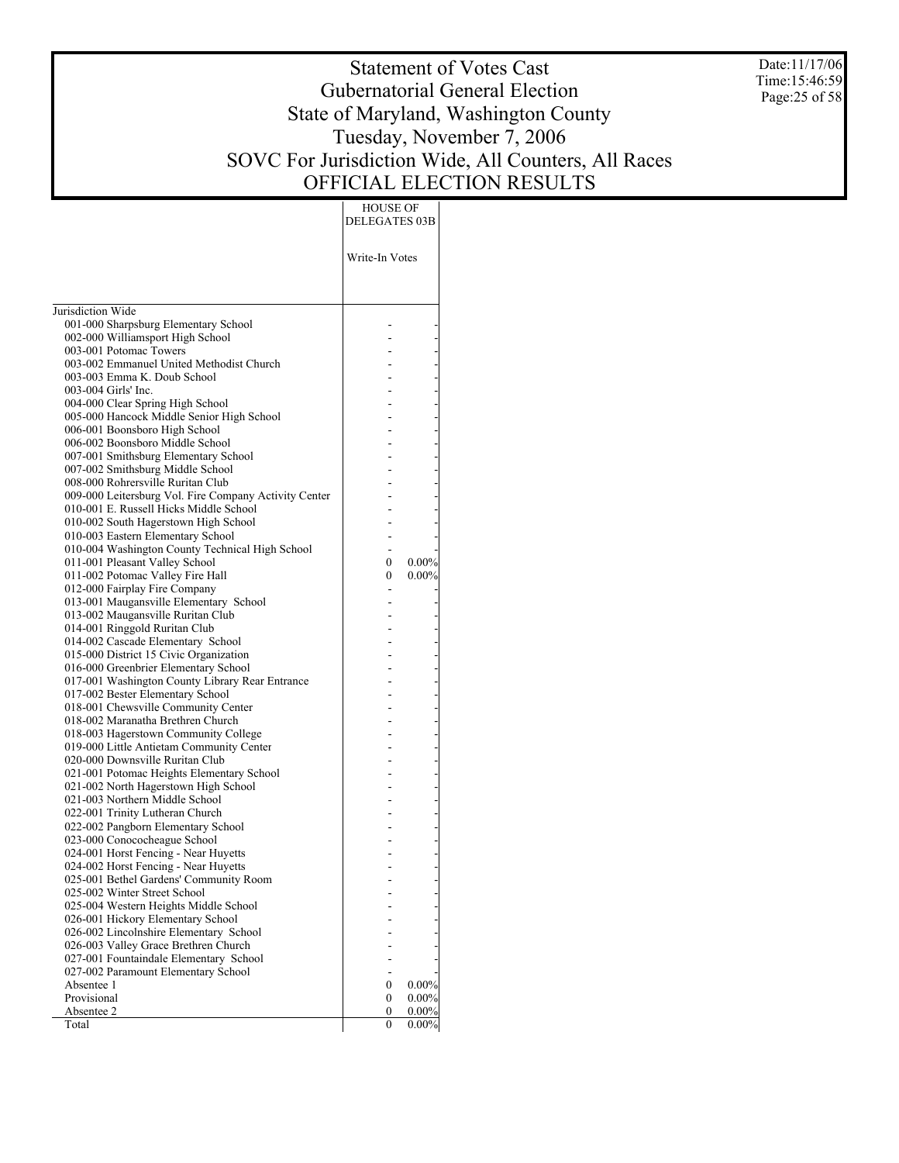Date:11/17/06 Time:15:46:59 Page:25 of 58

# Statement of Votes Cast Gubernatorial General Election State of Maryland, Washington County Tuesday, November 7, 2006 SOVC For Jurisdiction Wide, All Counters, All Races OFFICIAL ELECTION RESULTS

| HOUSE OF |

| Write-In Votes<br>Jurisdiction Wide<br>001-000 Sharpsburg Elementary School<br>002-000 Williamsport High School<br>003-001 Potomac Towers<br>003-002 Emmanuel United Methodist Church<br>003-003 Emma K. Doub School<br>003-004 Girls' Inc.<br>004-000 Clear Spring High School<br>005-000 Hancock Middle Senior High School<br>006-001 Boonsboro High School<br>006-002 Boonsboro Middle School<br>007-001 Smithsburg Elementary School<br>007-002 Smithsburg Middle School<br>008-000 Rohrersville Ruritan Club<br>009-000 Leitersburg Vol. Fire Company Activity Center<br>010-001 E. Russell Hicks Middle School<br>010-002 South Hagerstown High School<br>010-003 Eastern Elementary School<br>010-004 Washington County Technical High School<br>011-001 Pleasant Valley School<br>0.00%<br>0<br>011-002 Potomac Valley Fire Hall<br>$0.00\%$<br>0<br>012-000 Fairplay Fire Company<br>013-001 Maugansville Elementary School<br>013-002 Maugansville Ruritan Club<br>014-001 Ringgold Ruritan Club<br>014-002 Cascade Elementary School<br>015-000 District 15 Civic Organization<br>016-000 Greenbrier Elementary School<br>017-001 Washington County Library Rear Entrance<br>017-002 Bester Elementary School<br>018-001 Chewsville Community Center<br>018-002 Maranatha Brethren Church<br>018-003 Hagerstown Community College<br>019-000 Little Antietam Community Center<br>020-000 Downsville Ruritan Club<br>021-001 Potomac Heights Elementary School<br>021-002 North Hagerstown High School<br>021-003 Northern Middle School<br>022-001 Trinity Lutheran Church<br>022-002 Pangborn Elementary School<br>023-000 Conococheague School<br>024-001 Horst Fencing - Near Huyetts<br>024-002 Horst Fencing - Near Huyetts<br>025-001 Bethel Gardens' Community Room<br>025-002 Winter Street School<br>025-004 Western Heights Middle School<br>026-001 Hickory Elementary School<br>026-002 Lincolnshire Elementary School<br>026-003 Valley Grace Brethren Church<br>027-001 Fountaindale Elementary School<br>027-002 Paramount Elementary School<br>0.00%<br>Absentee 1<br>0<br>Provisional<br>$\mathbf{0}$<br>0.00%<br>Absentee 2<br>0<br>$0.00\%$ |       | DELEGATES 03B |          |
|---------------------------------------------------------------------------------------------------------------------------------------------------------------------------------------------------------------------------------------------------------------------------------------------------------------------------------------------------------------------------------------------------------------------------------------------------------------------------------------------------------------------------------------------------------------------------------------------------------------------------------------------------------------------------------------------------------------------------------------------------------------------------------------------------------------------------------------------------------------------------------------------------------------------------------------------------------------------------------------------------------------------------------------------------------------------------------------------------------------------------------------------------------------------------------------------------------------------------------------------------------------------------------------------------------------------------------------------------------------------------------------------------------------------------------------------------------------------------------------------------------------------------------------------------------------------------------------------------------------------------------------------------------------------------------------------------------------------------------------------------------------------------------------------------------------------------------------------------------------------------------------------------------------------------------------------------------------------------------------------------------------------------------------------------------------------------------------------------------------------------------------------------------------------------|-------|---------------|----------|
|                                                                                                                                                                                                                                                                                                                                                                                                                                                                                                                                                                                                                                                                                                                                                                                                                                                                                                                                                                                                                                                                                                                                                                                                                                                                                                                                                                                                                                                                                                                                                                                                                                                                                                                                                                                                                                                                                                                                                                                                                                                                                                                                                                           |       |               |          |
|                                                                                                                                                                                                                                                                                                                                                                                                                                                                                                                                                                                                                                                                                                                                                                                                                                                                                                                                                                                                                                                                                                                                                                                                                                                                                                                                                                                                                                                                                                                                                                                                                                                                                                                                                                                                                                                                                                                                                                                                                                                                                                                                                                           |       |               |          |
|                                                                                                                                                                                                                                                                                                                                                                                                                                                                                                                                                                                                                                                                                                                                                                                                                                                                                                                                                                                                                                                                                                                                                                                                                                                                                                                                                                                                                                                                                                                                                                                                                                                                                                                                                                                                                                                                                                                                                                                                                                                                                                                                                                           |       |               |          |
|                                                                                                                                                                                                                                                                                                                                                                                                                                                                                                                                                                                                                                                                                                                                                                                                                                                                                                                                                                                                                                                                                                                                                                                                                                                                                                                                                                                                                                                                                                                                                                                                                                                                                                                                                                                                                                                                                                                                                                                                                                                                                                                                                                           |       |               |          |
|                                                                                                                                                                                                                                                                                                                                                                                                                                                                                                                                                                                                                                                                                                                                                                                                                                                                                                                                                                                                                                                                                                                                                                                                                                                                                                                                                                                                                                                                                                                                                                                                                                                                                                                                                                                                                                                                                                                                                                                                                                                                                                                                                                           |       |               |          |
|                                                                                                                                                                                                                                                                                                                                                                                                                                                                                                                                                                                                                                                                                                                                                                                                                                                                                                                                                                                                                                                                                                                                                                                                                                                                                                                                                                                                                                                                                                                                                                                                                                                                                                                                                                                                                                                                                                                                                                                                                                                                                                                                                                           |       |               |          |
|                                                                                                                                                                                                                                                                                                                                                                                                                                                                                                                                                                                                                                                                                                                                                                                                                                                                                                                                                                                                                                                                                                                                                                                                                                                                                                                                                                                                                                                                                                                                                                                                                                                                                                                                                                                                                                                                                                                                                                                                                                                                                                                                                                           |       |               |          |
|                                                                                                                                                                                                                                                                                                                                                                                                                                                                                                                                                                                                                                                                                                                                                                                                                                                                                                                                                                                                                                                                                                                                                                                                                                                                                                                                                                                                                                                                                                                                                                                                                                                                                                                                                                                                                                                                                                                                                                                                                                                                                                                                                                           |       |               |          |
|                                                                                                                                                                                                                                                                                                                                                                                                                                                                                                                                                                                                                                                                                                                                                                                                                                                                                                                                                                                                                                                                                                                                                                                                                                                                                                                                                                                                                                                                                                                                                                                                                                                                                                                                                                                                                                                                                                                                                                                                                                                                                                                                                                           |       |               |          |
|                                                                                                                                                                                                                                                                                                                                                                                                                                                                                                                                                                                                                                                                                                                                                                                                                                                                                                                                                                                                                                                                                                                                                                                                                                                                                                                                                                                                                                                                                                                                                                                                                                                                                                                                                                                                                                                                                                                                                                                                                                                                                                                                                                           |       |               |          |
|                                                                                                                                                                                                                                                                                                                                                                                                                                                                                                                                                                                                                                                                                                                                                                                                                                                                                                                                                                                                                                                                                                                                                                                                                                                                                                                                                                                                                                                                                                                                                                                                                                                                                                                                                                                                                                                                                                                                                                                                                                                                                                                                                                           |       |               |          |
|                                                                                                                                                                                                                                                                                                                                                                                                                                                                                                                                                                                                                                                                                                                                                                                                                                                                                                                                                                                                                                                                                                                                                                                                                                                                                                                                                                                                                                                                                                                                                                                                                                                                                                                                                                                                                                                                                                                                                                                                                                                                                                                                                                           |       |               |          |
|                                                                                                                                                                                                                                                                                                                                                                                                                                                                                                                                                                                                                                                                                                                                                                                                                                                                                                                                                                                                                                                                                                                                                                                                                                                                                                                                                                                                                                                                                                                                                                                                                                                                                                                                                                                                                                                                                                                                                                                                                                                                                                                                                                           |       |               |          |
|                                                                                                                                                                                                                                                                                                                                                                                                                                                                                                                                                                                                                                                                                                                                                                                                                                                                                                                                                                                                                                                                                                                                                                                                                                                                                                                                                                                                                                                                                                                                                                                                                                                                                                                                                                                                                                                                                                                                                                                                                                                                                                                                                                           |       |               |          |
|                                                                                                                                                                                                                                                                                                                                                                                                                                                                                                                                                                                                                                                                                                                                                                                                                                                                                                                                                                                                                                                                                                                                                                                                                                                                                                                                                                                                                                                                                                                                                                                                                                                                                                                                                                                                                                                                                                                                                                                                                                                                                                                                                                           |       |               |          |
|                                                                                                                                                                                                                                                                                                                                                                                                                                                                                                                                                                                                                                                                                                                                                                                                                                                                                                                                                                                                                                                                                                                                                                                                                                                                                                                                                                                                                                                                                                                                                                                                                                                                                                                                                                                                                                                                                                                                                                                                                                                                                                                                                                           |       |               |          |
|                                                                                                                                                                                                                                                                                                                                                                                                                                                                                                                                                                                                                                                                                                                                                                                                                                                                                                                                                                                                                                                                                                                                                                                                                                                                                                                                                                                                                                                                                                                                                                                                                                                                                                                                                                                                                                                                                                                                                                                                                                                                                                                                                                           |       |               |          |
|                                                                                                                                                                                                                                                                                                                                                                                                                                                                                                                                                                                                                                                                                                                                                                                                                                                                                                                                                                                                                                                                                                                                                                                                                                                                                                                                                                                                                                                                                                                                                                                                                                                                                                                                                                                                                                                                                                                                                                                                                                                                                                                                                                           |       |               |          |
|                                                                                                                                                                                                                                                                                                                                                                                                                                                                                                                                                                                                                                                                                                                                                                                                                                                                                                                                                                                                                                                                                                                                                                                                                                                                                                                                                                                                                                                                                                                                                                                                                                                                                                                                                                                                                                                                                                                                                                                                                                                                                                                                                                           |       |               |          |
|                                                                                                                                                                                                                                                                                                                                                                                                                                                                                                                                                                                                                                                                                                                                                                                                                                                                                                                                                                                                                                                                                                                                                                                                                                                                                                                                                                                                                                                                                                                                                                                                                                                                                                                                                                                                                                                                                                                                                                                                                                                                                                                                                                           |       |               |          |
|                                                                                                                                                                                                                                                                                                                                                                                                                                                                                                                                                                                                                                                                                                                                                                                                                                                                                                                                                                                                                                                                                                                                                                                                                                                                                                                                                                                                                                                                                                                                                                                                                                                                                                                                                                                                                                                                                                                                                                                                                                                                                                                                                                           |       |               |          |
|                                                                                                                                                                                                                                                                                                                                                                                                                                                                                                                                                                                                                                                                                                                                                                                                                                                                                                                                                                                                                                                                                                                                                                                                                                                                                                                                                                                                                                                                                                                                                                                                                                                                                                                                                                                                                                                                                                                                                                                                                                                                                                                                                                           |       |               |          |
|                                                                                                                                                                                                                                                                                                                                                                                                                                                                                                                                                                                                                                                                                                                                                                                                                                                                                                                                                                                                                                                                                                                                                                                                                                                                                                                                                                                                                                                                                                                                                                                                                                                                                                                                                                                                                                                                                                                                                                                                                                                                                                                                                                           |       |               |          |
|                                                                                                                                                                                                                                                                                                                                                                                                                                                                                                                                                                                                                                                                                                                                                                                                                                                                                                                                                                                                                                                                                                                                                                                                                                                                                                                                                                                                                                                                                                                                                                                                                                                                                                                                                                                                                                                                                                                                                                                                                                                                                                                                                                           |       |               |          |
|                                                                                                                                                                                                                                                                                                                                                                                                                                                                                                                                                                                                                                                                                                                                                                                                                                                                                                                                                                                                                                                                                                                                                                                                                                                                                                                                                                                                                                                                                                                                                                                                                                                                                                                                                                                                                                                                                                                                                                                                                                                                                                                                                                           |       |               |          |
|                                                                                                                                                                                                                                                                                                                                                                                                                                                                                                                                                                                                                                                                                                                                                                                                                                                                                                                                                                                                                                                                                                                                                                                                                                                                                                                                                                                                                                                                                                                                                                                                                                                                                                                                                                                                                                                                                                                                                                                                                                                                                                                                                                           |       |               |          |
|                                                                                                                                                                                                                                                                                                                                                                                                                                                                                                                                                                                                                                                                                                                                                                                                                                                                                                                                                                                                                                                                                                                                                                                                                                                                                                                                                                                                                                                                                                                                                                                                                                                                                                                                                                                                                                                                                                                                                                                                                                                                                                                                                                           |       |               |          |
|                                                                                                                                                                                                                                                                                                                                                                                                                                                                                                                                                                                                                                                                                                                                                                                                                                                                                                                                                                                                                                                                                                                                                                                                                                                                                                                                                                                                                                                                                                                                                                                                                                                                                                                                                                                                                                                                                                                                                                                                                                                                                                                                                                           |       |               |          |
|                                                                                                                                                                                                                                                                                                                                                                                                                                                                                                                                                                                                                                                                                                                                                                                                                                                                                                                                                                                                                                                                                                                                                                                                                                                                                                                                                                                                                                                                                                                                                                                                                                                                                                                                                                                                                                                                                                                                                                                                                                                                                                                                                                           |       |               |          |
|                                                                                                                                                                                                                                                                                                                                                                                                                                                                                                                                                                                                                                                                                                                                                                                                                                                                                                                                                                                                                                                                                                                                                                                                                                                                                                                                                                                                                                                                                                                                                                                                                                                                                                                                                                                                                                                                                                                                                                                                                                                                                                                                                                           |       |               |          |
|                                                                                                                                                                                                                                                                                                                                                                                                                                                                                                                                                                                                                                                                                                                                                                                                                                                                                                                                                                                                                                                                                                                                                                                                                                                                                                                                                                                                                                                                                                                                                                                                                                                                                                                                                                                                                                                                                                                                                                                                                                                                                                                                                                           |       |               |          |
|                                                                                                                                                                                                                                                                                                                                                                                                                                                                                                                                                                                                                                                                                                                                                                                                                                                                                                                                                                                                                                                                                                                                                                                                                                                                                                                                                                                                                                                                                                                                                                                                                                                                                                                                                                                                                                                                                                                                                                                                                                                                                                                                                                           |       |               |          |
|                                                                                                                                                                                                                                                                                                                                                                                                                                                                                                                                                                                                                                                                                                                                                                                                                                                                                                                                                                                                                                                                                                                                                                                                                                                                                                                                                                                                                                                                                                                                                                                                                                                                                                                                                                                                                                                                                                                                                                                                                                                                                                                                                                           |       |               |          |
|                                                                                                                                                                                                                                                                                                                                                                                                                                                                                                                                                                                                                                                                                                                                                                                                                                                                                                                                                                                                                                                                                                                                                                                                                                                                                                                                                                                                                                                                                                                                                                                                                                                                                                                                                                                                                                                                                                                                                                                                                                                                                                                                                                           |       |               |          |
|                                                                                                                                                                                                                                                                                                                                                                                                                                                                                                                                                                                                                                                                                                                                                                                                                                                                                                                                                                                                                                                                                                                                                                                                                                                                                                                                                                                                                                                                                                                                                                                                                                                                                                                                                                                                                                                                                                                                                                                                                                                                                                                                                                           |       |               |          |
|                                                                                                                                                                                                                                                                                                                                                                                                                                                                                                                                                                                                                                                                                                                                                                                                                                                                                                                                                                                                                                                                                                                                                                                                                                                                                                                                                                                                                                                                                                                                                                                                                                                                                                                                                                                                                                                                                                                                                                                                                                                                                                                                                                           |       |               |          |
|                                                                                                                                                                                                                                                                                                                                                                                                                                                                                                                                                                                                                                                                                                                                                                                                                                                                                                                                                                                                                                                                                                                                                                                                                                                                                                                                                                                                                                                                                                                                                                                                                                                                                                                                                                                                                                                                                                                                                                                                                                                                                                                                                                           |       |               |          |
|                                                                                                                                                                                                                                                                                                                                                                                                                                                                                                                                                                                                                                                                                                                                                                                                                                                                                                                                                                                                                                                                                                                                                                                                                                                                                                                                                                                                                                                                                                                                                                                                                                                                                                                                                                                                                                                                                                                                                                                                                                                                                                                                                                           |       |               |          |
|                                                                                                                                                                                                                                                                                                                                                                                                                                                                                                                                                                                                                                                                                                                                                                                                                                                                                                                                                                                                                                                                                                                                                                                                                                                                                                                                                                                                                                                                                                                                                                                                                                                                                                                                                                                                                                                                                                                                                                                                                                                                                                                                                                           |       |               |          |
|                                                                                                                                                                                                                                                                                                                                                                                                                                                                                                                                                                                                                                                                                                                                                                                                                                                                                                                                                                                                                                                                                                                                                                                                                                                                                                                                                                                                                                                                                                                                                                                                                                                                                                                                                                                                                                                                                                                                                                                                                                                                                                                                                                           |       |               |          |
|                                                                                                                                                                                                                                                                                                                                                                                                                                                                                                                                                                                                                                                                                                                                                                                                                                                                                                                                                                                                                                                                                                                                                                                                                                                                                                                                                                                                                                                                                                                                                                                                                                                                                                                                                                                                                                                                                                                                                                                                                                                                                                                                                                           |       |               |          |
|                                                                                                                                                                                                                                                                                                                                                                                                                                                                                                                                                                                                                                                                                                                                                                                                                                                                                                                                                                                                                                                                                                                                                                                                                                                                                                                                                                                                                                                                                                                                                                                                                                                                                                                                                                                                                                                                                                                                                                                                                                                                                                                                                                           |       |               |          |
|                                                                                                                                                                                                                                                                                                                                                                                                                                                                                                                                                                                                                                                                                                                                                                                                                                                                                                                                                                                                                                                                                                                                                                                                                                                                                                                                                                                                                                                                                                                                                                                                                                                                                                                                                                                                                                                                                                                                                                                                                                                                                                                                                                           |       |               |          |
|                                                                                                                                                                                                                                                                                                                                                                                                                                                                                                                                                                                                                                                                                                                                                                                                                                                                                                                                                                                                                                                                                                                                                                                                                                                                                                                                                                                                                                                                                                                                                                                                                                                                                                                                                                                                                                                                                                                                                                                                                                                                                                                                                                           |       |               |          |
|                                                                                                                                                                                                                                                                                                                                                                                                                                                                                                                                                                                                                                                                                                                                                                                                                                                                                                                                                                                                                                                                                                                                                                                                                                                                                                                                                                                                                                                                                                                                                                                                                                                                                                                                                                                                                                                                                                                                                                                                                                                                                                                                                                           |       |               |          |
|                                                                                                                                                                                                                                                                                                                                                                                                                                                                                                                                                                                                                                                                                                                                                                                                                                                                                                                                                                                                                                                                                                                                                                                                                                                                                                                                                                                                                                                                                                                                                                                                                                                                                                                                                                                                                                                                                                                                                                                                                                                                                                                                                                           |       |               |          |
|                                                                                                                                                                                                                                                                                                                                                                                                                                                                                                                                                                                                                                                                                                                                                                                                                                                                                                                                                                                                                                                                                                                                                                                                                                                                                                                                                                                                                                                                                                                                                                                                                                                                                                                                                                                                                                                                                                                                                                                                                                                                                                                                                                           |       |               |          |
|                                                                                                                                                                                                                                                                                                                                                                                                                                                                                                                                                                                                                                                                                                                                                                                                                                                                                                                                                                                                                                                                                                                                                                                                                                                                                                                                                                                                                                                                                                                                                                                                                                                                                                                                                                                                                                                                                                                                                                                                                                                                                                                                                                           |       |               |          |
|                                                                                                                                                                                                                                                                                                                                                                                                                                                                                                                                                                                                                                                                                                                                                                                                                                                                                                                                                                                                                                                                                                                                                                                                                                                                                                                                                                                                                                                                                                                                                                                                                                                                                                                                                                                                                                                                                                                                                                                                                                                                                                                                                                           |       |               |          |
|                                                                                                                                                                                                                                                                                                                                                                                                                                                                                                                                                                                                                                                                                                                                                                                                                                                                                                                                                                                                                                                                                                                                                                                                                                                                                                                                                                                                                                                                                                                                                                                                                                                                                                                                                                                                                                                                                                                                                                                                                                                                                                                                                                           |       |               |          |
|                                                                                                                                                                                                                                                                                                                                                                                                                                                                                                                                                                                                                                                                                                                                                                                                                                                                                                                                                                                                                                                                                                                                                                                                                                                                                                                                                                                                                                                                                                                                                                                                                                                                                                                                                                                                                                                                                                                                                                                                                                                                                                                                                                           |       |               |          |
|                                                                                                                                                                                                                                                                                                                                                                                                                                                                                                                                                                                                                                                                                                                                                                                                                                                                                                                                                                                                                                                                                                                                                                                                                                                                                                                                                                                                                                                                                                                                                                                                                                                                                                                                                                                                                                                                                                                                                                                                                                                                                                                                                                           |       |               |          |
|                                                                                                                                                                                                                                                                                                                                                                                                                                                                                                                                                                                                                                                                                                                                                                                                                                                                                                                                                                                                                                                                                                                                                                                                                                                                                                                                                                                                                                                                                                                                                                                                                                                                                                                                                                                                                                                                                                                                                                                                                                                                                                                                                                           |       |               |          |
|                                                                                                                                                                                                                                                                                                                                                                                                                                                                                                                                                                                                                                                                                                                                                                                                                                                                                                                                                                                                                                                                                                                                                                                                                                                                                                                                                                                                                                                                                                                                                                                                                                                                                                                                                                                                                                                                                                                                                                                                                                                                                                                                                                           |       |               |          |
|                                                                                                                                                                                                                                                                                                                                                                                                                                                                                                                                                                                                                                                                                                                                                                                                                                                                                                                                                                                                                                                                                                                                                                                                                                                                                                                                                                                                                                                                                                                                                                                                                                                                                                                                                                                                                                                                                                                                                                                                                                                                                                                                                                           | Total | $\theta$      | $0.00\%$ |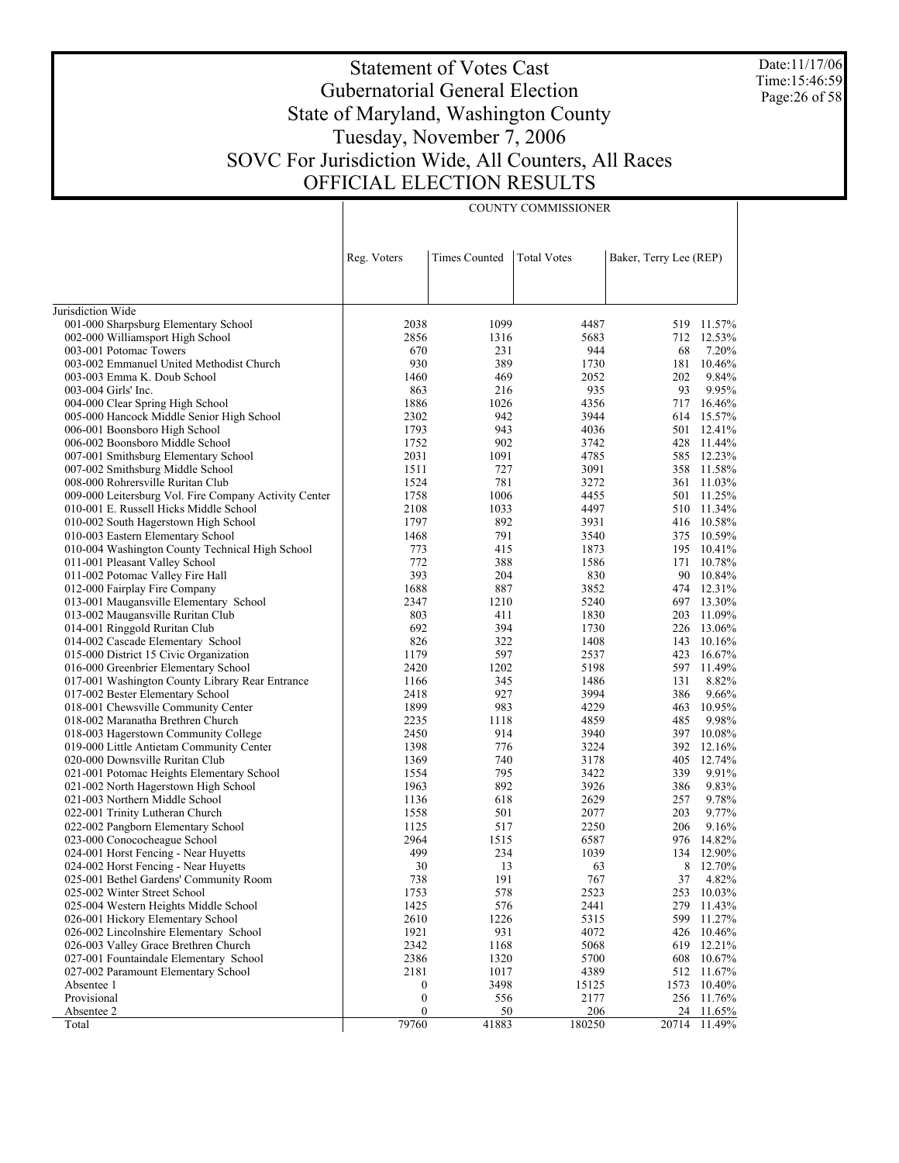Date:11/17/06 Time:15:46:59 Page:26 of 58

# Statement of Votes Cast Gubernatorial General Election State of Maryland, Washington County Tuesday, November 7, 2006 SOVC For Jurisdiction Wide, All Counters, All Races OFFICIAL ELECTION RESULTS

COUNTY COMMISSIONER

|                                                       | Reg. Voters      | <b>Times Counted</b> | <b>Total Votes</b> | Baker, Terry Lee (REP) |              |
|-------------------------------------------------------|------------------|----------------------|--------------------|------------------------|--------------|
|                                                       |                  |                      |                    |                        |              |
| Jurisdiction Wide                                     |                  |                      |                    |                        |              |
| 001-000 Sharpsburg Elementary School                  | 2038             | 1099                 | 4487               |                        | 519 11.57%   |
| 002-000 Williamsport High School                      | 2856             | 1316                 | 5683               |                        | 712 12.53%   |
| 003-001 Potomac Towers                                | 670              | 231                  | 944                | 68                     | 7.20%        |
| 003-002 Emmanuel United Methodist Church              | 930              | 389                  | 1730               | 181                    | 10.46%       |
| 003-003 Emma K. Doub School                           | 1460             | 469                  | 2052               | 202                    | 9.84%        |
| 003-004 Girls' Inc.                                   | 863              | 216                  | 935                | 93                     | 9.95%        |
| 004-000 Clear Spring High School                      | 1886             | 1026                 | 4356               | 717                    | 16.46%       |
| 005-000 Hancock Middle Senior High School             | 2302             | 942                  | 3944               |                        | 614 15.57%   |
| 006-001 Boonsboro High School                         | 1793             | 943                  | 4036               | 501                    | 12.41%       |
| 006-002 Boonsboro Middle School                       | 1752             | 902                  | 3742               |                        | 428 11.44%   |
| 007-001 Smithsburg Elementary School                  | 2031             | 1091                 | 4785               | 585                    | 12.23%       |
| 007-002 Smithsburg Middle School                      | 1511             | 727                  | 3091               | 358                    | 11.58%       |
| 008-000 Rohrersville Ruritan Club                     | 1524             | 781                  | 3272               | 361                    | 11.03%       |
| 009-000 Leitersburg Vol. Fire Company Activity Center | 1758             | 1006                 | 4455               | 501                    | 11.25%       |
| 010-001 E. Russell Hicks Middle School                | 2108             | 1033                 | 4497               |                        | 510 11.34%   |
| 010-002 South Hagerstown High School                  | 1797             | 892                  | 3931               |                        | 416 10.58%   |
| 010-003 Eastern Elementary School                     | 1468             | 791                  | 3540               | 375                    | 10.59%       |
| 010-004 Washington County Technical High School       | 773              | 415                  | 1873               | 195                    | 10.41%       |
| 011-001 Pleasant Valley School                        | 772              | 388                  | 1586               | 171                    | 10.78%       |
| 011-002 Potomac Valley Fire Hall                      | 393              | 204                  | 830                |                        | 90 10.84%    |
| 012-000 Fairplay Fire Company                         | 1688             | 887                  | 3852               |                        | 474 12.31%   |
| 013-001 Maugansville Elementary School                | 2347             | 1210                 | 5240               |                        | 697 13.30%   |
| 013-002 Maugansville Ruritan Club                     | 803              | 411                  | 1830               | 203                    | 11.09%       |
| 014-001 Ringgold Ruritan Club                         | 692              | 394                  | 1730               | 226                    | 13.06%       |
| 014-002 Cascade Elementary School                     | 826              | 322                  | 1408               | 143                    | 10.16%       |
| 015-000 District 15 Civic Organization                | 1179             | 597                  | 2537               | 423                    | 16.67%       |
| 016-000 Greenbrier Elementary School                  | 2420             | 1202                 | 5198               | 597                    | 11.49%       |
| 017-001 Washington County Library Rear Entrance       | 1166             | 345                  | 1486               | 131                    | 8.82%        |
| 017-002 Bester Elementary School                      | 2418             | 927                  | 3994               | 386                    | 9.66%        |
| 018-001 Chewsville Community Center                   | 1899             | 983                  | 4229               | 463                    | 10.95%       |
| 018-002 Maranatha Brethren Church                     | 2235             | 1118                 | 4859               | 485                    | 9.98%        |
| 018-003 Hagerstown Community College                  | 2450             | 914                  | 3940               |                        | 397 10.08%   |
| 019-000 Little Antietam Community Center              | 1398             | 776                  | 3224               | 392                    | 12.16%       |
| 020-000 Downsville Ruritan Club                       | 1369             | 740                  | 3178               | 405                    | 12.74%       |
| 021-001 Potomac Heights Elementary School             | 1554             | 795                  | 3422               | 339                    | 9.91%        |
| 021-002 North Hagerstown High School                  | 1963             | 892                  | 3926               | 386                    | 9.83%        |
| 021-003 Northern Middle School                        | 1136             | 618                  | 2629               | 257                    | 9.78%        |
| 022-001 Trinity Lutheran Church                       | 1558             | 501                  | 2077               | 203                    | 9.77%        |
| 022-002 Pangborn Elementary School                    | 1125             | 517                  | 2250               | 206                    | 9.16%        |
| 023-000 Conococheague School                          | 2964             | 1515                 | 6587               | 976                    | 14.82%       |
| 024-001 Horst Fencing - Near Huyetts                  | 499              | 234                  | 1039               | 134                    | 12.90%       |
| 024-002 Horst Fencing - Near Huyetts                  | 30               | 13                   | 63                 | 8                      | 12.70%       |
| 025-001 Bethel Gardens' Community Room                | 738              | 191                  | 767                | 37                     | 4.82%        |
| 025-002 Winter Street School                          | 1753             | 578                  | 2523               | 253                    | 10.03%       |
| 025-004 Western Heights Middle School                 | 1425             | 576                  | 2441               | 279                    | 11.43%       |
| 026-001 Hickory Elementary School                     | 2610             | 1226                 | 5315               | 599                    | 11.27%       |
| 026-002 Lincolnshire Elementary School                | 1921             | 931                  | 4072               |                        | 426 10.46%   |
| 026-003 Valley Grace Brethren Church                  | 2342             | 1168                 | 5068               |                        | 619 12.21%   |
| 027-001 Fountaindale Elementary School                | 2386             | 1320                 | 5700               | 608                    | 10.67%       |
| 027-002 Paramount Elementary School                   | 2181             | 1017                 | 4389               |                        | 512 11.67%   |
| Absentee 1                                            | $\boldsymbol{0}$ | 3498                 | 15125              | 1573                   | 10.40%       |
| Provisional                                           | $\boldsymbol{0}$ | 556                  | 2177               |                        | 256 11.76%   |
| Absentee 2                                            | $\boldsymbol{0}$ | 50                   | 206                | 24                     | 11.65%       |
| Total                                                 | 79760            | 41883                | 180250             |                        | 20714 11.49% |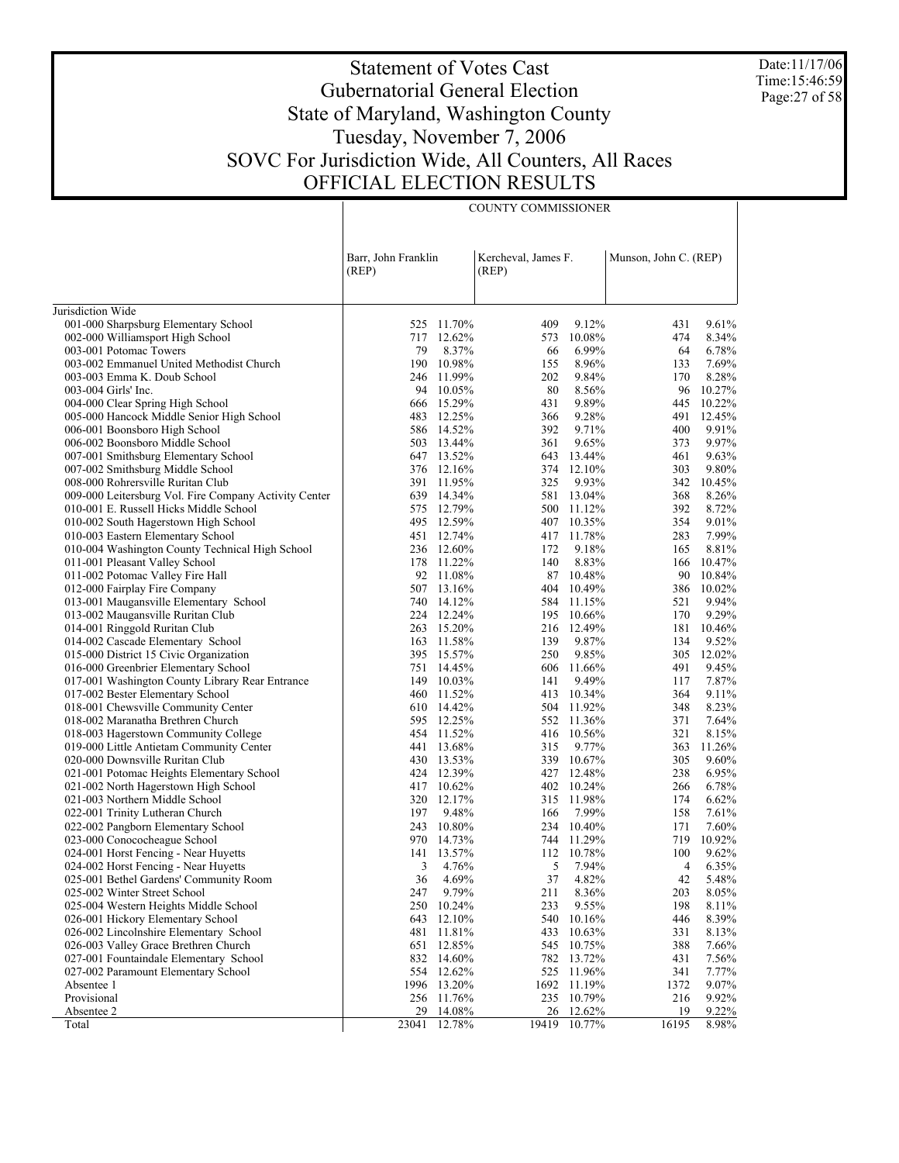Date:11/17/06 Time:15:46:59 Page:27 of 58

# Statement of Votes Cast Gubernatorial General Election State of Maryland, Washington County Tuesday, November 7, 2006 SOVC For Jurisdiction Wide, All Counters, All Races OFFICIAL ELECTION RESULTS

COUNTY COMMISSIONER

|                                                                                | Barr, John Franklin<br>(REP) |                      | Kercheval, James F.<br>(REP) |                 | Munson, John C. (REP) |                 |
|--------------------------------------------------------------------------------|------------------------------|----------------------|------------------------------|-----------------|-----------------------|-----------------|
| Jurisdiction Wide                                                              |                              |                      |                              |                 |                       |                 |
| 001-000 Sharpsburg Elementary School                                           |                              | 525 11.70%           | 409                          | 9.12%           | 431                   | 9.61%           |
| 002-000 Williamsport High School                                               | 717                          | 12.62%               | 573                          | 10.08%          | 474                   | 8.34%           |
| 003-001 Potomac Towers                                                         | 79                           | 8.37%                | 66                           | 6.99%           | 64                    | 6.78%           |
| 003-002 Emmanuel United Methodist Church                                       | 190                          | 10.98%               | 155                          | 8.96%           | 133                   | 7.69%           |
| 003-003 Emma K. Doub School                                                    | 246                          | 11.99%               | 202                          | 9.84%           | 170                   | 8.28%           |
| 003-004 Girls' Inc.                                                            | 94                           | 10.05%               | 80                           | 8.56%           | 96                    | 10.27%          |
| 004-000 Clear Spring High School                                               | 666                          | 15.29%               | 431                          | 9.89%           | 445                   | 10.22%          |
| 005-000 Hancock Middle Senior High School                                      | 483                          | 12.25%               | 366                          | 9.28%           | 491                   | 12.45%          |
| 006-001 Boonsboro High School                                                  |                              | 586 14.52%           | 392                          | 9.71%           | 400                   | 9.91%           |
| 006-002 Boonsboro Middle School                                                | 503                          | 13.44%               | 361                          | 9.65%           | 373                   | 9.97%           |
| 007-001 Smithsburg Elementary School                                           |                              | 647 13.52%           | 643                          | 13.44%          | 461                   | 9.63%           |
| 007-002 Smithsburg Middle School                                               |                              | 376 12.16%           | 374                          | 12.10%          | 303                   | 9.80%           |
| 008-000 Rohrersville Ruritan Club                                              | 391                          | 11.95%               | 325                          | 9.93%           | 342                   | 10.45%          |
| 009-000 Leitersburg Vol. Fire Company Activity Center                          | 639                          | 14.34%               | 581                          | 13.04%          | 368                   | 8.26%           |
| 010-001 E. Russell Hicks Middle School                                         | 575                          | 12.79%               |                              | 500 11.12%      | 392                   | 8.72%           |
| 010-002 South Hagerstown High School                                           |                              | 495 12.59%           |                              | 407 10.35%      | 354                   | 9.01%           |
| 010-003 Eastern Elementary School                                              |                              | 451 12.74%           |                              | 417 11.78%      | 283                   | 7.99%           |
| 010-004 Washington County Technical High School                                |                              | 236 12.60%           | 172                          | 9.18%           | 165                   | 8.81%           |
| 011-001 Pleasant Valley School                                                 |                              | 178 11.22%           | 140                          | 8.83%           | 166                   | 10.47%          |
| 011-002 Potomac Valley Fire Hall                                               |                              | 92 11.08%            |                              | 87 10.48%       | 90                    | 10.84%          |
| 012-000 Fairplay Fire Company                                                  | 507                          | 13.16%               | 404                          | 10.49%          | 386                   | 10.02%          |
| 013-001 Maugansville Elementary School                                         |                              | 740 14.12%           |                              | 584 11.15%      | 521                   | 9.94%           |
| 013-002 Maugansville Ruritan Club                                              |                              | 224 12.24%           |                              | 195 10.66%      | 170                   | 9.29%           |
| 014-001 Ringgold Ruritan Club                                                  |                              | 263 15.20%           | 216                          | 12.49%          | 181                   | 10.46%          |
| 014-002 Cascade Elementary School                                              | 163                          | 11.58%<br>395 15.57% | 139                          | 9.87%           | 134                   | 9.52%<br>12.02% |
| 015-000 District 15 Civic Organization<br>016-000 Greenbrier Elementary School |                              | 751 14.45%           | 250<br>606                   | 9.85%<br>11.66% | 305<br>491            | 9.45%           |
| 017-001 Washington County Library Rear Entrance                                |                              | 149 10.03%           | 141                          | 9.49%           | 117                   | 7.87%           |
| 017-002 Bester Elementary School                                               | 460                          | 11.52%               |                              | 413 10.34%      | 364                   | 9.11%           |
| 018-001 Chewsville Community Center                                            |                              | 610 14.42%           |                              | 504 11.92%      | 348                   | 8.23%           |
| 018-002 Maranatha Brethren Church                                              |                              | 595 12.25%           |                              | 552 11.36%      | 371                   | 7.64%           |
| 018-003 Hagerstown Community College                                           |                              | 454 11.52%           | 416                          | 10.56%          | 321                   | 8.15%           |
| 019-000 Little Antietam Community Center                                       |                              | 441 13.68%           | 315                          | 9.77%           | 363                   | 11.26%          |
| 020-000 Downsville Ruritan Club                                                |                              | 430 13.53%           |                              | 339 10.67%      | 305                   | 9.60%           |
| 021-001 Potomac Heights Elementary School                                      |                              | 424 12.39%           |                              | 427 12.48%      | 238                   | 6.95%           |
| 021-002 North Hagerstown High School                                           |                              | 417 10.62%           |                              | 402 10.24%      | 266                   | 6.78%           |
| 021-003 Northern Middle School                                                 | 320                          | 12.17%               |                              | 315 11.98%      | 174                   | 6.62%           |
| 022-001 Trinity Lutheran Church                                                | 197                          | 9.48%                | 166                          | 7.99%           | 158                   | 7.61%           |
| 022-002 Pangborn Elementary School                                             |                              | 243 10.80%           |                              | 234 10.40%      | 171                   | 7.60%           |
| 023-000 Conococheague School                                                   | 970                          | 14.73%               |                              | 744 11.29%      | 719                   | 10.92%          |
| 024-001 Horst Fencing - Near Huyetts                                           | 141                          | 13.57%               |                              | 112 10.78%      | 100                   | 9.62%           |
| 024-002 Horst Fencing - Near Huyetts                                           | 3                            | 4.76%                | 5                            | 7.94%           | 4                     | 6.35%           |
| 025-001 Bethel Gardens' Community Room                                         | 36                           | 4.69%                | 37                           | 4.82%           | 42                    | 5.48%           |
| 025-002 Winter Street School                                                   | 247                          | 9.79%                | 211                          | 8.36%           | 203                   | 8.05%           |
| 025-004 Western Heights Middle School                                          | 250                          | 10.24%               | 233                          | 9.55%           | 198                   | $8.11\%$        |
| 026-001 Hickory Elementary School                                              | 643                          | 12.10%               | 540                          | 10.16%          | 446                   | 8.39%           |
| 026-002 Lincolnshire Elementary School                                         | 481                          | 11.81%               | 433                          | 10.63%          | 331                   | 8.13%           |
| 026-003 Valley Grace Brethren Church                                           | 651                          | 12.85%               | 545                          | 10.75%          | 388                   | 7.66%           |
| 027-001 Fountaindale Elementary School                                         | 832                          | 14.60%               | 782                          | 13.72%          | 431                   | 7.56%           |
| 027-002 Paramount Elementary School                                            | 554                          | 12.62%               | 525                          | 11.96%          | 341                   | 7.77%           |
| Absentee 1                                                                     | 1996                         | 13.20%               | 1692                         | 11.19%          | 1372                  | 9.07%           |
| Provisional                                                                    | 256                          | 11.76%               | 235                          | 10.79%          | 216                   | 9.92%           |
| Absentee 2                                                                     | 29                           | 14.08%               | 26                           | 12.62%          | 19                    | 9.22%           |
| Total                                                                          | 23041                        | 12.78%               | 19419                        | 10.77%          | 16195                 | 8.98%           |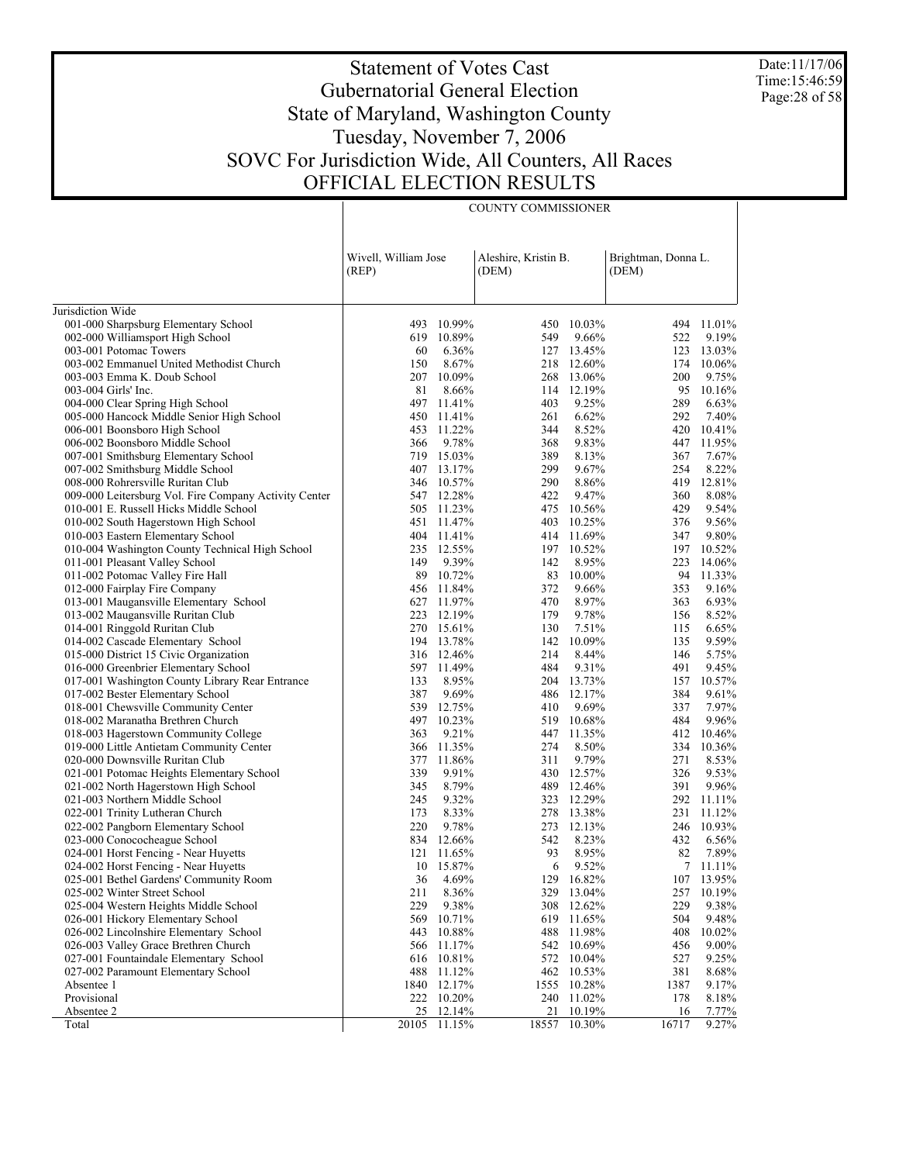Date:11/17/06 Time:15:46:59 Page:28 of 58

# Statement of Votes Cast Gubernatorial General Election State of Maryland, Washington County Tuesday, November 7, 2006 SOVC For Jurisdiction Wide, All Counters, All Races OFFICIAL ELECTION RESULTS

COUNTY COMMISSIONER

|                                                                   | Wivell, William Jose |                | Aleshire, Kristin B. |                          | Brightman, Donna L. |                  |
|-------------------------------------------------------------------|----------------------|----------------|----------------------|--------------------------|---------------------|------------------|
|                                                                   | (REP)                |                | (DEM)                |                          | (DEM)               |                  |
|                                                                   |                      |                |                      |                          |                     |                  |
| Jurisdiction Wide<br>001-000 Sharpsburg Elementary School         | 493                  | 10.99%         |                      | 450 10.03%               |                     | 494 11.01%       |
| 002-000 Williamsport High School                                  |                      | 619 10.89%     | 549                  | 9.66%                    | 522                 | 9.19%            |
| 003-001 Potomac Towers                                            | 60                   | 6.36%          |                      | 127 13.45%               | 123                 | 13.03%           |
| 003-002 Emmanuel United Methodist Church                          | 150                  | 8.67%          |                      | 218 12.60%               | 174                 | 10.06%           |
| 003-003 Emma K. Doub School                                       | 207                  | 10.09%         |                      | 268 13.06%               | 200                 | 9.75%            |
| 003-004 Girls' Inc.                                               | 81                   | 8.66%          |                      | 114 12.19%               | 95                  | 10.16%           |
| 004-000 Clear Spring High School                                  | 497                  | 11.41%         | 403                  | 9.25%                    | 289                 | 6.63%            |
| 005-000 Hancock Middle Senior High School                         | 450                  | 11.41%         | 261                  | 6.62%                    | 292                 | 7.40%            |
| 006-001 Boonsboro High School                                     | 453                  | 11.22%         | 344                  | 8.52%                    | 420                 | 10.41%           |
| 006-002 Boonsboro Middle School                                   | 366                  | 9.78%          | 368                  | 9.83%                    | 447                 | 11.95%           |
| 007-001 Smithsburg Elementary School                              | 719                  | 15.03%         | 389                  | 8.13%                    | 367                 | 7.67%            |
| 007-002 Smithsburg Middle School                                  |                      | 407 13.17%     | 299                  | 9.67%                    | 254                 | 8.22%            |
| 008-000 Rohrersville Ruritan Club                                 | 346                  | 10.57%         | 290                  | 8.86%                    | 419                 | 12.81%           |
| 009-000 Leitersburg Vol. Fire Company Activity Center             |                      | 547 12.28%     | 422                  | 9.47%                    | 360                 | 8.08%            |
| 010-001 E. Russell Hicks Middle School                            | 505                  | 11.23%         | 475                  | 10.56%                   | 429                 | 9.54%            |
| 010-002 South Hagerstown High School                              | 451                  | 11.47%         | 403                  | 10.25%                   | 376                 | 9.56%            |
| 010-003 Eastern Elementary School                                 |                      | 404 11.41%     |                      | 414 11.69%               | 347                 | 9.80%            |
| 010-004 Washington County Technical High School                   | 235                  | 12.55%         |                      | 197 10.52%               | 197                 | 10.52%           |
| 011-001 Pleasant Valley School                                    | 149                  | 9.39%          | 142                  | 8.95%                    | 223                 | 14.06%           |
| 011-002 Potomac Valley Fire Hall                                  | 89                   | 10.72%         | 83                   | 10.00%                   | 94                  | 11.33%           |
| 012-000 Fairplay Fire Company                                     | 456                  | 11.84%         | 372                  | 9.66%                    | 353                 | 9.16%            |
| 013-001 Maugansville Elementary School                            |                      | 627 11.97%     | 470                  | 8.97%                    | 363                 | 6.93%            |
| 013-002 Maugansville Ruritan Club                                 | 223                  | 12.19%         | 179                  | 9.78%                    | 156                 | 8.52%            |
| 014-001 Ringgold Ruritan Club                                     |                      | 270 15.61%     | 130                  | 7.51%                    | 115                 | 6.65%            |
| 014-002 Cascade Elementary School                                 |                      | 194 13.78%     | 142                  | 10.09%                   | 135                 | 9.59%            |
| 015-000 District 15 Civic Organization                            |                      | 316 12.46%     | 214                  | 8.44%                    | 146                 | 5.75%            |
| 016-000 Greenbrier Elementary School                              |                      | 597 11.49%     | 484                  | 9.31%                    | 491                 | 9.45%            |
| 017-001 Washington County Library Rear Entrance                   | 133                  | 8.95%          |                      | 204 13.73%               | 157                 | 10.57%           |
| 017-002 Bester Elementary School                                  | 387                  | 9.69%          |                      | 486 12.17%               | 384                 | 9.61%            |
| 018-001 Chewsville Community Center                               | 539                  | 12.75%         | 410                  | 9.69%                    | 337                 | 7.97%            |
| 018-002 Maranatha Brethren Church                                 | 497                  | 10.23%         |                      | 519 10.68%               | 484                 | 9.96%            |
| 018-003 Hagerstown Community College                              | 363                  | 9.21%          |                      | 447 11.35%               | 412                 | 10.46%           |
| 019-000 Little Antietam Community Center                          | 366                  | 11.35%         | 274                  | 8.50%                    | 334                 | 10.36%           |
| 020-000 Downsville Ruritan Club                                   | 377                  | 11.86%         | 311                  | 9.79%                    | 271                 | 8.53%            |
| 021-001 Potomac Heights Elementary School                         | 339<br>345           | 9.91%<br>8.79% |                      | 430 12.57%<br>489 12.46% | 326<br>391          | 9.53%<br>9.96%   |
| 021-002 North Hagerstown High School                              | 245                  | 9.32%          |                      | 323 12.29%               | 292                 |                  |
| 021-003 Northern Middle School<br>022-001 Trinity Lutheran Church | 173                  | 8.33%          |                      | 278 13.38%               | 231                 | 11.11%<br>11.12% |
| 022-002 Pangborn Elementary School                                | 220                  | 9.78%          |                      | 273 12.13%               | 246                 | 10.93%           |
| 023-000 Conococheague School                                      |                      | 834 12.66%     | 542                  | 8.23%                    | 432                 | 6.56%            |
| 024-001 Horst Fencing - Near Huyetts                              | 121                  | 11.65%         | 93                   | 8.95%                    | 82                  | 7.89%            |
| 024-002 Horst Fencing - Near Huyetts                              |                      | 10 15.87%      | 6                    | 9.52%                    |                     | 7 11.11%         |
| 025-001 Bethel Gardens' Community Room                            | 36                   | 4.69%          |                      | 129 16.82%               |                     | 107 13.95%       |
| 025-002 Winter Street School                                      | 211                  | 8.36%          |                      | 329 13.04%               | 257                 | 10.19%           |
| 025-004 Western Heights Middle School                             | 229                  | 9.38%          | 308                  | 12.62%                   | 229                 | 9.38%            |
| 026-001 Hickory Elementary School                                 | 569                  | 10.71%         | 619                  | 11.65%                   | 504                 | 9.48%            |
| 026-002 Lincolnshire Elementary School                            | 443                  | 10.88%         | 488                  | 11.98%                   | 408                 | 10.02%           |
| 026-003 Valley Grace Brethren Church                              | 566                  | 11.17%         |                      | 542 10.69%               | 456                 | 9.00%            |
| 027-001 Fountaindale Elementary School                            | 616                  | 10.81%         |                      | 572 10.04%               | 527                 | 9.25%            |
| 027-002 Paramount Elementary School                               | 488                  | 11.12%         |                      | 462 10.53%               | 381                 | 8.68%            |
| Absentee 1                                                        | 1840                 | 12.17%         | 1555                 | 10.28%                   | 1387                | 9.17%            |
| Provisional                                                       |                      | 222 10.20%     | 240                  | 11.02%                   | 178                 | 8.18%            |
| Absentee 2                                                        | 25                   | 12.14%         | 21                   | 10.19%                   | 16                  | 7.77%            |
| Total                                                             | 20105                | 11.15%         | 18557                | 10.30%                   | 16717               | 9.27%            |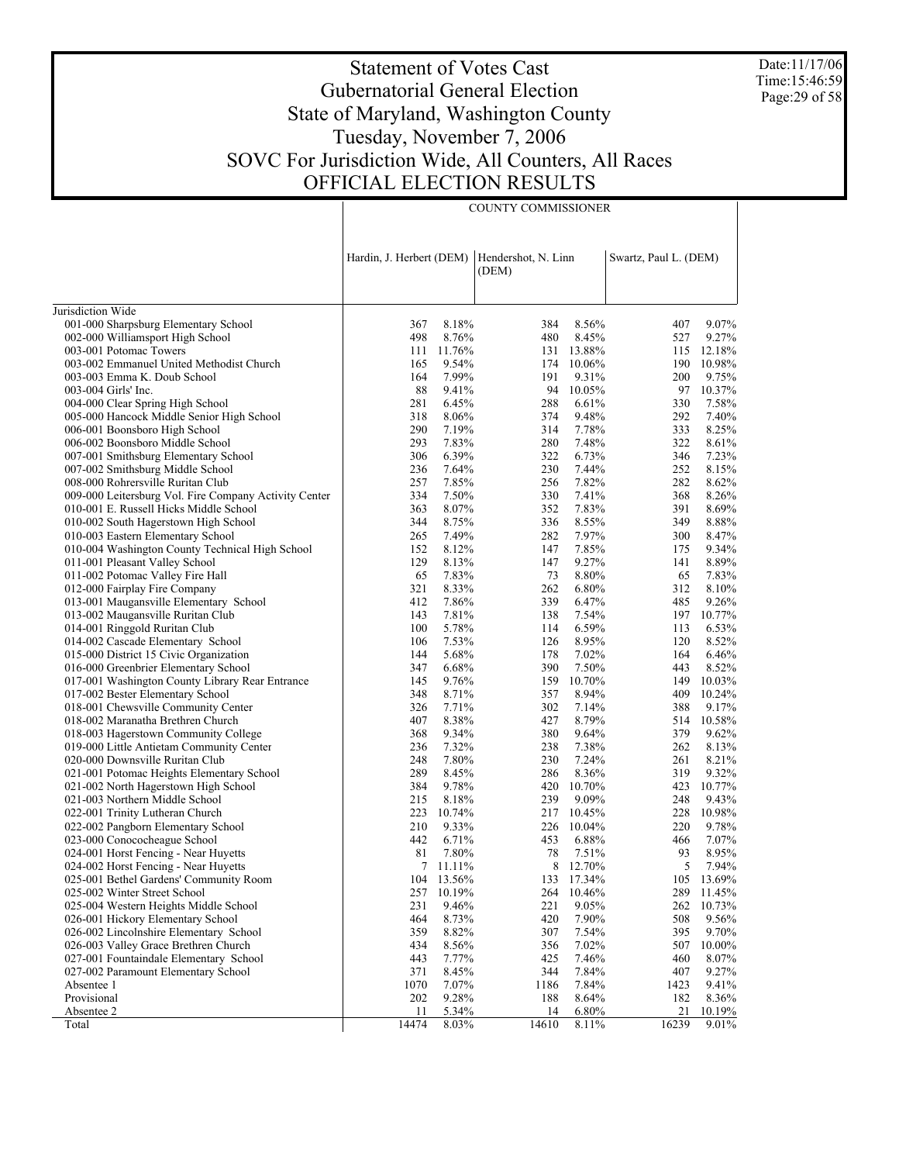Date:11/17/06 Time:15:46:59 Page: 29 of 58

# Statement of Votes Cast Gubernatorial General Election State of Maryland, Washington County Tuesday, November 7, 2006 SOVC For Jurisdiction Wide, All Counters, All Races OFFICIAL ELECTION RESULTS

COUNTY COMMISSIONER

|                                                                             | Hardin, J. Herbert (DEM) |                | Hendershot, N. Linn<br>(DEM) |                | Swartz, Paul L. (DEM) |                     |
|-----------------------------------------------------------------------------|--------------------------|----------------|------------------------------|----------------|-----------------------|---------------------|
| Jurisdiction Wide                                                           |                          |                |                              |                |                       |                     |
| 001-000 Sharpsburg Elementary School                                        | 367                      | 8.18%          | 384                          | 8.56%          | 407                   | 9.07%               |
| 002-000 Williamsport High School                                            | 498                      | 8.76%          | 480                          | 8.45%          | 527                   | 9.27%               |
| 003-001 Potomac Towers                                                      | 111                      | 11.76%         | 131                          | 13.88%         |                       | 115 12.18%          |
| 003-002 Emmanuel United Methodist Church                                    | 165                      | 9.54%          | 174                          | 10.06%         |                       | 190 10.98%          |
| 003-003 Emma K. Doub School                                                 | 164                      | 7.99%          | 191                          | 9.31%          | 200                   | 9.75%               |
| 003-004 Girls' Inc.                                                         | 88                       | 9.41%          | 94                           | 10.05%         |                       | 97 10.37%           |
| 004-000 Clear Spring High School                                            | 281                      | 6.45%          | 288                          | 6.61%          | 330                   | 7.58%               |
| 005-000 Hancock Middle Senior High School                                   | 318                      | 8.06%          | 374                          | 9.48%          | 292                   | 7.40%               |
| 006-001 Boonsboro High School                                               | 290                      | 7.19%          | 314                          | 7.78%          | 333                   | 8.25%               |
| 006-002 Boonsboro Middle School                                             | 293                      | 7.83%          | 280                          | 7.48%          | 322                   | 8.61%               |
| 007-001 Smithsburg Elementary School                                        | 306                      | 6.39%          | 322                          | 6.73%          | 346                   | 7.23%               |
| 007-002 Smithsburg Middle School                                            | 236                      | 7.64%          | 230                          | 7.44%          | 252                   | 8.15%               |
| 008-000 Rohrersville Ruritan Club                                           | 257                      | 7.85%          | 256                          | 7.82%          | 282                   | 8.62%               |
| 009-000 Leitersburg Vol. Fire Company Activity Center                       | 334                      | 7.50%          | 330                          | 7.41%          | 368                   | 8.26%               |
| 010-001 E. Russell Hicks Middle School                                      | 363                      | 8.07%          | 352                          | 7.83%          | 391                   | 8.69%               |
| 010-002 South Hagerstown High School                                        | 344                      | 8.75%          | 336                          | 8.55%          | 349                   | 8.88%               |
| 010-003 Eastern Elementary School                                           | 265                      | 7.49%          | 282                          | 7.97%          | 300                   | 8.47%               |
| 010-004 Washington County Technical High School                             | 152                      | 8.12%          | 147                          | 7.85%          | 175                   | 9.34%               |
| 011-001 Pleasant Valley School                                              | 129                      | 8.13%          | 147                          | 9.27%          | 141                   | 8.89%               |
| 011-002 Potomac Valley Fire Hall                                            | 65                       | 7.83%          | 73                           | 8.80%          | 65                    | 7.83%               |
| 012-000 Fairplay Fire Company                                               | 321                      | 8.33%          | 262                          | 6.80%          | 312                   | 8.10%               |
| 013-001 Maugansville Elementary School                                      | 412                      | 7.86%          | 339                          | 6.47%          | 485                   | 9.26%               |
| 013-002 Maugansville Ruritan Club                                           | 143                      | 7.81%          | 138                          | 7.54%          | 197                   | 10.77%              |
| 014-001 Ringgold Ruritan Club                                               | 100                      | 5.78%          | 114                          | 6.59%          | 113                   | 6.53%               |
| 014-002 Cascade Elementary School                                           | 106                      | 7.53%          | 126                          | 8.95%          | 120                   | 8.52%               |
| 015-000 District 15 Civic Organization                                      | 144                      | 5.68%          | 178                          | 7.02%          | 164                   | 6.46%               |
| 016-000 Greenbrier Elementary School                                        | 347                      | 6.68%          | 390                          | 7.50%          | 443                   | 8.52%               |
| 017-001 Washington County Library Rear Entrance                             | 145                      | 9.76%          | 159                          | 10.70%         | 149                   | 10.03%              |
| 017-002 Bester Elementary School                                            | 348                      | 8.71%          | 357                          | 8.94%          | 409                   | 10.24%              |
| 018-001 Chewsville Community Center                                         | 326                      | 7.71%          | 302                          | 7.14%          | 388                   | 9.17%<br>514 10.58% |
| 018-002 Maranatha Brethren Church                                           | 407                      | 8.38%<br>9.34% | 427                          | 8.79%          |                       |                     |
| 018-003 Hagerstown Community College                                        | 368<br>236               | 7.32%          | 380<br>238                   | 9.64%<br>7.38% | 379<br>262            | 9.62%<br>8.13%      |
| 019-000 Little Antietam Community Center<br>020-000 Downsville Ruritan Club | 248                      | 7.80%          | 230                          | 7.24%          | 261                   | 8.21%               |
| 021-001 Potomac Heights Elementary School                                   | 289                      | 8.45%          | 286                          | 8.36%          | 319                   | 9.32%               |
| 021-002 North Hagerstown High School                                        | 384                      | 9.78%          | 420                          | 10.70%         | 423                   | 10.77%              |
| 021-003 Northern Middle School                                              | 215                      | 8.18%          | 239                          | 9.09%          | 248                   | 9.43%               |
| 022-001 Trinity Lutheran Church                                             | 223                      | 10.74%         | 217                          | 10.45%         | 228                   | 10.98%              |
| 022-002 Pangborn Elementary School                                          | 210                      | 9.33%          |                              | 226 10.04%     | 220                   | 9.78%               |
| 023-000 Conococheague School                                                | 442                      | 6.71%          | 453                          | 6.88%          | 466                   | 7.07%               |
| 024-001 Horst Fencing - Near Huyetts                                        | 81                       | 7.80%          | 78                           | 7.51%          | 93                    | 8.95%               |
| 024-002 Horst Fencing - Near Huyetts                                        |                          | 7 11.11%       | 8                            | 12.70%         | 5                     | 7.94%               |
| 025-001 Bethel Gardens' Community Room                                      |                          | 104 13.56%     |                              | 133 17.34%     |                       | 105 13.69%          |
| 025-002 Winter Street School                                                |                          | 257 10.19%     |                              | 264 10.46%     |                       | 289 11.45%          |
| 025-004 Western Heights Middle School                                       | 231                      | 9.46%          | 221                          | 9.05%          | 262                   | 10.73%              |
| 026-001 Hickory Elementary School                                           | 464                      | 8.73%          | 420                          | 7.90%          | 508                   | 9.56%               |
| 026-002 Lincolnshire Elementary School                                      | 359                      | 8.82%          | 307                          | 7.54%          | 395                   | 9.70%               |
| 026-003 Valley Grace Brethren Church                                        | 434                      | 8.56%          | 356                          | 7.02%          | 507                   | 10.00%              |
| 027-001 Fountaindale Elementary School                                      | 443                      | 7.77%          | 425                          | 7.46%          | 460                   | 8.07%               |
| 027-002 Paramount Elementary School                                         | 371                      | 8.45%          | 344                          | 7.84%          | 407                   | 9.27%               |
| Absentee 1                                                                  | 1070                     | 7.07%          | 1186                         | 7.84%          | 1423                  | 9.41%               |
| Provisional                                                                 | 202                      | 9.28%          | 188                          | 8.64%          | 182                   | 8.36%               |
| Absentee 2                                                                  | 11                       | 5.34%          | 14                           | 6.80%          | 21                    | 10.19%              |
| Total                                                                       | 14474                    | 8.03%          | 14610                        | 8.11%          | 16239                 | 9.01%               |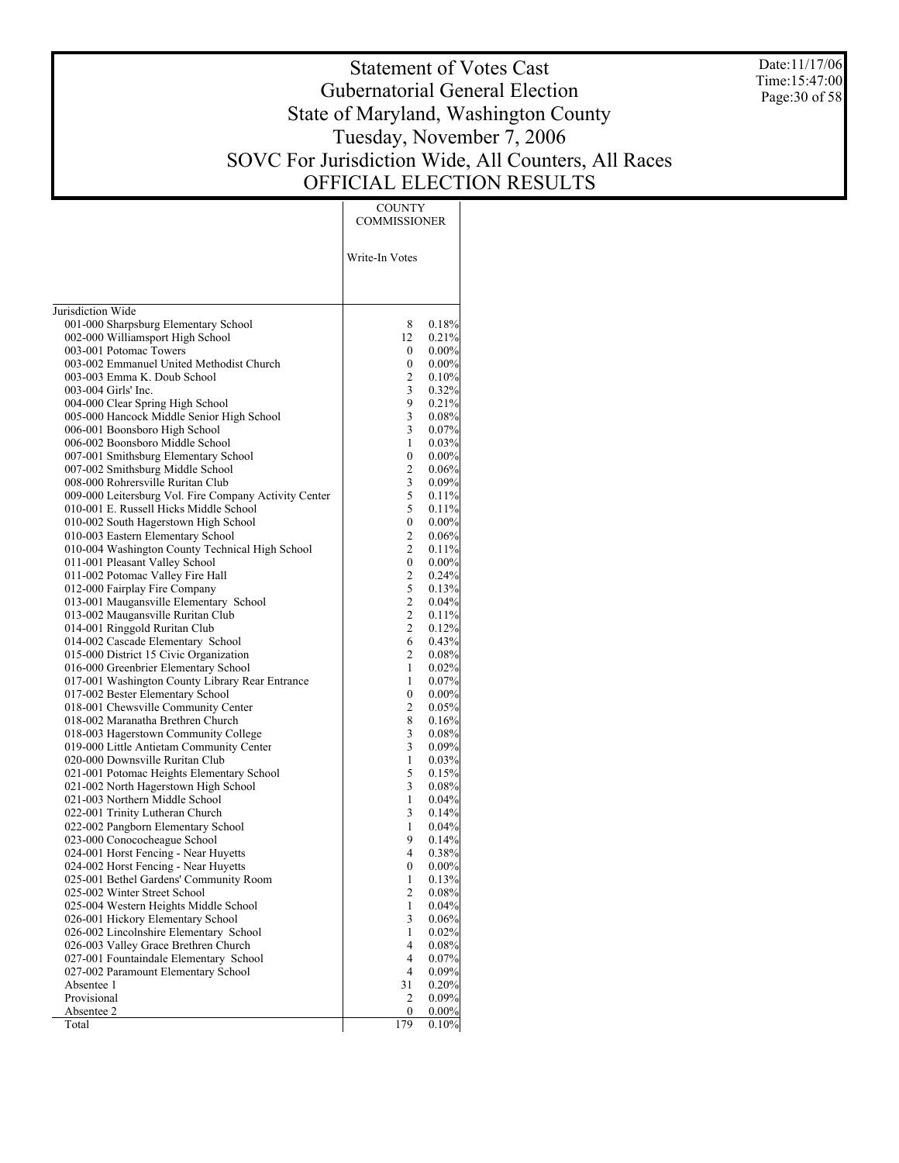Date:11/17/06 Time:15:47:00 Page:30 of 58

# Statement of Votes Cast Gubernatorial General Election State of Maryland, Washington County Tuesday, November 7, 2006 SOVC For Jurisdiction Wide, All Counters, All Races OFFICIAL ELECTION RESULTS

Τ

|                                                                                | <b>COUNTY</b><br><b>COMMISSIONER</b> |                      |
|--------------------------------------------------------------------------------|--------------------------------------|----------------------|
|                                                                                | Write-In Votes                       |                      |
|                                                                                |                                      |                      |
| Jurisdiction Wide                                                              |                                      |                      |
| 001-000 Sharpsburg Elementary School                                           | 8                                    | 0.18%                |
| 002-000 Williamsport High School                                               | 12                                   | 0.21%                |
| 003-001 Potomac Towers                                                         | 0                                    | $0.00\%$             |
| 003-002 Emmanuel United Methodist Church                                       | 0                                    | $0.00\%$             |
| 003-003 Emma K. Doub School                                                    | 2                                    | 0.10%                |
| 003-004 Girls' Inc.                                                            | 3                                    | 0.32%                |
| 004-000 Clear Spring High School                                               | 9                                    | 0.21%                |
| 005-000 Hancock Middle Senior High School                                      | 3                                    | $0.08\%$             |
| 006-001 Boonsboro High School                                                  | 3                                    | 0.07%                |
| 006-002 Boonsboro Middle School                                                | 1                                    | 0.03%                |
| 007-001 Smithsburg Elementary School<br>007-002 Smithsburg Middle School       | 0<br>$\mathbf{2}$                    | $0.00\%$<br>$0.06\%$ |
| 008-000 Rohrersville Ruritan Club                                              | 3                                    | 0.09%                |
| 009-000 Leitersburg Vol. Fire Company Activity Center                          | 5                                    | 0.11%                |
| 010-001 E. Russell Hicks Middle School                                         | 5                                    | 0.11%                |
| 010-002 South Hagerstown High School                                           | 0                                    | $0.00\%$             |
| 010-003 Eastern Elementary School                                              | 2                                    | $0.06\%$             |
| 010-004 Washington County Technical High School                                | 2                                    | 0.11%                |
| 011-001 Pleasant Valley School                                                 | $\boldsymbol{0}$                     | $0.00\%$             |
| 011-002 Potomac Valley Fire Hall                                               | $\overline{c}$                       | 0.24%                |
| 012-000 Fairplay Fire Company                                                  | 5                                    | 0.13%                |
| 013-001 Maugansville Elementary School                                         | $\overline{c}$                       | $0.04\%$             |
| 013-002 Maugansville Ruritan Club                                              | $\overline{c}$                       | 0.11%                |
| 014-001 Ringgold Ruritan Club                                                  | $\overline{c}$                       | 0.12%                |
| 014-002 Cascade Elementary School                                              | 6<br>2                               | 0.43%                |
| 015-000 District 15 Civic Organization<br>016-000 Greenbrier Elementary School | 1                                    | 0.08%<br>0.02%       |
| 017-001 Washington County Library Rear Entrance                                | 1                                    | 0.07%                |
| 017-002 Bester Elementary School                                               | 0                                    | $0.00\%$             |
| 018-001 Chewsville Community Center                                            | $\overline{c}$                       | 0.05%                |
| 018-002 Maranatha Brethren Church                                              | 8                                    | 0.16%                |
| 018-003 Hagerstown Community College                                           | 3                                    | $0.08\%$             |
| 019-000 Little Antietam Community Center                                       | 3                                    | 0.09%                |
| 020-000 Downsville Ruritan Club                                                | 1                                    | 0.03%                |
| 021-001 Potomac Heights Elementary School                                      | 5                                    | 0.15%                |
| 021-002 North Hagerstown High School                                           | 3                                    | $0.08\%$             |
| 021-003 Northern Middle School                                                 | 1                                    | 0.04%                |
| 022-001 Trinity Lutheran Church                                                | 3                                    | 0.14%                |
| 022-002 Pangborn Elementary School<br>023-000 Conococheague School             | 1<br>9                               | 0.04%                |
| 024-001 Horst Fencing - Near Huyetts                                           | $\overline{4}$                       | 0.14%<br>0.38%       |
| 024-002 Horst Fencing - Near Huyetts                                           | $\boldsymbol{0}$                     | 0.00%                |
| 025-001 Bethel Gardens' Community Room                                         | 1                                    | 0.13%                |
| 025-002 Winter Street School                                                   | 2                                    | $0.08\%$             |
| 025-004 Western Heights Middle School                                          | 1                                    | $0.04\%$             |
| 026-001 Hickory Elementary School                                              | 3                                    | $0.06\%$             |
| 026-002 Lincolnshire Elementary School                                         | 1                                    | 0.02%                |
| 026-003 Valley Grace Brethren Church                                           | 4                                    | $0.08\%$             |
| 027-001 Fountaindale Elementary School                                         | 4                                    | 0.07%                |
| 027-002 Paramount Elementary School                                            | 4                                    | 0.09%                |
| Absentee 1                                                                     | 31                                   | 0.20%                |
| Provisional                                                                    | 2                                    | 0.09%                |
| Absentee 2<br>Total                                                            | 0<br>179                             | 0.00%<br>0.10%       |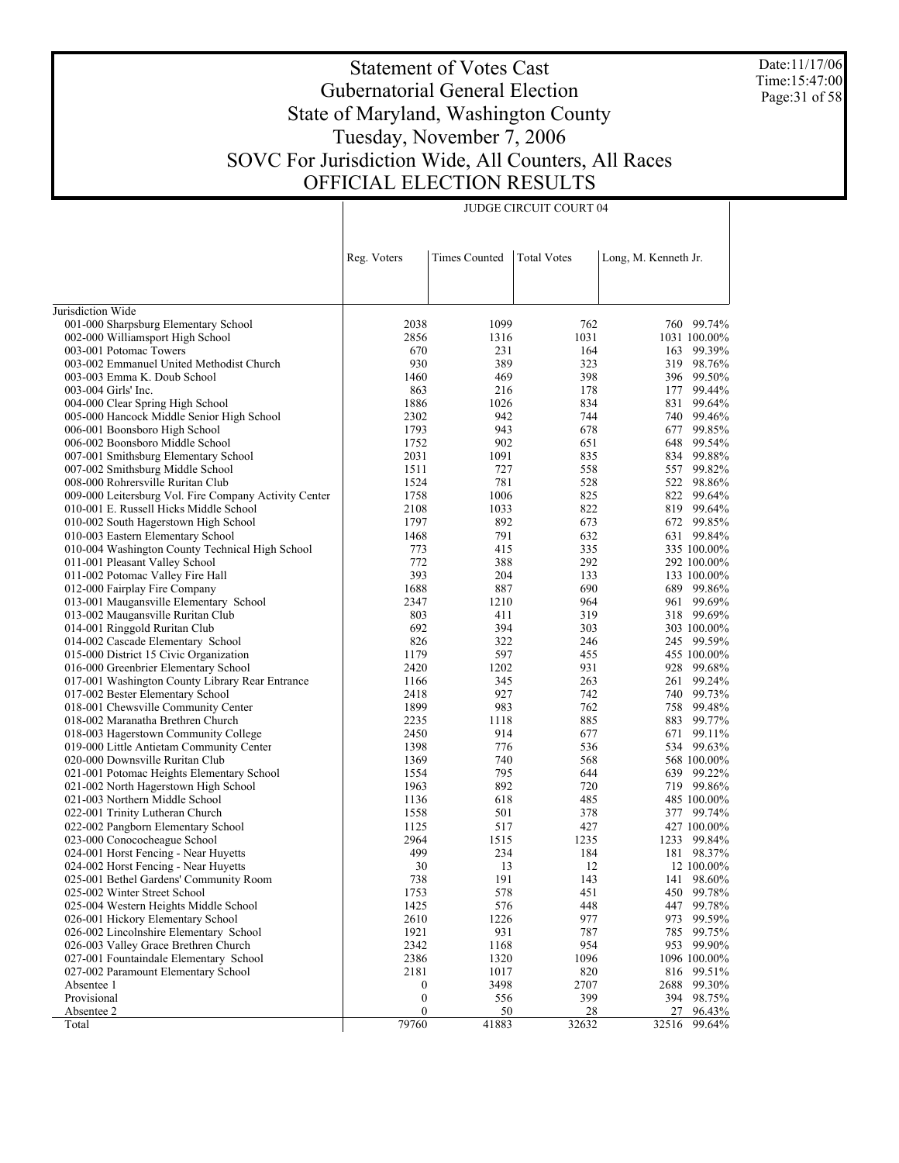Date:11/17/06 Time:15:47:00 Page:31 of 58

# Statement of Votes Cast Gubernatorial General Election State of Maryland, Washington County Tuesday, November 7, 2006 SOVC For Jurisdiction Wide, All Counters, All Races OFFICIAL ELECTION RESULTS

|                                                       | Reg. Voters      | <b>Times Counted</b> | <b>Total Votes</b> | Long, M. Kenneth Jr.  |
|-------------------------------------------------------|------------------|----------------------|--------------------|-----------------------|
|                                                       |                  |                      |                    |                       |
|                                                       |                  |                      |                    |                       |
| Jurisdiction Wide                                     |                  |                      |                    |                       |
| 001-000 Sharpsburg Elementary School                  | 2038             | 1099                 | 762                | 760 99.74%            |
| 002-000 Williamsport High School                      | 2856             | 1316                 | 1031               | 1031 100.00%          |
| 003-001 Potomac Towers                                | 670              | 231                  | 164                | 163<br>99.39%         |
| 003-002 Emmanuel United Methodist Church              | 930              | 389                  | 323                | 98.76%<br>319         |
| 003-003 Emma K. Doub School                           | 1460             | 469                  | 398                | 99.50%<br>396         |
| 003-004 Girls' Inc.                                   | 863              | 216                  | 178                | 99.44%<br>177         |
| 004-000 Clear Spring High School                      | 1886             | 1026                 | 834                | 99.64%<br>831         |
| 005-000 Hancock Middle Senior High School             | 2302             | 942                  | 744                | 99.46%<br>740         |
| 006-001 Boonsboro High School                         | 1793             | 943                  | 678                | 99.85%<br>677         |
| 006-002 Boonsboro Middle School                       | 1752             | 902                  | 651                | 99.54%<br>648         |
| 007-001 Smithsburg Elementary School                  | 2031             | 1091                 | 835                | 99.88%<br>834         |
| 007-002 Smithsburg Middle School                      | 1511             | 727                  | 558                | 99.82%<br>557         |
| 008-000 Rohrersville Ruritan Club                     | 1524             | 781                  | 528                | 98.86%<br>522         |
| 009-000 Leitersburg Vol. Fire Company Activity Center | 1758             | 1006                 | 825                | 99.64%<br>822         |
| 010-001 E. Russell Hicks Middle School                | 2108             | 1033                 | 822                | 819 99.64%            |
| 010-002 South Hagerstown High School                  | 1797             | 892                  | 673                | 99.85%<br>672         |
| 010-003 Eastern Elementary School                     | 1468             | 791                  | 632                | 99.84%<br>631         |
| 010-004 Washington County Technical High School       | 773              | 415                  | 335                | 335 100.00%           |
| 011-001 Pleasant Valley School                        | 772              | 388                  | 292                | 292 100.00%           |
| 011-002 Potomac Valley Fire Hall                      | 393              | 204                  | 133                | 133 100.00%           |
| 012-000 Fairplay Fire Company                         | 1688             | 887                  | 690                | 689 99.86%            |
| 013-001 Maugansville Elementary School                | 2347             | 1210                 | 964                | 99.69%<br>961         |
| 013-002 Maugansville Ruritan Club                     | 803              | 411                  | 319                | 318 99.69%            |
| 014-001 Ringgold Ruritan Club                         | 692              | 394                  | 303                | 303 100.00%           |
| 014-002 Cascade Elementary School                     | 826              | 322                  | 246                | 245 99.59%            |
| 015-000 District 15 Civic Organization                | 1179             | 597                  | 455                | 455 100.00%           |
| 016-000 Greenbrier Elementary School                  | 2420             | 1202                 | 931                | 99.68%<br>928         |
| 017-001 Washington County Library Rear Entrance       | 1166             | 345                  | 263                | 99.24%<br>261         |
| 017-002 Bester Elementary School                      | 2418             | 927                  | 742                | 99.73%<br>740         |
| 018-001 Chewsville Community Center                   | 1899             | 983                  | 762                | 99.48%<br>758         |
| 018-002 Maranatha Brethren Church                     | 2235             | 1118                 | 885                | 883<br>99.77%         |
| 018-003 Hagerstown Community College                  | 2450             | 914                  | 677                | 99.11%<br>671         |
| 019-000 Little Antietam Community Center              | 1398             | 776                  | 536                | 534 99.63%            |
| 020-000 Downsville Ruritan Club                       | 1369             | 740                  | 568                | 568 100.00%           |
| 021-001 Potomac Heights Elementary School             | 1554             | 795                  | 644                | 99.22%<br>639         |
| 021-002 North Hagerstown High School                  | 1963             | 892                  | 720                | 719 99.86%            |
| 021-003 Northern Middle School                        | 1136             | 618                  | 485                | 485 100.00%           |
| 022-001 Trinity Lutheran Church                       | 1558             | 501                  | 378                | 377 99.74%            |
| 022-002 Pangborn Elementary School                    | 1125             | 517                  | 427                | 427 100.00%           |
| 023-000 Conococheague School                          | 2964             | 1515                 | 1235               | 1233<br>99.84%        |
| 024-001 Horst Fencing - Near Huyetts                  | 499              | 234                  | 184                | 181 98.37%            |
| 024-002 Horst Fencing - Near Huyetts                  | 30               | 13                   | 12                 | 12 100.00%            |
| 025-001 Bethel Gardens' Community Room                | 738              | 191                  | 143                | 141 98.60%            |
| 025-002 Winter Street School                          | 1753             | 578                  | 451                | 99.78%<br>450         |
| 025-004 Western Heights Middle School                 | 1425             | 576                  | 448                | 447<br>99.78%         |
| 026-001 Hickory Elementary School                     | 2610             | 1226                 | 977                | 99.59%<br>973         |
| 026-002 Lincolnshire Elementary School                | 1921             | 931                  | 787                | 785<br>99.75%         |
| 026-003 Valley Grace Brethren Church                  | 2342             | 1168                 | 954                | 99.90%<br>953         |
| 027-001 Fountaindale Elementary School                | 2386             | 1320                 | 1096               | 1096 100.00%          |
| 027-002 Paramount Elementary School                   | 2181             | 1017                 | 820                | 816<br>99.51%         |
| Absentee 1                                            | 0                | 3498                 | 2707               | 2688<br>99.30%        |
| Provisional<br>Absentee 2                             | $\boldsymbol{0}$ | 556                  | 399                | 394 98.75%<br>96.43%  |
| Total                                                 | 0<br>79760       | 50<br>41883          | 28<br>32632        | 27<br>32516<br>99.64% |
|                                                       |                  |                      |                    |                       |

JUDGE CIRCUIT COURT 04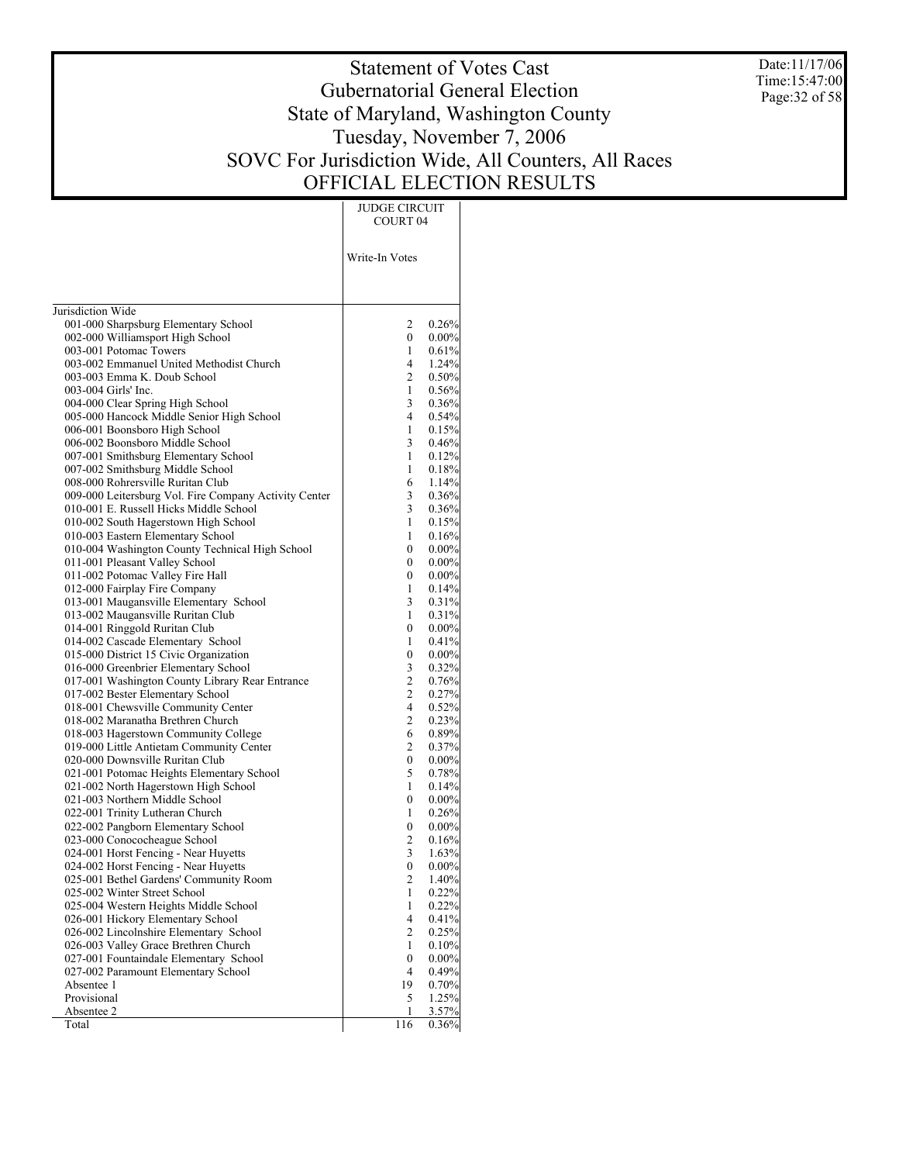Date:11/17/06 Time:15:47:00 Page:32 of 58

# Statement of Votes Cast Gubernatorial General Election State of Maryland, Washington County Tuesday, November 7, 2006 SOVC For Jurisdiction Wide, All Counters, All Races OFFICIAL ELECTION RESULTS

JUDGE CIRCUIT

|                                                                    | COURT 04       |                   |
|--------------------------------------------------------------------|----------------|-------------------|
|                                                                    |                |                   |
|                                                                    | Write-In Votes |                   |
|                                                                    |                |                   |
|                                                                    |                |                   |
| Jurisdiction Wide                                                  |                |                   |
| 001-000 Sharpsburg Elementary School                               | 2              | 0.26%             |
| 002-000 Williamsport High School                                   | 0              | $0.00\%$          |
| 003-001 Potomac Towers<br>003-002 Emmanuel United Methodist Church | 1<br>4         | 0.61%<br>1.24%    |
| 003-003 Emma K. Doub School                                        | 2              | 0.50%             |
| 003-004 Girls' Inc.                                                | 1              | 0.56%             |
| 004-000 Clear Spring High School                                   | 3              | 0.36%             |
| 005-000 Hancock Middle Senior High School                          | $\overline{4}$ | 0.54%             |
| 006-001 Boonsboro High School                                      | 1              | 0.15%             |
| 006-002 Boonsboro Middle School                                    | 3              | 0.46%             |
| 007-001 Smithsburg Elementary School                               | 1              | 0.12%             |
| 007-002 Smithsburg Middle School                                   | 1              | 0.18%             |
| 008-000 Rohrersville Ruritan Club                                  | 6              | 1.14%             |
| 009-000 Leitersburg Vol. Fire Company Activity Center              | 3              | 0.36%             |
| 010-001 E. Russell Hicks Middle School                             | 3              | 0.36%             |
| 010-002 South Hagerstown High School                               | 1              | 0.15%             |
| 010-003 Eastern Elementary School                                  | 1              | 0.16%             |
| 010-004 Washington County Technical High School                    | 0              | $0.00\%$          |
| 011-001 Pleasant Valley School<br>011-002 Potomac Valley Fire Hall | 0<br>0         | $0.00\%$          |
| 012-000 Fairplay Fire Company                                      | 1              | $0.00\%$<br>0.14% |
| 013-001 Maugansville Elementary School                             | 3              | 0.31%             |
| 013-002 Maugansville Ruritan Club                                  | 1              | 0.31%             |
| 014-001 Ringgold Ruritan Club                                      | 0              | $0.00\%$          |
| 014-002 Cascade Elementary School                                  | 1              | 0.41%             |
| 015-000 District 15 Civic Organization                             | 0              | $0.00\%$          |
| 016-000 Greenbrier Elementary School                               | 3              | 0.32%             |
| 017-001 Washington County Library Rear Entrance                    | $\overline{c}$ | 0.76%             |
| 017-002 Bester Elementary School                                   | 2              | 0.27%             |
| 018-001 Chewsville Community Center                                | $\overline{4}$ | 0.52%             |
| 018-002 Maranatha Brethren Church                                  | 2              | 0.23%             |
| 018-003 Hagerstown Community College                               | 6              | 0.89%             |
| 019-000 Little Antietam Community Center                           | 2              | 0.37%             |
| 020-000 Downsville Ruritan Club                                    | 0              | $0.00\%$          |
| 021-001 Potomac Heights Elementary School                          | 5              | 0.78%             |
| 021-002 North Hagerstown High School                               | 1              | 0.14%             |
| 021-003 Northern Middle School                                     | 0              | 0.00%             |
| 022-001 Trinity Lutheran Church                                    | 1              | 0.26%             |
| 022-002 Pangborn Elementary School<br>023-000 Conococheague School | 0<br>2         | $0.00\%$          |
| 024-001 Horst Fencing - Near Huyetts                               | 3              | 0.16%<br>1.63%    |
| 024-002 Horst Fencing - Near Huyetts                               | 0              | $0.00\%$          |
| 025-001 Bethel Gardens' Community Room                             | 2              | $1.40\%$          |
| 025-002 Winter Street School                                       | 1              | 0.22%             |
| 025-004 Western Heights Middle School                              | 1              | 0.22%             |
| 026-001 Hickory Elementary School                                  | 4              | 0.41%             |
| 026-002 Lincolnshire Elementary School                             | $\mathbf{2}$   | 0.25%             |
| 026-003 Valley Grace Brethren Church                               | 1              | 0.10%             |
| 027-001 Fountaindale Elementary School                             | 0              | $0.00\%$          |
| 027-002 Paramount Elementary School                                | 4              | 0.49%             |
| Absentee 1                                                         | 19             | 0.70%             |
| Provisional                                                        | 5              | 1.25%             |
| Absentee 2                                                         | 1              | 3.57%             |
| Total                                                              | 116            | 0.36%             |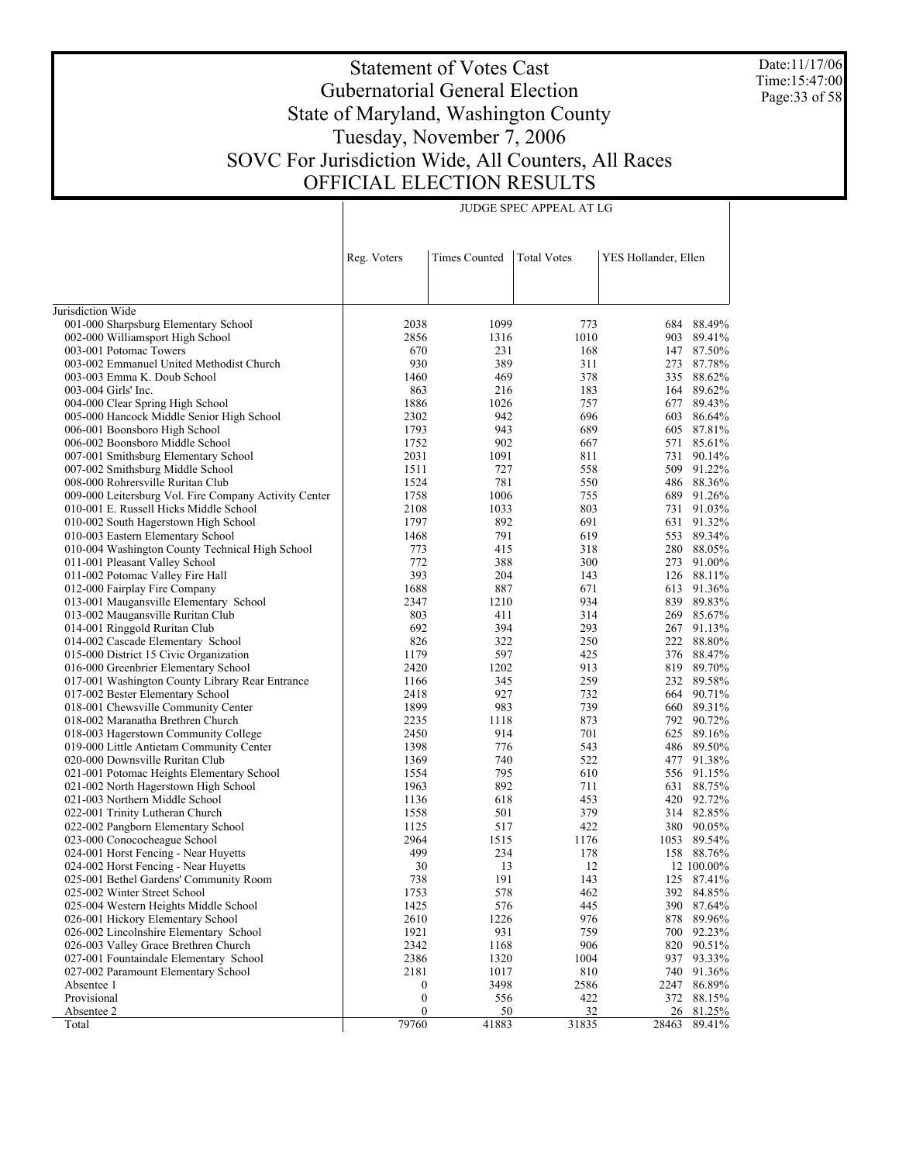Date:11/17/06 Time:15:47:00 Page:33 of 58

# Statement of Votes Cast Gubernatorial General Election State of Maryland, Washington County Tuesday, November 7, 2006 SOVC For Jurisdiction Wide, All Counters, All Races OFFICIAL ELECTION RESULTS

|                                                                              | Reg. Voters      | <b>Times Counted</b> | <b>Total Votes</b> | YES Hollander, Ellen |                  |
|------------------------------------------------------------------------------|------------------|----------------------|--------------------|----------------------|------------------|
|                                                                              |                  |                      |                    |                      |                  |
|                                                                              |                  |                      |                    |                      |                  |
| Jurisdiction Wide                                                            |                  |                      |                    |                      |                  |
| 001-000 Sharpsburg Elementary School                                         | 2038             | 1099                 | 773                |                      | 684 88.49%       |
| 002-000 Williamsport High School                                             | 2856             | 1316                 | 1010               | 903                  | 89.41%           |
| 003-001 Potomac Towers                                                       | 670              | 231                  | 168                | 147                  | 87.50%           |
| 003-002 Emmanuel United Methodist Church                                     | 930              | 389                  | 311                | 273                  | 87.78%           |
| 003-003 Emma K. Doub School                                                  | 1460             | 469                  | 378                | 335                  | 88.62%           |
| 003-004 Girls' Inc.                                                          | 863              | 216                  | 183                |                      | 164 89.62%       |
| 004-000 Clear Spring High School                                             | 1886             | 1026                 | 757                | 677                  | 89.43%           |
| 005-000 Hancock Middle Senior High School                                    | 2302             | 942                  | 696                | 603                  | 86.64%           |
| 006-001 Boonsboro High School                                                | 1793             | 943                  | 689                | 605                  | 87.81%           |
| 006-002 Boonsboro Middle School                                              | 1752             | 902                  | 667                | 571                  | 85.61%           |
| 007-001 Smithsburg Elementary School                                         | 2031             | 1091                 | 811                | 731                  | 90.14%           |
| 007-002 Smithsburg Middle School                                             | 1511             | 727                  | 558                | 509                  | 91.22%           |
| 008-000 Rohrersville Ruritan Club                                            | 1524             | 781                  | 550                | 486                  | 88.36%           |
| 009-000 Leitersburg Vol. Fire Company Activity Center                        | 1758             | 1006                 | 755                | 689                  | 91.26%           |
| 010-001 E. Russell Hicks Middle School                                       | 2108             | 1033                 | 803                | 731                  | 91.03%           |
| 010-002 South Hagerstown High School                                         | 1797             | 892                  | 691                | 631                  | 91.32%           |
| 010-003 Eastern Elementary School                                            | 1468             | 791                  | 619                | 553                  | 89.34%           |
| 010-004 Washington County Technical High School                              | 773              | 415                  | 318                | 280                  | 88.05%           |
| 011-001 Pleasant Valley School                                               | 772              | 388                  | 300                | 273                  | 91.00%           |
| 011-002 Potomac Valley Fire Hall                                             | 393              | 204                  | 143                | 126                  | 88.11%           |
| 012-000 Fairplay Fire Company                                                | 1688             | 887                  | 671                | 613                  | 91.36%           |
| 013-001 Maugansville Elementary School                                       | 2347             | 1210                 | 934                | 839                  | 89.83%           |
| 013-002 Maugansville Ruritan Club                                            | 803              | 411                  | 314                | 269                  | 85.67%           |
| 014-001 Ringgold Ruritan Club                                                | 692              | 394                  | 293                | 267                  | 91.13%           |
| 014-002 Cascade Elementary School                                            | 826              | 322                  | 250                |                      | 222 88.80%       |
| 015-000 District 15 Civic Organization                                       | 1179             | 597                  | 425                |                      | 376 88.47%       |
| 016-000 Greenbrier Elementary School                                         | 2420             | 1202                 | 913                |                      | 819 89.70%       |
| 017-001 Washington County Library Rear Entrance                              | 1166             | 345                  | 259                |                      | 232 89.58%       |
| 017-002 Bester Elementary School                                             | 2418             | 927                  | 732                | 664                  | 90.71%           |
| 018-001 Chewsville Community Center                                          | 1899             | 983                  | 739                | 660                  | 89.31%           |
| 018-002 Maranatha Brethren Church                                            | 2235             | 1118                 | 873                |                      | 792 90.72%       |
| 018-003 Hagerstown Community College                                         | 2450             | 914<br>776           | 701                | 625                  | 89.16%           |
| 019-000 Little Antietam Community Center                                     | 1398<br>1369     | 740                  | 543<br>522         | 486<br>477           | 89.50%<br>91.38% |
| 020-000 Downsville Ruritan Club<br>021-001 Potomac Heights Elementary School | 1554             | 795                  | 610                | 556                  | 91.15%           |
|                                                                              | 1963             | 892                  | 711                | 631                  | 88.75%           |
| 021-002 North Hagerstown High School<br>021-003 Northern Middle School       | 1136             | 618                  | 453                | 420                  | 92.72%           |
| 022-001 Trinity Lutheran Church                                              | 1558             | 501                  | 379                |                      | 314 82.85%       |
| 022-002 Pangborn Elementary School                                           | 1125             | 517                  | 422                | 380                  | 90.05%           |
| 023-000 Conococheague School                                                 | 2964             | 1515                 | 1176               | 1053                 | 89.54%           |
| 024-001 Horst Fencing - Near Huyetts                                         | 499              | 234                  | 178                |                      | 158 88.76%       |
| 024-002 Horst Fencing - Near Huyetts                                         | 30               | 13                   | 12                 |                      | 12 100.00%       |
| 025-001 Bethel Gardens' Community Room                                       | 738              | 191                  | 143                |                      | 125 87.41%       |
| 025-002 Winter Street School                                                 | 1753             | 578                  | 462                |                      | 392 84.85%       |
| 025-004 Western Heights Middle School                                        | 1425             | 576                  | 445                | 390                  | 87.64%           |
| 026-001 Hickory Elementary School                                            | 2610             | 1226                 | 976                | 878                  | 89.96%           |
| 026-002 Lincolnshire Elementary School                                       | 1921             | 931                  | 759                | 700                  | 92.23%           |
| 026-003 Valley Grace Brethren Church                                         | 2342             | 1168                 | 906                | 820                  | 90.51%           |
| 027-001 Fountaindale Elementary School                                       | 2386             | 1320                 | 1004               | 937                  | 93.33%           |
| 027-002 Paramount Elementary School                                          | 2181             | 1017                 | 810                | 740                  | 91.36%           |
| Absentee 1                                                                   | $\boldsymbol{0}$ | 3498                 | 2586               | 2247                 | 86.89%           |
| Provisional                                                                  | $\boldsymbol{0}$ | 556                  | 422                |                      | 372 88.15%       |
| Absentee 2                                                                   | $\boldsymbol{0}$ | 50                   | 32                 |                      | 26 81.25%        |
| Total                                                                        | 79760            | 41883                | 31835              | 28463                | 89.41%           |

JUDGE SPEC APPEAL AT LG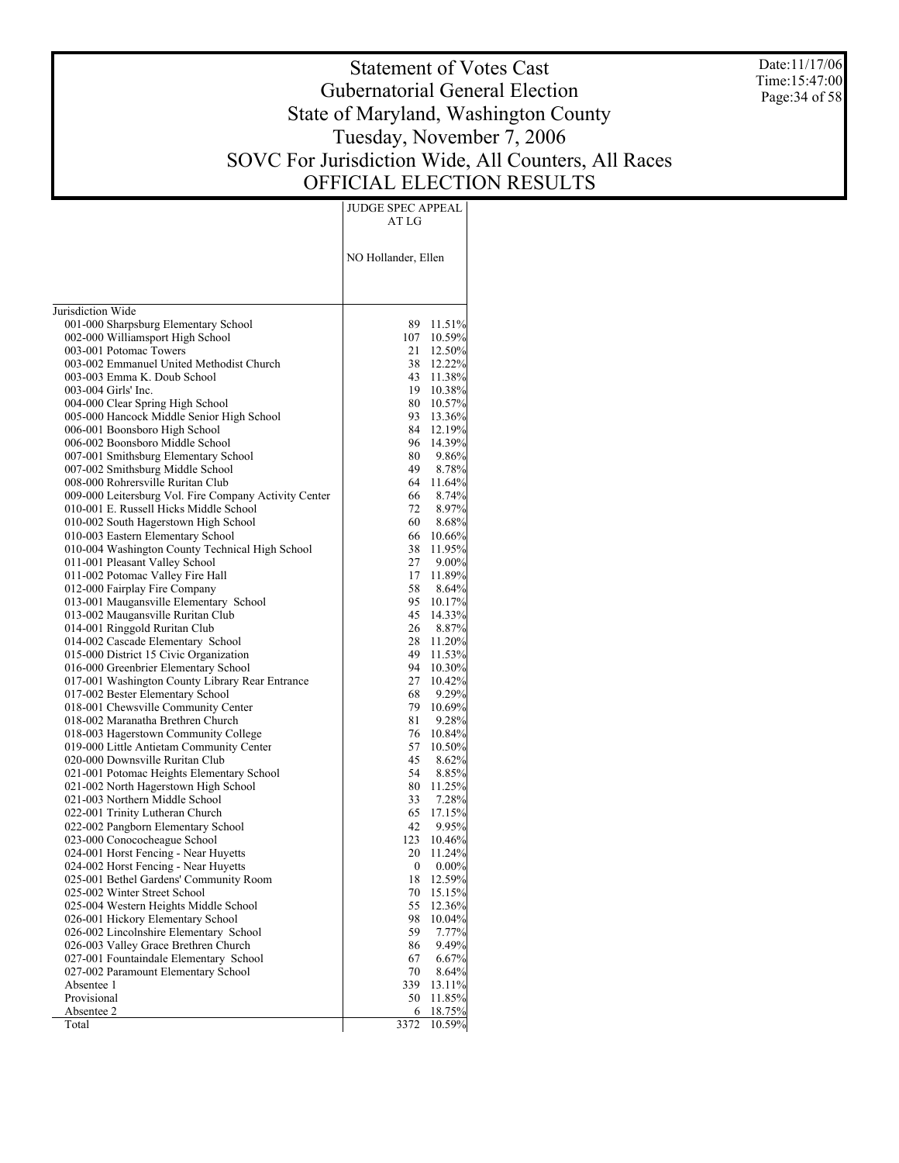Date:11/17/06 Time:15:47:00 Page:34 of 58

# Statement of Votes Cast Gubernatorial General Election State of Maryland, Washington County Tuesday, November 7, 2006 SOVC For Jurisdiction Wide, All Counters, All Races OFFICIAL ELECTION RESULTS

JUDGE SPEC APPEAL AT LG

|                                                                                   | NO Hollander, Ellen |                    |
|-----------------------------------------------------------------------------------|---------------------|--------------------|
| Jurisdiction Wide                                                                 |                     |                    |
| 001-000 Sharpsburg Elementary School                                              | 89.                 | 11.51%             |
| 002-000 Williamsport High School                                                  | 107                 | 10.59%             |
| 003-001 Potomac Towers                                                            | 21                  | 12.50%             |
| 003-002 Emmanuel United Methodist Church                                          | 38                  | 12.22%             |
| 003-003 Emma K. Doub School                                                       | 43                  | 11.38%             |
| 003-004 Girls' Inc.                                                               | 19                  | $10.38\%$          |
| 004-000 Clear Spring High School                                                  | 80 -                | 10.57%             |
| 005-000 Hancock Middle Senior High School                                         | 93.                 | 13.36%             |
| 006-001 Boonsboro High School                                                     | 84                  | 12.19%             |
| 006-002 Boonsboro Middle School                                                   | 96                  | 14.39%             |
| 007-001 Smithsburg Elementary School                                              | 80                  | 9.86%              |
| 007-002 Smithsburg Middle School                                                  | 49                  | 8.78%              |
| 008-000 Rohrersville Ruritan Club                                                 |                     | 64 11.64%          |
| 009-000 Leitersburg Vol. Fire Company Activity Center                             | 66                  | 8.74%              |
| 010-001 E. Russell Hicks Middle School                                            | 72                  | $8.97\%$           |
| 010-002 South Hagerstown High School                                              | 60                  | 8.68%              |
| 010-003 Eastern Elementary School                                                 | 66                  | $10.66\%$          |
| 010-004 Washington County Technical High School                                   | 38<br>27            | 11.95%<br>$9.00\%$ |
| 011-001 Pleasant Valley School                                                    | 17                  | 11.89%             |
| 011-002 Potomac Valley Fire Hall<br>012-000 Fairplay Fire Company                 | 58                  | 8.64%              |
| 013-001 Maugansville Elementary School                                            | 95.                 | 10.17%             |
| 013-002 Maugansville Ruritan Club                                                 | 45                  | 14.33%             |
| 014-001 Ringgold Ruritan Club                                                     | 26                  | 8.87%              |
| 014-002 Cascade Elementary School                                                 | 28                  | 11.20%             |
| 015-000 District 15 Civic Organization                                            | 49                  | 11.53%             |
| 016-000 Greenbrier Elementary School                                              | 94                  | $10.30\%$          |
| 017-001 Washington County Library Rear Entrance                                   | 27                  | 10.42%             |
| 017-002 Bester Elementary School                                                  | 68                  | 9.29%              |
| 018-001 Chewsville Community Center                                               | 79                  | 10.69%             |
| 018-002 Maranatha Brethren Church                                                 | 81                  | 9.28%              |
| 018-003 Hagerstown Community College                                              | 76                  | 10.84%             |
| 019-000 Little Antietam Community Center                                          | 57                  | 10.50%             |
| 020-000 Downsville Ruritan Club                                                   | 45<br>54            | 8.62%              |
| 021-001 Potomac Heights Elementary School<br>021-002 North Hagerstown High School | 80.                 | 8.85%<br>11.25%    |
| 021-003 Northern Middle School                                                    | 33                  | 7.28%              |
| 022-001 Trinity Lutheran Church                                                   | 65                  | 17.15%             |
| 022-002 Pangborn Elementary School                                                | 42                  | $9.95\%$           |
| 023-000 Conococheague School                                                      | 123                 | 10.46%             |
| 024-001 Horst Fencing - Near Huyetts                                              | 20                  | 11.24%             |
| 024-002 Horst Fencing - Near Huyetts                                              | 0                   | $0.00\%$           |
| 025-001 Bethel Gardens' Community Room                                            | 18                  | 12.59%             |
| 025-002 Winter Street School                                                      | 70                  | 15.15%             |
| 025-004 Western Heights Middle School                                             | 55                  | 12.36%             |
| 026-001 Hickory Elementary School                                                 | 98                  | 10.04%             |
| 026-002 Lincolnshire Elementary School                                            | 59                  | 7.77%              |
| 026-003 Valley Grace Brethren Church                                              | 86                  | 9.49%              |
| 027-001 Fountaindale Elementary School                                            | 67                  | 6.67%              |
| 027-002 Paramount Elementary School<br>Absentee 1                                 | 70<br>339           | 8.64%<br>13.11%    |
| Provisional                                                                       | 50                  | 11.85%             |
| Absentee 2                                                                        | 6                   | 18.75%             |
| Total                                                                             | 3372                | 10.59%             |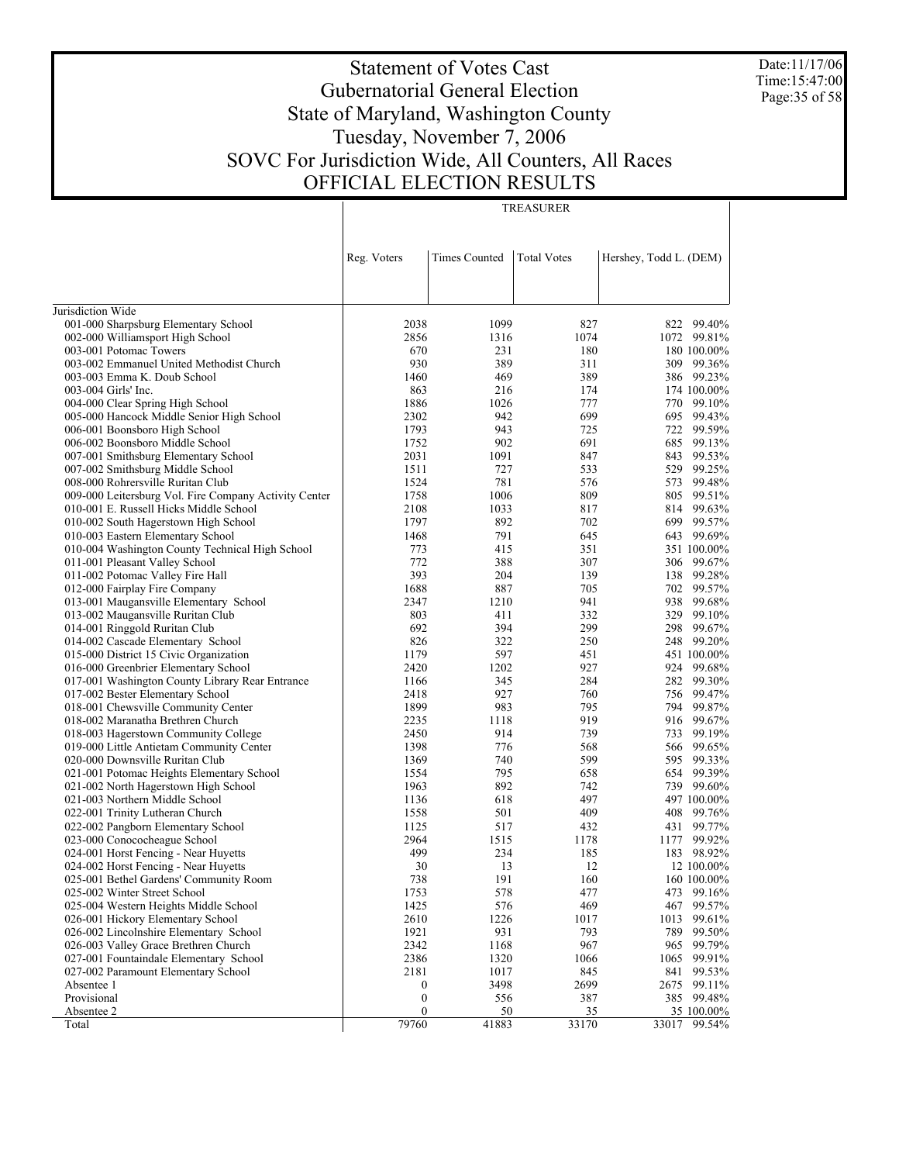Date:11/17/06 Time:15:47:00 Page:35 of 58

# Statement of Votes Cast Gubernatorial General Election State of Maryland, Washington County Tuesday, November 7, 2006 SOVC For Jurisdiction Wide, All Counters, All Races OFFICIAL ELECTION RESULTS

TREASURER

|                                                       | Reg. Voters               | <b>Times Counted</b> | <b>Total Votes</b> | Hershey, Todd L. (DEM)        |
|-------------------------------------------------------|---------------------------|----------------------|--------------------|-------------------------------|
|                                                       |                           |                      |                    |                               |
| Jurisdiction Wide                                     |                           |                      |                    |                               |
| 001-000 Sharpsburg Elementary School                  | 2038                      | 1099                 | 827                | 822<br>99.40%                 |
| 002-000 Williamsport High School                      | 2856                      | 1316                 | 1074               | 1072 99.81%                   |
| 003-001 Potomac Towers                                | 670                       | 231                  | 180                | 180 100.00%                   |
| 003-002 Emmanuel United Methodist Church              | 930                       | 389                  | 311                | 309 99.36%                    |
| 003-003 Emma K. Doub School                           | 1460                      | 469                  | 389                | 386 99.23%                    |
| 003-004 Girls' Inc.                                   | 863                       | 216                  | 174                | 174 100.00%                   |
| 004-000 Clear Spring High School                      | 1886                      | 1026                 | 777                | 770<br>99.10%                 |
| 005-000 Hancock Middle Senior High School             | 2302                      | 942                  | 699                | 695<br>99.43%                 |
| 006-001 Boonsboro High School                         | 1793                      | 943                  | 725                | 722<br>99.59%                 |
| 006-002 Boonsboro Middle School                       | 1752                      | 902                  | 691                | 99.13%<br>685                 |
| 007-001 Smithsburg Elementary School                  | 2031                      | 1091                 | 847                | 99.53%<br>843                 |
| 007-002 Smithsburg Middle School                      | 1511                      | 727                  | 533                | 529 99.25%                    |
| 008-000 Rohrersville Ruritan Club                     | 1524                      | 781                  | 576                | 99.48%<br>573                 |
| 009-000 Leitersburg Vol. Fire Company Activity Center | 1758                      | 1006                 | 809                | 99.51%<br>805                 |
| 010-001 E. Russell Hicks Middle School                | 2108                      | 1033                 | 817                | 99.63%<br>814                 |
| 010-002 South Hagerstown High School                  | 1797                      | 892                  | 702                | 699 99.57%                    |
| 010-003 Eastern Elementary School                     | 1468                      | 791                  | 645                | 643 99.69%                    |
| 010-004 Washington County Technical High School       | 773                       | 415                  | 351                | 351 100.00%                   |
| 011-001 Pleasant Valley School                        | 772                       | 388                  | 307                | 306 99.67%                    |
| 011-002 Potomac Valley Fire Hall                      | 393                       | 204                  | 139                | 99.28%<br>138                 |
| 012-000 Fairplay Fire Company                         | 1688                      | 887                  | 705                | 99.57%<br>702                 |
| 013-001 Maugansville Elementary School                | 2347                      | 1210                 | 941                | 938<br>99.68%                 |
| 013-002 Maugansville Ruritan Club                     | 803                       | 411                  | 332                | 329<br>99.10%                 |
| 014-001 Ringgold Ruritan Club                         | 692                       | 394                  | 299                | 298<br>99.67%                 |
| 014-002 Cascade Elementary School                     | 826                       | 322                  | 250                | 99.20%<br>248                 |
| 015-000 District 15 Civic Organization                | 1179                      | 597                  | 451                | 451 100.00%                   |
| 016-000 Greenbrier Elementary School                  | 2420                      | 1202                 | 927                | 924<br>99.68%                 |
| 017-001 Washington County Library Rear Entrance       | 1166                      | 345                  | 284                | 282 99.30%                    |
| 017-002 Bester Elementary School                      | 2418                      | 927                  | 760                | 99.47%<br>756                 |
| 018-001 Chewsville Community Center                   | 1899                      | 983                  | 795                | 99.87%<br>794                 |
| 018-002 Maranatha Brethren Church                     | 2235                      | 1118                 | 919                | 916<br>99.67%                 |
| 018-003 Hagerstown Community College                  | 2450                      | 914                  | 739                | 99.19%<br>733                 |
| 019-000 Little Antietam Community Center              | 1398                      | 776                  | 568                | 99.65%<br>566                 |
| 020-000 Downsville Ruritan Club                       | 1369                      | 740                  | 599                | 99.33%<br>595                 |
| 021-001 Potomac Heights Elementary School             | 1554                      | 795                  | 658                | 99.39%<br>654                 |
| 021-002 North Hagerstown High School                  | 1963                      | 892                  | 742                | 739 99.60%                    |
| 021-003 Northern Middle School                        | 1136                      | 618                  | 497                | 497 100.00%                   |
| 022-001 Trinity Lutheran Church                       | 1558                      | 501                  | 409                | 408<br>99.76%                 |
| 022-002 Pangborn Elementary School                    | 1125                      | 517                  | 432                | 431<br>99.77%                 |
| 023-000 Conococheague School                          | 2964                      | 1515                 | 1178               | 99.92%<br>1177                |
| 024-001 Horst Fencing - Near Huyetts                  | 499                       | 234                  | 185                | 183 98.92%                    |
| 024-002 Horst Fencing - Near Huyetts                  | 30                        | 13                   | 12                 | 12 100.00%                    |
| 025-001 Bethel Gardens' Community Room                | 738                       | 191                  | 160                | 160 100.00%                   |
| 025-002 Winter Street School                          | 1753                      | 578                  | 477                | 473 99.16%                    |
| 025-004 Western Heights Middle School                 | 1425                      | 576                  | 469                | 467<br>99.57%                 |
| 026-001 Hickory Elementary School                     | 2610                      | 1226                 | 1017               | 1013<br>99.61%                |
| 026-002 Lincolnshire Elementary School                | 1921                      | 931                  | 793                | 789<br>99.50%                 |
| 026-003 Valley Grace Brethren Church                  | 2342                      | 1168                 | 967                | 965<br>99.79%                 |
| 027-001 Fountaindale Elementary School                | 2386                      | 1320                 | 1066               | 99.91%<br>1065                |
| 027-002 Paramount Elementary School                   | 2181                      | 1017                 | 845                | 841<br>99.53%                 |
| Absentee 1                                            | $\boldsymbol{0}$          | 3498                 | 2699               | 2675<br>99.11%                |
| Provisional                                           | $\boldsymbol{0}$          | 556                  | 387                | 385 99.48%                    |
| Absentee 2<br>Total                                   | $\boldsymbol{0}$<br>79760 | 50<br>41883          | 35<br>33170        | 35 100.00%<br>33017<br>99.54% |
|                                                       |                           |                      |                    |                               |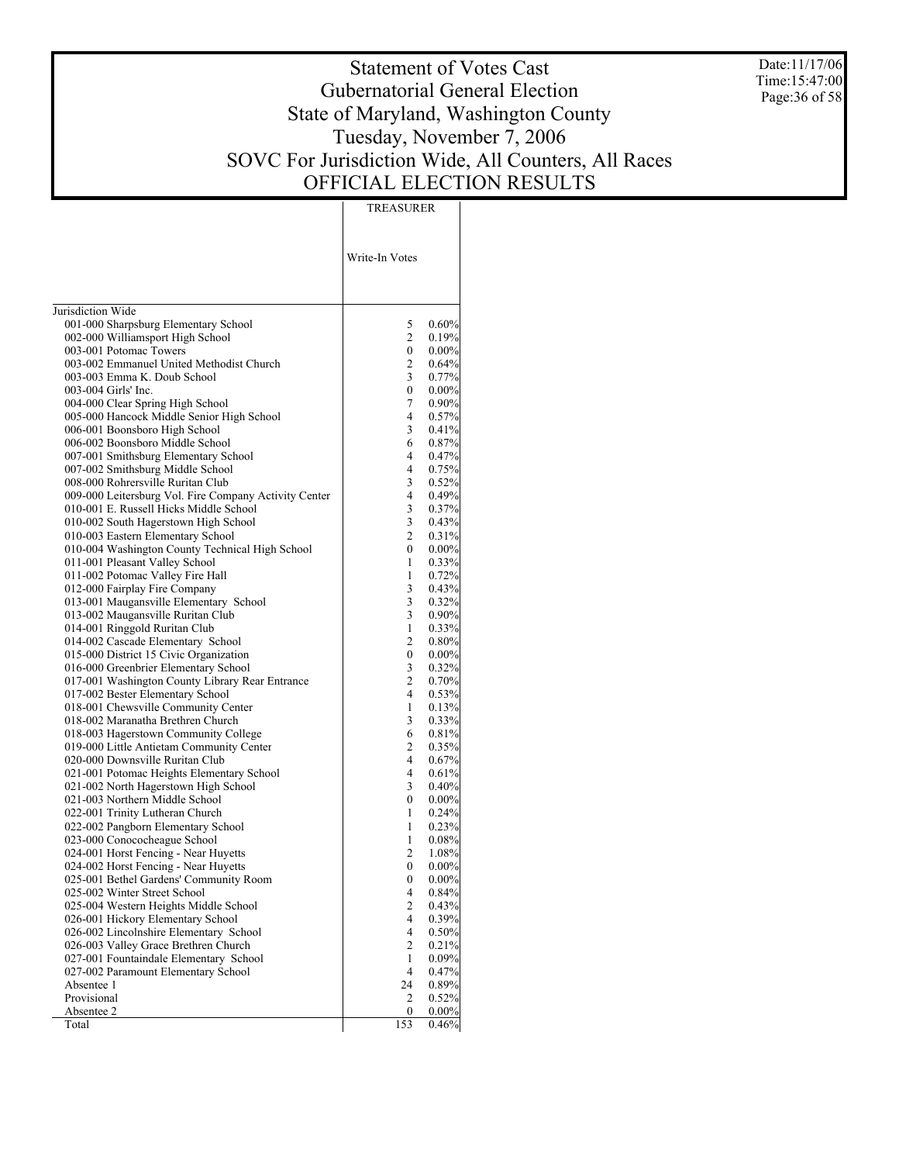Date:11/17/06 Time:15:47:00 Page:36 of 58

# Statement of Votes Cast Gubernatorial General Election State of Maryland, Washington County Tuesday, November 7, 2006 SOVC For Jurisdiction Wide, All Counters, All Races OFFICIAL ELECTION RESULTS

TREASURER

|                                                       | Write-In Votes |          |
|-------------------------------------------------------|----------------|----------|
| Jurisdiction Wide                                     |                |          |
| 001-000 Sharpsburg Elementary School                  | 5              | 0.60%    |
| 002-000 Williamsport High School                      | 2              | 0.19%    |
| 003-001 Potomac Towers                                | $\overline{0}$ | 0.00%    |
| 003-002 Emmanuel United Methodist Church              | 2              | 0.64%    |
| 003-003 Emma K. Doub School                           | 3              | 0.77%    |
| 003-004 Girls' Inc.                                   | 0              | 0.00%    |
| 004-000 Clear Spring High School                      | 7              | 0.90%    |
| 005-000 Hancock Middle Senior High School             | 4              | 0.57%    |
| 006-001 Boonsboro High School                         | 3              | 0.41%    |
| 006-002 Boonsboro Middle School                       | 6              | 0.87%    |
| 007-001 Smithsburg Elementary School                  | 4              | 0.47%    |
| 007-002 Smithsburg Middle School                      | 4              | 0.75%    |
| 008-000 Rohrersville Ruritan Club                     | 3              | 0.52%    |
| 009-000 Leitersburg Vol. Fire Company Activity Center | 4              | 0.49%    |
| 010-001 E. Russell Hicks Middle School                | 3              | 0.37%    |
| 010-002 South Hagerstown High School                  | 3              | 0.43%    |
| 010-003 Eastern Elementary School                     | 2              | 0.31%    |
| 010-004 Washington County Technical High School       | 0              | 0.00%    |
| 011-001 Pleasant Valley School                        | 1              | 0.33%    |
| 011-002 Potomac Valley Fire Hall                      | 1              | 0.72%    |
| 012-000 Fairplay Fire Company                         | 3              | 0.43%    |
| 013-001 Maugansville Elementary School                | 3              | 0.32%    |
| 013-002 Maugansville Ruritan Club                     | 3              | 0.90%    |
| 014-001 Ringgold Ruritan Club                         | 1              | 0.33%    |
| 014-002 Cascade Elementary School                     | 2              | 0.80%    |
| 015-000 District 15 Civic Organization                | 0              | $0.00\%$ |
| 016-000 Greenbrier Elementary School                  | 3              | 0.32%    |
| 017-001 Washington County Library Rear Entrance       | 2              | 0.70%    |
| 017-002 Bester Elementary School                      | 4              | 0.53%    |
| 018-001 Chewsville Community Center                   | 1              | 0.13%    |
| 018-002 Maranatha Brethren Church                     | 3              | 0.33%    |
| 018-003 Hagerstown Community College                  | 6              | 0.81%    |
| 019-000 Little Antietam Community Center              | 2              | 0.35%    |
| 020-000 Downsville Ruritan Club                       | 4              | 0.67%    |
| 021-001 Potomac Heights Elementary School             | 4              | 0.61%    |
| 021-002 North Hagerstown High School                  | 3              | 0.40%    |
| 021-003 Northern Middle School                        | 0              | 0.00%    |
| 022-001 Trinity Lutheran Church                       | 1              | 0.24%    |
| 022-002 Pangborn Elementary School                    | 1              | 0.23%    |
| 023-000 Conococheague School                          | 1              | 0.08%    |
| 024-001 Horst Fencing - Near Huyetts                  | 2              | 1.08%    |
| 024-002 Horst Fencing - Near Huyetts                  | 0              | $0.00\%$ |
| 025-001 Bethel Gardens' Community Room                | 0              | 0.00%    |
| 025-002 Winter Street School                          | 4              | $0.84\%$ |
| 025-004 Western Heights Middle School                 | 2              | 0.43%    |
| 026-001 Hickory Elementary School                     | 4              | 0.39%    |
| 026-002 Lincolnshire Elementary School                | 4              | 0.50%    |
| 026-003 Valley Grace Brethren Church                  | 2              | 0.21%    |
| 027-001 Fountaindale Elementary School                | 1              | 0.09%    |
| 027-002 Paramount Elementary School                   | 4              | 0.47%    |
| Absentee 1                                            | 24             | 0.89%    |
| Provisional                                           | 2              | 0.52%    |
| Absentee 2                                            | 0              | 0.00%    |
| Total                                                 | 153            | 0.46%    |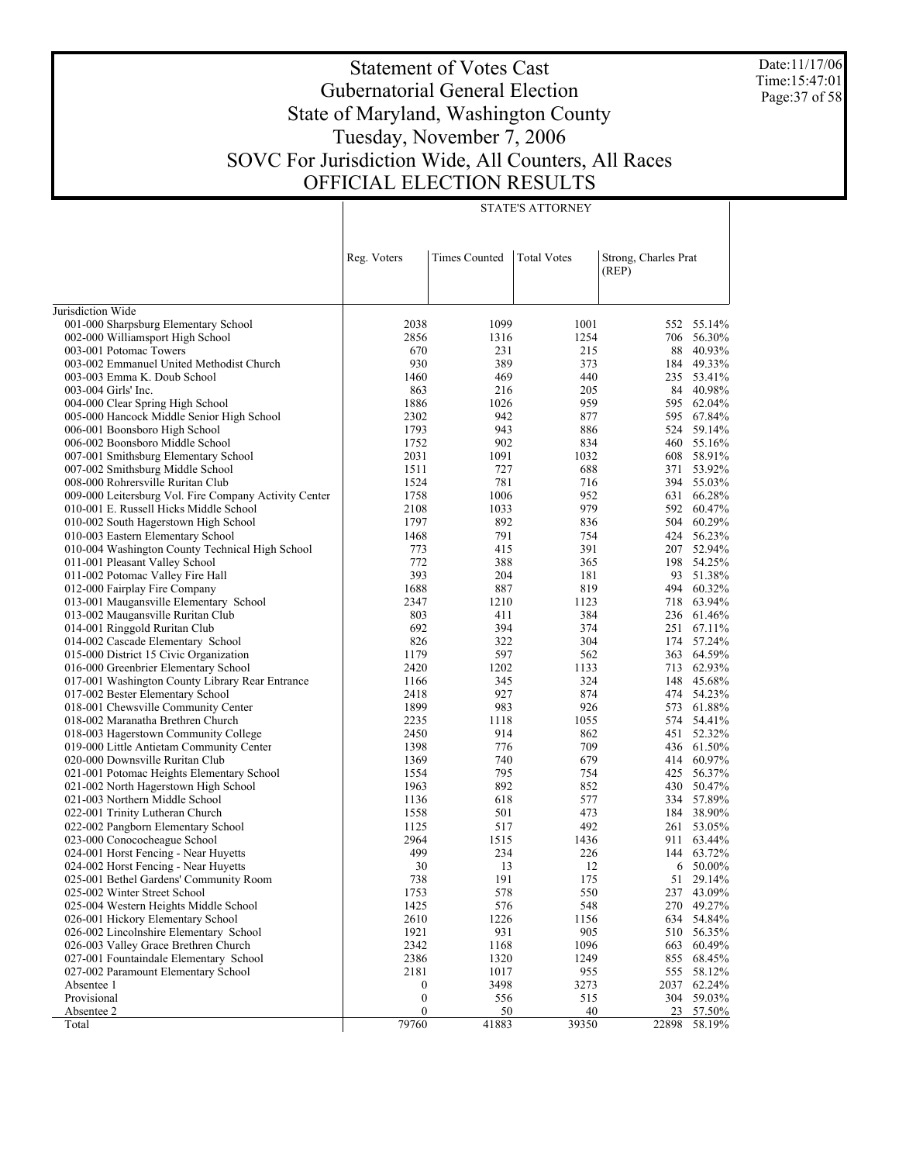Date:11/17/06 Time:15:47:01 Page:37 of 58

# Statement of Votes Cast Gubernatorial General Election State of Maryland, Washington County Tuesday, November 7, 2006 SOVC For Jurisdiction Wide, All Counters, All Races OFFICIAL ELECTION RESULTS

|                                                                       | Reg. Voters      | Times Counted | <b>Total Votes</b> | Strong, Charles Prat<br>(REP) |                      |
|-----------------------------------------------------------------------|------------------|---------------|--------------------|-------------------------------|----------------------|
|                                                                       |                  |               |                    |                               |                      |
| Jurisdiction Wide                                                     |                  |               |                    |                               |                      |
| 001-000 Sharpsburg Elementary School                                  | 2038             | 1099          | 1001               |                               | 552 55.14%           |
| 002-000 Williamsport High School                                      | 2856             | 1316          | 1254               | 706                           | 56.30%               |
| 003-001 Potomac Towers                                                | 670              | 231           | 215                | 88                            | 40.93%               |
| 003-002 Emmanuel United Methodist Church                              | 930              | 389           | 373                |                               | 184 49.33%           |
| 003-003 Emma K. Doub School                                           | 1460             | 469           | 440                | 235                           | 53.41%               |
| 003-004 Girls' Inc.                                                   | 863              | 216           | 205                |                               | 84 40.98%            |
| 004-000 Clear Spring High School                                      | 1886             | 1026          | 959                | 595                           | 62.04%<br>67.84%     |
| 005-000 Hancock Middle Senior High School                             | 2302             | 942<br>943    | 877                | 595                           |                      |
| 006-001 Boonsboro High School                                         | 1793<br>1752     | 902           | 886<br>834         | 460                           | 524 59.14%<br>55.16% |
| 006-002 Boonsboro Middle School                                       |                  | 1091          |                    |                               | 58.91%               |
| 007-001 Smithsburg Elementary School                                  | 2031<br>1511     | 727           | 1032<br>688        | 608<br>371                    | 53.92%               |
| 007-002 Smithsburg Middle School<br>008-000 Rohrersville Ruritan Club | 1524             | 781           | 716                |                               | 394 55.03%           |
| 009-000 Leitersburg Vol. Fire Company Activity Center                 | 1758             | 1006          | 952                | 631                           | 66.28%               |
| 010-001 E. Russell Hicks Middle School                                | 2108             | 1033          | 979                | 592                           | 60.47%               |
| 010-002 South Hagerstown High School                                  | 1797             | 892           | 836                | 504                           | 60.29%               |
| 010-003 Eastern Elementary School                                     | 1468             | 791           | 754                |                               | 424 56.23%           |
| 010-004 Washington County Technical High School                       | 773              | 415           | 391                | 207                           | 52.94%               |
| 011-001 Pleasant Valley School                                        | 772              | 388           | 365                |                               | 198 54.25%           |
| 011-002 Potomac Valley Fire Hall                                      | 393              | 204           | 181                |                               | 93 51.38%            |
| 012-000 Fairplay Fire Company                                         | 1688             | 887           | 819                |                               | 494 60.32%           |
| 013-001 Maugansville Elementary School                                | 2347             | 1210          | 1123               | 718                           | 63.94%               |
| 013-002 Maugansville Ruritan Club                                     | 803              | 411           | 384                | 236                           | 61.46%               |
| 014-001 Ringgold Ruritan Club                                         | 692              | 394           | 374                | 251                           | 67.11%               |
| 014-002 Cascade Elementary School                                     | 826              | 322           | 304                |                               | 174 57.24%           |
| 015-000 District 15 Civic Organization                                | 1179             | 597           | 562                |                               | 363 64.59%           |
| 016-000 Greenbrier Elementary School                                  | 2420             | 1202          | 1133               | 713                           | 62.93%               |
| 017-001 Washington County Library Rear Entrance                       | 1166             | 345           | 324                | 148                           | 45.68%               |
| 017-002 Bester Elementary School                                      | 2418             | 927           | 874                |                               | 474 54.23%           |
| 018-001 Chewsville Community Center                                   | 1899             | 983           | 926                | 573                           | 61.88%               |
| 018-002 Maranatha Brethren Church                                     | 2235             | 1118          | 1055               | 574                           | 54.41%               |
| 018-003 Hagerstown Community College                                  | 2450             | 914           | 862                | 451                           | 52.32%               |
| 019-000 Little Antietam Community Center                              | 1398             | 776           | 709                |                               | 436 61.50%           |
| 020-000 Downsville Ruritan Club                                       | 1369             | 740           | 679                |                               | 414 60.97%           |
| 021-001 Potomac Heights Elementary School                             | 1554             | 795           | 754                | 425                           | 56.37%               |
| 021-002 North Hagerstown High School                                  | 1963             | 892           | 852                | 430                           | 50.47%               |
| 021-003 Northern Middle School                                        | 1136             | 618           | 577                |                               | 334 57.89%           |
| 022-001 Trinity Lutheran Church                                       | 1558             | 501           | 473                |                               | 184 38.90%           |
| 022-002 Pangborn Elementary School                                    | 1125             | 517           | 492                | 261                           | 53.05%               |
| 023-000 Conococheague School                                          | 2964             | 1515          | 1436               | 911                           | 63.44%               |
| 024-001 Horst Fencing - Near Huyetts                                  | 499              | 234           | 226                |                               | 144 63.72%           |
| 024-002 Horst Fencing - Near Huyetts                                  | 30               | 13            | 12                 | 6                             | 50.00%               |
| 025-001 Bethel Gardens' Community Room                                | 738              | 191           | 175                |                               | 51 29.14%            |
| 025-002 Winter Street School                                          | 1753             | 578           | 550                |                               | 237 43.09%           |
| 025-004 Western Heights Middle School                                 | 1425             | 576           | 548                |                               | 270 49.27%           |
| 026-001 Hickory Elementary School                                     | 2610             | 1226          | 1156               |                               | 634 54.84%           |
| 026-002 Lincolnshire Elementary School                                | 1921             | 931           | 905                | 510                           | 56.35%               |
| 026-003 Valley Grace Brethren Church                                  | 2342             | 1168          | 1096               | 663                           | 60.49%               |
| 027-001 Fountaindale Elementary School                                | 2386             | 1320          | 1249               | 855                           | 68.45%               |
| 027-002 Paramount Elementary School                                   | 2181             | 1017          | 955                | 555                           | 58.12%               |
| Absentee 1                                                            | 0                | 3498          | 3273               | 2037                          | 62.24%               |
| Provisional                                                           | $\boldsymbol{0}$ | 556           | 515                |                               | 304 59.03%           |
| Absentee 2                                                            | 0                | 50            | 40                 | 23                            | 57.50%               |
| Total                                                                 | 79760            | 41883         | 39350              | 22898                         | 58.19%               |

STATE'S ATTORNEY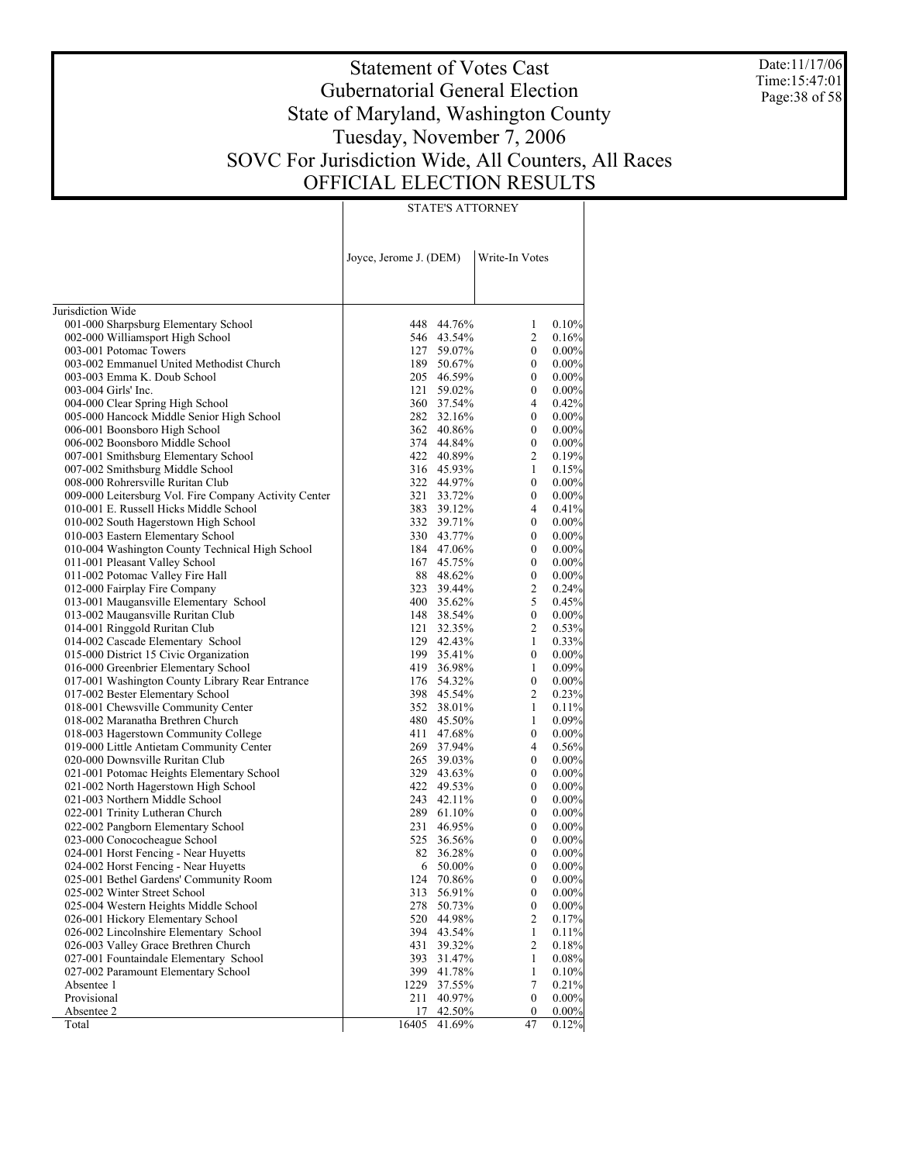Date:11/17/06 Time:15:47:01 Page:38 of 58

# Statement of Votes Cast Gubernatorial General Election State of Maryland, Washington County Tuesday, November 7, 2006 SOVC For Jurisdiction Wide, All Counters, All Races OFFICIAL ELECTION RESULTS

STATE'S ATTORNEY

|                                                       | Joyce, Jerome J. (DEM) |            | Write-In Votes   |          |
|-------------------------------------------------------|------------------------|------------|------------------|----------|
|                                                       |                        |            |                  |          |
| Jurisdiction Wide                                     |                        |            |                  |          |
| 001-000 Sharpsburg Elementary School                  | 448                    | 44.76%     | 1                | 0.10%    |
| 002-000 Williamsport High School                      | 546                    | 43.54%     | $\overline{c}$   | 0.16%    |
| 003-001 Potomac Towers                                | 127                    | 59.07%     | $\boldsymbol{0}$ | 0.00%    |
| 003-002 Emmanuel United Methodist Church              | 189                    | 50.67%     | 0                | 0.00%    |
| 003-003 Emma K. Doub School                           |                        | 205 46.59% | $\boldsymbol{0}$ | 0.00%    |
| 003-004 Girls' Inc.                                   | 121                    | 59.02%     | 0                | $0.00\%$ |
| 004-000 Clear Spring High School                      |                        | 360 37.54% | 4                | 0.42%    |
| 005-000 Hancock Middle Senior High School             |                        | 282 32.16% | $\mathbf{0}$     | $0.00\%$ |
| 006-001 Boonsboro High School                         |                        | 362 40.86% | $\boldsymbol{0}$ | $0.00\%$ |
| 006-002 Boonsboro Middle School                       |                        | 374 44.84% | $\boldsymbol{0}$ | $0.00\%$ |
| 007-001 Smithsburg Elementary School                  |                        | 422 40.89% | 2                | 0.19%    |
| 007-002 Smithsburg Middle School                      | 316                    | 45.93%     | $\mathbf{1}$     | 0.15%    |
| 008-000 Rohrersville Ruritan Club                     |                        | 322 44.97% | 0                | $0.00\%$ |
| 009-000 Leitersburg Vol. Fire Company Activity Center | 321                    | 33.72%     | 0                | $0.00\%$ |
| 010-001 E. Russell Hicks Middle School                |                        | 383 39.12% | 4                | 0.41%    |
| 010-002 South Hagerstown High School                  |                        | 332 39.71% | 0                | $0.00\%$ |
| 010-003 Eastern Elementary School                     |                        | 330 43.77% | 0                | 0.00%    |
| 010-004 Washington County Technical High School       |                        | 184 47.06% | 0                | $0.00\%$ |
| 011-001 Pleasant Valley School                        | 167                    | 45.75%     | $\boldsymbol{0}$ | 0.00%    |
| 011-002 Potomac Valley Fire Hall                      |                        | 88 48.62%  | $\boldsymbol{0}$ | $0.00\%$ |
| 012-000 Fairplay Fire Company                         |                        | 323 39.44% | 2                | 0.24%    |
| 013-001 Maugansville Elementary School                |                        | 400 35.62% | 5                | 0.45%    |
| 013-002 Maugansville Ruritan Club                     |                        | 148 38.54% | $\boldsymbol{0}$ | 0.00%    |
| 014-001 Ringgold Ruritan Club                         | 121                    | 32.35%     | 2                | 0.53%    |
| 014-002 Cascade Elementary School                     |                        | 129 42.43% | 1                | 0.33%    |
| 015-000 District 15 Civic Organization                |                        | 199 35.41% | $\boldsymbol{0}$ | $0.00\%$ |
| 016-000 Greenbrier Elementary School                  |                        | 419 36.98% | 1                | 0.09%    |
| 017-001 Washington County Library Rear Entrance       |                        | 176 54.32% | $\boldsymbol{0}$ | $0.00\%$ |
| 017-002 Bester Elementary School                      |                        | 398 45.54% | 2                | 0.23%    |
| 018-001 Chewsville Community Center                   |                        | 352 38.01% | 1                | 0.11%    |
| 018-002 Maranatha Brethren Church                     |                        | 480 45.50% | 1                | 0.09%    |
| 018-003 Hagerstown Community College                  | 411                    | 47.68%     | 0                | $0.00\%$ |
| 019-000 Little Antietam Community Center              |                        | 269 37.94% | 4                | 0.56%    |
| 020-000 Downsville Ruritan Club                       | 265                    | 39.03%     | 0                | $0.00\%$ |
| 021-001 Potomac Heights Elementary School             | 329                    | 43.63%     | $\mathbf{0}$     | 0.00%    |
| 021-002 North Hagerstown High School                  |                        | 422 49.53% | 0                | $0.00\%$ |
| 021-003 Northern Middle School                        | 243                    | 42.11%     | 0                | 0.00%    |
| 022-001 Trinity Lutheran Church                       | 289                    | 61.10%     | 0                | $0.00\%$ |
| 022-002 Pangborn Elementary School                    | 231                    | 46.95%     | 0                | 0.00%    |
| 023-000 Conococheague School                          |                        | 525 36.56% | 0                | 0.00%    |
| 024-001 Horst Fencing - Near Huyetts                  |                        | 82 36.28%  | $\boldsymbol{0}$ | $0.00\%$ |
| 024-002 Horst Fencing - Near Huyetts                  | 6                      | 50.00%     | $\boldsymbol{0}$ | 0.00%    |
| 025-001 Bethel Gardens' Community Room                | 124                    | 70.86%     | 0                | $0.00\%$ |
| 025-002 Winter Street School                          | 313                    | 56.91%     | 0                | $0.00\%$ |
| 025-004 Western Heights Middle School                 | 278                    | 50.73%     | 0                | 0.00%    |
| 026-001 Hickory Elementary School                     | 520                    | 44.98%     | 2                | 0.17%    |
| 026-002 Lincolnshire Elementary School                | 394                    | 43.54%     | 1                | 0.11%    |
| 026-003 Valley Grace Brethren Church                  | 431                    | 39.32%     | 2                | 0.18%    |
| 027-001 Fountaindale Elementary School                | 393                    | 31.47%     | 1                | 0.08%    |
| 027-002 Paramount Elementary School                   | 399                    | 41.78%     | 1                | 0.10%    |
| Absentee 1                                            | 1229                   | 37.55%     | 7                | 0.21%    |
| Provisional                                           | 211                    | 40.97%     | $\boldsymbol{0}$ | 0.00%    |
| Absentee 2                                            | 17                     | 42.50%     | 0                | 0.00%    |
| Total                                                 | 16405                  | 41.69%     | 47               | 0.12%    |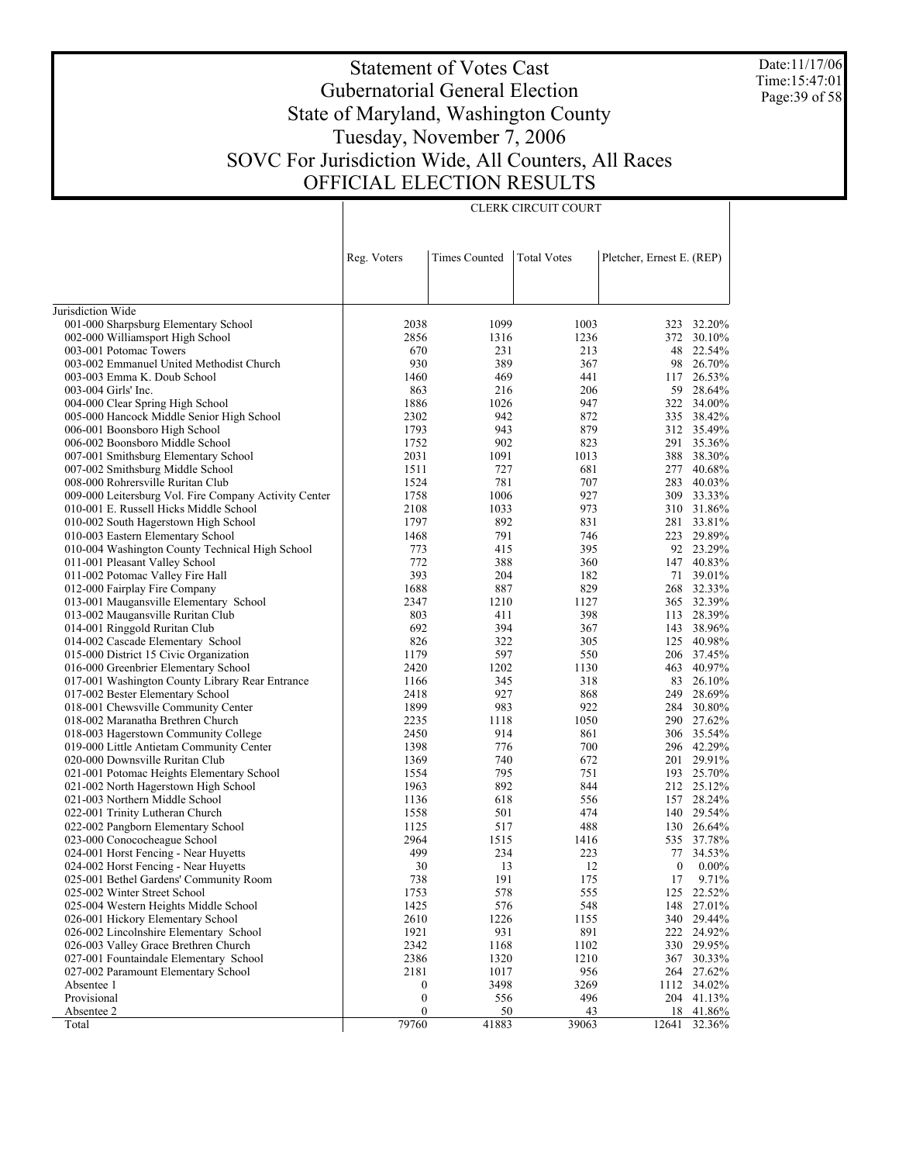Date:11/17/06 Time:15:47:01 Page:39 of 58

## Statement of Votes Cast Gubernatorial General Election State of Maryland, Washington County Tuesday, November 7, 2006 SOVC For Jurisdiction Wide, All Counters, All Races OFFICIAL ELECTION RESULTS

|                                                                                | Reg. Voters      | <b>Times Counted</b> | <b>Total Votes</b> | Pletcher, Ernest E. (REP) |                       |
|--------------------------------------------------------------------------------|------------------|----------------------|--------------------|---------------------------|-----------------------|
|                                                                                |                  |                      |                    |                           |                       |
|                                                                                |                  |                      |                    |                           |                       |
| Jurisdiction Wide                                                              |                  |                      |                    |                           |                       |
| 001-000 Sharpsburg Elementary School                                           | 2038             | 1099                 | 1003               | 323                       | 32.20%                |
| 002-000 Williamsport High School                                               | 2856             | 1316                 | 1236               |                           | 372 30.10%            |
| 003-001 Potomac Towers                                                         | 670              | 231                  | 213                | 48                        | 22.54%                |
| 003-002 Emmanuel United Methodist Church                                       | 930              | 389                  | 367                | 98                        | 26.70%                |
| 003-003 Emma K. Doub School                                                    | 1460             | 469                  | 441                | 117                       | 26.53%                |
| 003-004 Girls' Inc.                                                            | 863              | 216                  | 206                | 59                        | 28.64%                |
| 004-000 Clear Spring High School                                               | 1886             | 1026                 | 947                | 322                       | 34.00%                |
| 005-000 Hancock Middle Senior High School                                      | 2302             | 942                  | 872                | 335                       | 38.42%                |
| 006-001 Boonsboro High School                                                  | 1793             | 943                  | 879                |                           | 312 35.49%            |
| 006-002 Boonsboro Middle School                                                | 1752             | 902                  | 823                | 291                       | 35.36%                |
| 007-001 Smithsburg Elementary School                                           | 2031             | 1091                 | 1013               |                           | 388 38.30%            |
| 007-002 Smithsburg Middle School                                               | 1511             | 727                  | 681                | 277                       | 40.68%                |
| 008-000 Rohrersville Ruritan Club                                              | 1524             | 781                  | 707                | 283                       | 40.03%                |
| 009-000 Leitersburg Vol. Fire Company Activity Center                          | 1758             | 1006                 | 927                |                           | 309 33.33%            |
| 010-001 E. Russell Hicks Middle School                                         | 2108             | 1033                 | 973                | 310                       | 31.86%                |
| 010-002 South Hagerstown High School                                           | 1797             | 892                  | 831                | 281                       | 33.81%                |
| 010-003 Eastern Elementary School                                              | 1468             | 791                  | 746                | 223                       | 29.89%                |
| 010-004 Washington County Technical High School                                | 773              | 415                  | 395                |                           | 92 23.29%             |
| 011-001 Pleasant Valley School                                                 | 772              | 388                  | 360                | 147                       | 40.83%                |
| 011-002 Potomac Valley Fire Hall                                               | 393              | 204                  | 182                | 71                        | 39.01%                |
| 012-000 Fairplay Fire Company                                                  | 1688             | 887                  | 829                |                           | 268 32.33%            |
| 013-001 Maugansville Elementary School                                         | 2347             | 1210                 | 1127               |                           | 365 32.39%            |
| 013-002 Maugansville Ruritan Club                                              | 803              | 411                  | 398                |                           | 113 28.39%            |
| 014-001 Ringgold Ruritan Club                                                  | 692              | 394                  | 367                |                           | 143 38.96%            |
| 014-002 Cascade Elementary School                                              | 826              | 322                  | 305                |                           | 125 40.98%            |
| 015-000 District 15 Civic Organization                                         | 1179             | 597                  | 550                |                           | 206 37.45%            |
| 016-000 Greenbrier Elementary School                                           | 2420             | 1202                 | 1130               |                           | 463 40.97%            |
| 017-001 Washington County Library Rear Entrance                                | 1166             | 345                  | 318                | 83                        | 26.10%                |
| 017-002 Bester Elementary School                                               | 2418             | 927                  | 868                | 249                       | 28.69%                |
| 018-001 Chewsville Community Center                                            | 1899             | 983                  | 922                |                           | 284 30.80%            |
| 018-002 Maranatha Brethren Church                                              | 2235             | 1118                 | 1050               |                           | 290 27.62%            |
| 018-003 Hagerstown Community College                                           | 2450             | 914                  | 861                |                           | 306 35.54%            |
| 019-000 Little Antietam Community Center                                       | 1398             | 776                  | 700                |                           | 296 42.29%            |
| 020-000 Downsville Ruritan Club                                                | 1369             | 740                  | 672                |                           | 201 29.91%            |
| 021-001 Potomac Heights Elementary School                                      | 1554             | 795                  | 751                |                           | 193 25.70%            |
| 021-002 North Hagerstown High School                                           | 1963             | 892                  | 844                |                           | 212 25.12%            |
| 021-003 Northern Middle School                                                 | 1136             | 618                  | 556                | 157                       | 28.24%                |
| 022-001 Trinity Lutheran Church                                                | 1558             | 501                  | 474                | 140                       | 29.54%                |
| 022-002 Pangborn Elementary School                                             | 1125             | 517                  | 488                |                           | 130 26.64%            |
| 023-000 Conococheague School                                                   | 2964             | 1515                 | 1416               | 535                       | 37.78%                |
| 024-001 Horst Fencing - Near Huyetts                                           | 499              | 234                  | 223                | 77                        | 34.53%                |
| 024-002 Horst Fencing - Near Huyetts                                           | 30               | 13                   | 12                 | $\boldsymbol{0}$          | $0.00\%$              |
| 025-001 Bethel Gardens' Community Room                                         | 738              | 191                  | 175                | 17                        | 9.71%                 |
| 025-002 Winter Street School                                                   | 1753             | 578                  | 555                |                           | 125 22.52%            |
| 025-004 Western Heights Middle School                                          | 1425             | 576                  | 548                | 148                       | 27.01%                |
| 026-001 Hickory Elementary School<br>026-002 Lincolnshire Elementary School    | 2610<br>1921     | 1226                 | 1155               | 340<br>222                | 29.44%<br>24.92%      |
|                                                                                |                  | 931                  | 891                |                           |                       |
| 026-003 Valley Grace Brethren Church<br>027-001 Fountaindale Elementary School | 2342<br>2386     | 1168                 | 1102               | 330                       | 29.95%                |
| 027-002 Paramount Elementary School                                            | 2181             | 1320<br>1017         | 1210               | 367                       | 30.33%                |
| Absentee 1                                                                     | $\boldsymbol{0}$ | 3498                 | 956<br>3269        | 264                       | 27.62%<br>1112 34.02% |
| Provisional                                                                    | $\boldsymbol{0}$ | 556                  | 496                |                           | 204 41.13%            |
| Absentee 2                                                                     | $\boldsymbol{0}$ | 50                   | 43                 |                           | 18 41.86%             |
| Total                                                                          | 79760            | 41883                | 39063              | 12641                     | 32.36%                |

CLERK CIRCUIT COURT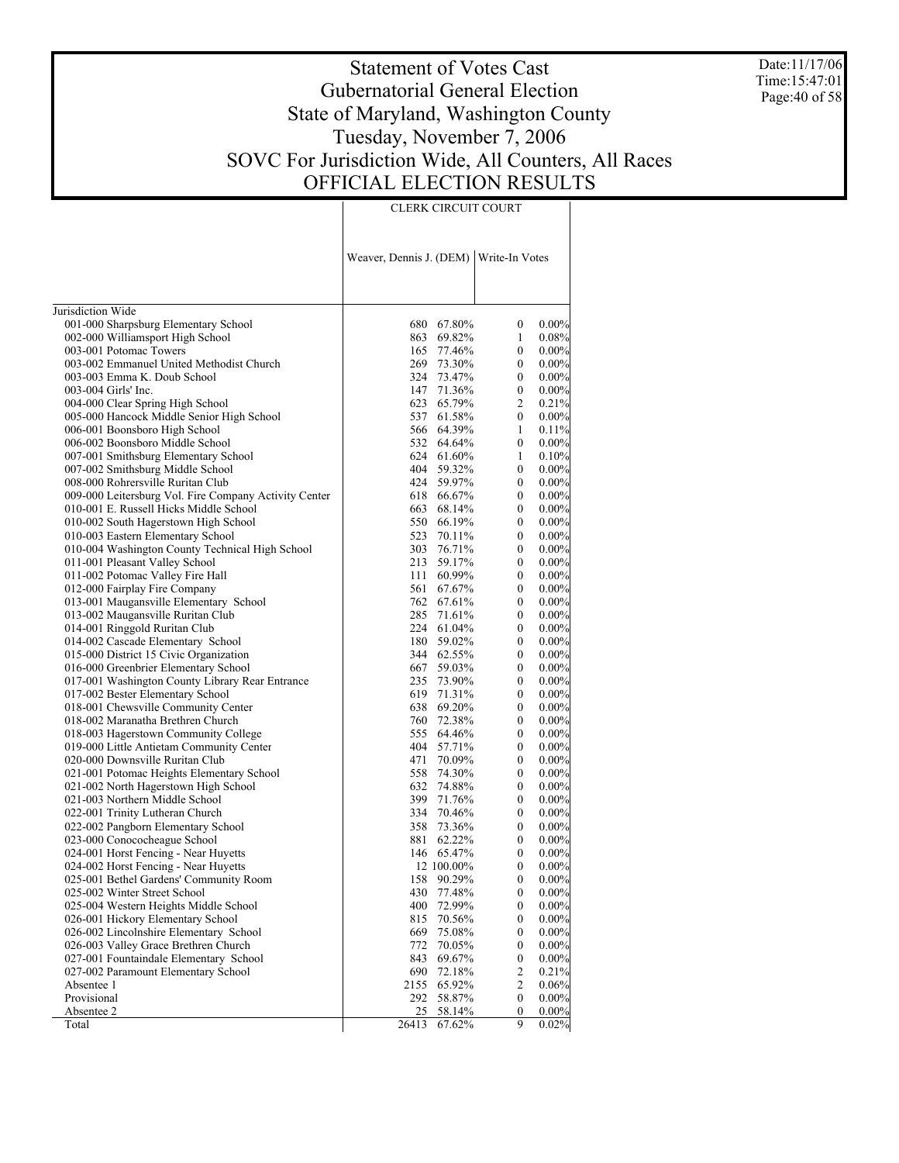Date:11/17/06 Time:15:47:01 Page:40 of 58

#### Statement of Votes Cast Gubernatorial General Election State of Maryland, Washington County Tuesday, November 7, 2006 SOVC For Jurisdiction Wide, All Counters, All Races OFFICIAL ELECTION RESULTS

CLERK CIRCUIT COURT

Jurisdiction Wide 001-000 Sharpsburg Elementary School 002-000 Williamsport High School 003-001 Potomac Towers 003-002 Emmanuel United Methodist Church 003-003 Emma K. Doub School 003-004 Girls' Inc. 004-000 Clear Spring High School 005-000 Hancock Middle Senior High School 006-001 Boonsboro High School 006-002 Boonsboro Middle School 007-001 Smithsburg Elementary School 007-002 Smithsburg Middle School 008-000 Rohrersville Ruritan Club 009-000 Leitersburg Vol. Fire Company Activity Center 010-001 E. Russell Hicks Middle School 010-002 South Hagerstown High School 010-003 Eastern Elementary School 010-004 Washington County Technical High School 011-001 Pleasant Valley School 011-002 Potomac Valley Fire Hall 012-000 Fairplay Fire Company 013-001 Maugansville Elementary School 013-002 Maugansville Ruritan Club 014-001 Ringgold Ruritan Club 014-002 Cascade Elementary School 015-000 District 15 Civic Organization 016-000 Greenbrier Elementary School 017-001 Washington County Library Rear Entrance 017-002 Bester Elementary School 018-001 Chewsville Community Center 018-002 Maranatha Brethren Church 018-003 Hagerstown Community College 019-000 Little Antietam Community Center 020-000 Downsville Ruritan Club 021-001 Potomac Heights Elementary School 021-002 North Hagerstown High School 021-003 Northern Middle School 022-001 Trinity Lutheran Church 022-002 Pangborn Elementary School 023-000 Conococheague School 024-001 Horst Fencing - Near Huyetts 024-002 Horst Fencing - Near Huyetts 025-001 Bethel Gardens' Community Room 025-002 Winter Street School 025-004 Western Heights Middle School 026-001 Hickory Elementary School 026-002 Lincolnshire Elementary School 026-003 Valley Grace Brethren Church 027-001 Fountaindale Elementary School 027-002 Paramount Elementary School Absentee 1 Provisional Absentee 2 Total Weaver, Dennis J. (DEM) Write-In Votes 680 67.80% 0 0.00% 69.82% 1 0.08%<br>77.46% 0 0.00% 165 77.46% 0 0.00%<br>269 73.30% 0 0.00% 269 73.30% 0 0.00%<br>324 73.47% 0 0.00% 73.47% 147 71.36% 0 0.00%<br>623 65.79% 2 0.21% 65.79% 537 61.58% 0 0.00% 566 64.39% 1 0.11%<br>532 64.64% 0 0.00% 64.64% 624 61.60% 1 0.10%<br>404 59.32% 0 0.00% 404 59.32% 0 0.00%<br>424 59.97% 0 0.00%  $59.97\%$  0 0.00%<br>  $66.67\%$  0 0.00% 618 66.67% 0 0.00%<br>663 68.14% 0 0.00% 663 68.14% 0 0.00%<br>550 66.19% 0 0.00% 550 66.19% 0 0.00%<br>523 70.11% 0 0.00% 523 70.11%<br>303 76.71% 303 76.71% 0 0.00% 213 59.17% 0 0.00% 111 60.99% 0 0.00%<br>561 67.67% 0 0.00% 561 67.67% 0 0.00% 67.61% 285 71.61% 0 0.00%<br>224 61.04% 0 0.00% 224 61.04%<br>180 59.02% 180 59.02% 0 0.00%<br>344 62.55% 0 0.00% 344 62.55% 0 0.00%<br>667 59.03% 0 0.00% 59.03% 235 73.90% 0 0.00%<br>619 71.31% 0 0.00% 619 71.31% 0<br>638 69.20% 0 638 69.20% 0 0.00% 760 72.38% 0 0.00%<br>555 64.46% 0 0.00% 64.46% 404 57.71% 0 0.00%<br>471 70.09% 0 0.00%  $70.09\%$  0 0.00%<br>  $74.30\%$  0 0.00% 558 74.30% 0 0.00%<br>632 74.88% 0 0.00% 632 74.88% 0 0.00%<br>399 71.76% 0 0.00% 399 71.76% 0 0.00% 334 70.46% 0 0.00%<br>358 73.36% 0 0.00%  $73.36\%$  0<br>62.22% 0 881 62.22% 0 0.00% 146 65.47% 0 0.00%<br>12 100 00% 0 0.00%  $\begin{array}{cccc} 12 & 100.00\% & 0 & 0.00\% \\ 158 & 90.29\% & 0 & 0.00\% \end{array}$ 158 90.29% 0 0.00%<br>430 77.48% 0 0.00% 77.48% 400 72.99% 0 0.00% 70.56% 0 0.00%<br>75.08% 0 0.00% 669 75.08% 0 0.00% 772 70.05% 0 0.00% 69.67% 690 72.18% 2 0.21%<br>2155 65.92% 2 0.06%  $65.92\%$  2<br>58.87% 0 292 58.87% 0 0.00%  $\frac{58.14\%}{67.62\%}$  0 0.00%<br>
9 0.02% 26413 67.62%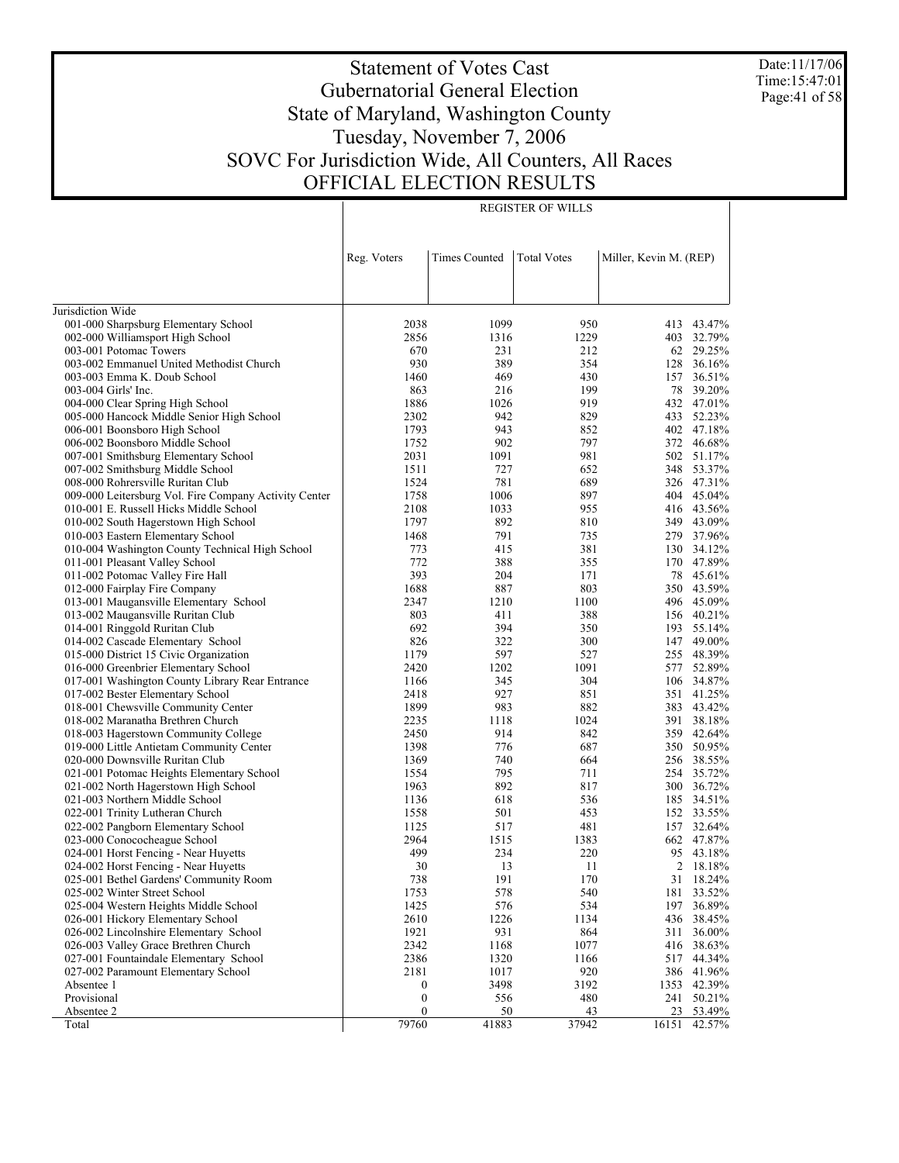Date:11/17/06 Time:15:47:01 Page:41 of 58

# Statement of Votes Cast Gubernatorial General Election State of Maryland, Washington County Tuesday, November 7, 2006 SOVC For Jurisdiction Wide, All Counters, All Races OFFICIAL ELECTION RESULTS

|                                                       | Reg. Voters      | <b>Times Counted</b> | <b>Total Votes</b> | Miller, Kevin M. (REP) |            |
|-------------------------------------------------------|------------------|----------------------|--------------------|------------------------|------------|
|                                                       |                  |                      |                    |                        |            |
|                                                       |                  |                      |                    |                        |            |
| Jurisdiction Wide                                     |                  |                      |                    |                        |            |
| 001-000 Sharpsburg Elementary School                  | 2038             | 1099                 | 950                |                        | 413 43.47% |
| 002-000 Williamsport High School                      | 2856             | 1316                 | 1229               |                        | 403 32.79% |
| 003-001 Potomac Towers                                | 670              | 231                  | 212                |                        | 62 29.25%  |
| 003-002 Emmanuel United Methodist Church              | 930              | 389                  | 354                |                        | 128 36.16% |
| 003-003 Emma K. Doub School                           | 1460             | 469                  | 430                | 157                    | 36.51%     |
| 003-004 Girls' Inc.                                   | 863              | 216                  | 199                |                        | 78 39.20%  |
| 004-000 Clear Spring High School                      | 1886             | 1026                 | 919                |                        | 432 47.01% |
| 005-000 Hancock Middle Senior High School             | 2302             | 942                  | 829                | 433                    | 52.23%     |
| 006-001 Boonsboro High School                         | 1793             | 943                  | 852                |                        | 402 47.18% |
| 006-002 Boonsboro Middle School                       | 1752             | 902                  | 797                |                        | 372 46.68% |
| 007-001 Smithsburg Elementary School                  | 2031             | 1091                 | 981                |                        | 502 51.17% |
| 007-002 Smithsburg Middle School                      | 1511             | 727                  | 652                |                        | 348 53.37% |
| 008-000 Rohrersville Ruritan Club                     | 1524             | 781                  | 689                |                        | 326 47.31% |
| 009-000 Leitersburg Vol. Fire Company Activity Center | 1758             | 1006                 | 897                |                        | 404 45.04% |
| 010-001 E. Russell Hicks Middle School                | 2108             | 1033                 | 955                |                        | 416 43.56% |
| 010-002 South Hagerstown High School                  | 1797             | 892                  | 810                |                        | 349 43.09% |
| 010-003 Eastern Elementary School                     | 1468             | 791                  | 735                |                        | 279 37.96% |
| 010-004 Washington County Technical High School       | 773              | 415                  | 381                |                        | 130 34.12% |
| 011-001 Pleasant Valley School                        | 772              | 388                  | 355                | 170                    | 47.89%     |
| 011-002 Potomac Valley Fire Hall                      | 393              | 204                  | 171                | 78                     | 45.61%     |
| 012-000 Fairplay Fire Company                         | 1688             | 887                  | 803                |                        | 350 43.59% |
| 013-001 Maugansville Elementary School                | 2347             | 1210                 | 1100               |                        | 496 45.09% |
| 013-002 Maugansville Ruritan Club                     | 803              | 411                  | 388                |                        | 156 40.21% |
| 014-001 Ringgold Ruritan Club                         | 692              | 394                  | 350                | 193                    | 55.14%     |
| 014-002 Cascade Elementary School                     | 826              | 322                  | 300                | 147                    | 49.00%     |
| 015-000 District 15 Civic Organization                | 1179             | 597                  | 527                | 255                    | 48.39%     |
| 016-000 Greenbrier Elementary School                  | 2420             | 1202                 | 1091               | 577                    | 52.89%     |
| 017-001 Washington County Library Rear Entrance       | 1166             | 345                  | 304                | 106                    | 34.87%     |
| 017-002 Bester Elementary School                      | 2418             | 927                  | 851                | 351                    | 41.25%     |
| 018-001 Chewsville Community Center                   | 1899             | 983                  | 882                | 383                    | 43.42%     |
| 018-002 Maranatha Brethren Church                     | 2235             | 1118                 | 1024               |                        | 391 38.18% |
| 018-003 Hagerstown Community College                  | 2450             | 914                  | 842                | 359                    | 42.64%     |
| 019-000 Little Antietam Community Center              | 1398             | 776                  | 687                |                        | 350 50.95% |
| 020-000 Downsville Ruritan Club                       | 1369             | 740                  | 664                |                        | 256 38.55% |
| 021-001 Potomac Heights Elementary School             | 1554             | 795                  | 711                |                        | 254 35.72% |
| 021-002 North Hagerstown High School                  | 1963             | 892                  | 817                |                        | 300 36.72% |
| 021-003 Northern Middle School                        | 1136             | 618                  | 536                |                        | 185 34.51% |
| 022-001 Trinity Lutheran Church                       | 1558             | 501                  | 453                |                        | 152 33.55% |
| 022-002 Pangborn Elementary School                    | 1125             | 517                  | 481                | 157                    | 32.64%     |
| 023-000 Conococheague School                          | 2964             | 1515                 | 1383               |                        | 662 47.87% |
| 024-001 Horst Fencing - Near Huyetts                  | 499              | 234                  | 220                | 95                     | 43.18%     |
| 024-002 Horst Fencing - Near Huyetts                  | 30               | 13                   | 11                 |                        | 2 18.18%   |
| 025-001 Bethel Gardens' Community Room                | 738              | 191                  | 170                | 31                     | 18.24%     |
| 025-002 Winter Street School                          | 1753             | 578                  | 540                |                        | 181 33.52% |
| 025-004 Western Heights Middle School                 | 1425             | 576                  | 534                | 197                    | 36.89%     |
| 026-001 Hickory Elementary School                     | 2610             | 1226                 | 1134               | 436                    | 38.45%     |
| 026-002 Lincolnshire Elementary School                | 1921             | 931                  | 864                | 311                    | 36.00%     |
| 026-003 Valley Grace Brethren Church                  | 2342             | 1168                 | 1077               |                        | 416 38.63% |
| 027-001 Fountaindale Elementary School                | 2386             | 1320                 | 1166               | 517                    | 44.34%     |
| 027-002 Paramount Elementary School                   | 2181             | 1017                 | 920                |                        | 386 41.96% |
| Absentee 1                                            | $\boldsymbol{0}$ | 3498                 | 3192               | 1353                   | 42.39%     |
| Provisional                                           | $\boldsymbol{0}$ | 556                  | 480                |                        | 241 50.21% |
| Absentee 2                                            | $\boldsymbol{0}$ | 50                   | 43                 | 23                     | 53.49%     |
| Total                                                 | 79760            | 41883                | 37942              | 16151                  | 42.57%     |

REGISTER OF WILLS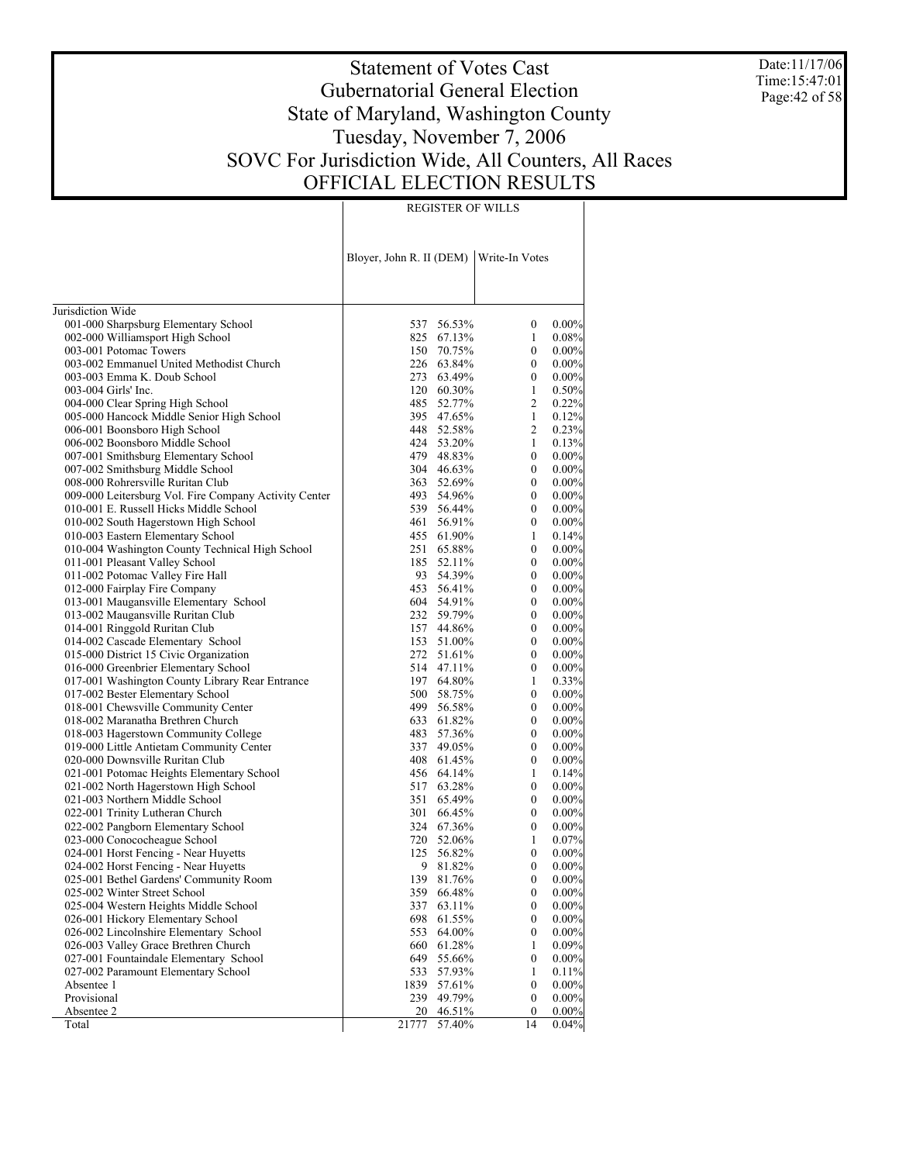Date:11/17/06 Time:15:47:01 Page:42 of 58

#### Statement of Votes Cast Gubernatorial General Election State of Maryland, Washington County Tuesday, November 7, 2006 SOVC For Jurisdiction Wide, All Counters, All Races OFFICIAL ELECTION RESULTS

REGISTER OF WILLS

Jurisdiction Wide 001-000 Sharpsburg Elementary School 002-000 Williamsport High School 003-001 Potomac Towers 003-002 Emmanuel United Methodist Church 003-003 Emma K. Doub School 003-004 Girls' Inc. 004-000 Clear Spring High School 005-000 Hancock Middle Senior High School 006-001 Boonsboro High School 006-002 Boonsboro Middle School 007-001 Smithsburg Elementary School 007-002 Smithsburg Middle School 008-000 Rohrersville Ruritan Club 009-000 Leitersburg Vol. Fire Company Activity Center 010-001 E. Russell Hicks Middle School 010-002 South Hagerstown High School 010-003 Eastern Elementary School 010-004 Washington County Technical High School 011-001 Pleasant Valley School 011-002 Potomac Valley Fire Hall 012-000 Fairplay Fire Company 013-001 Maugansville Elementary School 013-002 Maugansville Ruritan Club 014-001 Ringgold Ruritan Club 014-002 Cascade Elementary School 015-000 District 15 Civic Organization 016-000 Greenbrier Elementary School 017-001 Washington County Library Rear Entrance 017-002 Bester Elementary School 018-001 Chewsville Community Center 018-002 Maranatha Brethren Church 018-003 Hagerstown Community College 019-000 Little Antietam Community Center 020-000 Downsville Ruritan Club 021-001 Potomac Heights Elementary School 021-002 North Hagerstown High School 021-003 Northern Middle School 022-001 Trinity Lutheran Church 022-002 Pangborn Elementary School 023-000 Conococheague School 024-001 Horst Fencing - Near Huyetts 024-002 Horst Fencing - Near Huyetts 025-001 Bethel Gardens' Community Room 025-002 Winter Street School 025-004 Western Heights Middle School 026-001 Hickory Elementary School 026-002 Lincolnshire Elementary School 026-003 Valley Grace Brethren Church 027-001 Fountaindale Elementary School 027-002 Paramount Elementary School Absentee 1 Provisional Absentee 2 Total Bloyer, John R. II (DEM) Write-In Votes 537 56.53% 0 0.00% 825 67.13% 1 0.08%<br>150 70.75% 0 0.00% 70.75% 0 0.00%<br>63.84% 0 0.00% 226 63.84% 0 0.00%<br>273 63.49% 0 0.00% 63.49% 120 60.30% 1 0.50%<br>485 52.77% 2 0.22% 52.77% 395 47.65% 1 0.12% 448 52.58% 2 0.23%<br>424 53.20% 1 0.13% 53.20% 479 48.83% 0 0.00%<br>304 46.63% 0 0.00% 46.63% 0 0.00%<br>52.69% 0 0.00% 363 52.69% 0 0.00%<br>493 54.96% 0 0.00% 493 54.96% 0 0.00%<br>539 56.44% 0 0.00% 539 56.44% 0 0.00% 461 56.91% 0 0.00%<br>455 61.90% 1 0.14%  $61.90\%$  1 0.14%<br>  $65.88\%$  0 0.00% 251 65.88% 0 0.00%<br>185 52.11% 0 0.00% 185 52.11% 0<br>93 54 39% 0 93 54.39% 0 0.00%<br>453 56.41% 0 0.00% 453 56.41% 0 0.00%<br>604 54.91% 0 0.00% 54.91% 0 0.00%<br>59.79% 0 0.00% 232 59.79% 0 0.00%  $\begin{array}{cccc} 44.86\% & 0 & 0.00\% \\ 51.00\% & 0 & 0.00\% \end{array}$ 153 51.00% 0 0.00%<br>272 51.61% 0 0.00% 272 51.61% 0 0.00%<br>514 47.11% 0 0.00% 47.11% 197 64.80% 1 0.33%<br>500 58.75% 0 0.00% 500 58.75%<br>499 56.58% 499 56.58% 0 0.00%<br>633 61.82% 0 0.00% 633 61.82% 0 0.00%<br>483 57.36% 0 0.00% 57.36% 337 49.05% 0 0.00%  $61.45\%$  0 0.00%<br>  $64.14\%$  1 0.14% 456 64.14% 1 0.14%<br>517 63.28% 0 0.00% 517 63.28% 0 0.00%<br>351 65.49% 0 0.00% 351 65.49% 0 0.00%<br>301 66.45% 0 0.00% 301 66.45% 0 0.00%<br>324 67.36% 0 0.00% 67.36% 720 52.06% 1 0.07%<br>125 56.82% 0 0.00% 125 56.82% 0 0.00%<br>9 81 82% 0 0.00% 9 81.82% 0 0.00%<br>139 81.76% 0 0.00% 139 81.76% 0 0.00%<br>359 66.48% 0 0.00% 66.48% 337 63.11% 0 0.00%<br>698 61.55% 0 0.00%  $61.55\%$  0 0.00%<br>  $64.00\%$  0 0.00% 553 64.00% 0 0.00% 660 61.28% 1 0.09% 55.66% 533 57.93% 1 0.11%<br>1839 57.61% 0 0.00% 57.61% 239 49.79% 0 0.00% 20 46.51% 0 0.00%<br>
77 57.40% 14 0.04% 21777 57.40%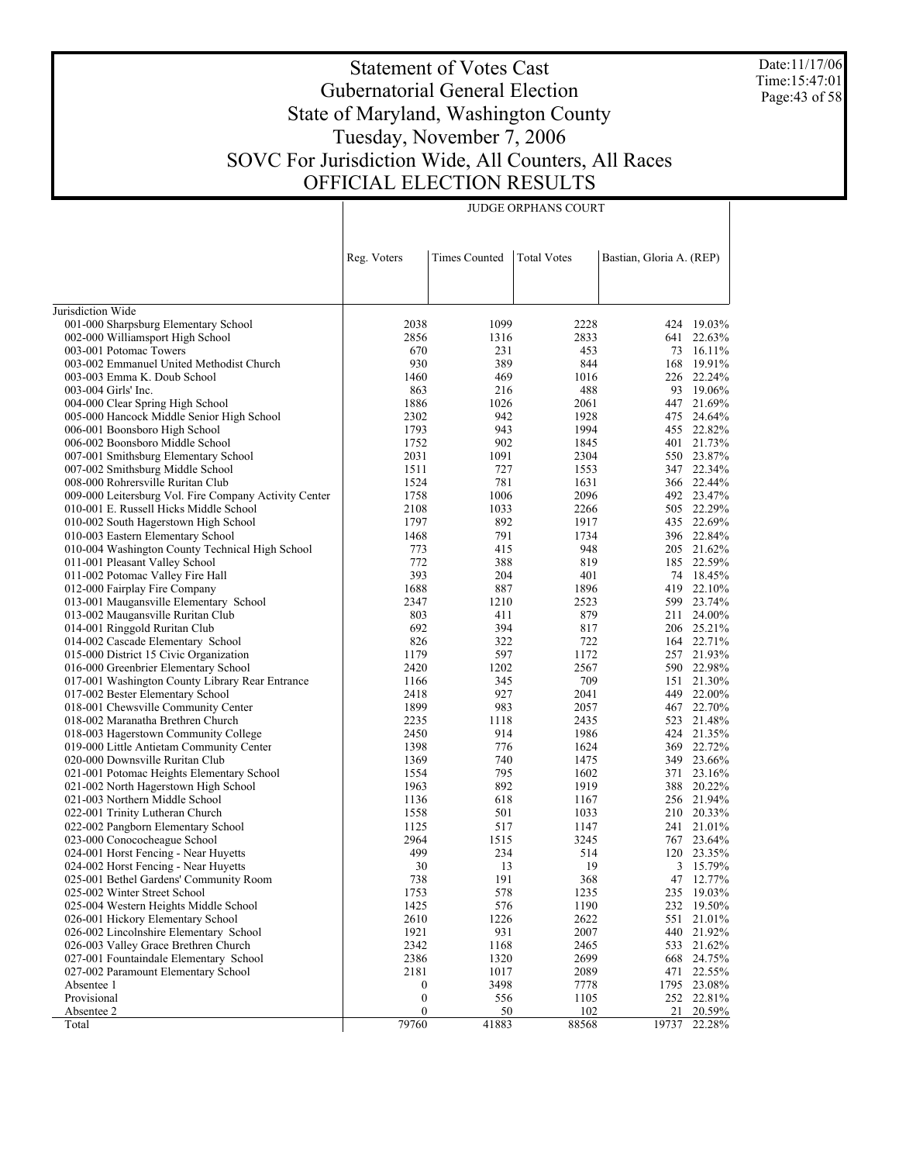Date:11/17/06 Time:15:47:01 Page:43 of 58

## Statement of Votes Cast Gubernatorial General Election State of Maryland, Washington County Tuesday, November 7, 2006 SOVC For Jurisdiction Wide, All Counters, All Races OFFICIAL ELECTION RESULTS

|                                                       | Reg. Voters      | <b>Times Counted</b> | <b>Total Votes</b> | Bastian, Gloria A. (REP) |             |
|-------------------------------------------------------|------------------|----------------------|--------------------|--------------------------|-------------|
|                                                       |                  |                      |                    |                          |             |
| Jurisdiction Wide                                     |                  |                      |                    |                          |             |
| 001-000 Sharpsburg Elementary School                  | 2038             | 1099                 | 2228               |                          | 424 19.03%  |
| 002-000 Williamsport High School                      | 2856             | 1316                 | 2833               |                          | 641 22.63%  |
| 003-001 Potomac Towers                                | 670              | 231                  | 453                | 73                       | 16.11%      |
| 003-002 Emmanuel United Methodist Church              | 930              | 389                  | 844                | 168                      | 19.91%      |
| 003-003 Emma K. Doub School                           | 1460             | 469                  | 1016               |                          | 226 22.24%  |
| 003-004 Girls' Inc.                                   | 863              | 216                  | 488                |                          | 93 19.06%   |
| 004-000 Clear Spring High School                      | 1886             | 1026                 | 2061               |                          | 447 21.69%  |
| 005-000 Hancock Middle Senior High School             | 2302             | 942                  | 1928               |                          | 475 24.64%  |
| 006-001 Boonsboro High School                         | 1793             | 943                  | 1994               |                          | 455 22.82%  |
| 006-002 Boonsboro Middle School                       | 1752             | 902                  | 1845               |                          | 401 21.73%  |
| 007-001 Smithsburg Elementary School                  | 2031             | 1091                 | 2304               |                          | 550 23.87%  |
| 007-002 Smithsburg Middle School                      | 1511             | 727                  | 1553               |                          | 347 22.34%  |
| 008-000 Rohrersville Ruritan Club                     | 1524             | 781                  | 1631               |                          | 366 22.44%  |
| 009-000 Leitersburg Vol. Fire Company Activity Center | 1758             | 1006                 | 2096               |                          | 492 23.47%  |
| 010-001 E. Russell Hicks Middle School                | 2108             | 1033                 | 2266               |                          | 505 22.29%  |
| 010-002 South Hagerstown High School                  | 1797             | 892                  | 1917               |                          | 435 22.69%  |
| 010-003 Eastern Elementary School                     | 1468             | 791                  | 1734               |                          | 396 22.84%  |
| 010-004 Washington County Technical High School       | 773              | 415                  | 948                |                          | 205 21.62%  |
| 011-001 Pleasant Valley School                        | 772              | 388                  | 819                |                          | 185 22.59%  |
| 011-002 Potomac Valley Fire Hall                      | 393              | 204                  | 401                |                          | 74 18.45%   |
| 012-000 Fairplay Fire Company                         | 1688             | 887                  | 1896               |                          | 419 22.10%  |
| 013-001 Maugansville Elementary School                | 2347             | 1210                 | 2523               |                          | 599 23.74%  |
| 013-002 Maugansville Ruritan Club                     | 803              | 411                  | 879                |                          | 211 24.00%  |
| 014-001 Ringgold Ruritan Club                         | 692              | 394                  | 817                |                          | 206 25.21%  |
| 014-002 Cascade Elementary School                     | 826              | 322                  | 722                |                          | 164 22.71%  |
| 015-000 District 15 Civic Organization                | 1179             | 597                  | 1172               |                          | 257 21.93%  |
| 016-000 Greenbrier Elementary School                  | 2420             | 1202                 | 2567               |                          | 590 22.98%  |
| 017-001 Washington County Library Rear Entrance       | 1166             | 345                  | 709                |                          | 151 21.30%  |
| 017-002 Bester Elementary School                      | 2418             | 927                  | 2041               |                          | 449 22.00%  |
| 018-001 Chewsville Community Center                   | 1899             | 983                  | 2057               |                          | 467 22.70%  |
| 018-002 Maranatha Brethren Church                     | 2235             | 1118                 | 2435               |                          | 523 21.48%  |
| 018-003 Hagerstown Community College                  | 2450             | 914                  | 1986               |                          | 424 21.35%  |
| 019-000 Little Antietam Community Center              | 1398             | 776                  | 1624               |                          | 369 22.72%  |
| 020-000 Downsville Ruritan Club                       | 1369             | 740                  | 1475               |                          | 349 23.66%  |
| 021-001 Potomac Heights Elementary School             | 1554             | 795                  | 1602               | 371                      | 23.16%      |
| 021-002 North Hagerstown High School                  | 1963             | 892                  | 1919               | 388                      | 20.22%      |
| 021-003 Northern Middle School                        | 1136             | 618                  | 1167               |                          | 256 21.94%  |
| 022-001 Trinity Lutheran Church                       | 1558             | 501                  | 1033               |                          | 210 20.33%  |
| 022-002 Pangborn Elementary School                    | 1125             | 517                  | 1147               |                          | 241 21.01%  |
| 023-000 Conococheague School                          | 2964             | 1515                 | 3245               |                          | 767 23.64%  |
| 024-001 Horst Fencing - Near Huyetts                  | 499              | 234                  | 514                |                          | 120 23.35%  |
| 024-002 Horst Fencing - Near Huyetts                  | 30               | 13                   | 19                 |                          | 3 15.79%    |
| 025-001 Bethel Gardens' Community Room                | 738              | 191                  | 368                |                          | 47 12.77%   |
| 025-002 Winter Street School                          | 1753             | 578                  | 1235               |                          | 235 19.03%  |
| 025-004 Western Heights Middle School                 | 1425             | 576                  | 1190               | 232                      | 19.50%      |
| 026-001 Hickory Elementary School                     | 2610             | 1226                 | 2622               | 551                      | 21.01%      |
| 026-002 Lincolnshire Elementary School                | 1921             | 931                  | 2007               | 440                      | 21.92%      |
| 026-003 Valley Grace Brethren Church                  | 2342             | 1168                 | 2465               |                          | 533 21.62%  |
| 027-001 Fountaindale Elementary School                | 2386             | 1320                 | 2699               | 668                      | 24.75%      |
| 027-002 Paramount Elementary School                   | 2181             | 1017                 | 2089               | 471                      | 22.55%      |
| Absentee 1                                            | $\boldsymbol{0}$ | 3498                 | 7778               |                          | 1795 23.08% |
| Provisional                                           | $\boldsymbol{0}$ | 556                  | 1105               |                          | 252 22.81%  |
| Absentee 2                                            | $\mathbf{0}$     | 50                   | 102                | 21                       | 20.59%      |
| Total                                                 | 79760            | 41883                | 88568              | 19737                    | 22.28%      |

JUDGE ORPHANS COURT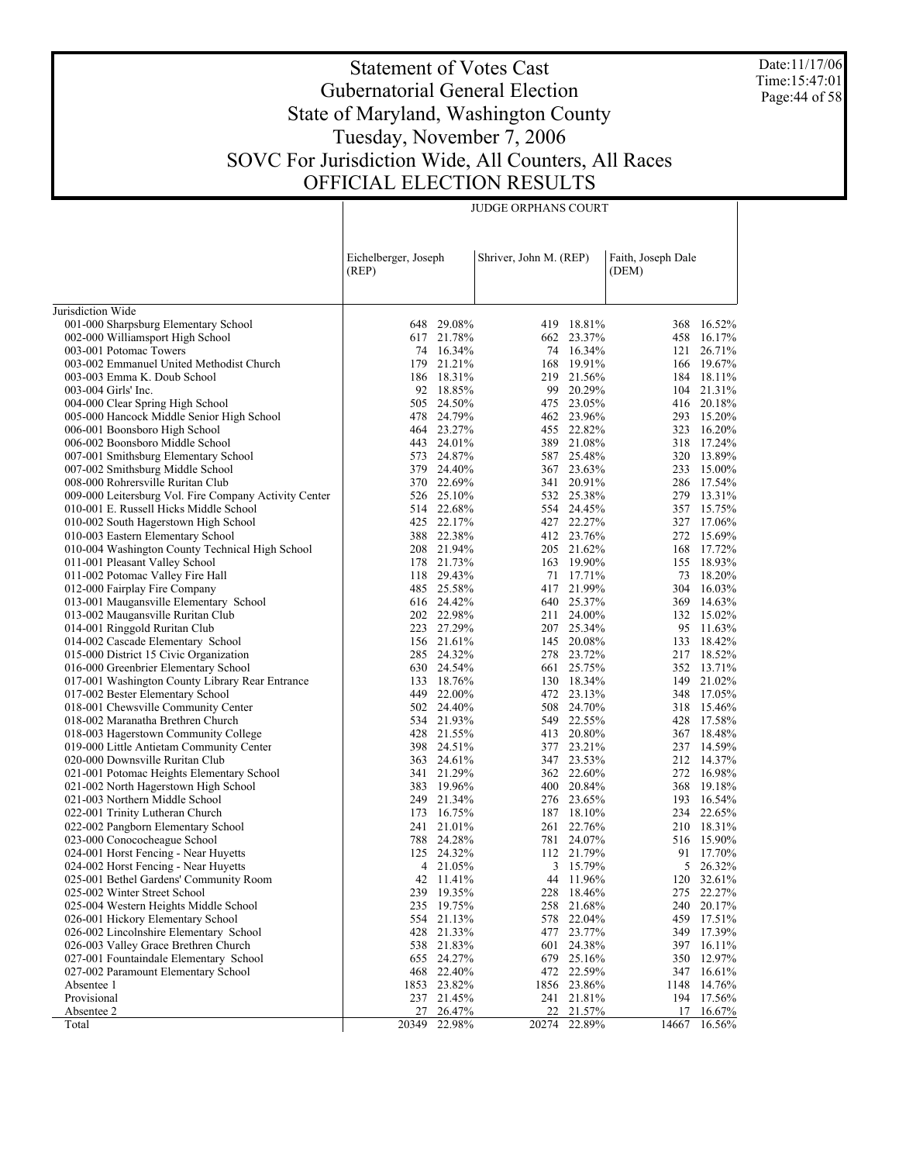Date:11/17/06 Time:15:47:01 Page:44 of 58

# Statement of Votes Cast Gubernatorial General Election State of Maryland, Washington County Tuesday, November 7, 2006 SOVC For Jurisdiction Wide, All Counters, All Races OFFICIAL ELECTION RESULTS

JUDGE ORPHANS COURT

|                                                       | Eichelberger, Joseph<br>(REP) |                  | Shriver, John M. (REP) |                  | Faith, Joseph Dale<br>(DEM) |                  |
|-------------------------------------------------------|-------------------------------|------------------|------------------------|------------------|-----------------------------|------------------|
|                                                       |                               |                  |                        |                  |                             |                  |
| Jurisdiction Wide                                     |                               |                  |                        |                  |                             |                  |
| 001-000 Sharpsburg Elementary School                  |                               | 648 29.08%       |                        | 419 18.81%       |                             | 368 16.52%       |
| 002-000 Williamsport High School                      |                               | 617 21.78%       |                        | 662 23.37%       |                             | 458 16.17%       |
| 003-001 Potomac Towers                                |                               | 74 16.34%        |                        | 74 16.34%        | 121                         | 26.71%           |
| 003-002 Emmanuel United Methodist Church              |                               | 179 21.21%       |                        | 168 19.91%       |                             | 166 19.67%       |
| 003-003 Emma K. Doub School                           |                               | 186 18.31%       |                        | 219 21.56%       |                             | 184 18.11%       |
| 003-004 Girls' Inc.                                   |                               | 92 18.85%        |                        | 99 20.29%        |                             | 104 21.31%       |
| 004-000 Clear Spring High School                      |                               | 505 24.50%       |                        | 475 23.05%       |                             | 416 20.18%       |
| 005-000 Hancock Middle Senior High School             |                               | 478 24.79%       |                        | 462 23.96%       |                             | 293 15.20%       |
| 006-001 Boonsboro High School                         |                               | 464 23.27%       |                        | 455 22.82%       |                             | 323 16.20%       |
| 006-002 Boonsboro Middle School                       |                               | 443 24.01%       |                        | 389 21.08%       |                             | 318 17.24%       |
| 007-001 Smithsburg Elementary School                  |                               | 573 24.87%       |                        | 587 25.48%       |                             | 320 13.89%       |
| 007-002 Smithsburg Middle School                      |                               | 379 24.40%       |                        | 367 23.63%       |                             | 233 15.00%       |
| 008-000 Rohrersville Ruritan Club                     |                               | 370 22.69%       |                        | 341 20.91%       |                             | 286 17.54%       |
| 009-000 Leitersburg Vol. Fire Company Activity Center |                               | 526 25.10%       |                        | 532 25.38%       |                             | 279 13.31%       |
| 010-001 E. Russell Hicks Middle School                |                               | 514 22.68%       |                        | 554 24.45%       |                             | 357 15.75%       |
| 010-002 South Hagerstown High School                  |                               | 425 22.17%       |                        | 427 22.27%       |                             | 327 17.06%       |
| 010-003 Eastern Elementary School                     |                               | 388 22.38%       |                        | 412 23.76%       |                             | 272 15.69%       |
| 010-004 Washington County Technical High School       |                               | 208 21.94%       |                        | 205 21.62%       |                             | 168 17.72%       |
| 011-001 Pleasant Valley School                        |                               | 178 21.73%       |                        | 163 19.90%       |                             | 155 18.93%       |
| 011-002 Potomac Valley Fire Hall                      |                               | 118 29.43%       |                        | 71 17.71%        | 73                          | 18.20%           |
| 012-000 Fairplay Fire Company                         |                               | 485 25.58%       |                        | 417 21.99%       |                             | 304 16.03%       |
| 013-001 Maugansville Elementary School                |                               | 616 24.42%       |                        | 640 25.37%       |                             | 369 14.63%       |
| 013-002 Maugansville Ruritan Club                     |                               | 202 22.98%       |                        | 211 24.00%       |                             | 132 15.02%       |
| 014-001 Ringgold Ruritan Club                         |                               | 223 27.29%       |                        | 207 25.34%       |                             | 95 11.63%        |
| 014-002 Cascade Elementary School                     |                               | 156 21.61%       |                        | 145 20.08%       | 133                         | 18.42%           |
| 015-000 District 15 Civic Organization                |                               | 285 24.32%       |                        | 278 23.72%       |                             | 217 18.52%       |
| 016-000 Greenbrier Elementary School                  |                               | 630 24.54%       |                        | 661 25.75%       |                             | 352 13.71%       |
| 017-001 Washington County Library Rear Entrance       | 133                           | 18.76%           |                        | 130 18.34%       |                             | 149 21.02%       |
| 017-002 Bester Elementary School                      | 449                           | 22.00%           |                        | 472 23.13%       |                             | 348 17.05%       |
| 018-001 Chewsville Community Center                   |                               | 502 24.40%       |                        | 508 24.70%       |                             | 318 15.46%       |
| 018-002 Maranatha Brethren Church                     |                               | 534 21.93%       |                        | 549 22.55%       | 428                         | 17.58%           |
| 018-003 Hagerstown Community College                  |                               | 428 21.55%       |                        | 413 20.80%       |                             | 367 18.48%       |
| 019-000 Little Antietam Community Center              | 398                           | 24.51%           |                        | 377 23.21%       |                             | 237 14.59%       |
| 020-000 Downsville Ruritan Club                       |                               | 363 24.61%       |                        | 347 23.53%       |                             | 212 14.37%       |
| 021-001 Potomac Heights Elementary School             |                               | 341 21.29%       |                        | 362 22.60%       |                             | 272 16.98%       |
| 021-002 North Hagerstown High School                  |                               | 383 19.96%       |                        | 400 20.84%       |                             | 368 19.18%       |
| 021-003 Northern Middle School                        | 249                           | 21.34%           |                        | 276 23.65%       | 193                         | 16.54%           |
| 022-001 Trinity Lutheran Church                       |                               | 173 16.75%       |                        | 187 18.10%       |                             | 234 22.65%       |
| 022-002 Pangborn Elementary School                    |                               | 241 21.01%       |                        | 261 22.76%       |                             | 210 18.31%       |
| 023-000 Conococheague School                          |                               | 788 24.28%       |                        | 781 24.07%       |                             | 516 15.90%       |
| 024-001 Horst Fencing - Near Huyetts                  |                               | 125 24.32%       |                        | 112 21.79%       | 91                          | 17.70%           |
| 024-002 Horst Fencing - Near Huyetts                  |                               | 4 21.05%         |                        | 3 15.79%         |                             | 5 26.32%         |
| 025-001 Bethel Gardens' Community Room                |                               | 42 11.41%        |                        | 44 11.96%        |                             | 120 32.61%       |
| 025-002 Winter Street School                          |                               | 239 19.35%       |                        | 228 18.46%       |                             | 275 22.27%       |
| 025-004 Western Heights Middle School                 | 235                           | 19.75%           | 258                    | 21.68%           | 240                         | 20.17%           |
| 026-001 Hickory Elementary School                     | 554                           | 21.13%           |                        | 578 22.04%       | 459                         | 17.51%           |
| 026-002 Lincolnshire Elementary School                | 428                           | 21.33%           | 477                    | 23.77%           | 349                         | 17.39%           |
| 026-003 Valley Grace Brethren Church                  | 538                           | 21.83%           |                        | 601 24.38%       | 397                         | 16.11%           |
| 027-001 Fountaindale Elementary School                | 655                           | 24.27%           | 679                    | 25.16%           | 350                         | 12.97%           |
| 027-002 Paramount Elementary School                   | 468                           | 22.40%           |                        | 472 22.59%       | 347                         | 16.61%           |
| Absentee 1                                            | 1853                          | 23.82%           |                        | 1856 23.86%      | 1148                        | 14.76%           |
| Provisional                                           |                               | 237 21.45%       |                        | 241 21.81%       | 194<br>17                   | 17.56%           |
| Absentee 2                                            | 27<br>20349                   | 26.47%<br>22.98% | 22<br>20274            | 21.57%<br>22.89% | 14667                       | 16.67%<br>16.56% |
| Total                                                 |                               |                  |                        |                  |                             |                  |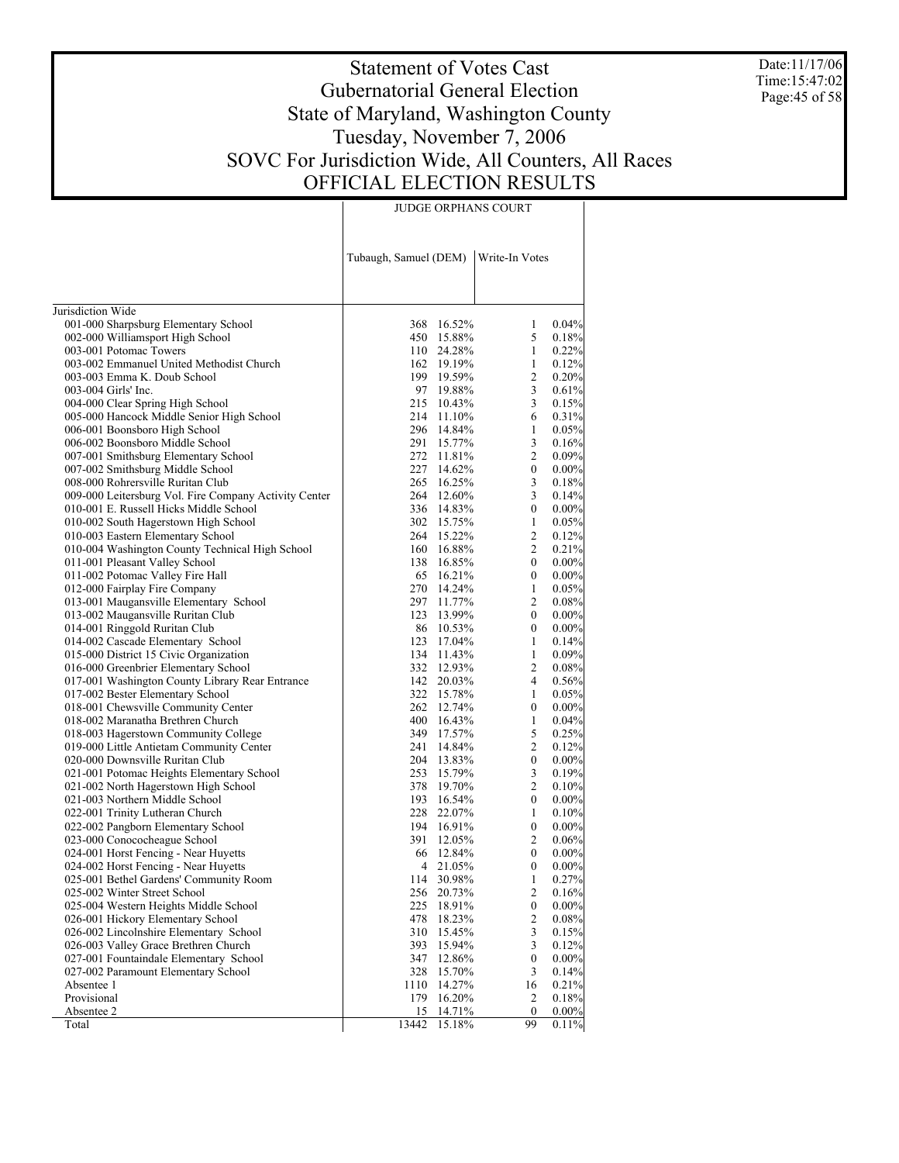Date:11/17/06 Time:15:47:02 Page:45 of 58

# Statement of Votes Cast Gubernatorial General Election State of Maryland, Washington County Tuesday, November 7, 2006 SOVC For Jurisdiction Wide, All Counters, All Races OFFICIAL ELECTION RESULTS

JUDGE ORPHANS COURT

|                                                                          | Tubaugh, Samuel (DEM) |                          | Write-In Votes        |                   |
|--------------------------------------------------------------------------|-----------------------|--------------------------|-----------------------|-------------------|
| Jurisdiction Wide                                                        |                       |                          |                       |                   |
| 001-000 Sharpsburg Elementary School                                     |                       | 368 16.52%               | 1                     | 0.04%             |
| 002-000 Williamsport High School                                         |                       | 450 15.88%               | 5                     | 0.18%             |
| 003-001 Potomac Towers                                                   |                       | 110 24.28%               | 1                     | 0.22%             |
| 003-002 Emmanuel United Methodist Church                                 |                       | 162 19.19%               | 1                     | 0.12%             |
| 003-003 Emma K. Doub School                                              |                       | 199 19.59%               | 2                     | 0.20%             |
| 003-004 Girls' Inc.                                                      |                       | 97 19.88%                | 3                     | 0.61%             |
| 004-000 Clear Spring High School                                         |                       | 215 10.43%               | 3                     | 0.15%             |
| 005-000 Hancock Middle Senior High School                                |                       | 214 11.10%               | 6                     | 0.31%             |
| 006-001 Boonsboro High School                                            |                       | 296 14.84%               | 1                     | 0.05%             |
| 006-002 Boonsboro Middle School                                          |                       | 291 15.77%               | 3                     | 0.16%             |
| 007-001 Smithsburg Elementary School                                     |                       | 272 11.81%               | 2                     | 0.09%             |
| 007-002 Smithsburg Middle School                                         |                       | 227 14.62%               | $\boldsymbol{0}$      | 0.00%             |
| 008-000 Rohrersville Ruritan Club                                        |                       | 265 16.25%               | 3                     | 0.18%             |
| 009-000 Leitersburg Vol. Fire Company Activity Center                    |                       | 264 12.60%               | 3                     | 0.14%             |
| 010-001 E. Russell Hicks Middle School                                   |                       | 336 14.83%               | $\boldsymbol{0}$      | 0.00%             |
| 010-002 South Hagerstown High School                                     |                       | 302 15.75%               | 1                     | 0.05%             |
| 010-003 Eastern Elementary School                                        |                       | 264 15.22%               | 2                     | 0.12%             |
| 010-004 Washington County Technical High School                          |                       | 160 16.88%               | 2                     | 0.21%             |
| 011-001 Pleasant Valley School                                           |                       | 138 16.85%               | $\boldsymbol{0}$      | 0.00%             |
| 011-002 Potomac Valley Fire Hall                                         |                       | 65 16.21%                | $\boldsymbol{0}$      | 0.00%             |
| 012-000 Fairplay Fire Company                                            |                       | 270 14.24%               | 1                     | 0.05%             |
| 013-001 Maugansville Elementary School                                   |                       | 297 11.77%               | 2                     | 0.08%             |
| 013-002 Maugansville Ruritan Club                                        |                       | 123 13.99%               | $\boldsymbol{0}$      | 0.00%             |
| 014-001 Ringgold Ruritan Club                                            |                       | 86 10.53%                | $\boldsymbol{0}$      | 0.00%             |
| 014-002 Cascade Elementary School                                        |                       | 123 17.04%               | 1                     | 0.14%             |
| 015-000 District 15 Civic Organization                                   |                       | 134 11.43%               | 1                     | 0.09%             |
| 016-000 Greenbrier Elementary School                                     |                       | 332 12.93%               | 2                     | 0.08%             |
| 017-001 Washington County Library Rear Entrance                          |                       | 142 20.03%               | 4                     | 0.56%             |
| 017-002 Bester Elementary School                                         |                       | 322 15.78%<br>262 12.74% | 1<br>$\boldsymbol{0}$ | 0.05%             |
| 018-001 Chewsville Community Center<br>018-002 Maranatha Brethren Church |                       | 400 16.43%               | 1                     | $0.00\%$<br>0.04% |
| 018-003 Hagerstown Community College                                     |                       | 349 17.57%               | 5                     | 0.25%             |
| 019-000 Little Antietam Community Center                                 | 241                   | 14.84%                   | 2                     | 0.12%             |
| 020-000 Downsville Ruritan Club                                          |                       | 204 13.83%               | $\boldsymbol{0}$      | $0.00\%$          |
| 021-001 Potomac Heights Elementary School                                |                       | 253 15.79%               | 3                     | 0.19%             |
| 021-002 North Hagerstown High School                                     |                       | 378 19.70%               | 2                     | 0.10%             |
| 021-003 Northern Middle School                                           |                       | 193 16.54%               | $\boldsymbol{0}$      | 0.00%             |
| 022-001 Trinity Lutheran Church                                          |                       | 228 22.07%               | 1                     | 0.10%             |
| 022-002 Pangborn Elementary School                                       |                       | 194 16.91%               | $\boldsymbol{0}$      | $0.00\%$          |
| 023-000 Conococheague School                                             |                       | 391 12.05%               | 2                     | 0.06%             |
| 024-001 Horst Fencing - Near Huyetts                                     | 66                    | 12.84%                   | 0                     | 0.00%             |
| 024-002 Horst Fencing - Near Huyetts                                     |                       | 4 21.05%                 | $\boldsymbol{0}$      | 0.00%             |
| 025-001 Bethel Gardens' Community Room                                   |                       | 114 30.98%               | 1                     | 0.27%             |
| 025-002 Winter Street School                                             | 256                   | 20.73%                   | $\overline{c}$        | 0.16%             |
| 025-004 Western Heights Middle School                                    | 225                   | 18.91%                   | $\boldsymbol{0}$      | $0.00\%$          |
| 026-001 Hickory Elementary School                                        | 478                   | 18.23%                   | $\boldsymbol{2}$      | 0.08%             |
| 026-002 Lincolnshire Elementary School                                   | 310                   | 15.45%                   | 3                     | 0.15%             |
| 026-003 Valley Grace Brethren Church                                     | 393                   | 15.94%                   | 3                     | 0.12%             |
| 027-001 Fountaindale Elementary School                                   | 347                   | 12.86%                   | $\boldsymbol{0}$      | $0.00\%$          |
| 027-002 Paramount Elementary School                                      | 328                   | 15.70%                   | 3                     | 0.14%             |
| Absentee 1                                                               | 1110                  | 14.27%                   | 16                    | 0.21%             |
| Provisional                                                              | 179                   | 16.20%                   | 2                     | 0.18%             |
| Absentee 2                                                               | 15                    | 14.71%                   | $\boldsymbol{0}$      | $0.00\%$          |
| Total                                                                    | 13442                 | 15.18%                   | 99                    | 0.11%             |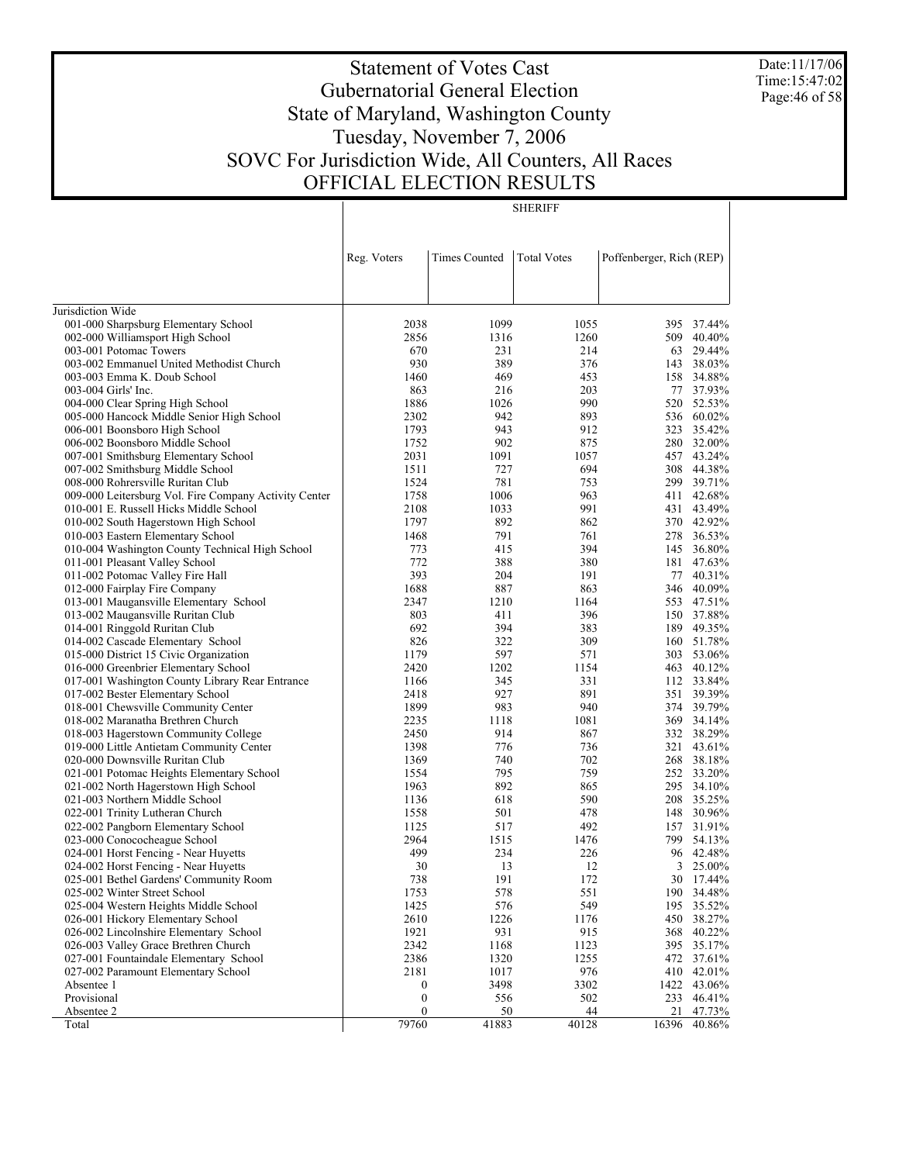Date:11/17/06 Time:15:47:02 Page:46 of 58

# Statement of Votes Cast Gubernatorial General Election State of Maryland, Washington County Tuesday, November 7, 2006 SOVC For Jurisdiction Wide, All Counters, All Races OFFICIAL ELECTION RESULTS

SHERIFF

|                                                                             | Reg. Voters  | <b>Times Counted</b> | <b>Total Votes</b> | Poffenberger, Rich (REP) |                          |
|-----------------------------------------------------------------------------|--------------|----------------------|--------------------|--------------------------|--------------------------|
|                                                                             |              |                      |                    |                          |                          |
| Jurisdiction Wide                                                           |              |                      |                    |                          |                          |
| 001-000 Sharpsburg Elementary School                                        | 2038         | 1099                 | 1055               | 395                      | 37.44%                   |
| 002-000 Williamsport High School                                            | 2856         | 1316                 | 1260               | 509                      | 40.40%                   |
| 003-001 Potomac Towers                                                      | 670          | 231                  | 214                | 63                       | 29.44%                   |
| 003-002 Emmanuel United Methodist Church                                    | 930          | 389                  | 376                | 143                      | 38.03%<br>34.88%         |
| 003-003 Emma K. Doub School<br>003-004 Girls' Inc.                          | 1460<br>863  | 469<br>216           | 453<br>203         | 158<br>77                | 37.93%                   |
| 004-000 Clear Spring High School                                            | 1886         | 1026                 | 990                | 520                      | 52.53%                   |
| 005-000 Hancock Middle Senior High School                                   | 2302         | 942                  | 893                |                          | 536 60.02%               |
| 006-001 Boonsboro High School                                               | 1793         | 943                  | 912                | 323                      | 35.42%                   |
| 006-002 Boonsboro Middle School                                             | 1752         | 902                  | 875                | 280                      | 32.00%                   |
| 007-001 Smithsburg Elementary School                                        | 2031         | 1091                 | 1057               |                          | 457 43.24%               |
| 007-002 Smithsburg Middle School                                            | 1511         | 727                  | 694                | 308                      | 44.38%                   |
| 008-000 Rohrersville Ruritan Club                                           | 1524         | 781                  | 753                |                          | 299 39.71%               |
| 009-000 Leitersburg Vol. Fire Company Activity Center                       | 1758         | 1006                 | 963                | 411                      | 42.68%                   |
| 010-001 E. Russell Hicks Middle School                                      | 2108         | 1033                 | 991                | 431                      | 43.49%                   |
| 010-002 South Hagerstown High School                                        | 1797         | 892                  | 862                |                          | 370 42.92%               |
| 010-003 Eastern Elementary School                                           | 1468         | 791                  | 761                | 278                      | 36.53%                   |
| 010-004 Washington County Technical High School                             | 773          | 415                  | 394                | 145                      | 36.80%                   |
| 011-001 Pleasant Valley School                                              | 772          | 388                  | 380                |                          | 181 47.63%               |
| 011-002 Potomac Valley Fire Hall                                            | 393          | 204                  | 191                |                          | 77 40.31%                |
| 012-000 Fairplay Fire Company                                               | 1688         | 887                  | 863                |                          | 346 40.09%<br>553 47.51% |
| 013-001 Maugansville Elementary School<br>013-002 Maugansville Ruritan Club | 2347<br>803  | 1210<br>411          | 1164<br>396        |                          | 150 37.88%               |
| 014-001 Ringgold Ruritan Club                                               | 692          | 394                  | 383                |                          | 189 49.35%               |
| 014-002 Cascade Elementary School                                           | 826          | 322                  | 309                |                          | 160 51.78%               |
| 015-000 District 15 Civic Organization                                      | 1179         | 597                  | 571                | 303                      | 53.06%                   |
| 016-000 Greenbrier Elementary School                                        | 2420         | 1202                 | 1154               |                          | 463 40.12%               |
| 017-001 Washington County Library Rear Entrance                             | 1166         | 345                  | 331                |                          | 112 33.84%               |
| 017-002 Bester Elementary School                                            | 2418         | 927                  | 891                | 351                      | 39.39%                   |
| 018-001 Chewsville Community Center                                         | 1899         | 983                  | 940                | 374                      | 39.79%                   |
| 018-002 Maranatha Brethren Church                                           | 2235         | 1118                 | 1081               |                          | 369 34.14%               |
| 018-003 Hagerstown Community College                                        | 2450         | 914                  | 867                |                          | 332 38.29%               |
| 019-000 Little Antietam Community Center                                    | 1398         | 776                  | 736                |                          | 321 43.61%               |
| 020-000 Downsville Ruritan Club                                             | 1369         | 740                  | 702                |                          | 268 38.18%               |
| 021-001 Potomac Heights Elementary School                                   | 1554         | 795                  | 759                |                          | 252 33.20%               |
| 021-002 North Hagerstown High School                                        | 1963         | 892                  | 865                |                          | 295 34.10%               |
| 021-003 Northern Middle School                                              | 1136         | 618                  | 590                |                          | 208 35.25%               |
| 022-001 Trinity Lutheran Church                                             | 1558<br>1125 | 501                  | 478<br>492         | 148<br>157               | 30.96%<br>31.91%         |
| 022-002 Pangborn Elementary School                                          | 2964         | 517<br>1515          | 1476               | 799                      | 54.13%                   |
| 023-000 Conococheague School<br>024-001 Horst Fencing - Near Huyetts        | 499          | 234                  | 226                |                          | 96 42.48%                |
| 024-002 Horst Fencing - Near Huyetts                                        | 30           | 13                   | 12                 | 3                        | 25.00%                   |
| 025-001 Bethel Gardens' Community Room                                      | 738          | 191                  | 172                |                          | 30 17.44%                |
| 025-002 Winter Street School                                                | 1753         | 578                  | 551                |                          | 190 34.48%               |
| 025-004 Western Heights Middle School                                       | 1425         | 576                  | 549                |                          | 195 35.52%               |
| 026-001 Hickory Elementary School                                           | 2610         | 1226                 | 1176               |                          | 450 38.27%               |
| 026-002 Lincolnshire Elementary School                                      | 1921         | 931                  | 915                |                          | 368 40.22%               |
| 026-003 Valley Grace Brethren Church                                        | 2342         | 1168                 | 1123               | 395                      | 35.17%                   |
| 027-001 Fountaindale Elementary School                                      | 2386         | 1320                 | 1255               |                          | 472 37.61%               |
| 027-002 Paramount Elementary School                                         | 2181         | 1017                 | 976                |                          | 410 42.01%               |
| Absentee 1                                                                  | 0            | 3498                 | 3302               |                          | 1422 43.06%              |
| Provisional                                                                 | 0            | 556                  | 502                | 233                      | 46.41%                   |
| Absentee 2                                                                  | 0            | <u>50</u>            | 44                 | 21                       | 47.73%                   |
| Total                                                                       | 79760        | 41883                | 40128              | 16396                    | 40.86%                   |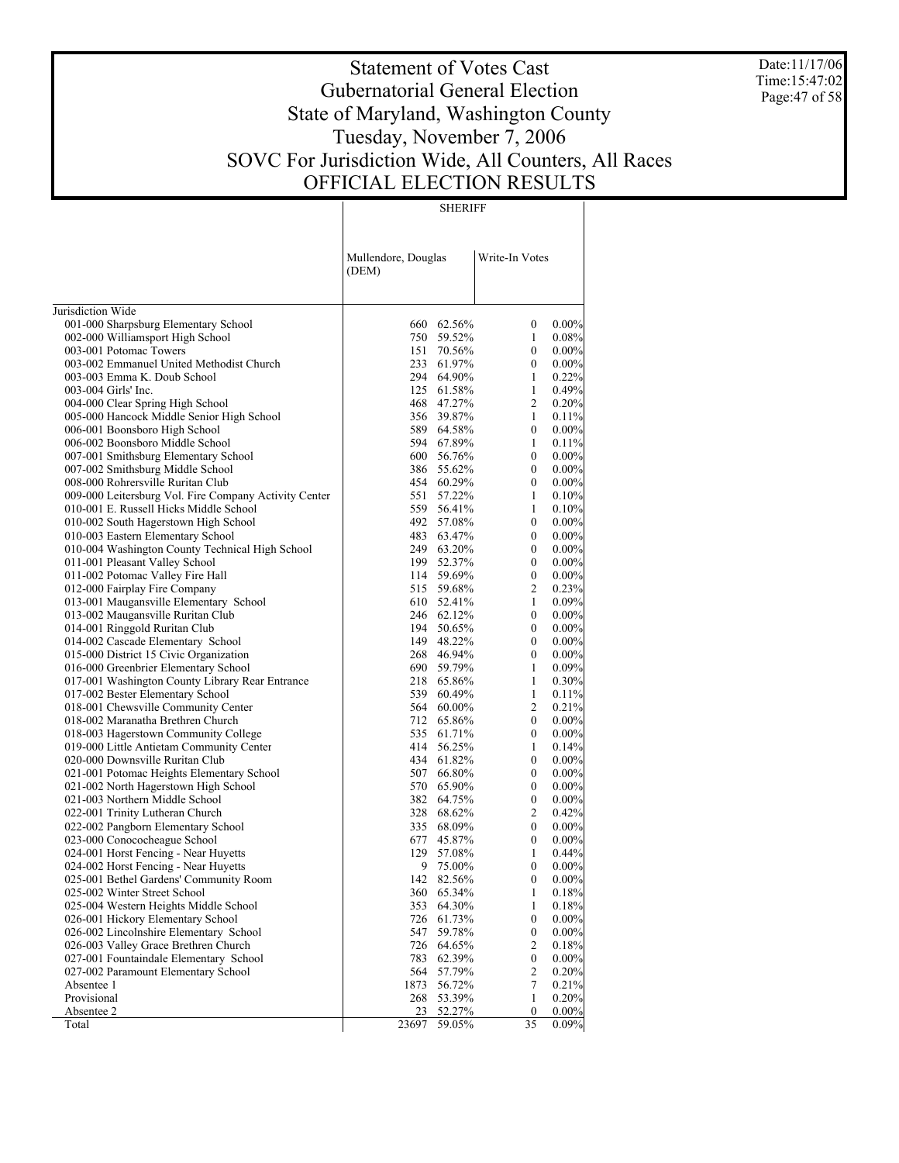Date:11/17/06 Time:15:47:02 Page:47 of 58

# Statement of Votes Cast Gubernatorial General Election State of Maryland, Washington County Tuesday, November 7, 2006 SOVC For Jurisdiction Wide, All Counters, All Races OFFICIAL ELECTION RESULTS

SHERIFF

|                                                       | Mullendore, Douglas<br>(DEM) |            | Write-In Votes   |          |
|-------------------------------------------------------|------------------------------|------------|------------------|----------|
| Jurisdiction Wide                                     |                              |            |                  |          |
| 001-000 Sharpsburg Elementary School                  |                              | 660 62.56% | 0                | $0.00\%$ |
| 002-000 Williamsport High School                      |                              | 750 59.52% | 1                | 0.08%    |
| 003-001 Potomac Towers                                |                              | 151 70.56% | $\boldsymbol{0}$ | $0.00\%$ |
| 003-002 Emmanuel United Methodist Church              |                              | 233 61.97% | $\boldsymbol{0}$ | 0.00%    |
| 003-003 Emma K. Doub School                           | 294                          | 64.90%     | 1                | 0.22%    |
| 003-004 Girls' Inc.                                   | 125                          | 61.58%     | $\mathbf{1}$     | 0.49%    |
| 004-000 Clear Spring High School                      | 468                          | 47.27%     | 2                | 0.20%    |
| 005-000 Hancock Middle Senior High School             |                              | 356 39.87% | $\mathbf{1}$     | 0.11%    |
| 006-001 Boonsboro High School                         |                              | 589 64.58% | $\boldsymbol{0}$ | 0.00%    |
| 006-002 Boonsboro Middle School                       |                              | 594 67.89% | 1                | 0.11%    |
| 007-001 Smithsburg Elementary School                  |                              | 600 56.76% | $\boldsymbol{0}$ | 0.00%    |
| 007-002 Smithsburg Middle School                      |                              | 386 55.62% | $\boldsymbol{0}$ | 0.00%    |
| 008-000 Rohrersville Ruritan Club                     |                              | 454 60.29% | $\boldsymbol{0}$ | $0.00\%$ |
| 009-000 Leitersburg Vol. Fire Company Activity Center | 551                          | 57.22%     | 1                | 0.10%    |
| 010-001 E. Russell Hicks Middle School                |                              | 559 56.41% | 1                | 0.10%    |
| 010-002 South Hagerstown High School                  |                              | 492 57.08% | $\mathbf{0}$     | 0.00%    |
| 010-003 Eastern Elementary School                     | 483                          | 63.47%     | $\boldsymbol{0}$ | $0.00\%$ |
| 010-004 Washington County Technical High School       |                              | 249 63.20% | $\boldsymbol{0}$ | $0.00\%$ |
| 011-001 Pleasant Valley School                        | 199                          | 52.37%     | $\boldsymbol{0}$ | $0.00\%$ |
| 011-002 Potomac Valley Fire Hall                      |                              | 114 59.69% | $\boldsymbol{0}$ | 0.00%    |
| 012-000 Fairplay Fire Company                         |                              | 515 59.68% | $\overline{2}$   | 0.23%    |
| 013-001 Maugansville Elementary School                |                              | 610 52.41% | $\mathbf{1}$     | 0.09%    |
| 013-002 Maugansville Ruritan Club                     |                              | 246 62.12% | $\boldsymbol{0}$ | 0.00%    |
| 014-001 Ringgold Ruritan Club                         |                              | 194 50.65% | $\boldsymbol{0}$ | 0.00%    |
| 014-002 Cascade Elementary School                     |                              | 149 48.22% | $\boldsymbol{0}$ | $0.00\%$ |
| 015-000 District 15 Civic Organization                |                              | 268 46.94% | $\boldsymbol{0}$ | $0.00\%$ |
| 016-000 Greenbrier Elementary School                  |                              | 690 59.79% | 1                | 0.09%    |
| 017-001 Washington County Library Rear Entrance       | 218                          | 65.86%     | 1                | 0.30%    |
| 017-002 Bester Elementary School                      | 539                          | 60.49%     | 1                | 0.11%    |
| 018-001 Chewsville Community Center                   | 564                          | 60.00%     | $\overline{2}$   | 0.21%    |
| 018-002 Maranatha Brethren Church                     | 712                          | 65.86%     | $\boldsymbol{0}$ | $0.00\%$ |
| 018-003 Hagerstown Community College                  | 535                          | 61.71%     | $\boldsymbol{0}$ | 0.00%    |
| 019-000 Little Antietam Community Center              | 414                          | 56.25%     | 1                | 0.14%    |
| 020-000 Downsville Ruritan Club                       | 434                          | 61.82%     | $\boldsymbol{0}$ | $0.00\%$ |
| 021-001 Potomac Heights Elementary School             | 507                          | 66.80%     | $\boldsymbol{0}$ | $0.00\%$ |
| 021-002 North Hagerstown High School                  |                              | 570 65.90% | $\boldsymbol{0}$ | 0.00%    |
| 021-003 Northern Middle School                        | 382                          | 64.75%     | $\boldsymbol{0}$ | $0.00\%$ |
| 022-001 Trinity Lutheran Church                       |                              | 328 68.62% | $\overline{2}$   | 0.42%    |
| 022-002 Pangborn Elementary School                    | 335                          | 68.09%     | $\boldsymbol{0}$ | 0.00%    |
| 023-000 Conococheague School                          | 677                          | 45.87%     | $\boldsymbol{0}$ | 0.00%    |
| 024-001 Horst Fencing - Near Huyetts                  | 129                          | 57.08%     | 1                | 0.44%    |
| 024-002 Horst Fencing - Near Huyetts                  |                              | 9 75.00%   | $\boldsymbol{0}$ | 0.00%    |
| 025-001 Bethel Gardens' Community Room                |                              | 142 82.56% | $\boldsymbol{0}$ | 0.00%    |
| 025-002 Winter Street School                          | 360                          | 65.34%     | 1                | 0.18%    |
| 025-004 Western Heights Middle School                 | 353                          | 64.30%     | 1                | 0.18%    |
| 026-001 Hickory Elementary School                     | 726                          | 61.73%     | $\boldsymbol{0}$ | 0.00%    |
| 026-002 Lincolnshire Elementary School                | 547                          | 59.78%     | $\boldsymbol{0}$ | $0.00\%$ |
| 026-003 Valley Grace Brethren Church                  | 726                          | 64.65%     | 2                | 0.18%    |
| 027-001 Fountaindale Elementary School                | 783                          | 62.39%     | $\boldsymbol{0}$ | $0.00\%$ |
| 027-002 Paramount Elementary School                   | 564                          | 57.79%     | 2                | 0.20%    |
| Absentee 1                                            | 1873                         | 56.72%     | 7                | 0.21%    |
| Provisional                                           | 268                          | 53.39%     | 1                | 0.20%    |
| Absentee 2                                            | 23                           | 52.27%     | 0                | 0.00%    |
| Total                                                 | 23697                        | 59.05%     | 35               | 0.09%    |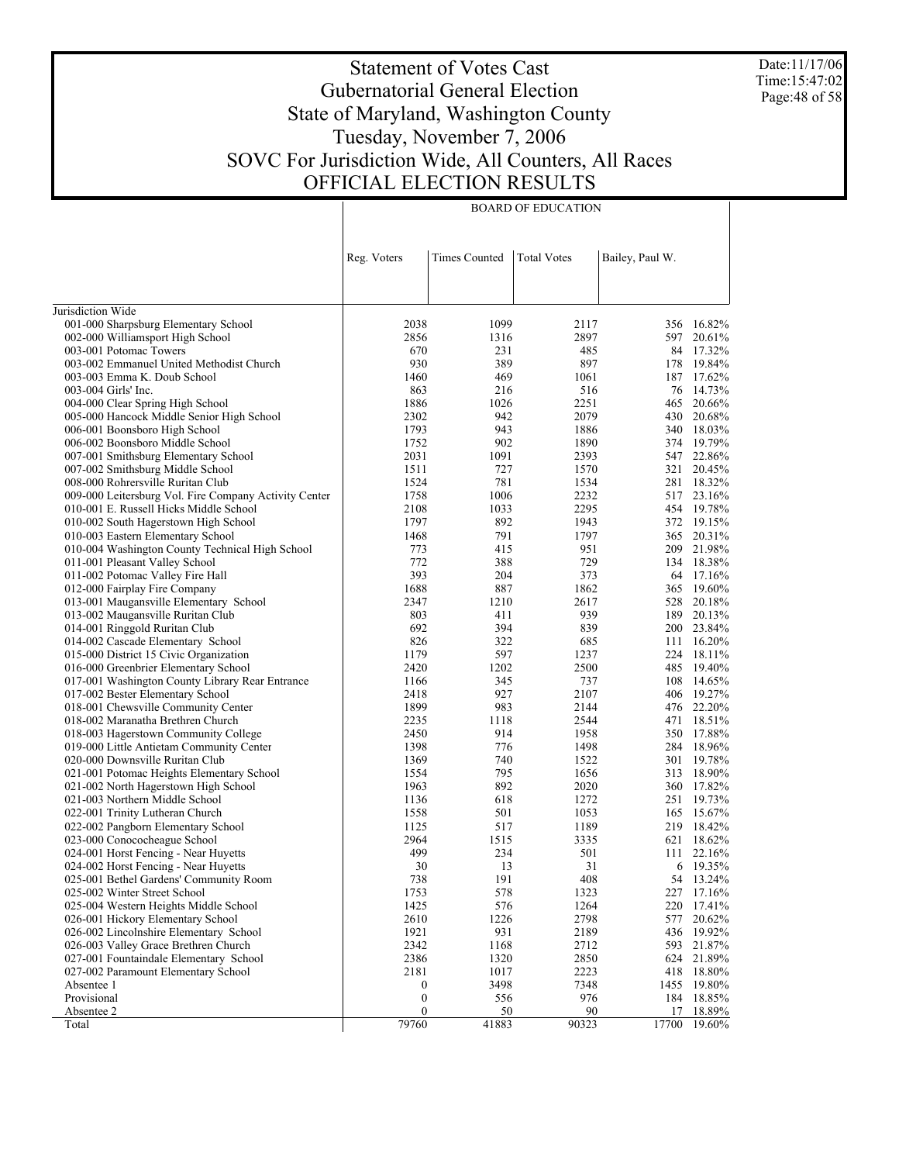Date:11/17/06 Time:15:47:02 Page:48 of 58

## Statement of Votes Cast Gubernatorial General Election State of Maryland, Washington County Tuesday, November 7, 2006 SOVC For Jurisdiction Wide, All Counters, All Races OFFICIAL ELECTION RESULTS

BOARD OF EDUCATION

| Reg. Voters<br><b>Times Counted</b><br><b>Total Votes</b><br>Bailey, Paul W.<br>Jurisdiction Wide<br>001-000 Sharpsburg Elementary School<br>2038<br>1099<br>16.82%<br>2117<br>356<br>2897<br>597 20.61%<br>002-000 Williamsport High School<br>2856<br>1316<br>84 17.32%<br>003-001 Potomac Towers<br>670<br>231<br>485<br>930<br>389<br>897<br>19.84%<br>003-002 Emmanuel United Methodist Church<br>178<br>469<br>17.62%<br>003-003 Emma K. Doub School<br>1460<br>1061<br>187<br>14.73%<br>003-004 Girls' Inc.<br>863<br>216<br>516<br>76<br>1886<br>2251<br>20.66%<br>004-000 Clear Spring High School<br>1026<br>465<br>2302<br>942<br>430 20.68%<br>005-000 Hancock Middle Senior High School<br>2079<br>1793<br>943<br>340 18.03%<br>006-001 Boonsboro High School<br>1886<br>1752<br>902<br>374 19.79%<br>006-002 Boonsboro Middle School<br>1890<br>2031<br>1091<br>2393<br>547 22.86%<br>007-001 Smithsburg Elementary School<br>321 20.45%<br>007-002 Smithsburg Middle School<br>1511<br>727<br>1570<br>1524<br>781<br>18.32%<br>008-000 Rohrersville Ruritan Club<br>1534<br>281<br>1006<br>517 23.16%<br>009-000 Leitersburg Vol. Fire Company Activity Center<br>1758<br>2232<br>1033<br>2295<br>454 19.78%<br>010-001 E. Russell Hicks Middle School<br>2108<br>1797<br>892<br>372 19.15%<br>010-002 South Hagerstown High School<br>1943<br>1468<br>791<br>1797<br>365 20.31%<br>010-003 Eastern Elementary School<br>773<br>415<br>951<br>209 21.98%<br>010-004 Washington County Technical High School<br>772<br>388<br>729<br>134 18.38%<br>011-001 Pleasant Valley School<br>393<br>204<br>64 17.16%<br>011-002 Potomac Valley Fire Hall<br>373<br>1688<br>887<br>1862<br>19.60%<br>012-000 Fairplay Fire Company<br>365<br>528 20.18%<br>013-001 Maugansville Elementary School<br>2347<br>1210<br>2617<br>803<br>939<br>189 20.13%<br>013-002 Maugansville Ruritan Club<br>411<br>692<br>394<br>839<br>200 23.84%<br>014-001 Ringgold Ruritan Club<br>826<br>322<br>16.20%<br>014-002 Cascade Elementary School<br>685<br>111<br>1179<br>597<br>224 18.11%<br>015-000 District 15 Civic Organization<br>1237<br>2420<br>1202<br>19.40%<br>016-000 Greenbrier Elementary School<br>2500<br>485<br>14.65%<br>017-001 Washington County Library Rear Entrance<br>1166<br>345<br>737<br>108<br>927<br>406 19.27%<br>017-002 Bester Elementary School<br>2418<br>2107<br>1899<br>983<br>476 22.20%<br>018-001 Chewsville Community Center<br>2144<br>18.51%<br>018-002 Maranatha Brethren Church<br>2235<br>1118<br>2544<br>471<br>914<br>350 17.88%<br>018-003 Hagerstown Community College<br>2450<br>1958<br>1398<br>776<br>284 18.96%<br>019-000 Little Antietam Community Center<br>1498<br>740<br>301 19.78%<br>020-000 Downsville Ruritan Club<br>1369<br>1522<br>795<br>313 18.90%<br>021-001 Potomac Heights Elementary School<br>1554<br>1656<br>892<br>360 17.82%<br>021-002 North Hagerstown High School<br>1963<br>2020<br>19.73%<br>021-003 Northern Middle School<br>1136<br>618<br>1272<br>251<br>15.67%<br>022-001 Trinity Lutheran Church<br>1558<br>501<br>1053<br>165<br>517<br>219 18.42%<br>022-002 Pangborn Elementary School<br>1125<br>1189<br>18.62%<br>023-000 Conococheague School<br>2964<br>1515<br>3335<br>621<br>499<br>234<br>024-001 Horst Fencing - Near Huyetts<br>501<br>22.16%<br>111<br>30<br>31<br>19.35%<br>024-002 Horst Fencing - Near Huyetts<br>13<br>6<br>738<br>191<br>408<br>54 13.24%<br>025-001 Bethel Gardens' Community Room<br>025-002 Winter Street School<br>1753<br>578<br>1323<br>227<br>17.16%<br>1425<br>576<br>1264<br>025-004 Western Heights Middle School<br>220<br>17.41%<br>2610<br>1226<br>2798<br>026-001 Hickory Elementary School<br>577<br>20.62%<br>1921<br>931<br>2189<br>436<br>026-002 Lincolnshire Elementary School<br>19.92%<br>2342<br>1168<br>593 21.87%<br>026-003 Valley Grace Brethren Church<br>2712<br>027-001 Fountaindale Elementary School<br>2386<br>1320<br>2850<br>624 21.89%<br>2181<br>18.80%<br>027-002 Paramount Elementary School<br>1017<br>2223<br>418<br>3498<br>7348<br>19.80%<br>Absentee 1<br>$\boldsymbol{0}$<br>1455<br>Provisional<br>$\boldsymbol{0}$<br>556<br>976<br>184 18.85%<br>$\boldsymbol{0}$<br>90<br>Absentee 2<br>50<br>17<br>18.89%<br>79760<br>41883<br>90323<br>17700<br>19.60%<br>Total |  |  |  |
|------------------------------------------------------------------------------------------------------------------------------------------------------------------------------------------------------------------------------------------------------------------------------------------------------------------------------------------------------------------------------------------------------------------------------------------------------------------------------------------------------------------------------------------------------------------------------------------------------------------------------------------------------------------------------------------------------------------------------------------------------------------------------------------------------------------------------------------------------------------------------------------------------------------------------------------------------------------------------------------------------------------------------------------------------------------------------------------------------------------------------------------------------------------------------------------------------------------------------------------------------------------------------------------------------------------------------------------------------------------------------------------------------------------------------------------------------------------------------------------------------------------------------------------------------------------------------------------------------------------------------------------------------------------------------------------------------------------------------------------------------------------------------------------------------------------------------------------------------------------------------------------------------------------------------------------------------------------------------------------------------------------------------------------------------------------------------------------------------------------------------------------------------------------------------------------------------------------------------------------------------------------------------------------------------------------------------------------------------------------------------------------------------------------------------------------------------------------------------------------------------------------------------------------------------------------------------------------------------------------------------------------------------------------------------------------------------------------------------------------------------------------------------------------------------------------------------------------------------------------------------------------------------------------------------------------------------------------------------------------------------------------------------------------------------------------------------------------------------------------------------------------------------------------------------------------------------------------------------------------------------------------------------------------------------------------------------------------------------------------------------------------------------------------------------------------------------------------------------------------------------------------------------------------------------------------------------------------------------------------------------------------------------------------------------------------------------------------------------------------------------------------------------------------------------------------------------------------------------------------------------------------------------------------------------------------------------------------------------------------------------------------------------------------------------------------------------------------------------------------------------------------------------------------------------------------------------------------------------------------------------------------------------------------------------------------------------------|--|--|--|
|                                                                                                                                                                                                                                                                                                                                                                                                                                                                                                                                                                                                                                                                                                                                                                                                                                                                                                                                                                                                                                                                                                                                                                                                                                                                                                                                                                                                                                                                                                                                                                                                                                                                                                                                                                                                                                                                                                                                                                                                                                                                                                                                                                                                                                                                                                                                                                                                                                                                                                                                                                                                                                                                                                                                                                                                                                                                                                                                                                                                                                                                                                                                                                                                                                                                                                                                                                                                                                                                                                                                                                                                                                                                                                                                                                                                                                                                                                                                                                                                                                                                                                                                                                                                                                                                                                                                    |  |  |  |
|                                                                                                                                                                                                                                                                                                                                                                                                                                                                                                                                                                                                                                                                                                                                                                                                                                                                                                                                                                                                                                                                                                                                                                                                                                                                                                                                                                                                                                                                                                                                                                                                                                                                                                                                                                                                                                                                                                                                                                                                                                                                                                                                                                                                                                                                                                                                                                                                                                                                                                                                                                                                                                                                                                                                                                                                                                                                                                                                                                                                                                                                                                                                                                                                                                                                                                                                                                                                                                                                                                                                                                                                                                                                                                                                                                                                                                                                                                                                                                                                                                                                                                                                                                                                                                                                                                                                    |  |  |  |
|                                                                                                                                                                                                                                                                                                                                                                                                                                                                                                                                                                                                                                                                                                                                                                                                                                                                                                                                                                                                                                                                                                                                                                                                                                                                                                                                                                                                                                                                                                                                                                                                                                                                                                                                                                                                                                                                                                                                                                                                                                                                                                                                                                                                                                                                                                                                                                                                                                                                                                                                                                                                                                                                                                                                                                                                                                                                                                                                                                                                                                                                                                                                                                                                                                                                                                                                                                                                                                                                                                                                                                                                                                                                                                                                                                                                                                                                                                                                                                                                                                                                                                                                                                                                                                                                                                                                    |  |  |  |
|                                                                                                                                                                                                                                                                                                                                                                                                                                                                                                                                                                                                                                                                                                                                                                                                                                                                                                                                                                                                                                                                                                                                                                                                                                                                                                                                                                                                                                                                                                                                                                                                                                                                                                                                                                                                                                                                                                                                                                                                                                                                                                                                                                                                                                                                                                                                                                                                                                                                                                                                                                                                                                                                                                                                                                                                                                                                                                                                                                                                                                                                                                                                                                                                                                                                                                                                                                                                                                                                                                                                                                                                                                                                                                                                                                                                                                                                                                                                                                                                                                                                                                                                                                                                                                                                                                                                    |  |  |  |
|                                                                                                                                                                                                                                                                                                                                                                                                                                                                                                                                                                                                                                                                                                                                                                                                                                                                                                                                                                                                                                                                                                                                                                                                                                                                                                                                                                                                                                                                                                                                                                                                                                                                                                                                                                                                                                                                                                                                                                                                                                                                                                                                                                                                                                                                                                                                                                                                                                                                                                                                                                                                                                                                                                                                                                                                                                                                                                                                                                                                                                                                                                                                                                                                                                                                                                                                                                                                                                                                                                                                                                                                                                                                                                                                                                                                                                                                                                                                                                                                                                                                                                                                                                                                                                                                                                                                    |  |  |  |
|                                                                                                                                                                                                                                                                                                                                                                                                                                                                                                                                                                                                                                                                                                                                                                                                                                                                                                                                                                                                                                                                                                                                                                                                                                                                                                                                                                                                                                                                                                                                                                                                                                                                                                                                                                                                                                                                                                                                                                                                                                                                                                                                                                                                                                                                                                                                                                                                                                                                                                                                                                                                                                                                                                                                                                                                                                                                                                                                                                                                                                                                                                                                                                                                                                                                                                                                                                                                                                                                                                                                                                                                                                                                                                                                                                                                                                                                                                                                                                                                                                                                                                                                                                                                                                                                                                                                    |  |  |  |
|                                                                                                                                                                                                                                                                                                                                                                                                                                                                                                                                                                                                                                                                                                                                                                                                                                                                                                                                                                                                                                                                                                                                                                                                                                                                                                                                                                                                                                                                                                                                                                                                                                                                                                                                                                                                                                                                                                                                                                                                                                                                                                                                                                                                                                                                                                                                                                                                                                                                                                                                                                                                                                                                                                                                                                                                                                                                                                                                                                                                                                                                                                                                                                                                                                                                                                                                                                                                                                                                                                                                                                                                                                                                                                                                                                                                                                                                                                                                                                                                                                                                                                                                                                                                                                                                                                                                    |  |  |  |
|                                                                                                                                                                                                                                                                                                                                                                                                                                                                                                                                                                                                                                                                                                                                                                                                                                                                                                                                                                                                                                                                                                                                                                                                                                                                                                                                                                                                                                                                                                                                                                                                                                                                                                                                                                                                                                                                                                                                                                                                                                                                                                                                                                                                                                                                                                                                                                                                                                                                                                                                                                                                                                                                                                                                                                                                                                                                                                                                                                                                                                                                                                                                                                                                                                                                                                                                                                                                                                                                                                                                                                                                                                                                                                                                                                                                                                                                                                                                                                                                                                                                                                                                                                                                                                                                                                                                    |  |  |  |
|                                                                                                                                                                                                                                                                                                                                                                                                                                                                                                                                                                                                                                                                                                                                                                                                                                                                                                                                                                                                                                                                                                                                                                                                                                                                                                                                                                                                                                                                                                                                                                                                                                                                                                                                                                                                                                                                                                                                                                                                                                                                                                                                                                                                                                                                                                                                                                                                                                                                                                                                                                                                                                                                                                                                                                                                                                                                                                                                                                                                                                                                                                                                                                                                                                                                                                                                                                                                                                                                                                                                                                                                                                                                                                                                                                                                                                                                                                                                                                                                                                                                                                                                                                                                                                                                                                                                    |  |  |  |
|                                                                                                                                                                                                                                                                                                                                                                                                                                                                                                                                                                                                                                                                                                                                                                                                                                                                                                                                                                                                                                                                                                                                                                                                                                                                                                                                                                                                                                                                                                                                                                                                                                                                                                                                                                                                                                                                                                                                                                                                                                                                                                                                                                                                                                                                                                                                                                                                                                                                                                                                                                                                                                                                                                                                                                                                                                                                                                                                                                                                                                                                                                                                                                                                                                                                                                                                                                                                                                                                                                                                                                                                                                                                                                                                                                                                                                                                                                                                                                                                                                                                                                                                                                                                                                                                                                                                    |  |  |  |
|                                                                                                                                                                                                                                                                                                                                                                                                                                                                                                                                                                                                                                                                                                                                                                                                                                                                                                                                                                                                                                                                                                                                                                                                                                                                                                                                                                                                                                                                                                                                                                                                                                                                                                                                                                                                                                                                                                                                                                                                                                                                                                                                                                                                                                                                                                                                                                                                                                                                                                                                                                                                                                                                                                                                                                                                                                                                                                                                                                                                                                                                                                                                                                                                                                                                                                                                                                                                                                                                                                                                                                                                                                                                                                                                                                                                                                                                                                                                                                                                                                                                                                                                                                                                                                                                                                                                    |  |  |  |
|                                                                                                                                                                                                                                                                                                                                                                                                                                                                                                                                                                                                                                                                                                                                                                                                                                                                                                                                                                                                                                                                                                                                                                                                                                                                                                                                                                                                                                                                                                                                                                                                                                                                                                                                                                                                                                                                                                                                                                                                                                                                                                                                                                                                                                                                                                                                                                                                                                                                                                                                                                                                                                                                                                                                                                                                                                                                                                                                                                                                                                                                                                                                                                                                                                                                                                                                                                                                                                                                                                                                                                                                                                                                                                                                                                                                                                                                                                                                                                                                                                                                                                                                                                                                                                                                                                                                    |  |  |  |
|                                                                                                                                                                                                                                                                                                                                                                                                                                                                                                                                                                                                                                                                                                                                                                                                                                                                                                                                                                                                                                                                                                                                                                                                                                                                                                                                                                                                                                                                                                                                                                                                                                                                                                                                                                                                                                                                                                                                                                                                                                                                                                                                                                                                                                                                                                                                                                                                                                                                                                                                                                                                                                                                                                                                                                                                                                                                                                                                                                                                                                                                                                                                                                                                                                                                                                                                                                                                                                                                                                                                                                                                                                                                                                                                                                                                                                                                                                                                                                                                                                                                                                                                                                                                                                                                                                                                    |  |  |  |
|                                                                                                                                                                                                                                                                                                                                                                                                                                                                                                                                                                                                                                                                                                                                                                                                                                                                                                                                                                                                                                                                                                                                                                                                                                                                                                                                                                                                                                                                                                                                                                                                                                                                                                                                                                                                                                                                                                                                                                                                                                                                                                                                                                                                                                                                                                                                                                                                                                                                                                                                                                                                                                                                                                                                                                                                                                                                                                                                                                                                                                                                                                                                                                                                                                                                                                                                                                                                                                                                                                                                                                                                                                                                                                                                                                                                                                                                                                                                                                                                                                                                                                                                                                                                                                                                                                                                    |  |  |  |
|                                                                                                                                                                                                                                                                                                                                                                                                                                                                                                                                                                                                                                                                                                                                                                                                                                                                                                                                                                                                                                                                                                                                                                                                                                                                                                                                                                                                                                                                                                                                                                                                                                                                                                                                                                                                                                                                                                                                                                                                                                                                                                                                                                                                                                                                                                                                                                                                                                                                                                                                                                                                                                                                                                                                                                                                                                                                                                                                                                                                                                                                                                                                                                                                                                                                                                                                                                                                                                                                                                                                                                                                                                                                                                                                                                                                                                                                                                                                                                                                                                                                                                                                                                                                                                                                                                                                    |  |  |  |
|                                                                                                                                                                                                                                                                                                                                                                                                                                                                                                                                                                                                                                                                                                                                                                                                                                                                                                                                                                                                                                                                                                                                                                                                                                                                                                                                                                                                                                                                                                                                                                                                                                                                                                                                                                                                                                                                                                                                                                                                                                                                                                                                                                                                                                                                                                                                                                                                                                                                                                                                                                                                                                                                                                                                                                                                                                                                                                                                                                                                                                                                                                                                                                                                                                                                                                                                                                                                                                                                                                                                                                                                                                                                                                                                                                                                                                                                                                                                                                                                                                                                                                                                                                                                                                                                                                                                    |  |  |  |
|                                                                                                                                                                                                                                                                                                                                                                                                                                                                                                                                                                                                                                                                                                                                                                                                                                                                                                                                                                                                                                                                                                                                                                                                                                                                                                                                                                                                                                                                                                                                                                                                                                                                                                                                                                                                                                                                                                                                                                                                                                                                                                                                                                                                                                                                                                                                                                                                                                                                                                                                                                                                                                                                                                                                                                                                                                                                                                                                                                                                                                                                                                                                                                                                                                                                                                                                                                                                                                                                                                                                                                                                                                                                                                                                                                                                                                                                                                                                                                                                                                                                                                                                                                                                                                                                                                                                    |  |  |  |
|                                                                                                                                                                                                                                                                                                                                                                                                                                                                                                                                                                                                                                                                                                                                                                                                                                                                                                                                                                                                                                                                                                                                                                                                                                                                                                                                                                                                                                                                                                                                                                                                                                                                                                                                                                                                                                                                                                                                                                                                                                                                                                                                                                                                                                                                                                                                                                                                                                                                                                                                                                                                                                                                                                                                                                                                                                                                                                                                                                                                                                                                                                                                                                                                                                                                                                                                                                                                                                                                                                                                                                                                                                                                                                                                                                                                                                                                                                                                                                                                                                                                                                                                                                                                                                                                                                                                    |  |  |  |
|                                                                                                                                                                                                                                                                                                                                                                                                                                                                                                                                                                                                                                                                                                                                                                                                                                                                                                                                                                                                                                                                                                                                                                                                                                                                                                                                                                                                                                                                                                                                                                                                                                                                                                                                                                                                                                                                                                                                                                                                                                                                                                                                                                                                                                                                                                                                                                                                                                                                                                                                                                                                                                                                                                                                                                                                                                                                                                                                                                                                                                                                                                                                                                                                                                                                                                                                                                                                                                                                                                                                                                                                                                                                                                                                                                                                                                                                                                                                                                                                                                                                                                                                                                                                                                                                                                                                    |  |  |  |
|                                                                                                                                                                                                                                                                                                                                                                                                                                                                                                                                                                                                                                                                                                                                                                                                                                                                                                                                                                                                                                                                                                                                                                                                                                                                                                                                                                                                                                                                                                                                                                                                                                                                                                                                                                                                                                                                                                                                                                                                                                                                                                                                                                                                                                                                                                                                                                                                                                                                                                                                                                                                                                                                                                                                                                                                                                                                                                                                                                                                                                                                                                                                                                                                                                                                                                                                                                                                                                                                                                                                                                                                                                                                                                                                                                                                                                                                                                                                                                                                                                                                                                                                                                                                                                                                                                                                    |  |  |  |
|                                                                                                                                                                                                                                                                                                                                                                                                                                                                                                                                                                                                                                                                                                                                                                                                                                                                                                                                                                                                                                                                                                                                                                                                                                                                                                                                                                                                                                                                                                                                                                                                                                                                                                                                                                                                                                                                                                                                                                                                                                                                                                                                                                                                                                                                                                                                                                                                                                                                                                                                                                                                                                                                                                                                                                                                                                                                                                                                                                                                                                                                                                                                                                                                                                                                                                                                                                                                                                                                                                                                                                                                                                                                                                                                                                                                                                                                                                                                                                                                                                                                                                                                                                                                                                                                                                                                    |  |  |  |
|                                                                                                                                                                                                                                                                                                                                                                                                                                                                                                                                                                                                                                                                                                                                                                                                                                                                                                                                                                                                                                                                                                                                                                                                                                                                                                                                                                                                                                                                                                                                                                                                                                                                                                                                                                                                                                                                                                                                                                                                                                                                                                                                                                                                                                                                                                                                                                                                                                                                                                                                                                                                                                                                                                                                                                                                                                                                                                                                                                                                                                                                                                                                                                                                                                                                                                                                                                                                                                                                                                                                                                                                                                                                                                                                                                                                                                                                                                                                                                                                                                                                                                                                                                                                                                                                                                                                    |  |  |  |
|                                                                                                                                                                                                                                                                                                                                                                                                                                                                                                                                                                                                                                                                                                                                                                                                                                                                                                                                                                                                                                                                                                                                                                                                                                                                                                                                                                                                                                                                                                                                                                                                                                                                                                                                                                                                                                                                                                                                                                                                                                                                                                                                                                                                                                                                                                                                                                                                                                                                                                                                                                                                                                                                                                                                                                                                                                                                                                                                                                                                                                                                                                                                                                                                                                                                                                                                                                                                                                                                                                                                                                                                                                                                                                                                                                                                                                                                                                                                                                                                                                                                                                                                                                                                                                                                                                                                    |  |  |  |
|                                                                                                                                                                                                                                                                                                                                                                                                                                                                                                                                                                                                                                                                                                                                                                                                                                                                                                                                                                                                                                                                                                                                                                                                                                                                                                                                                                                                                                                                                                                                                                                                                                                                                                                                                                                                                                                                                                                                                                                                                                                                                                                                                                                                                                                                                                                                                                                                                                                                                                                                                                                                                                                                                                                                                                                                                                                                                                                                                                                                                                                                                                                                                                                                                                                                                                                                                                                                                                                                                                                                                                                                                                                                                                                                                                                                                                                                                                                                                                                                                                                                                                                                                                                                                                                                                                                                    |  |  |  |
|                                                                                                                                                                                                                                                                                                                                                                                                                                                                                                                                                                                                                                                                                                                                                                                                                                                                                                                                                                                                                                                                                                                                                                                                                                                                                                                                                                                                                                                                                                                                                                                                                                                                                                                                                                                                                                                                                                                                                                                                                                                                                                                                                                                                                                                                                                                                                                                                                                                                                                                                                                                                                                                                                                                                                                                                                                                                                                                                                                                                                                                                                                                                                                                                                                                                                                                                                                                                                                                                                                                                                                                                                                                                                                                                                                                                                                                                                                                                                                                                                                                                                                                                                                                                                                                                                                                                    |  |  |  |
|                                                                                                                                                                                                                                                                                                                                                                                                                                                                                                                                                                                                                                                                                                                                                                                                                                                                                                                                                                                                                                                                                                                                                                                                                                                                                                                                                                                                                                                                                                                                                                                                                                                                                                                                                                                                                                                                                                                                                                                                                                                                                                                                                                                                                                                                                                                                                                                                                                                                                                                                                                                                                                                                                                                                                                                                                                                                                                                                                                                                                                                                                                                                                                                                                                                                                                                                                                                                                                                                                                                                                                                                                                                                                                                                                                                                                                                                                                                                                                                                                                                                                                                                                                                                                                                                                                                                    |  |  |  |
|                                                                                                                                                                                                                                                                                                                                                                                                                                                                                                                                                                                                                                                                                                                                                                                                                                                                                                                                                                                                                                                                                                                                                                                                                                                                                                                                                                                                                                                                                                                                                                                                                                                                                                                                                                                                                                                                                                                                                                                                                                                                                                                                                                                                                                                                                                                                                                                                                                                                                                                                                                                                                                                                                                                                                                                                                                                                                                                                                                                                                                                                                                                                                                                                                                                                                                                                                                                                                                                                                                                                                                                                                                                                                                                                                                                                                                                                                                                                                                                                                                                                                                                                                                                                                                                                                                                                    |  |  |  |
|                                                                                                                                                                                                                                                                                                                                                                                                                                                                                                                                                                                                                                                                                                                                                                                                                                                                                                                                                                                                                                                                                                                                                                                                                                                                                                                                                                                                                                                                                                                                                                                                                                                                                                                                                                                                                                                                                                                                                                                                                                                                                                                                                                                                                                                                                                                                                                                                                                                                                                                                                                                                                                                                                                                                                                                                                                                                                                                                                                                                                                                                                                                                                                                                                                                                                                                                                                                                                                                                                                                                                                                                                                                                                                                                                                                                                                                                                                                                                                                                                                                                                                                                                                                                                                                                                                                                    |  |  |  |
|                                                                                                                                                                                                                                                                                                                                                                                                                                                                                                                                                                                                                                                                                                                                                                                                                                                                                                                                                                                                                                                                                                                                                                                                                                                                                                                                                                                                                                                                                                                                                                                                                                                                                                                                                                                                                                                                                                                                                                                                                                                                                                                                                                                                                                                                                                                                                                                                                                                                                                                                                                                                                                                                                                                                                                                                                                                                                                                                                                                                                                                                                                                                                                                                                                                                                                                                                                                                                                                                                                                                                                                                                                                                                                                                                                                                                                                                                                                                                                                                                                                                                                                                                                                                                                                                                                                                    |  |  |  |
|                                                                                                                                                                                                                                                                                                                                                                                                                                                                                                                                                                                                                                                                                                                                                                                                                                                                                                                                                                                                                                                                                                                                                                                                                                                                                                                                                                                                                                                                                                                                                                                                                                                                                                                                                                                                                                                                                                                                                                                                                                                                                                                                                                                                                                                                                                                                                                                                                                                                                                                                                                                                                                                                                                                                                                                                                                                                                                                                                                                                                                                                                                                                                                                                                                                                                                                                                                                                                                                                                                                                                                                                                                                                                                                                                                                                                                                                                                                                                                                                                                                                                                                                                                                                                                                                                                                                    |  |  |  |
|                                                                                                                                                                                                                                                                                                                                                                                                                                                                                                                                                                                                                                                                                                                                                                                                                                                                                                                                                                                                                                                                                                                                                                                                                                                                                                                                                                                                                                                                                                                                                                                                                                                                                                                                                                                                                                                                                                                                                                                                                                                                                                                                                                                                                                                                                                                                                                                                                                                                                                                                                                                                                                                                                                                                                                                                                                                                                                                                                                                                                                                                                                                                                                                                                                                                                                                                                                                                                                                                                                                                                                                                                                                                                                                                                                                                                                                                                                                                                                                                                                                                                                                                                                                                                                                                                                                                    |  |  |  |
|                                                                                                                                                                                                                                                                                                                                                                                                                                                                                                                                                                                                                                                                                                                                                                                                                                                                                                                                                                                                                                                                                                                                                                                                                                                                                                                                                                                                                                                                                                                                                                                                                                                                                                                                                                                                                                                                                                                                                                                                                                                                                                                                                                                                                                                                                                                                                                                                                                                                                                                                                                                                                                                                                                                                                                                                                                                                                                                                                                                                                                                                                                                                                                                                                                                                                                                                                                                                                                                                                                                                                                                                                                                                                                                                                                                                                                                                                                                                                                                                                                                                                                                                                                                                                                                                                                                                    |  |  |  |
|                                                                                                                                                                                                                                                                                                                                                                                                                                                                                                                                                                                                                                                                                                                                                                                                                                                                                                                                                                                                                                                                                                                                                                                                                                                                                                                                                                                                                                                                                                                                                                                                                                                                                                                                                                                                                                                                                                                                                                                                                                                                                                                                                                                                                                                                                                                                                                                                                                                                                                                                                                                                                                                                                                                                                                                                                                                                                                                                                                                                                                                                                                                                                                                                                                                                                                                                                                                                                                                                                                                                                                                                                                                                                                                                                                                                                                                                                                                                                                                                                                                                                                                                                                                                                                                                                                                                    |  |  |  |
|                                                                                                                                                                                                                                                                                                                                                                                                                                                                                                                                                                                                                                                                                                                                                                                                                                                                                                                                                                                                                                                                                                                                                                                                                                                                                                                                                                                                                                                                                                                                                                                                                                                                                                                                                                                                                                                                                                                                                                                                                                                                                                                                                                                                                                                                                                                                                                                                                                                                                                                                                                                                                                                                                                                                                                                                                                                                                                                                                                                                                                                                                                                                                                                                                                                                                                                                                                                                                                                                                                                                                                                                                                                                                                                                                                                                                                                                                                                                                                                                                                                                                                                                                                                                                                                                                                                                    |  |  |  |
|                                                                                                                                                                                                                                                                                                                                                                                                                                                                                                                                                                                                                                                                                                                                                                                                                                                                                                                                                                                                                                                                                                                                                                                                                                                                                                                                                                                                                                                                                                                                                                                                                                                                                                                                                                                                                                                                                                                                                                                                                                                                                                                                                                                                                                                                                                                                                                                                                                                                                                                                                                                                                                                                                                                                                                                                                                                                                                                                                                                                                                                                                                                                                                                                                                                                                                                                                                                                                                                                                                                                                                                                                                                                                                                                                                                                                                                                                                                                                                                                                                                                                                                                                                                                                                                                                                                                    |  |  |  |
|                                                                                                                                                                                                                                                                                                                                                                                                                                                                                                                                                                                                                                                                                                                                                                                                                                                                                                                                                                                                                                                                                                                                                                                                                                                                                                                                                                                                                                                                                                                                                                                                                                                                                                                                                                                                                                                                                                                                                                                                                                                                                                                                                                                                                                                                                                                                                                                                                                                                                                                                                                                                                                                                                                                                                                                                                                                                                                                                                                                                                                                                                                                                                                                                                                                                                                                                                                                                                                                                                                                                                                                                                                                                                                                                                                                                                                                                                                                                                                                                                                                                                                                                                                                                                                                                                                                                    |  |  |  |
|                                                                                                                                                                                                                                                                                                                                                                                                                                                                                                                                                                                                                                                                                                                                                                                                                                                                                                                                                                                                                                                                                                                                                                                                                                                                                                                                                                                                                                                                                                                                                                                                                                                                                                                                                                                                                                                                                                                                                                                                                                                                                                                                                                                                                                                                                                                                                                                                                                                                                                                                                                                                                                                                                                                                                                                                                                                                                                                                                                                                                                                                                                                                                                                                                                                                                                                                                                                                                                                                                                                                                                                                                                                                                                                                                                                                                                                                                                                                                                                                                                                                                                                                                                                                                                                                                                                                    |  |  |  |
|                                                                                                                                                                                                                                                                                                                                                                                                                                                                                                                                                                                                                                                                                                                                                                                                                                                                                                                                                                                                                                                                                                                                                                                                                                                                                                                                                                                                                                                                                                                                                                                                                                                                                                                                                                                                                                                                                                                                                                                                                                                                                                                                                                                                                                                                                                                                                                                                                                                                                                                                                                                                                                                                                                                                                                                                                                                                                                                                                                                                                                                                                                                                                                                                                                                                                                                                                                                                                                                                                                                                                                                                                                                                                                                                                                                                                                                                                                                                                                                                                                                                                                                                                                                                                                                                                                                                    |  |  |  |
|                                                                                                                                                                                                                                                                                                                                                                                                                                                                                                                                                                                                                                                                                                                                                                                                                                                                                                                                                                                                                                                                                                                                                                                                                                                                                                                                                                                                                                                                                                                                                                                                                                                                                                                                                                                                                                                                                                                                                                                                                                                                                                                                                                                                                                                                                                                                                                                                                                                                                                                                                                                                                                                                                                                                                                                                                                                                                                                                                                                                                                                                                                                                                                                                                                                                                                                                                                                                                                                                                                                                                                                                                                                                                                                                                                                                                                                                                                                                                                                                                                                                                                                                                                                                                                                                                                                                    |  |  |  |
|                                                                                                                                                                                                                                                                                                                                                                                                                                                                                                                                                                                                                                                                                                                                                                                                                                                                                                                                                                                                                                                                                                                                                                                                                                                                                                                                                                                                                                                                                                                                                                                                                                                                                                                                                                                                                                                                                                                                                                                                                                                                                                                                                                                                                                                                                                                                                                                                                                                                                                                                                                                                                                                                                                                                                                                                                                                                                                                                                                                                                                                                                                                                                                                                                                                                                                                                                                                                                                                                                                                                                                                                                                                                                                                                                                                                                                                                                                                                                                                                                                                                                                                                                                                                                                                                                                                                    |  |  |  |
|                                                                                                                                                                                                                                                                                                                                                                                                                                                                                                                                                                                                                                                                                                                                                                                                                                                                                                                                                                                                                                                                                                                                                                                                                                                                                                                                                                                                                                                                                                                                                                                                                                                                                                                                                                                                                                                                                                                                                                                                                                                                                                                                                                                                                                                                                                                                                                                                                                                                                                                                                                                                                                                                                                                                                                                                                                                                                                                                                                                                                                                                                                                                                                                                                                                                                                                                                                                                                                                                                                                                                                                                                                                                                                                                                                                                                                                                                                                                                                                                                                                                                                                                                                                                                                                                                                                                    |  |  |  |
|                                                                                                                                                                                                                                                                                                                                                                                                                                                                                                                                                                                                                                                                                                                                                                                                                                                                                                                                                                                                                                                                                                                                                                                                                                                                                                                                                                                                                                                                                                                                                                                                                                                                                                                                                                                                                                                                                                                                                                                                                                                                                                                                                                                                                                                                                                                                                                                                                                                                                                                                                                                                                                                                                                                                                                                                                                                                                                                                                                                                                                                                                                                                                                                                                                                                                                                                                                                                                                                                                                                                                                                                                                                                                                                                                                                                                                                                                                                                                                                                                                                                                                                                                                                                                                                                                                                                    |  |  |  |
|                                                                                                                                                                                                                                                                                                                                                                                                                                                                                                                                                                                                                                                                                                                                                                                                                                                                                                                                                                                                                                                                                                                                                                                                                                                                                                                                                                                                                                                                                                                                                                                                                                                                                                                                                                                                                                                                                                                                                                                                                                                                                                                                                                                                                                                                                                                                                                                                                                                                                                                                                                                                                                                                                                                                                                                                                                                                                                                                                                                                                                                                                                                                                                                                                                                                                                                                                                                                                                                                                                                                                                                                                                                                                                                                                                                                                                                                                                                                                                                                                                                                                                                                                                                                                                                                                                                                    |  |  |  |
|                                                                                                                                                                                                                                                                                                                                                                                                                                                                                                                                                                                                                                                                                                                                                                                                                                                                                                                                                                                                                                                                                                                                                                                                                                                                                                                                                                                                                                                                                                                                                                                                                                                                                                                                                                                                                                                                                                                                                                                                                                                                                                                                                                                                                                                                                                                                                                                                                                                                                                                                                                                                                                                                                                                                                                                                                                                                                                                                                                                                                                                                                                                                                                                                                                                                                                                                                                                                                                                                                                                                                                                                                                                                                                                                                                                                                                                                                                                                                                                                                                                                                                                                                                                                                                                                                                                                    |  |  |  |
|                                                                                                                                                                                                                                                                                                                                                                                                                                                                                                                                                                                                                                                                                                                                                                                                                                                                                                                                                                                                                                                                                                                                                                                                                                                                                                                                                                                                                                                                                                                                                                                                                                                                                                                                                                                                                                                                                                                                                                                                                                                                                                                                                                                                                                                                                                                                                                                                                                                                                                                                                                                                                                                                                                                                                                                                                                                                                                                                                                                                                                                                                                                                                                                                                                                                                                                                                                                                                                                                                                                                                                                                                                                                                                                                                                                                                                                                                                                                                                                                                                                                                                                                                                                                                                                                                                                                    |  |  |  |
|                                                                                                                                                                                                                                                                                                                                                                                                                                                                                                                                                                                                                                                                                                                                                                                                                                                                                                                                                                                                                                                                                                                                                                                                                                                                                                                                                                                                                                                                                                                                                                                                                                                                                                                                                                                                                                                                                                                                                                                                                                                                                                                                                                                                                                                                                                                                                                                                                                                                                                                                                                                                                                                                                                                                                                                                                                                                                                                                                                                                                                                                                                                                                                                                                                                                                                                                                                                                                                                                                                                                                                                                                                                                                                                                                                                                                                                                                                                                                                                                                                                                                                                                                                                                                                                                                                                                    |  |  |  |
|                                                                                                                                                                                                                                                                                                                                                                                                                                                                                                                                                                                                                                                                                                                                                                                                                                                                                                                                                                                                                                                                                                                                                                                                                                                                                                                                                                                                                                                                                                                                                                                                                                                                                                                                                                                                                                                                                                                                                                                                                                                                                                                                                                                                                                                                                                                                                                                                                                                                                                                                                                                                                                                                                                                                                                                                                                                                                                                                                                                                                                                                                                                                                                                                                                                                                                                                                                                                                                                                                                                                                                                                                                                                                                                                                                                                                                                                                                                                                                                                                                                                                                                                                                                                                                                                                                                                    |  |  |  |
|                                                                                                                                                                                                                                                                                                                                                                                                                                                                                                                                                                                                                                                                                                                                                                                                                                                                                                                                                                                                                                                                                                                                                                                                                                                                                                                                                                                                                                                                                                                                                                                                                                                                                                                                                                                                                                                                                                                                                                                                                                                                                                                                                                                                                                                                                                                                                                                                                                                                                                                                                                                                                                                                                                                                                                                                                                                                                                                                                                                                                                                                                                                                                                                                                                                                                                                                                                                                                                                                                                                                                                                                                                                                                                                                                                                                                                                                                                                                                                                                                                                                                                                                                                                                                                                                                                                                    |  |  |  |
|                                                                                                                                                                                                                                                                                                                                                                                                                                                                                                                                                                                                                                                                                                                                                                                                                                                                                                                                                                                                                                                                                                                                                                                                                                                                                                                                                                                                                                                                                                                                                                                                                                                                                                                                                                                                                                                                                                                                                                                                                                                                                                                                                                                                                                                                                                                                                                                                                                                                                                                                                                                                                                                                                                                                                                                                                                                                                                                                                                                                                                                                                                                                                                                                                                                                                                                                                                                                                                                                                                                                                                                                                                                                                                                                                                                                                                                                                                                                                                                                                                                                                                                                                                                                                                                                                                                                    |  |  |  |
|                                                                                                                                                                                                                                                                                                                                                                                                                                                                                                                                                                                                                                                                                                                                                                                                                                                                                                                                                                                                                                                                                                                                                                                                                                                                                                                                                                                                                                                                                                                                                                                                                                                                                                                                                                                                                                                                                                                                                                                                                                                                                                                                                                                                                                                                                                                                                                                                                                                                                                                                                                                                                                                                                                                                                                                                                                                                                                                                                                                                                                                                                                                                                                                                                                                                                                                                                                                                                                                                                                                                                                                                                                                                                                                                                                                                                                                                                                                                                                                                                                                                                                                                                                                                                                                                                                                                    |  |  |  |
|                                                                                                                                                                                                                                                                                                                                                                                                                                                                                                                                                                                                                                                                                                                                                                                                                                                                                                                                                                                                                                                                                                                                                                                                                                                                                                                                                                                                                                                                                                                                                                                                                                                                                                                                                                                                                                                                                                                                                                                                                                                                                                                                                                                                                                                                                                                                                                                                                                                                                                                                                                                                                                                                                                                                                                                                                                                                                                                                                                                                                                                                                                                                                                                                                                                                                                                                                                                                                                                                                                                                                                                                                                                                                                                                                                                                                                                                                                                                                                                                                                                                                                                                                                                                                                                                                                                                    |  |  |  |
|                                                                                                                                                                                                                                                                                                                                                                                                                                                                                                                                                                                                                                                                                                                                                                                                                                                                                                                                                                                                                                                                                                                                                                                                                                                                                                                                                                                                                                                                                                                                                                                                                                                                                                                                                                                                                                                                                                                                                                                                                                                                                                                                                                                                                                                                                                                                                                                                                                                                                                                                                                                                                                                                                                                                                                                                                                                                                                                                                                                                                                                                                                                                                                                                                                                                                                                                                                                                                                                                                                                                                                                                                                                                                                                                                                                                                                                                                                                                                                                                                                                                                                                                                                                                                                                                                                                                    |  |  |  |
|                                                                                                                                                                                                                                                                                                                                                                                                                                                                                                                                                                                                                                                                                                                                                                                                                                                                                                                                                                                                                                                                                                                                                                                                                                                                                                                                                                                                                                                                                                                                                                                                                                                                                                                                                                                                                                                                                                                                                                                                                                                                                                                                                                                                                                                                                                                                                                                                                                                                                                                                                                                                                                                                                                                                                                                                                                                                                                                                                                                                                                                                                                                                                                                                                                                                                                                                                                                                                                                                                                                                                                                                                                                                                                                                                                                                                                                                                                                                                                                                                                                                                                                                                                                                                                                                                                                                    |  |  |  |
|                                                                                                                                                                                                                                                                                                                                                                                                                                                                                                                                                                                                                                                                                                                                                                                                                                                                                                                                                                                                                                                                                                                                                                                                                                                                                                                                                                                                                                                                                                                                                                                                                                                                                                                                                                                                                                                                                                                                                                                                                                                                                                                                                                                                                                                                                                                                                                                                                                                                                                                                                                                                                                                                                                                                                                                                                                                                                                                                                                                                                                                                                                                                                                                                                                                                                                                                                                                                                                                                                                                                                                                                                                                                                                                                                                                                                                                                                                                                                                                                                                                                                                                                                                                                                                                                                                                                    |  |  |  |
|                                                                                                                                                                                                                                                                                                                                                                                                                                                                                                                                                                                                                                                                                                                                                                                                                                                                                                                                                                                                                                                                                                                                                                                                                                                                                                                                                                                                                                                                                                                                                                                                                                                                                                                                                                                                                                                                                                                                                                                                                                                                                                                                                                                                                                                                                                                                                                                                                                                                                                                                                                                                                                                                                                                                                                                                                                                                                                                                                                                                                                                                                                                                                                                                                                                                                                                                                                                                                                                                                                                                                                                                                                                                                                                                                                                                                                                                                                                                                                                                                                                                                                                                                                                                                                                                                                                                    |  |  |  |
|                                                                                                                                                                                                                                                                                                                                                                                                                                                                                                                                                                                                                                                                                                                                                                                                                                                                                                                                                                                                                                                                                                                                                                                                                                                                                                                                                                                                                                                                                                                                                                                                                                                                                                                                                                                                                                                                                                                                                                                                                                                                                                                                                                                                                                                                                                                                                                                                                                                                                                                                                                                                                                                                                                                                                                                                                                                                                                                                                                                                                                                                                                                                                                                                                                                                                                                                                                                                                                                                                                                                                                                                                                                                                                                                                                                                                                                                                                                                                                                                                                                                                                                                                                                                                                                                                                                                    |  |  |  |
|                                                                                                                                                                                                                                                                                                                                                                                                                                                                                                                                                                                                                                                                                                                                                                                                                                                                                                                                                                                                                                                                                                                                                                                                                                                                                                                                                                                                                                                                                                                                                                                                                                                                                                                                                                                                                                                                                                                                                                                                                                                                                                                                                                                                                                                                                                                                                                                                                                                                                                                                                                                                                                                                                                                                                                                                                                                                                                                                                                                                                                                                                                                                                                                                                                                                                                                                                                                                                                                                                                                                                                                                                                                                                                                                                                                                                                                                                                                                                                                                                                                                                                                                                                                                                                                                                                                                    |  |  |  |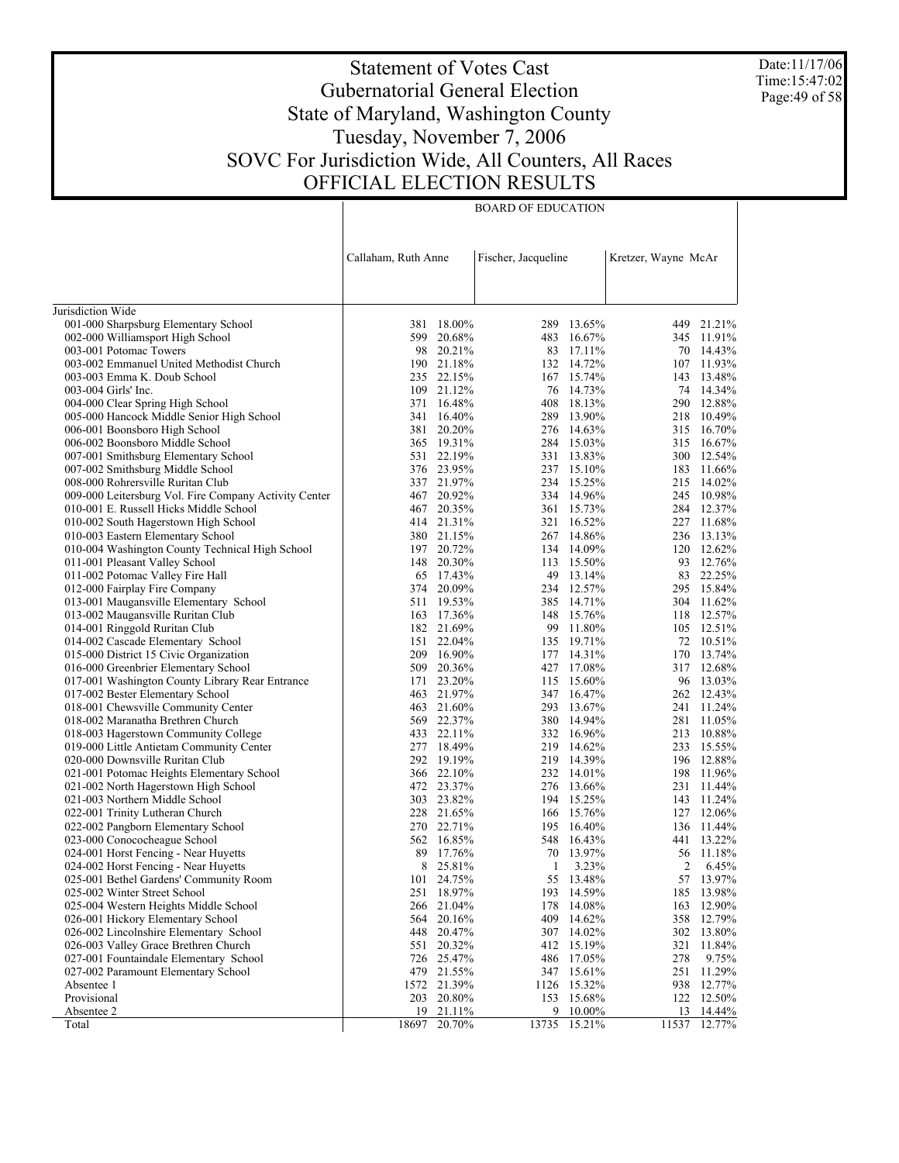Date:11/17/06 Time:15:47:02 Page:49 of 58

# Statement of Votes Cast Gubernatorial General Election State of Maryland, Washington County Tuesday, November 7, 2006 SOVC For Jurisdiction Wide, All Counters, All Races OFFICIAL ELECTION RESULTS

|                                                                                | Callaham, Ruth Anne |                      | Fischer, Jacqueline |                          | Kretzer, Wayne McAr |                          |
|--------------------------------------------------------------------------------|---------------------|----------------------|---------------------|--------------------------|---------------------|--------------------------|
|                                                                                |                     |                      |                     |                          |                     |                          |
| Jurisdiction Wide                                                              |                     |                      |                     |                          |                     |                          |
| 001-000 Sharpsburg Elementary School                                           |                     | 381 18.00%           |                     | 289 13.65%               |                     | 449 21.21%               |
| 002-000 Williamsport High School                                               | 599                 | 20.68%               |                     | 483 16.67%               |                     | 345 11.91%               |
| 003-001 Potomac Towers                                                         |                     | 98 20.21%            |                     | 83 17.11%                |                     | 70 14.43%                |
| 003-002 Emmanuel United Methodist Church                                       |                     | 190 21.18%           |                     | 132 14.72%               |                     | 107 11.93%               |
| 003-003 Emma K. Doub School                                                    |                     | 235 22.15%           |                     | 167 15.74%               |                     | 143 13.48%               |
| 003-004 Girls' Inc.                                                            | 109                 | 21.12%               |                     | 76 14.73%                |                     | 74 14.34%                |
| 004-000 Clear Spring High School                                               |                     | 371 16.48%           |                     | 408 18.13%               |                     | 290 12.88%               |
| 005-000 Hancock Middle Senior High School                                      | 341                 | 16.40%               | 289                 | 13.90%                   |                     | 218 10.49%               |
| 006-001 Boonsboro High School                                                  | 381                 | 20.20%               |                     | 276 14.63%               |                     | 315 16.70%               |
| 006-002 Boonsboro Middle School                                                |                     | 365 19.31%           |                     | 284 15.03%               |                     | 315 16.67%               |
| 007-001 Smithsburg Elementary School                                           |                     | 531 22.19%           |                     | 331 13.83%               |                     | 300 12.54%               |
| 007-002 Smithsburg Middle School                                               |                     | 376 23.95%           |                     | 237 15.10%<br>234 15.25% |                     | 183 11.66%<br>215 14.02% |
| 008-000 Rohrersville Ruritan Club                                              |                     | 337 21.97%<br>20.92% |                     | 334 14.96%               |                     | 245 10.98%               |
| 009-000 Leitersburg Vol. Fire Company Activity Center                          | 467<br>467          |                      |                     | 361 15.73%               |                     | 284 12.37%               |
| 010-001 E. Russell Hicks Middle School<br>010-002 South Hagerstown High School |                     | 20.35%<br>414 21.31% |                     | 321 16.52%               |                     | 227 11.68%               |
| 010-003 Eastern Elementary School                                              |                     | 380 21.15%           |                     | 267 14.86%               |                     | 236 13.13%               |
| 010-004 Washington County Technical High School                                |                     | 197 20.72%           |                     | 134 14.09%               |                     | 120 12.62%               |
| 011-001 Pleasant Valley School                                                 |                     | 148 20.30%           |                     | 113 15.50%               |                     | 93 12.76%                |
| 011-002 Potomac Valley Fire Hall                                               | 65                  | 17.43%               |                     | 49 13.14%                |                     | 83 22.25%                |
| 012-000 Fairplay Fire Company                                                  | 374                 | 20.09%               |                     | 234 12.57%               |                     | 295 15.84%               |
| 013-001 Maugansville Elementary School                                         |                     | 511 19.53%           |                     | 385 14.71%               |                     | 304 11.62%               |
| 013-002 Maugansville Ruritan Club                                              |                     | 163 17.36%           |                     | 148 15.76%               |                     | 118 12.57%               |
| 014-001 Ringgold Ruritan Club                                                  |                     | 182 21.69%           |                     | 99 11.80%                |                     | 105 12.51%               |
| 014-002 Cascade Elementary School                                              |                     | 151 22.04%           |                     | 135 19.71%               |                     | 72 10.51%                |
| 015-000 District 15 Civic Organization                                         |                     | 209 16.90%           |                     | 177 14.31%               |                     | 170 13.74%               |
| 016-000 Greenbrier Elementary School                                           | 509                 | 20.36%               |                     | 427 17.08%               |                     | 317 12.68%               |
| 017-001 Washington County Library Rear Entrance                                | 171                 | 23.20%               |                     | 115 15.60%               |                     | 96 13.03%                |
| 017-002 Bester Elementary School                                               |                     | 463 21.97%           |                     | 347 16.47%               |                     | 262 12.43%               |
| 018-001 Chewsville Community Center                                            |                     | 463 21.60%           |                     | 293 13.67%               |                     | 241 11.24%               |
| 018-002 Maranatha Brethren Church                                              |                     | 569 22.37%           |                     | 380 14.94%               |                     | 281 11.05%               |
| 018-003 Hagerstown Community College                                           |                     | 433 22.11%           |                     | 332 16.96%               |                     | 213 10.88%               |
| 019-000 Little Antietam Community Center                                       |                     | 277 18.49%           |                     | 219 14.62%               |                     | 233 15.55%               |
| 020-000 Downsville Ruritan Club                                                |                     | 292 19.19%           |                     | 219 14.39%               |                     | 196 12.88%               |
| 021-001 Potomac Heights Elementary School                                      |                     | 366 22.10%           |                     | 232 14.01%               |                     | 198 11.96%               |
| 021-002 North Hagerstown High School                                           |                     | 472 23.37%           |                     | 276 13.66%               |                     | 231 11.44%               |
| 021-003 Northern Middle School                                                 |                     | 303 23.82%           |                     | 194 15.25%               |                     | 143 11.24%               |
| 022-001 Trinity Lutheran Church                                                |                     | 228 21.65%           |                     | 166 15.76%               |                     | 127 12.06%               |
| 022-002 Pangborn Elementary School                                             |                     | 270 22.71%           |                     | 195 16.40%               |                     | 136 11.44%               |
| 023-000 Conococheague School                                                   |                     | 562 16.85%           |                     | 548 16.43%               |                     | 441 13.22%               |
| 024-001 Horst Fencing - Near Huyetts                                           | 89                  | 17.76%               |                     | 70 13.97%                |                     | 56 11.18%                |
| 024-002 Horst Fencing - Near Huyetts                                           | 8                   | 25.81%               | 1                   | 3.23%                    | 2                   | 6.45%                    |
| 025-001 Bethel Gardens' Community Room                                         | 101                 | 24.75%               |                     | 55 13.48%                |                     | 57 13.97%                |
| 025-002 Winter Street School                                                   |                     | 251 18.97%           |                     | 193 14.59%               |                     | 185 13.98%               |
| 025-004 Western Heights Middle School                                          | 266                 | 21.04%               | 178                 | 14.08%                   | 163                 | 12.90%                   |
| 026-001 Hickory Elementary School                                              | 564                 | 20.16%               | 409                 | 14.62%                   | 358                 | 12.79%                   |
| 026-002 Lincolnshire Elementary School                                         | 448                 | 20.47%               | 307                 | 14.02%                   | 302                 | 13.80%                   |
| 026-003 Valley Grace Brethren Church                                           | 551                 | 20.32%               | 412                 | 15.19%                   | 321                 | 11.84%                   |
| 027-001 Fountaindale Elementary School                                         | 726                 | 25.47%               |                     | 486 17.05%               | 278                 | 9.75%                    |
| 027-002 Paramount Elementary School                                            | 479                 | 21.55%               | 347                 | 15.61%                   | 251                 | 11.29%                   |
| Absentee 1                                                                     | 1572                | 21.39%               | 1126                | 15.32%                   | 938                 | 12.77%                   |
| Provisional                                                                    | 203                 | 20.80%               | 153                 | 15.68%                   |                     | 122 12.50%               |
| Absentee 2                                                                     | 19                  | $21.11\%$            |                     | 9 10.00%                 | <u>13</u>           | $14.44\%$                |
| Total                                                                          | 18697               | 20.70%               | 13735               | 15.21%                   | 11537               | 12.77%                   |

BOARD OF EDUCATION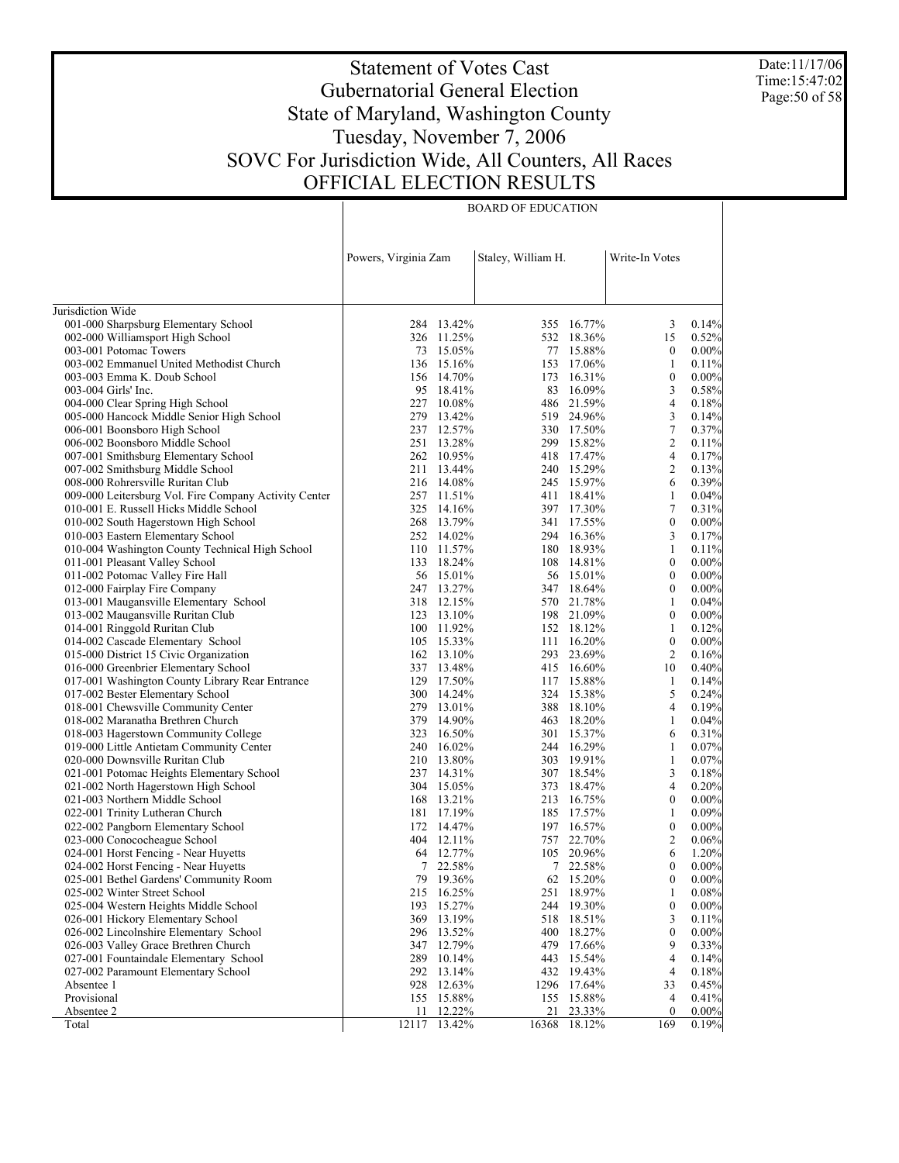Date:11/17/06 Time:15:47:02 Page: 50 of 58

# Statement of Votes Cast Gubernatorial General Election State of Maryland, Washington County Tuesday, November 7, 2006 SOVC For Jurisdiction Wide, All Counters, All Races OFFICIAL ELECTION RESULTS

| Staley, William H.<br>Write-In Votes<br>Powers, Virginia Zam<br>Jurisdiction Wide<br>001-000 Sharpsburg Elementary School<br>355 16.77%<br>284 13.42%<br>3<br>0.14%<br>002-000 Williamsport High School<br>326 11.25%<br>15<br>0.52%<br>532 18.36%<br>73 15.05%<br>77 15.88%<br>$0.00\%$<br>003-001 Potomac Towers<br>$\bf{0}$<br>003-002 Emmanuel United Methodist Church<br>136 15.16%<br>153 17.06%<br>1<br>0.11%<br>156 14.70%<br>$\boldsymbol{0}$<br>0.00%<br>003-003 Emma K. Doub School<br>173 16.31%<br>3<br>003-004 Girls' Inc.<br>95 18.41%<br>83 16.09%<br>0.58%<br>227 10.08%<br>486 21.59%<br>4<br>004-000 Clear Spring High School<br>0.18%<br>005-000 Hancock Middle Senior High School<br>279 13.42%<br>3<br>519 24.96%<br>0.14%<br>237 12.57%<br>7<br>006-001 Boonsboro High School<br>330 17.50%<br>0.37%<br>$\overline{c}$<br>251 13.28%<br>006-002 Boonsboro Middle School<br>299 15.82%<br>0.11%<br>262 10.95%<br>$\overline{4}$<br>007-001 Smithsburg Elementary School<br>418 17.47%<br>0.17%<br>$\overline{c}$<br>007-002 Smithsburg Middle School<br>211 13.44%<br>240 15.29%<br>0.13%<br>216 14.08%<br>245 15.97%<br>6<br>0.39%<br>008-000 Rohrersville Ruritan Club<br>009-000 Leitersburg Vol. Fire Company Activity Center<br>257 11.51%<br>411 18.41%<br>1<br>0.04%<br>7<br>010-001 E. Russell Hicks Middle School<br>325 14.16%<br>397 17.30%<br>0.31%<br>268 13.79%<br>$\boldsymbol{0}$<br>010-002 South Hagerstown High School<br>341 17.55%<br>$0.00\%$<br>252 14.02%<br>3<br>010-003 Eastern Elementary School<br>294 16.36%<br>0.17%<br>010-004 Washington County Technical High School<br>110 11.57%<br>180 18.93%<br>$\mathbf{1}$<br>0.11%<br>133 18.24%<br>108 14.81%<br>$\boldsymbol{0}$<br>$0.00\%$<br>011-001 Pleasant Valley School<br>$\mathbf{0}$<br>011-002 Potomac Valley Fire Hall<br>56 15.01%<br>56 15.01%<br>$0.00\%$<br>247 13.27%<br>$\boldsymbol{0}$<br>$0.00\%$<br>012-000 Fairplay Fire Company<br>347 18.64%<br>013-001 Maugansville Elementary School<br>318 12.15%<br>570 21.78%<br>$\mathbf{1}$<br>0.04%<br>198 21.09%<br>$\boldsymbol{0}$<br>$0.00\%$<br>013-002 Maugansville Ruritan Club<br>123 13.10%<br>100 11.92%<br>$\mathbf{1}$<br>014-001 Ringgold Ruritan Club<br>152 18.12%<br>0.12%<br>$\mathbf{0}$<br>014-002 Cascade Elementary School<br>105 15.33%<br>111 16.20%<br>$0.00\%$<br>015-000 District 15 Civic Organization<br>2<br>162 13.10%<br>293 23.69%<br>0.16%<br>016-000 Greenbrier Elementary School<br>10<br>337 13.48%<br>415 16.60%<br>0.40%<br>017-001 Washington County Library Rear Entrance<br>129 17.50%<br>117 15.88%<br>1<br>0.14%<br>300 14.24%<br>5<br>017-002 Bester Elementary School<br>324 15.38%<br>0.24%<br>279 13.01%<br>4<br>018-001 Chewsville Community Center<br>388 18.10%<br>0.19%<br>379 14.90%<br>018-002 Maranatha Brethren Church<br>463 18.20%<br>1<br>0.04%<br>018-003 Hagerstown Community College<br>323 16.50%<br>301 15.37%<br>6<br>0.31%<br>240 16.02%<br>244 16.29%<br>0.07%<br>019-000 Little Antietam Community Center<br>1<br>303 19.91%<br>$\mathbf{1}$<br>020-000 Downsville Ruritan Club<br>210 13.80%<br>0.07%<br>3<br>021-001 Potomac Heights Elementary School<br>237 14.31%<br>307 18.54%<br>0.18%<br>4<br>021-002 North Hagerstown High School<br>304 15.05%<br>373 18.47%<br>0.20%<br>$\boldsymbol{0}$<br>021-003 Northern Middle School<br>168 13.21%<br>213 16.75%<br>$0.00\%$<br>$\mathbf{1}$<br>0.09%<br>022-001 Trinity Lutheran Church<br>181 17.19%<br>185 17.57%<br>172 14.47%<br>$\boldsymbol{0}$<br>022-002 Pangborn Elementary School<br>197 16.57%<br>$0.00\%$<br>2<br>023-000 Conococheague School<br>404 12.11%<br>757 22.70%<br>0.06%<br>64 12.77%<br>6<br>024-001 Horst Fencing - Near Huyetts<br>105 20.96%<br>1.20%<br>7 22.58%<br>024-002 Horst Fencing - Near Huyetts<br>7 22.58%<br>$\mathbf{0}$<br>0.00%<br>79 19.36%<br>$\theta$<br>025-001 Bethel Gardens' Community Room<br>62<br>15.20%<br>$0.00\%$<br>0.08%<br>025-002 Winter Street School<br>215 16.25%<br>251<br>18.97%<br>1<br>$\boldsymbol{0}$<br>$0.00\%$<br>025-004 Western Heights Middle School<br>193<br>15.27%<br>244<br>19.30%<br>026-001 Hickory Elementary School<br>13.19%<br>518<br>18.51%<br>3<br>0.11%<br>369<br>0.00%<br>026-002 Lincolnshire Elementary School<br>296<br>13.52%<br>400<br>18.27%<br>$\boldsymbol{0}$<br>026-003 Valley Grace Brethren Church<br>9<br>347 12.79%<br>479 17.66%<br>0.33%<br>027-001 Fountaindale Elementary School<br>$\overline{4}$<br>289 10.14%<br>443 15.54%<br>0.14%<br>$\overline{4}$<br>027-002 Paramount Elementary School<br>292<br>13.14%<br>432 19.43%<br>0.18%<br>Absentee 1<br>928<br>12.63%<br>1296 17.64%<br>33<br>0.45%<br>Provisional<br>$\overline{4}$<br>155 15.88%<br>155 15.88%<br>0.41%<br>12.22%<br>$0.00\%$<br>Absentee 2<br>21<br>23.33%<br>$\mathbf{0}$<br>11<br>12117<br>13.42%<br>16368 18.12%<br>169<br>0.19%<br>Total |  |  |  |  |
|-------------------------------------------------------------------------------------------------------------------------------------------------------------------------------------------------------------------------------------------------------------------------------------------------------------------------------------------------------------------------------------------------------------------------------------------------------------------------------------------------------------------------------------------------------------------------------------------------------------------------------------------------------------------------------------------------------------------------------------------------------------------------------------------------------------------------------------------------------------------------------------------------------------------------------------------------------------------------------------------------------------------------------------------------------------------------------------------------------------------------------------------------------------------------------------------------------------------------------------------------------------------------------------------------------------------------------------------------------------------------------------------------------------------------------------------------------------------------------------------------------------------------------------------------------------------------------------------------------------------------------------------------------------------------------------------------------------------------------------------------------------------------------------------------------------------------------------------------------------------------------------------------------------------------------------------------------------------------------------------------------------------------------------------------------------------------------------------------------------------------------------------------------------------------------------------------------------------------------------------------------------------------------------------------------------------------------------------------------------------------------------------------------------------------------------------------------------------------------------------------------------------------------------------------------------------------------------------------------------------------------------------------------------------------------------------------------------------------------------------------------------------------------------------------------------------------------------------------------------------------------------------------------------------------------------------------------------------------------------------------------------------------------------------------------------------------------------------------------------------------------------------------------------------------------------------------------------------------------------------------------------------------------------------------------------------------------------------------------------------------------------------------------------------------------------------------------------------------------------------------------------------------------------------------------------------------------------------------------------------------------------------------------------------------------------------------------------------------------------------------------------------------------------------------------------------------------------------------------------------------------------------------------------------------------------------------------------------------------------------------------------------------------------------------------------------------------------------------------------------------------------------------------------------------------------------------------------------------------------------------------------------------------------------------------------------------------------------------------------------------------------------------------------------------------------------------------------------------------------------------------------------------------------------------------------------------------------------------------------------------------------------------------------------------------------------------------------------------------------------------------------------------------------------------------------------------------------------------------------------------------------------------------------------|--|--|--|--|
|                                                                                                                                                                                                                                                                                                                                                                                                                                                                                                                                                                                                                                                                                                                                                                                                                                                                                                                                                                                                                                                                                                                                                                                                                                                                                                                                                                                                                                                                                                                                                                                                                                                                                                                                                                                                                                                                                                                                                                                                                                                                                                                                                                                                                                                                                                                                                                                                                                                                                                                                                                                                                                                                                                                                                                                                                                                                                                                                                                                                                                                                                                                                                                                                                                                                                                                                                                                                                                                                                                                                                                                                                                                                                                                                                                                                                                                                                                                                                                                                                                                                                                                                                                                                                                                                                                                                                                                                                                                                                                                                                                                                                                                                                                                                                                                                                                                                                                                   |  |  |  |  |
|                                                                                                                                                                                                                                                                                                                                                                                                                                                                                                                                                                                                                                                                                                                                                                                                                                                                                                                                                                                                                                                                                                                                                                                                                                                                                                                                                                                                                                                                                                                                                                                                                                                                                                                                                                                                                                                                                                                                                                                                                                                                                                                                                                                                                                                                                                                                                                                                                                                                                                                                                                                                                                                                                                                                                                                                                                                                                                                                                                                                                                                                                                                                                                                                                                                                                                                                                                                                                                                                                                                                                                                                                                                                                                                                                                                                                                                                                                                                                                                                                                                                                                                                                                                                                                                                                                                                                                                                                                                                                                                                                                                                                                                                                                                                                                                                                                                                                                                   |  |  |  |  |
|                                                                                                                                                                                                                                                                                                                                                                                                                                                                                                                                                                                                                                                                                                                                                                                                                                                                                                                                                                                                                                                                                                                                                                                                                                                                                                                                                                                                                                                                                                                                                                                                                                                                                                                                                                                                                                                                                                                                                                                                                                                                                                                                                                                                                                                                                                                                                                                                                                                                                                                                                                                                                                                                                                                                                                                                                                                                                                                                                                                                                                                                                                                                                                                                                                                                                                                                                                                                                                                                                                                                                                                                                                                                                                                                                                                                                                                                                                                                                                                                                                                                                                                                                                                                                                                                                                                                                                                                                                                                                                                                                                                                                                                                                                                                                                                                                                                                                                                   |  |  |  |  |
|                                                                                                                                                                                                                                                                                                                                                                                                                                                                                                                                                                                                                                                                                                                                                                                                                                                                                                                                                                                                                                                                                                                                                                                                                                                                                                                                                                                                                                                                                                                                                                                                                                                                                                                                                                                                                                                                                                                                                                                                                                                                                                                                                                                                                                                                                                                                                                                                                                                                                                                                                                                                                                                                                                                                                                                                                                                                                                                                                                                                                                                                                                                                                                                                                                                                                                                                                                                                                                                                                                                                                                                                                                                                                                                                                                                                                                                                                                                                                                                                                                                                                                                                                                                                                                                                                                                                                                                                                                                                                                                                                                                                                                                                                                                                                                                                                                                                                                                   |  |  |  |  |
|                                                                                                                                                                                                                                                                                                                                                                                                                                                                                                                                                                                                                                                                                                                                                                                                                                                                                                                                                                                                                                                                                                                                                                                                                                                                                                                                                                                                                                                                                                                                                                                                                                                                                                                                                                                                                                                                                                                                                                                                                                                                                                                                                                                                                                                                                                                                                                                                                                                                                                                                                                                                                                                                                                                                                                                                                                                                                                                                                                                                                                                                                                                                                                                                                                                                                                                                                                                                                                                                                                                                                                                                                                                                                                                                                                                                                                                                                                                                                                                                                                                                                                                                                                                                                                                                                                                                                                                                                                                                                                                                                                                                                                                                                                                                                                                                                                                                                                                   |  |  |  |  |
|                                                                                                                                                                                                                                                                                                                                                                                                                                                                                                                                                                                                                                                                                                                                                                                                                                                                                                                                                                                                                                                                                                                                                                                                                                                                                                                                                                                                                                                                                                                                                                                                                                                                                                                                                                                                                                                                                                                                                                                                                                                                                                                                                                                                                                                                                                                                                                                                                                                                                                                                                                                                                                                                                                                                                                                                                                                                                                                                                                                                                                                                                                                                                                                                                                                                                                                                                                                                                                                                                                                                                                                                                                                                                                                                                                                                                                                                                                                                                                                                                                                                                                                                                                                                                                                                                                                                                                                                                                                                                                                                                                                                                                                                                                                                                                                                                                                                                                                   |  |  |  |  |
|                                                                                                                                                                                                                                                                                                                                                                                                                                                                                                                                                                                                                                                                                                                                                                                                                                                                                                                                                                                                                                                                                                                                                                                                                                                                                                                                                                                                                                                                                                                                                                                                                                                                                                                                                                                                                                                                                                                                                                                                                                                                                                                                                                                                                                                                                                                                                                                                                                                                                                                                                                                                                                                                                                                                                                                                                                                                                                                                                                                                                                                                                                                                                                                                                                                                                                                                                                                                                                                                                                                                                                                                                                                                                                                                                                                                                                                                                                                                                                                                                                                                                                                                                                                                                                                                                                                                                                                                                                                                                                                                                                                                                                                                                                                                                                                                                                                                                                                   |  |  |  |  |
|                                                                                                                                                                                                                                                                                                                                                                                                                                                                                                                                                                                                                                                                                                                                                                                                                                                                                                                                                                                                                                                                                                                                                                                                                                                                                                                                                                                                                                                                                                                                                                                                                                                                                                                                                                                                                                                                                                                                                                                                                                                                                                                                                                                                                                                                                                                                                                                                                                                                                                                                                                                                                                                                                                                                                                                                                                                                                                                                                                                                                                                                                                                                                                                                                                                                                                                                                                                                                                                                                                                                                                                                                                                                                                                                                                                                                                                                                                                                                                                                                                                                                                                                                                                                                                                                                                                                                                                                                                                                                                                                                                                                                                                                                                                                                                                                                                                                                                                   |  |  |  |  |
|                                                                                                                                                                                                                                                                                                                                                                                                                                                                                                                                                                                                                                                                                                                                                                                                                                                                                                                                                                                                                                                                                                                                                                                                                                                                                                                                                                                                                                                                                                                                                                                                                                                                                                                                                                                                                                                                                                                                                                                                                                                                                                                                                                                                                                                                                                                                                                                                                                                                                                                                                                                                                                                                                                                                                                                                                                                                                                                                                                                                                                                                                                                                                                                                                                                                                                                                                                                                                                                                                                                                                                                                                                                                                                                                                                                                                                                                                                                                                                                                                                                                                                                                                                                                                                                                                                                                                                                                                                                                                                                                                                                                                                                                                                                                                                                                                                                                                                                   |  |  |  |  |
|                                                                                                                                                                                                                                                                                                                                                                                                                                                                                                                                                                                                                                                                                                                                                                                                                                                                                                                                                                                                                                                                                                                                                                                                                                                                                                                                                                                                                                                                                                                                                                                                                                                                                                                                                                                                                                                                                                                                                                                                                                                                                                                                                                                                                                                                                                                                                                                                                                                                                                                                                                                                                                                                                                                                                                                                                                                                                                                                                                                                                                                                                                                                                                                                                                                                                                                                                                                                                                                                                                                                                                                                                                                                                                                                                                                                                                                                                                                                                                                                                                                                                                                                                                                                                                                                                                                                                                                                                                                                                                                                                                                                                                                                                                                                                                                                                                                                                                                   |  |  |  |  |
|                                                                                                                                                                                                                                                                                                                                                                                                                                                                                                                                                                                                                                                                                                                                                                                                                                                                                                                                                                                                                                                                                                                                                                                                                                                                                                                                                                                                                                                                                                                                                                                                                                                                                                                                                                                                                                                                                                                                                                                                                                                                                                                                                                                                                                                                                                                                                                                                                                                                                                                                                                                                                                                                                                                                                                                                                                                                                                                                                                                                                                                                                                                                                                                                                                                                                                                                                                                                                                                                                                                                                                                                                                                                                                                                                                                                                                                                                                                                                                                                                                                                                                                                                                                                                                                                                                                                                                                                                                                                                                                                                                                                                                                                                                                                                                                                                                                                                                                   |  |  |  |  |
|                                                                                                                                                                                                                                                                                                                                                                                                                                                                                                                                                                                                                                                                                                                                                                                                                                                                                                                                                                                                                                                                                                                                                                                                                                                                                                                                                                                                                                                                                                                                                                                                                                                                                                                                                                                                                                                                                                                                                                                                                                                                                                                                                                                                                                                                                                                                                                                                                                                                                                                                                                                                                                                                                                                                                                                                                                                                                                                                                                                                                                                                                                                                                                                                                                                                                                                                                                                                                                                                                                                                                                                                                                                                                                                                                                                                                                                                                                                                                                                                                                                                                                                                                                                                                                                                                                                                                                                                                                                                                                                                                                                                                                                                                                                                                                                                                                                                                                                   |  |  |  |  |
|                                                                                                                                                                                                                                                                                                                                                                                                                                                                                                                                                                                                                                                                                                                                                                                                                                                                                                                                                                                                                                                                                                                                                                                                                                                                                                                                                                                                                                                                                                                                                                                                                                                                                                                                                                                                                                                                                                                                                                                                                                                                                                                                                                                                                                                                                                                                                                                                                                                                                                                                                                                                                                                                                                                                                                                                                                                                                                                                                                                                                                                                                                                                                                                                                                                                                                                                                                                                                                                                                                                                                                                                                                                                                                                                                                                                                                                                                                                                                                                                                                                                                                                                                                                                                                                                                                                                                                                                                                                                                                                                                                                                                                                                                                                                                                                                                                                                                                                   |  |  |  |  |
|                                                                                                                                                                                                                                                                                                                                                                                                                                                                                                                                                                                                                                                                                                                                                                                                                                                                                                                                                                                                                                                                                                                                                                                                                                                                                                                                                                                                                                                                                                                                                                                                                                                                                                                                                                                                                                                                                                                                                                                                                                                                                                                                                                                                                                                                                                                                                                                                                                                                                                                                                                                                                                                                                                                                                                                                                                                                                                                                                                                                                                                                                                                                                                                                                                                                                                                                                                                                                                                                                                                                                                                                                                                                                                                                                                                                                                                                                                                                                                                                                                                                                                                                                                                                                                                                                                                                                                                                                                                                                                                                                                                                                                                                                                                                                                                                                                                                                                                   |  |  |  |  |
|                                                                                                                                                                                                                                                                                                                                                                                                                                                                                                                                                                                                                                                                                                                                                                                                                                                                                                                                                                                                                                                                                                                                                                                                                                                                                                                                                                                                                                                                                                                                                                                                                                                                                                                                                                                                                                                                                                                                                                                                                                                                                                                                                                                                                                                                                                                                                                                                                                                                                                                                                                                                                                                                                                                                                                                                                                                                                                                                                                                                                                                                                                                                                                                                                                                                                                                                                                                                                                                                                                                                                                                                                                                                                                                                                                                                                                                                                                                                                                                                                                                                                                                                                                                                                                                                                                                                                                                                                                                                                                                                                                                                                                                                                                                                                                                                                                                                                                                   |  |  |  |  |
|                                                                                                                                                                                                                                                                                                                                                                                                                                                                                                                                                                                                                                                                                                                                                                                                                                                                                                                                                                                                                                                                                                                                                                                                                                                                                                                                                                                                                                                                                                                                                                                                                                                                                                                                                                                                                                                                                                                                                                                                                                                                                                                                                                                                                                                                                                                                                                                                                                                                                                                                                                                                                                                                                                                                                                                                                                                                                                                                                                                                                                                                                                                                                                                                                                                                                                                                                                                                                                                                                                                                                                                                                                                                                                                                                                                                                                                                                                                                                                                                                                                                                                                                                                                                                                                                                                                                                                                                                                                                                                                                                                                                                                                                                                                                                                                                                                                                                                                   |  |  |  |  |
|                                                                                                                                                                                                                                                                                                                                                                                                                                                                                                                                                                                                                                                                                                                                                                                                                                                                                                                                                                                                                                                                                                                                                                                                                                                                                                                                                                                                                                                                                                                                                                                                                                                                                                                                                                                                                                                                                                                                                                                                                                                                                                                                                                                                                                                                                                                                                                                                                                                                                                                                                                                                                                                                                                                                                                                                                                                                                                                                                                                                                                                                                                                                                                                                                                                                                                                                                                                                                                                                                                                                                                                                                                                                                                                                                                                                                                                                                                                                                                                                                                                                                                                                                                                                                                                                                                                                                                                                                                                                                                                                                                                                                                                                                                                                                                                                                                                                                                                   |  |  |  |  |
|                                                                                                                                                                                                                                                                                                                                                                                                                                                                                                                                                                                                                                                                                                                                                                                                                                                                                                                                                                                                                                                                                                                                                                                                                                                                                                                                                                                                                                                                                                                                                                                                                                                                                                                                                                                                                                                                                                                                                                                                                                                                                                                                                                                                                                                                                                                                                                                                                                                                                                                                                                                                                                                                                                                                                                                                                                                                                                                                                                                                                                                                                                                                                                                                                                                                                                                                                                                                                                                                                                                                                                                                                                                                                                                                                                                                                                                                                                                                                                                                                                                                                                                                                                                                                                                                                                                                                                                                                                                                                                                                                                                                                                                                                                                                                                                                                                                                                                                   |  |  |  |  |
|                                                                                                                                                                                                                                                                                                                                                                                                                                                                                                                                                                                                                                                                                                                                                                                                                                                                                                                                                                                                                                                                                                                                                                                                                                                                                                                                                                                                                                                                                                                                                                                                                                                                                                                                                                                                                                                                                                                                                                                                                                                                                                                                                                                                                                                                                                                                                                                                                                                                                                                                                                                                                                                                                                                                                                                                                                                                                                                                                                                                                                                                                                                                                                                                                                                                                                                                                                                                                                                                                                                                                                                                                                                                                                                                                                                                                                                                                                                                                                                                                                                                                                                                                                                                                                                                                                                                                                                                                                                                                                                                                                                                                                                                                                                                                                                                                                                                                                                   |  |  |  |  |
|                                                                                                                                                                                                                                                                                                                                                                                                                                                                                                                                                                                                                                                                                                                                                                                                                                                                                                                                                                                                                                                                                                                                                                                                                                                                                                                                                                                                                                                                                                                                                                                                                                                                                                                                                                                                                                                                                                                                                                                                                                                                                                                                                                                                                                                                                                                                                                                                                                                                                                                                                                                                                                                                                                                                                                                                                                                                                                                                                                                                                                                                                                                                                                                                                                                                                                                                                                                                                                                                                                                                                                                                                                                                                                                                                                                                                                                                                                                                                                                                                                                                                                                                                                                                                                                                                                                                                                                                                                                                                                                                                                                                                                                                                                                                                                                                                                                                                                                   |  |  |  |  |
|                                                                                                                                                                                                                                                                                                                                                                                                                                                                                                                                                                                                                                                                                                                                                                                                                                                                                                                                                                                                                                                                                                                                                                                                                                                                                                                                                                                                                                                                                                                                                                                                                                                                                                                                                                                                                                                                                                                                                                                                                                                                                                                                                                                                                                                                                                                                                                                                                                                                                                                                                                                                                                                                                                                                                                                                                                                                                                                                                                                                                                                                                                                                                                                                                                                                                                                                                                                                                                                                                                                                                                                                                                                                                                                                                                                                                                                                                                                                                                                                                                                                                                                                                                                                                                                                                                                                                                                                                                                                                                                                                                                                                                                                                                                                                                                                                                                                                                                   |  |  |  |  |
|                                                                                                                                                                                                                                                                                                                                                                                                                                                                                                                                                                                                                                                                                                                                                                                                                                                                                                                                                                                                                                                                                                                                                                                                                                                                                                                                                                                                                                                                                                                                                                                                                                                                                                                                                                                                                                                                                                                                                                                                                                                                                                                                                                                                                                                                                                                                                                                                                                                                                                                                                                                                                                                                                                                                                                                                                                                                                                                                                                                                                                                                                                                                                                                                                                                                                                                                                                                                                                                                                                                                                                                                                                                                                                                                                                                                                                                                                                                                                                                                                                                                                                                                                                                                                                                                                                                                                                                                                                                                                                                                                                                                                                                                                                                                                                                                                                                                                                                   |  |  |  |  |
|                                                                                                                                                                                                                                                                                                                                                                                                                                                                                                                                                                                                                                                                                                                                                                                                                                                                                                                                                                                                                                                                                                                                                                                                                                                                                                                                                                                                                                                                                                                                                                                                                                                                                                                                                                                                                                                                                                                                                                                                                                                                                                                                                                                                                                                                                                                                                                                                                                                                                                                                                                                                                                                                                                                                                                                                                                                                                                                                                                                                                                                                                                                                                                                                                                                                                                                                                                                                                                                                                                                                                                                                                                                                                                                                                                                                                                                                                                                                                                                                                                                                                                                                                                                                                                                                                                                                                                                                                                                                                                                                                                                                                                                                                                                                                                                                                                                                                                                   |  |  |  |  |
|                                                                                                                                                                                                                                                                                                                                                                                                                                                                                                                                                                                                                                                                                                                                                                                                                                                                                                                                                                                                                                                                                                                                                                                                                                                                                                                                                                                                                                                                                                                                                                                                                                                                                                                                                                                                                                                                                                                                                                                                                                                                                                                                                                                                                                                                                                                                                                                                                                                                                                                                                                                                                                                                                                                                                                                                                                                                                                                                                                                                                                                                                                                                                                                                                                                                                                                                                                                                                                                                                                                                                                                                                                                                                                                                                                                                                                                                                                                                                                                                                                                                                                                                                                                                                                                                                                                                                                                                                                                                                                                                                                                                                                                                                                                                                                                                                                                                                                                   |  |  |  |  |
|                                                                                                                                                                                                                                                                                                                                                                                                                                                                                                                                                                                                                                                                                                                                                                                                                                                                                                                                                                                                                                                                                                                                                                                                                                                                                                                                                                                                                                                                                                                                                                                                                                                                                                                                                                                                                                                                                                                                                                                                                                                                                                                                                                                                                                                                                                                                                                                                                                                                                                                                                                                                                                                                                                                                                                                                                                                                                                                                                                                                                                                                                                                                                                                                                                                                                                                                                                                                                                                                                                                                                                                                                                                                                                                                                                                                                                                                                                                                                                                                                                                                                                                                                                                                                                                                                                                                                                                                                                                                                                                                                                                                                                                                                                                                                                                                                                                                                                                   |  |  |  |  |
|                                                                                                                                                                                                                                                                                                                                                                                                                                                                                                                                                                                                                                                                                                                                                                                                                                                                                                                                                                                                                                                                                                                                                                                                                                                                                                                                                                                                                                                                                                                                                                                                                                                                                                                                                                                                                                                                                                                                                                                                                                                                                                                                                                                                                                                                                                                                                                                                                                                                                                                                                                                                                                                                                                                                                                                                                                                                                                                                                                                                                                                                                                                                                                                                                                                                                                                                                                                                                                                                                                                                                                                                                                                                                                                                                                                                                                                                                                                                                                                                                                                                                                                                                                                                                                                                                                                                                                                                                                                                                                                                                                                                                                                                                                                                                                                                                                                                                                                   |  |  |  |  |
|                                                                                                                                                                                                                                                                                                                                                                                                                                                                                                                                                                                                                                                                                                                                                                                                                                                                                                                                                                                                                                                                                                                                                                                                                                                                                                                                                                                                                                                                                                                                                                                                                                                                                                                                                                                                                                                                                                                                                                                                                                                                                                                                                                                                                                                                                                                                                                                                                                                                                                                                                                                                                                                                                                                                                                                                                                                                                                                                                                                                                                                                                                                                                                                                                                                                                                                                                                                                                                                                                                                                                                                                                                                                                                                                                                                                                                                                                                                                                                                                                                                                                                                                                                                                                                                                                                                                                                                                                                                                                                                                                                                                                                                                                                                                                                                                                                                                                                                   |  |  |  |  |
|                                                                                                                                                                                                                                                                                                                                                                                                                                                                                                                                                                                                                                                                                                                                                                                                                                                                                                                                                                                                                                                                                                                                                                                                                                                                                                                                                                                                                                                                                                                                                                                                                                                                                                                                                                                                                                                                                                                                                                                                                                                                                                                                                                                                                                                                                                                                                                                                                                                                                                                                                                                                                                                                                                                                                                                                                                                                                                                                                                                                                                                                                                                                                                                                                                                                                                                                                                                                                                                                                                                                                                                                                                                                                                                                                                                                                                                                                                                                                                                                                                                                                                                                                                                                                                                                                                                                                                                                                                                                                                                                                                                                                                                                                                                                                                                                                                                                                                                   |  |  |  |  |
|                                                                                                                                                                                                                                                                                                                                                                                                                                                                                                                                                                                                                                                                                                                                                                                                                                                                                                                                                                                                                                                                                                                                                                                                                                                                                                                                                                                                                                                                                                                                                                                                                                                                                                                                                                                                                                                                                                                                                                                                                                                                                                                                                                                                                                                                                                                                                                                                                                                                                                                                                                                                                                                                                                                                                                                                                                                                                                                                                                                                                                                                                                                                                                                                                                                                                                                                                                                                                                                                                                                                                                                                                                                                                                                                                                                                                                                                                                                                                                                                                                                                                                                                                                                                                                                                                                                                                                                                                                                                                                                                                                                                                                                                                                                                                                                                                                                                                                                   |  |  |  |  |
|                                                                                                                                                                                                                                                                                                                                                                                                                                                                                                                                                                                                                                                                                                                                                                                                                                                                                                                                                                                                                                                                                                                                                                                                                                                                                                                                                                                                                                                                                                                                                                                                                                                                                                                                                                                                                                                                                                                                                                                                                                                                                                                                                                                                                                                                                                                                                                                                                                                                                                                                                                                                                                                                                                                                                                                                                                                                                                                                                                                                                                                                                                                                                                                                                                                                                                                                                                                                                                                                                                                                                                                                                                                                                                                                                                                                                                                                                                                                                                                                                                                                                                                                                                                                                                                                                                                                                                                                                                                                                                                                                                                                                                                                                                                                                                                                                                                                                                                   |  |  |  |  |
|                                                                                                                                                                                                                                                                                                                                                                                                                                                                                                                                                                                                                                                                                                                                                                                                                                                                                                                                                                                                                                                                                                                                                                                                                                                                                                                                                                                                                                                                                                                                                                                                                                                                                                                                                                                                                                                                                                                                                                                                                                                                                                                                                                                                                                                                                                                                                                                                                                                                                                                                                                                                                                                                                                                                                                                                                                                                                                                                                                                                                                                                                                                                                                                                                                                                                                                                                                                                                                                                                                                                                                                                                                                                                                                                                                                                                                                                                                                                                                                                                                                                                                                                                                                                                                                                                                                                                                                                                                                                                                                                                                                                                                                                                                                                                                                                                                                                                                                   |  |  |  |  |
|                                                                                                                                                                                                                                                                                                                                                                                                                                                                                                                                                                                                                                                                                                                                                                                                                                                                                                                                                                                                                                                                                                                                                                                                                                                                                                                                                                                                                                                                                                                                                                                                                                                                                                                                                                                                                                                                                                                                                                                                                                                                                                                                                                                                                                                                                                                                                                                                                                                                                                                                                                                                                                                                                                                                                                                                                                                                                                                                                                                                                                                                                                                                                                                                                                                                                                                                                                                                                                                                                                                                                                                                                                                                                                                                                                                                                                                                                                                                                                                                                                                                                                                                                                                                                                                                                                                                                                                                                                                                                                                                                                                                                                                                                                                                                                                                                                                                                                                   |  |  |  |  |
|                                                                                                                                                                                                                                                                                                                                                                                                                                                                                                                                                                                                                                                                                                                                                                                                                                                                                                                                                                                                                                                                                                                                                                                                                                                                                                                                                                                                                                                                                                                                                                                                                                                                                                                                                                                                                                                                                                                                                                                                                                                                                                                                                                                                                                                                                                                                                                                                                                                                                                                                                                                                                                                                                                                                                                                                                                                                                                                                                                                                                                                                                                                                                                                                                                                                                                                                                                                                                                                                                                                                                                                                                                                                                                                                                                                                                                                                                                                                                                                                                                                                                                                                                                                                                                                                                                                                                                                                                                                                                                                                                                                                                                                                                                                                                                                                                                                                                                                   |  |  |  |  |
|                                                                                                                                                                                                                                                                                                                                                                                                                                                                                                                                                                                                                                                                                                                                                                                                                                                                                                                                                                                                                                                                                                                                                                                                                                                                                                                                                                                                                                                                                                                                                                                                                                                                                                                                                                                                                                                                                                                                                                                                                                                                                                                                                                                                                                                                                                                                                                                                                                                                                                                                                                                                                                                                                                                                                                                                                                                                                                                                                                                                                                                                                                                                                                                                                                                                                                                                                                                                                                                                                                                                                                                                                                                                                                                                                                                                                                                                                                                                                                                                                                                                                                                                                                                                                                                                                                                                                                                                                                                                                                                                                                                                                                                                                                                                                                                                                                                                                                                   |  |  |  |  |
|                                                                                                                                                                                                                                                                                                                                                                                                                                                                                                                                                                                                                                                                                                                                                                                                                                                                                                                                                                                                                                                                                                                                                                                                                                                                                                                                                                                                                                                                                                                                                                                                                                                                                                                                                                                                                                                                                                                                                                                                                                                                                                                                                                                                                                                                                                                                                                                                                                                                                                                                                                                                                                                                                                                                                                                                                                                                                                                                                                                                                                                                                                                                                                                                                                                                                                                                                                                                                                                                                                                                                                                                                                                                                                                                                                                                                                                                                                                                                                                                                                                                                                                                                                                                                                                                                                                                                                                                                                                                                                                                                                                                                                                                                                                                                                                                                                                                                                                   |  |  |  |  |
|                                                                                                                                                                                                                                                                                                                                                                                                                                                                                                                                                                                                                                                                                                                                                                                                                                                                                                                                                                                                                                                                                                                                                                                                                                                                                                                                                                                                                                                                                                                                                                                                                                                                                                                                                                                                                                                                                                                                                                                                                                                                                                                                                                                                                                                                                                                                                                                                                                                                                                                                                                                                                                                                                                                                                                                                                                                                                                                                                                                                                                                                                                                                                                                                                                                                                                                                                                                                                                                                                                                                                                                                                                                                                                                                                                                                                                                                                                                                                                                                                                                                                                                                                                                                                                                                                                                                                                                                                                                                                                                                                                                                                                                                                                                                                                                                                                                                                                                   |  |  |  |  |
|                                                                                                                                                                                                                                                                                                                                                                                                                                                                                                                                                                                                                                                                                                                                                                                                                                                                                                                                                                                                                                                                                                                                                                                                                                                                                                                                                                                                                                                                                                                                                                                                                                                                                                                                                                                                                                                                                                                                                                                                                                                                                                                                                                                                                                                                                                                                                                                                                                                                                                                                                                                                                                                                                                                                                                                                                                                                                                                                                                                                                                                                                                                                                                                                                                                                                                                                                                                                                                                                                                                                                                                                                                                                                                                                                                                                                                                                                                                                                                                                                                                                                                                                                                                                                                                                                                                                                                                                                                                                                                                                                                                                                                                                                                                                                                                                                                                                                                                   |  |  |  |  |
|                                                                                                                                                                                                                                                                                                                                                                                                                                                                                                                                                                                                                                                                                                                                                                                                                                                                                                                                                                                                                                                                                                                                                                                                                                                                                                                                                                                                                                                                                                                                                                                                                                                                                                                                                                                                                                                                                                                                                                                                                                                                                                                                                                                                                                                                                                                                                                                                                                                                                                                                                                                                                                                                                                                                                                                                                                                                                                                                                                                                                                                                                                                                                                                                                                                                                                                                                                                                                                                                                                                                                                                                                                                                                                                                                                                                                                                                                                                                                                                                                                                                                                                                                                                                                                                                                                                                                                                                                                                                                                                                                                                                                                                                                                                                                                                                                                                                                                                   |  |  |  |  |
|                                                                                                                                                                                                                                                                                                                                                                                                                                                                                                                                                                                                                                                                                                                                                                                                                                                                                                                                                                                                                                                                                                                                                                                                                                                                                                                                                                                                                                                                                                                                                                                                                                                                                                                                                                                                                                                                                                                                                                                                                                                                                                                                                                                                                                                                                                                                                                                                                                                                                                                                                                                                                                                                                                                                                                                                                                                                                                                                                                                                                                                                                                                                                                                                                                                                                                                                                                                                                                                                                                                                                                                                                                                                                                                                                                                                                                                                                                                                                                                                                                                                                                                                                                                                                                                                                                                                                                                                                                                                                                                                                                                                                                                                                                                                                                                                                                                                                                                   |  |  |  |  |
|                                                                                                                                                                                                                                                                                                                                                                                                                                                                                                                                                                                                                                                                                                                                                                                                                                                                                                                                                                                                                                                                                                                                                                                                                                                                                                                                                                                                                                                                                                                                                                                                                                                                                                                                                                                                                                                                                                                                                                                                                                                                                                                                                                                                                                                                                                                                                                                                                                                                                                                                                                                                                                                                                                                                                                                                                                                                                                                                                                                                                                                                                                                                                                                                                                                                                                                                                                                                                                                                                                                                                                                                                                                                                                                                                                                                                                                                                                                                                                                                                                                                                                                                                                                                                                                                                                                                                                                                                                                                                                                                                                                                                                                                                                                                                                                                                                                                                                                   |  |  |  |  |
|                                                                                                                                                                                                                                                                                                                                                                                                                                                                                                                                                                                                                                                                                                                                                                                                                                                                                                                                                                                                                                                                                                                                                                                                                                                                                                                                                                                                                                                                                                                                                                                                                                                                                                                                                                                                                                                                                                                                                                                                                                                                                                                                                                                                                                                                                                                                                                                                                                                                                                                                                                                                                                                                                                                                                                                                                                                                                                                                                                                                                                                                                                                                                                                                                                                                                                                                                                                                                                                                                                                                                                                                                                                                                                                                                                                                                                                                                                                                                                                                                                                                                                                                                                                                                                                                                                                                                                                                                                                                                                                                                                                                                                                                                                                                                                                                                                                                                                                   |  |  |  |  |
|                                                                                                                                                                                                                                                                                                                                                                                                                                                                                                                                                                                                                                                                                                                                                                                                                                                                                                                                                                                                                                                                                                                                                                                                                                                                                                                                                                                                                                                                                                                                                                                                                                                                                                                                                                                                                                                                                                                                                                                                                                                                                                                                                                                                                                                                                                                                                                                                                                                                                                                                                                                                                                                                                                                                                                                                                                                                                                                                                                                                                                                                                                                                                                                                                                                                                                                                                                                                                                                                                                                                                                                                                                                                                                                                                                                                                                                                                                                                                                                                                                                                                                                                                                                                                                                                                                                                                                                                                                                                                                                                                                                                                                                                                                                                                                                                                                                                                                                   |  |  |  |  |
|                                                                                                                                                                                                                                                                                                                                                                                                                                                                                                                                                                                                                                                                                                                                                                                                                                                                                                                                                                                                                                                                                                                                                                                                                                                                                                                                                                                                                                                                                                                                                                                                                                                                                                                                                                                                                                                                                                                                                                                                                                                                                                                                                                                                                                                                                                                                                                                                                                                                                                                                                                                                                                                                                                                                                                                                                                                                                                                                                                                                                                                                                                                                                                                                                                                                                                                                                                                                                                                                                                                                                                                                                                                                                                                                                                                                                                                                                                                                                                                                                                                                                                                                                                                                                                                                                                                                                                                                                                                                                                                                                                                                                                                                                                                                                                                                                                                                                                                   |  |  |  |  |
|                                                                                                                                                                                                                                                                                                                                                                                                                                                                                                                                                                                                                                                                                                                                                                                                                                                                                                                                                                                                                                                                                                                                                                                                                                                                                                                                                                                                                                                                                                                                                                                                                                                                                                                                                                                                                                                                                                                                                                                                                                                                                                                                                                                                                                                                                                                                                                                                                                                                                                                                                                                                                                                                                                                                                                                                                                                                                                                                                                                                                                                                                                                                                                                                                                                                                                                                                                                                                                                                                                                                                                                                                                                                                                                                                                                                                                                                                                                                                                                                                                                                                                                                                                                                                                                                                                                                                                                                                                                                                                                                                                                                                                                                                                                                                                                                                                                                                                                   |  |  |  |  |
|                                                                                                                                                                                                                                                                                                                                                                                                                                                                                                                                                                                                                                                                                                                                                                                                                                                                                                                                                                                                                                                                                                                                                                                                                                                                                                                                                                                                                                                                                                                                                                                                                                                                                                                                                                                                                                                                                                                                                                                                                                                                                                                                                                                                                                                                                                                                                                                                                                                                                                                                                                                                                                                                                                                                                                                                                                                                                                                                                                                                                                                                                                                                                                                                                                                                                                                                                                                                                                                                                                                                                                                                                                                                                                                                                                                                                                                                                                                                                                                                                                                                                                                                                                                                                                                                                                                                                                                                                                                                                                                                                                                                                                                                                                                                                                                                                                                                                                                   |  |  |  |  |
|                                                                                                                                                                                                                                                                                                                                                                                                                                                                                                                                                                                                                                                                                                                                                                                                                                                                                                                                                                                                                                                                                                                                                                                                                                                                                                                                                                                                                                                                                                                                                                                                                                                                                                                                                                                                                                                                                                                                                                                                                                                                                                                                                                                                                                                                                                                                                                                                                                                                                                                                                                                                                                                                                                                                                                                                                                                                                                                                                                                                                                                                                                                                                                                                                                                                                                                                                                                                                                                                                                                                                                                                                                                                                                                                                                                                                                                                                                                                                                                                                                                                                                                                                                                                                                                                                                                                                                                                                                                                                                                                                                                                                                                                                                                                                                                                                                                                                                                   |  |  |  |  |
|                                                                                                                                                                                                                                                                                                                                                                                                                                                                                                                                                                                                                                                                                                                                                                                                                                                                                                                                                                                                                                                                                                                                                                                                                                                                                                                                                                                                                                                                                                                                                                                                                                                                                                                                                                                                                                                                                                                                                                                                                                                                                                                                                                                                                                                                                                                                                                                                                                                                                                                                                                                                                                                                                                                                                                                                                                                                                                                                                                                                                                                                                                                                                                                                                                                                                                                                                                                                                                                                                                                                                                                                                                                                                                                                                                                                                                                                                                                                                                                                                                                                                                                                                                                                                                                                                                                                                                                                                                                                                                                                                                                                                                                                                                                                                                                                                                                                                                                   |  |  |  |  |
|                                                                                                                                                                                                                                                                                                                                                                                                                                                                                                                                                                                                                                                                                                                                                                                                                                                                                                                                                                                                                                                                                                                                                                                                                                                                                                                                                                                                                                                                                                                                                                                                                                                                                                                                                                                                                                                                                                                                                                                                                                                                                                                                                                                                                                                                                                                                                                                                                                                                                                                                                                                                                                                                                                                                                                                                                                                                                                                                                                                                                                                                                                                                                                                                                                                                                                                                                                                                                                                                                                                                                                                                                                                                                                                                                                                                                                                                                                                                                                                                                                                                                                                                                                                                                                                                                                                                                                                                                                                                                                                                                                                                                                                                                                                                                                                                                                                                                                                   |  |  |  |  |
|                                                                                                                                                                                                                                                                                                                                                                                                                                                                                                                                                                                                                                                                                                                                                                                                                                                                                                                                                                                                                                                                                                                                                                                                                                                                                                                                                                                                                                                                                                                                                                                                                                                                                                                                                                                                                                                                                                                                                                                                                                                                                                                                                                                                                                                                                                                                                                                                                                                                                                                                                                                                                                                                                                                                                                                                                                                                                                                                                                                                                                                                                                                                                                                                                                                                                                                                                                                                                                                                                                                                                                                                                                                                                                                                                                                                                                                                                                                                                                                                                                                                                                                                                                                                                                                                                                                                                                                                                                                                                                                                                                                                                                                                                                                                                                                                                                                                                                                   |  |  |  |  |
|                                                                                                                                                                                                                                                                                                                                                                                                                                                                                                                                                                                                                                                                                                                                                                                                                                                                                                                                                                                                                                                                                                                                                                                                                                                                                                                                                                                                                                                                                                                                                                                                                                                                                                                                                                                                                                                                                                                                                                                                                                                                                                                                                                                                                                                                                                                                                                                                                                                                                                                                                                                                                                                                                                                                                                                                                                                                                                                                                                                                                                                                                                                                                                                                                                                                                                                                                                                                                                                                                                                                                                                                                                                                                                                                                                                                                                                                                                                                                                                                                                                                                                                                                                                                                                                                                                                                                                                                                                                                                                                                                                                                                                                                                                                                                                                                                                                                                                                   |  |  |  |  |
|                                                                                                                                                                                                                                                                                                                                                                                                                                                                                                                                                                                                                                                                                                                                                                                                                                                                                                                                                                                                                                                                                                                                                                                                                                                                                                                                                                                                                                                                                                                                                                                                                                                                                                                                                                                                                                                                                                                                                                                                                                                                                                                                                                                                                                                                                                                                                                                                                                                                                                                                                                                                                                                                                                                                                                                                                                                                                                                                                                                                                                                                                                                                                                                                                                                                                                                                                                                                                                                                                                                                                                                                                                                                                                                                                                                                                                                                                                                                                                                                                                                                                                                                                                                                                                                                                                                                                                                                                                                                                                                                                                                                                                                                                                                                                                                                                                                                                                                   |  |  |  |  |
|                                                                                                                                                                                                                                                                                                                                                                                                                                                                                                                                                                                                                                                                                                                                                                                                                                                                                                                                                                                                                                                                                                                                                                                                                                                                                                                                                                                                                                                                                                                                                                                                                                                                                                                                                                                                                                                                                                                                                                                                                                                                                                                                                                                                                                                                                                                                                                                                                                                                                                                                                                                                                                                                                                                                                                                                                                                                                                                                                                                                                                                                                                                                                                                                                                                                                                                                                                                                                                                                                                                                                                                                                                                                                                                                                                                                                                                                                                                                                                                                                                                                                                                                                                                                                                                                                                                                                                                                                                                                                                                                                                                                                                                                                                                                                                                                                                                                                                                   |  |  |  |  |
|                                                                                                                                                                                                                                                                                                                                                                                                                                                                                                                                                                                                                                                                                                                                                                                                                                                                                                                                                                                                                                                                                                                                                                                                                                                                                                                                                                                                                                                                                                                                                                                                                                                                                                                                                                                                                                                                                                                                                                                                                                                                                                                                                                                                                                                                                                                                                                                                                                                                                                                                                                                                                                                                                                                                                                                                                                                                                                                                                                                                                                                                                                                                                                                                                                                                                                                                                                                                                                                                                                                                                                                                                                                                                                                                                                                                                                                                                                                                                                                                                                                                                                                                                                                                                                                                                                                                                                                                                                                                                                                                                                                                                                                                                                                                                                                                                                                                                                                   |  |  |  |  |
|                                                                                                                                                                                                                                                                                                                                                                                                                                                                                                                                                                                                                                                                                                                                                                                                                                                                                                                                                                                                                                                                                                                                                                                                                                                                                                                                                                                                                                                                                                                                                                                                                                                                                                                                                                                                                                                                                                                                                                                                                                                                                                                                                                                                                                                                                                                                                                                                                                                                                                                                                                                                                                                                                                                                                                                                                                                                                                                                                                                                                                                                                                                                                                                                                                                                                                                                                                                                                                                                                                                                                                                                                                                                                                                                                                                                                                                                                                                                                                                                                                                                                                                                                                                                                                                                                                                                                                                                                                                                                                                                                                                                                                                                                                                                                                                                                                                                                                                   |  |  |  |  |
|                                                                                                                                                                                                                                                                                                                                                                                                                                                                                                                                                                                                                                                                                                                                                                                                                                                                                                                                                                                                                                                                                                                                                                                                                                                                                                                                                                                                                                                                                                                                                                                                                                                                                                                                                                                                                                                                                                                                                                                                                                                                                                                                                                                                                                                                                                                                                                                                                                                                                                                                                                                                                                                                                                                                                                                                                                                                                                                                                                                                                                                                                                                                                                                                                                                                                                                                                                                                                                                                                                                                                                                                                                                                                                                                                                                                                                                                                                                                                                                                                                                                                                                                                                                                                                                                                                                                                                                                                                                                                                                                                                                                                                                                                                                                                                                                                                                                                                                   |  |  |  |  |
|                                                                                                                                                                                                                                                                                                                                                                                                                                                                                                                                                                                                                                                                                                                                                                                                                                                                                                                                                                                                                                                                                                                                                                                                                                                                                                                                                                                                                                                                                                                                                                                                                                                                                                                                                                                                                                                                                                                                                                                                                                                                                                                                                                                                                                                                                                                                                                                                                                                                                                                                                                                                                                                                                                                                                                                                                                                                                                                                                                                                                                                                                                                                                                                                                                                                                                                                                                                                                                                                                                                                                                                                                                                                                                                                                                                                                                                                                                                                                                                                                                                                                                                                                                                                                                                                                                                                                                                                                                                                                                                                                                                                                                                                                                                                                                                                                                                                                                                   |  |  |  |  |

BOARD OF EDUCATION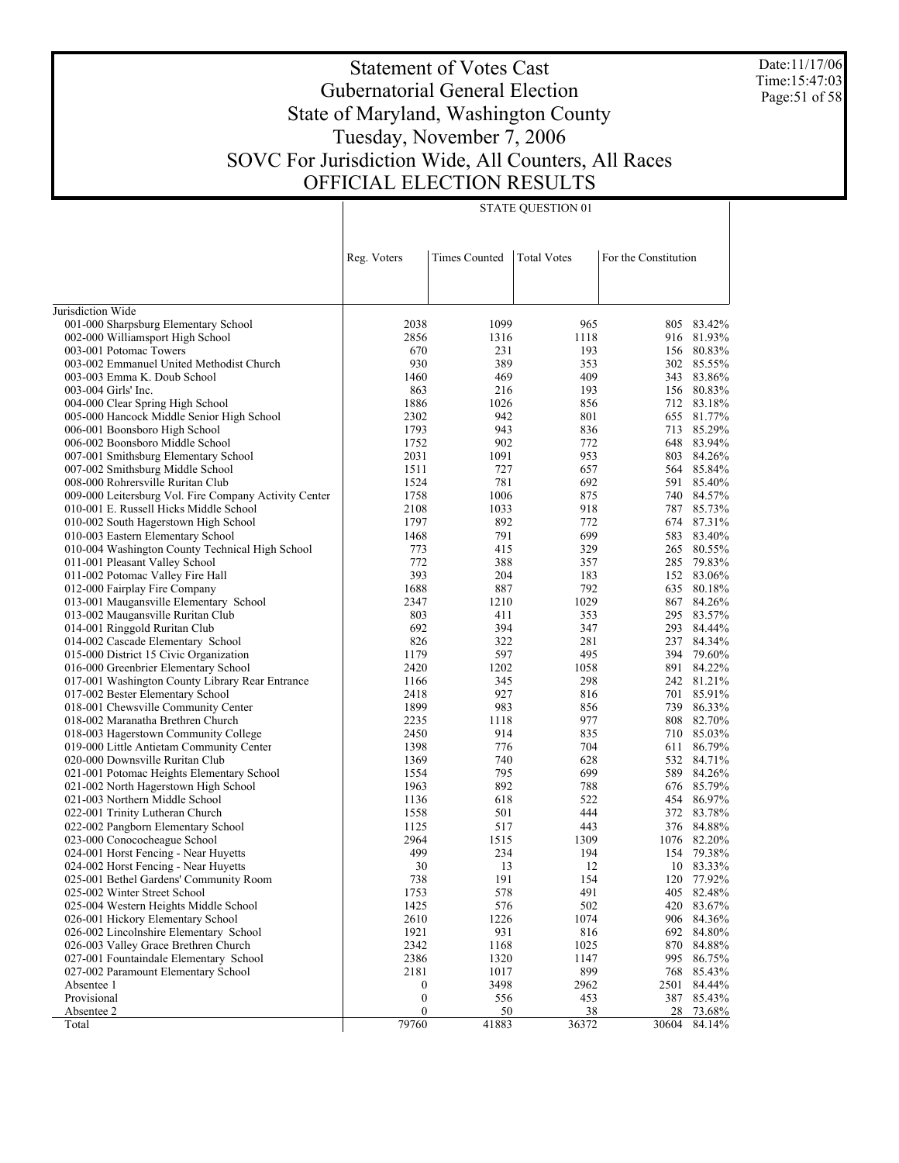Date:11/17/06 Time:15:47:03 Page:51 of 58

# Statement of Votes Cast Gubernatorial General Election State of Maryland, Washington County Tuesday, November 7, 2006 SOVC For Jurisdiction Wide, All Counters, All Races OFFICIAL ELECTION RESULTS

|                                                                             | Reg. Voters      | <b>Times Counted</b> | <b>Total Votes</b> | For the Constitution |            |
|-----------------------------------------------------------------------------|------------------|----------------------|--------------------|----------------------|------------|
|                                                                             |                  |                      |                    |                      |            |
| Jurisdiction Wide                                                           |                  |                      |                    |                      |            |
| 001-000 Sharpsburg Elementary School                                        | 2038             | 1099                 | 965                | 805                  | 83.42%     |
| 002-000 Williamsport High School                                            | 2856             | 1316                 | 1118               | 916                  | 81.93%     |
| 003-001 Potomac Towers                                                      | 670              | 231                  | 193                | 156                  | 80.83%     |
| 003-002 Emmanuel United Methodist Church                                    | 930              | 389                  | 353                | 302                  | 85.55%     |
| 003-003 Emma K. Doub School                                                 | 1460             | 469                  | 409                | 343                  | 83.86%     |
| 003-004 Girls' Inc.                                                         | 863              | 216                  | 193                | 156                  | 80.83%     |
| 004-000 Clear Spring High School                                            | 1886             | 1026                 | 856                | 712                  | 83.18%     |
| 005-000 Hancock Middle Senior High School                                   | 2302             | 942                  | 801                | 655                  | 81.77%     |
| 006-001 Boonsboro High School                                               | 1793             | 943                  | 836                | 713                  | 85.29%     |
| 006-002 Boonsboro Middle School                                             | 1752             | 902                  | 772                | 648                  | 83.94%     |
| 007-001 Smithsburg Elementary School                                        | 2031             | 1091                 | 953                | 803                  | 84.26%     |
| 007-002 Smithsburg Middle School                                            | 1511             | 727                  | 657                | 564                  | 85.84%     |
| 008-000 Rohrersville Ruritan Club                                           | 1524             | 781                  | 692                | 591                  | 85.40%     |
| 009-000 Leitersburg Vol. Fire Company Activity Center                       | 1758             | 1006                 | 875                | 740                  | 84.57%     |
| 010-001 E. Russell Hicks Middle School                                      | 2108             | 1033                 | 918                | 787                  | 85.73%     |
| 010-002 South Hagerstown High School                                        | 1797             | 892                  | 772                | 674                  | 87.31%     |
| 010-003 Eastern Elementary School                                           | 1468             | 791                  | 699                | 583                  | 83.40%     |
| 010-004 Washington County Technical High School                             | 773              | 415                  | 329                | 265                  | 80.55%     |
| 011-001 Pleasant Valley School                                              | 772              | 388                  | 357                | 285                  | 79.83%     |
| 011-002 Potomac Valley Fire Hall                                            | 393              | 204                  | 183                | 152                  | 83.06%     |
| 012-000 Fairplay Fire Company                                               | 1688             | 887                  | 792                | 635                  | 80.18%     |
| 013-001 Maugansville Elementary School                                      | 2347             | 1210                 | 1029               | 867                  | 84.26%     |
| 013-002 Maugansville Ruritan Club                                           | 803              | 411                  | 353                | 295                  | 83.57%     |
| 014-001 Ringgold Ruritan Club                                               | 692              | 394                  | 347                | 293                  | 84.44%     |
| 014-002 Cascade Elementary School                                           | 826              | 322                  | 281                | 237                  | 84.34%     |
| 015-000 District 15 Civic Organization                                      | 1179             | 597                  | 495                | 394                  | 79.60%     |
| 016-000 Greenbrier Elementary School                                        | 2420             | 1202                 | 1058               | 891                  | 84.22%     |
| 017-001 Washington County Library Rear Entrance                             | 1166             | 345                  | 298                |                      | 242 81.21% |
| 017-002 Bester Elementary School                                            | 2418             | 927                  | 816                | 701                  | 85.91%     |
| 018-001 Chewsville Community Center                                         | 1899             | 983                  | 856                | 739                  | 86.33%     |
|                                                                             | 2235             | 1118                 | 977                | 808                  | 82.70%     |
| 018-002 Maranatha Brethren Church                                           | 2450             | 914                  | 835                | 710                  | 85.03%     |
| 018-003 Hagerstown Community College                                        | 1398             | 776                  | 704                | 611                  | 86.79%     |
| 019-000 Little Antietam Community Center<br>020-000 Downsville Ruritan Club | 1369             | 740                  | 628                | 532                  | 84.71%     |
|                                                                             | 1554             | 795                  | 699                | 589                  | 84.26%     |
| 021-001 Potomac Heights Elementary School                                   | 1963             | 892                  | 788                | 676                  | 85.79%     |
| 021-002 North Hagerstown High School                                        |                  |                      |                    |                      | 86.97%     |
| 021-003 Northern Middle School                                              | 1136             | 618                  | 522                | 454                  | 83.78%     |
| 022-001 Trinity Lutheran Church                                             | 1558             | 501                  | 444                | 372                  |            |
| 022-002 Pangborn Elementary School                                          | 1125             | 517                  | 443                | 376                  | 84.88%     |
| 023-000 Conococheague School                                                | 2964             | 1515                 | 1309               | 1076                 | 82.20%     |
| 024-001 Horst Fencing - Near Huyetts                                        | 499              | 234                  | 194                | 154                  | 79.38%     |
| 024-002 Horst Fencing - Near Huyetts                                        | 30               | 13                   | 12                 | 10                   | 83.33%     |
| 025-001 Bethel Gardens' Community Room                                      | 738              | 191                  | 154                |                      | 120 77.92% |
| 025-002 Winter Street School                                                | 1753             | 578                  | 491                |                      | 405 82.48% |
| 025-004 Western Heights Middle School                                       | 1425             | 576                  | 502                |                      | 420 83.67% |
| 026-001 Hickory Elementary School                                           | 2610             | 1226                 | 1074               | 906                  | 84.36%     |
| 026-002 Lincolnshire Elementary School                                      | 1921             | 931                  | 816                | 692                  | 84.80%     |
| 026-003 Valley Grace Brethren Church                                        | 2342             | 1168                 | 1025               | 870                  | 84.88%     |
| 027-001 Fountaindale Elementary School                                      | 2386             | 1320                 | 1147               | 995                  | 86.75%     |
| 027-002 Paramount Elementary School                                         | 2181             | 1017                 | 899                | 768                  | 85.43%     |
| Absentee 1                                                                  | $\boldsymbol{0}$ | 3498                 | 2962               | 2501                 | 84.44%     |
| Provisional                                                                 | $\boldsymbol{0}$ | 556                  | 453                | 387                  | 85.43%     |
| Absentee 2                                                                  | $\mathbf{0}$     | 50                   | 38                 | 28                   | 73.68%     |
| Total                                                                       | 79760            | 41883                | 36372              | 30604                | 84.14%     |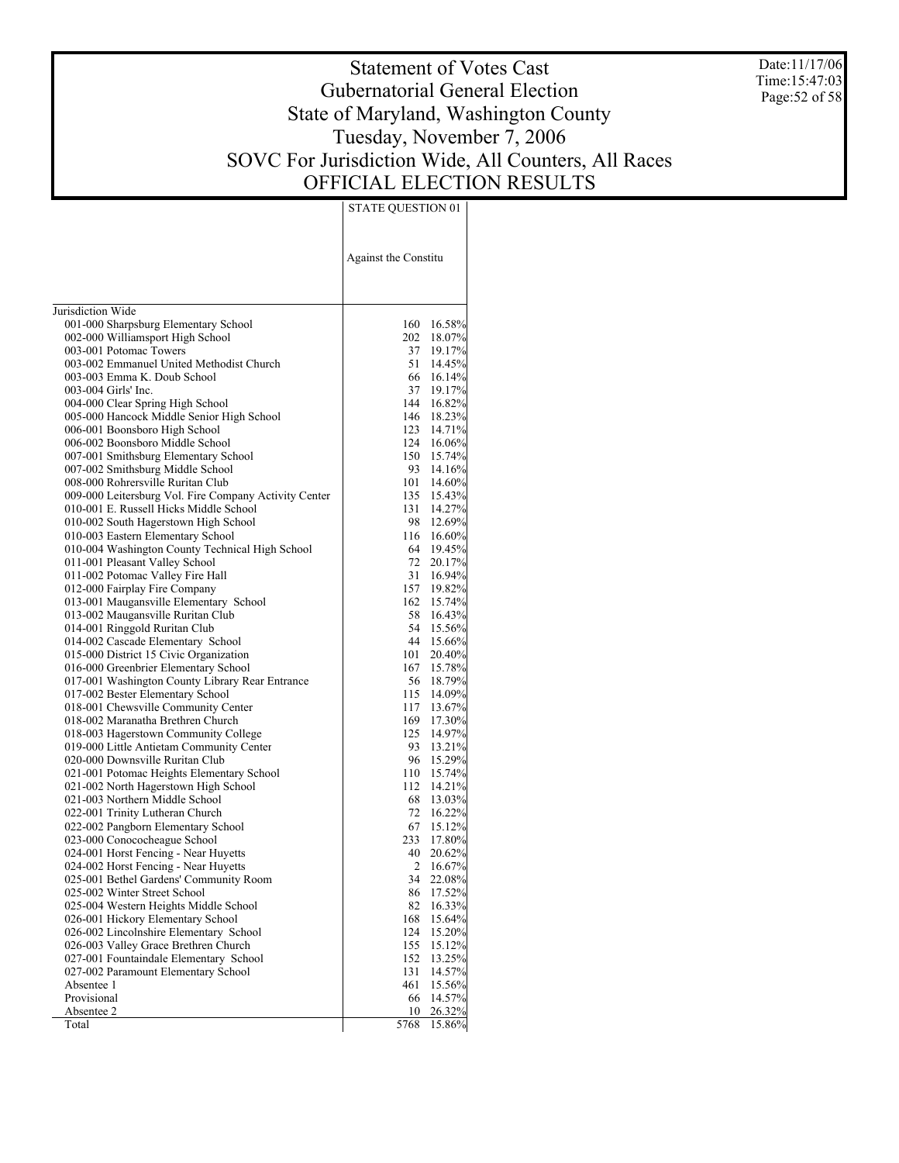Date:11/17/06 Time:15:47:03 Page:52 of 58

# Statement of Votes Cast Gubernatorial General Election State of Maryland, Washington County Tuesday, November 7, 2006 SOVC For Jurisdiction Wide, All Counters, All Races OFFICIAL ELECTION RESULTS

|                                                                          | Against the Constitu |                      |
|--------------------------------------------------------------------------|----------------------|----------------------|
| Jurisdiction Wide                                                        |                      |                      |
|                                                                          |                      | 160 16.58%           |
| 001-000 Sharpsburg Elementary School<br>002-000 Williamsport High School | 202                  | 18.07%               |
| 003-001 Potomac Towers                                                   |                      | 37 19.17%            |
| 003-002 Emmanuel United Methodist Church                                 | 51                   | 14.45%               |
| 003-003 Emma K. Doub School                                              |                      | 66 16.14%            |
| 003-004 Girls' Inc.                                                      | 37                   | 19.17%               |
| 004-000 Clear Spring High School                                         |                      | 144 16.82%           |
| 005-000 Hancock Middle Senior High School                                | 146                  | 18.23%               |
| 006-001 Boonsboro High School                                            |                      | 123 14.71%           |
| 006-002 Boonsboro Middle School                                          |                      | 124 16.06%           |
| 007-001 Smithsburg Elementary School                                     |                      | 150 15.74%           |
| 007-002 Smithsburg Middle School                                         | 93                   | 14.16%               |
| 008-000 Rohrersville Ruritan Club                                        |                      | 101 14.60%           |
| 009-000 Leitersburg Vol. Fire Company Activity Center                    |                      | 135 15.43%           |
| 010-001 E. Russell Hicks Middle School                                   | 131                  | 14.27%               |
| 010-002 South Hagerstown High School                                     | 98                   | 12.69%               |
| 010-003 Eastern Elementary School                                        |                      | 116 16.60%           |
| 010-004 Washington County Technical High School                          |                      | 64 19.45%            |
| 011-001 Pleasant Valley School                                           | 72                   | 20.17%               |
| 011-002 Potomac Valley Fire Hall                                         | 31                   | 16.94%               |
| 012-000 Fairplay Fire Company                                            |                      | 157 19.82%           |
| 013-001 Maugansville Elementary School                                   | 162                  | 15.74%<br>58 16.43%  |
| 013-002 Maugansville Ruritan Club<br>014-001 Ringgold Ruritan Club       |                      | 54 15.56%            |
| 014-002 Cascade Elementary School                                        |                      | 44 15.66%            |
| 015-000 District 15 Civic Organization                                   | 101                  | 20.40%               |
| 016-000 Greenbrier Elementary School                                     |                      | 167 15.78%           |
| 017-001 Washington County Library Rear Entrance                          |                      | 56 18.79%            |
| 017-002 Bester Elementary School                                         |                      | 115 14.09%           |
| 018-001 Chewsville Community Center                                      | 117                  | 13.67%               |
| 018-002 Maranatha Brethren Church                                        |                      | 169 17.30%           |
| 018-003 Hagerstown Community College                                     | 125                  | 14.97%               |
| 019-000 Little Antietam Community Center                                 |                      | 93 13.21%            |
| 020-000 Downsville Ruritan Club                                          | 96                   | 15.29%               |
| 021-001 Potomac Heights Elementary School                                |                      | 110 15.74%           |
| 021-002 North Hagerstown High School                                     | 112                  | 14.21%               |
| 021-003 Northern Middle School                                           |                      | 68 13.03%            |
| 022-001 Trinity Lutheran Church                                          | 72                   | 16.22%               |
| 022-002 Pangborn Elementary School                                       |                      | 67 15.12%            |
| 023-000 Conococheague School<br>024-001 Horst Fencing - Near Huyetts     | 40                   | 233 17.80%<br>20.62% |
| 024-002 Horst Fencing - Near Huyetts                                     | $\overline{2}$       | 16.67%               |
| 025-001 Bethel Gardens' Community Room                                   | 34                   | 22.08%               |
| 025-002 Winter Street School                                             | 86                   | 17.52%               |
| 025-004 Western Heights Middle School                                    | 82                   | 16.33%               |
| 026-001 Hickory Elementary School                                        | 168                  | 15.64%               |
| 026-002 Lincolnshire Elementary School                                   | 124                  | 15.20%               |
| 026-003 Valley Grace Brethren Church                                     | 155                  | 15.12%               |
| 027-001 Fountaindale Elementary School                                   | 152                  | 13.25%               |
| 027-002 Paramount Elementary School                                      | 131                  | 14.57%               |
| Absentee 1                                                               | 461                  | 15.56%               |
| Provisional                                                              | 66                   | 14.57%               |
| Absentee 2                                                               | 10                   | 26.32%               |
| Total                                                                    | 5768                 | 15.86%               |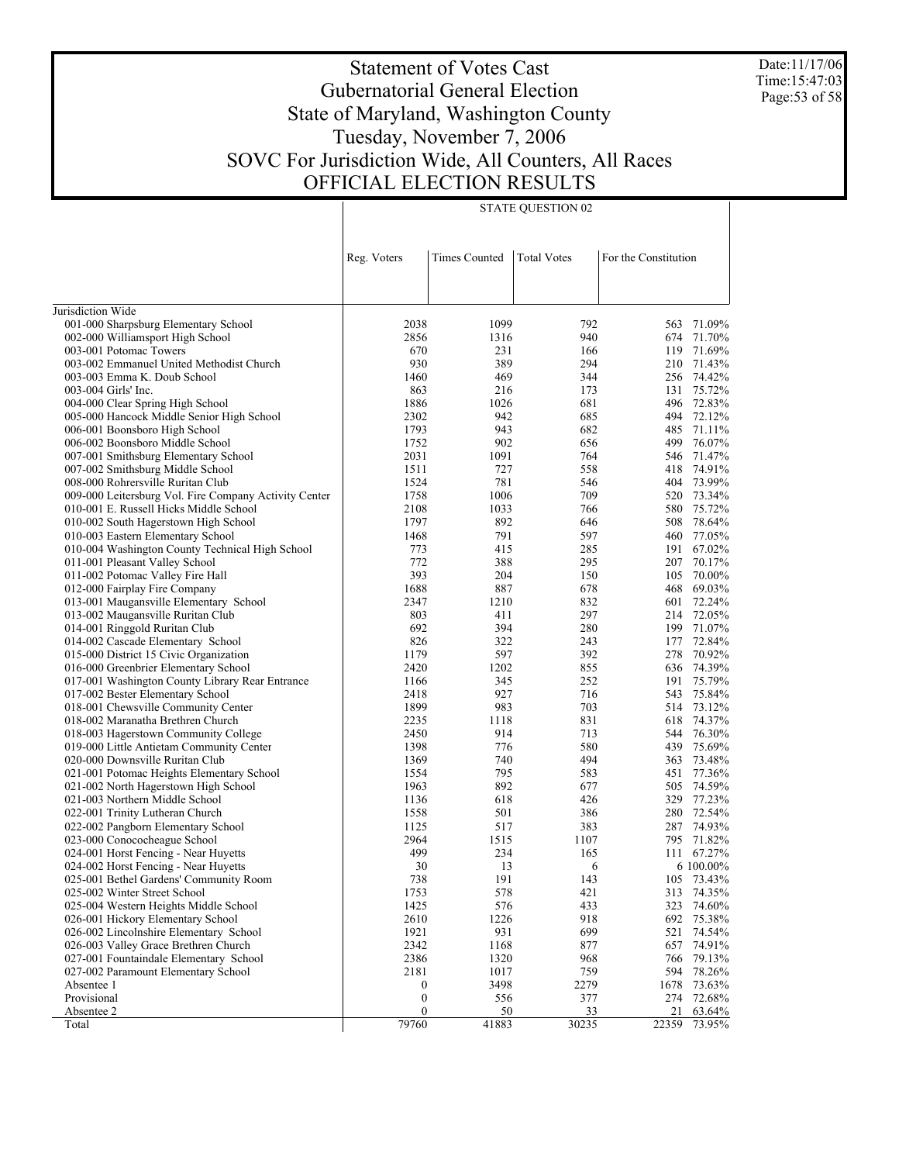Date:11/17/06 Time:15:47:03 Page:53 of 58

# Statement of Votes Cast Gubernatorial General Election State of Maryland, Washington County Tuesday, November 7, 2006 SOVC For Jurisdiction Wide, All Counters, All Races OFFICIAL ELECTION RESULTS

| <b>Times Counted</b><br><b>Total Votes</b><br>For the Constitution<br>Reg. Voters<br>Jurisdiction Wide<br>001-000 Sharpsburg Elementary School<br>2038<br>1099<br>792<br>563<br>002-000 Williamsport High School<br>2856<br>1316<br>940<br>674<br>003-001 Potomac Towers<br>670<br>231<br>119<br>166<br>003-002 Emmanuel United Methodist Church<br>930<br>389<br>294<br>210<br>74.42%<br>1460<br>469<br>256<br>003-003 Emma K. Doub School<br>344<br>75.72%<br>863<br>216<br>131<br>003-004 Girls' Inc.<br>173<br>72.83%<br>004-000 Clear Spring High School<br>1886<br>1026<br>681<br>496<br>72.12%<br>005-000 Hancock Middle Senior High School<br>2302<br>942<br>685<br>494<br>006-001 Boonsboro High School<br>1793<br>943<br>682<br>485<br>71.11%<br>499<br>76.07%<br>1752<br>902<br>006-002 Boonsboro Middle School<br>656<br>2031<br>1091<br>764<br>546<br>71.47%<br>007-001 Smithsburg Elementary School<br>74.91%<br>1511<br>727<br>558<br>418<br>007-002 Smithsburg Middle School<br>73.99%<br>008-000 Rohrersville Ruritan Club<br>1524<br>781<br>404<br>546<br>1758<br>73.34%<br>009-000 Leitersburg Vol. Fire Company Activity Center<br>1006<br>709<br>520<br>010-001 E. Russell Hicks Middle School<br>2108<br>1033<br>580<br>75.72%<br>766 |  |  |                  |  |
|-------------------------------------------------------------------------------------------------------------------------------------------------------------------------------------------------------------------------------------------------------------------------------------------------------------------------------------------------------------------------------------------------------------------------------------------------------------------------------------------------------------------------------------------------------------------------------------------------------------------------------------------------------------------------------------------------------------------------------------------------------------------------------------------------------------------------------------------------------------------------------------------------------------------------------------------------------------------------------------------------------------------------------------------------------------------------------------------------------------------------------------------------------------------------------------------------------------------------------------------------------------|--|--|------------------|--|
|                                                                                                                                                                                                                                                                                                                                                                                                                                                                                                                                                                                                                                                                                                                                                                                                                                                                                                                                                                                                                                                                                                                                                                                                                                                             |  |  |                  |  |
|                                                                                                                                                                                                                                                                                                                                                                                                                                                                                                                                                                                                                                                                                                                                                                                                                                                                                                                                                                                                                                                                                                                                                                                                                                                             |  |  |                  |  |
|                                                                                                                                                                                                                                                                                                                                                                                                                                                                                                                                                                                                                                                                                                                                                                                                                                                                                                                                                                                                                                                                                                                                                                                                                                                             |  |  |                  |  |
|                                                                                                                                                                                                                                                                                                                                                                                                                                                                                                                                                                                                                                                                                                                                                                                                                                                                                                                                                                                                                                                                                                                                                                                                                                                             |  |  |                  |  |
|                                                                                                                                                                                                                                                                                                                                                                                                                                                                                                                                                                                                                                                                                                                                                                                                                                                                                                                                                                                                                                                                                                                                                                                                                                                             |  |  | 71.09%           |  |
|                                                                                                                                                                                                                                                                                                                                                                                                                                                                                                                                                                                                                                                                                                                                                                                                                                                                                                                                                                                                                                                                                                                                                                                                                                                             |  |  | 71.70%           |  |
|                                                                                                                                                                                                                                                                                                                                                                                                                                                                                                                                                                                                                                                                                                                                                                                                                                                                                                                                                                                                                                                                                                                                                                                                                                                             |  |  | 71.69%           |  |
|                                                                                                                                                                                                                                                                                                                                                                                                                                                                                                                                                                                                                                                                                                                                                                                                                                                                                                                                                                                                                                                                                                                                                                                                                                                             |  |  | 71.43%           |  |
|                                                                                                                                                                                                                                                                                                                                                                                                                                                                                                                                                                                                                                                                                                                                                                                                                                                                                                                                                                                                                                                                                                                                                                                                                                                             |  |  |                  |  |
|                                                                                                                                                                                                                                                                                                                                                                                                                                                                                                                                                                                                                                                                                                                                                                                                                                                                                                                                                                                                                                                                                                                                                                                                                                                             |  |  |                  |  |
|                                                                                                                                                                                                                                                                                                                                                                                                                                                                                                                                                                                                                                                                                                                                                                                                                                                                                                                                                                                                                                                                                                                                                                                                                                                             |  |  |                  |  |
|                                                                                                                                                                                                                                                                                                                                                                                                                                                                                                                                                                                                                                                                                                                                                                                                                                                                                                                                                                                                                                                                                                                                                                                                                                                             |  |  |                  |  |
|                                                                                                                                                                                                                                                                                                                                                                                                                                                                                                                                                                                                                                                                                                                                                                                                                                                                                                                                                                                                                                                                                                                                                                                                                                                             |  |  |                  |  |
|                                                                                                                                                                                                                                                                                                                                                                                                                                                                                                                                                                                                                                                                                                                                                                                                                                                                                                                                                                                                                                                                                                                                                                                                                                                             |  |  |                  |  |
|                                                                                                                                                                                                                                                                                                                                                                                                                                                                                                                                                                                                                                                                                                                                                                                                                                                                                                                                                                                                                                                                                                                                                                                                                                                             |  |  |                  |  |
|                                                                                                                                                                                                                                                                                                                                                                                                                                                                                                                                                                                                                                                                                                                                                                                                                                                                                                                                                                                                                                                                                                                                                                                                                                                             |  |  |                  |  |
|                                                                                                                                                                                                                                                                                                                                                                                                                                                                                                                                                                                                                                                                                                                                                                                                                                                                                                                                                                                                                                                                                                                                                                                                                                                             |  |  |                  |  |
|                                                                                                                                                                                                                                                                                                                                                                                                                                                                                                                                                                                                                                                                                                                                                                                                                                                                                                                                                                                                                                                                                                                                                                                                                                                             |  |  |                  |  |
|                                                                                                                                                                                                                                                                                                                                                                                                                                                                                                                                                                                                                                                                                                                                                                                                                                                                                                                                                                                                                                                                                                                                                                                                                                                             |  |  |                  |  |
| 1797<br>010-002 South Hagerstown High School<br>892<br>646<br>508                                                                                                                                                                                                                                                                                                                                                                                                                                                                                                                                                                                                                                                                                                                                                                                                                                                                                                                                                                                                                                                                                                                                                                                           |  |  | 78.64%           |  |
| 010-003 Eastern Elementary School<br>1468<br>791<br>597<br>460                                                                                                                                                                                                                                                                                                                                                                                                                                                                                                                                                                                                                                                                                                                                                                                                                                                                                                                                                                                                                                                                                                                                                                                              |  |  | 77.05%           |  |
| 010-004 Washington County Technical High School<br>773<br>415<br>285<br>191                                                                                                                                                                                                                                                                                                                                                                                                                                                                                                                                                                                                                                                                                                                                                                                                                                                                                                                                                                                                                                                                                                                                                                                 |  |  | 67.02%           |  |
| 772<br>011-001 Pleasant Valley School<br>388<br>295<br>207                                                                                                                                                                                                                                                                                                                                                                                                                                                                                                                                                                                                                                                                                                                                                                                                                                                                                                                                                                                                                                                                                                                                                                                                  |  |  | 70.17%           |  |
| 393<br>011-002 Potomac Valley Fire Hall<br>204<br>150<br>105                                                                                                                                                                                                                                                                                                                                                                                                                                                                                                                                                                                                                                                                                                                                                                                                                                                                                                                                                                                                                                                                                                                                                                                                |  |  | 70.00%           |  |
| 1688<br>887<br>012-000 Fairplay Fire Company<br>678<br>468                                                                                                                                                                                                                                                                                                                                                                                                                                                                                                                                                                                                                                                                                                                                                                                                                                                                                                                                                                                                                                                                                                                                                                                                  |  |  | 69.03%           |  |
| 013-001 Maugansville Elementary School<br>2347<br>1210<br>832<br>601                                                                                                                                                                                                                                                                                                                                                                                                                                                                                                                                                                                                                                                                                                                                                                                                                                                                                                                                                                                                                                                                                                                                                                                        |  |  | 72.24%           |  |
| 013-002 Maugansville Ruritan Club<br>803<br>411<br>297<br>214                                                                                                                                                                                                                                                                                                                                                                                                                                                                                                                                                                                                                                                                                                                                                                                                                                                                                                                                                                                                                                                                                                                                                                                               |  |  | 72.05%           |  |
| 014-001 Ringgold Ruritan Club<br>692<br>394<br>280                                                                                                                                                                                                                                                                                                                                                                                                                                                                                                                                                                                                                                                                                                                                                                                                                                                                                                                                                                                                                                                                                                                                                                                                          |  |  | 199 71.07%       |  |
| 014-002 Cascade Elementary School<br>826<br>322<br>177<br>243                                                                                                                                                                                                                                                                                                                                                                                                                                                                                                                                                                                                                                                                                                                                                                                                                                                                                                                                                                                                                                                                                                                                                                                               |  |  | 72.84%           |  |
| 597<br>015-000 District 15 Civic Organization<br>1179<br>392<br>278                                                                                                                                                                                                                                                                                                                                                                                                                                                                                                                                                                                                                                                                                                                                                                                                                                                                                                                                                                                                                                                                                                                                                                                         |  |  | 70.92%           |  |
| 016-000 Greenbrier Elementary School<br>2420<br>1202<br>855<br>636                                                                                                                                                                                                                                                                                                                                                                                                                                                                                                                                                                                                                                                                                                                                                                                                                                                                                                                                                                                                                                                                                                                                                                                          |  |  | 74.39%           |  |
| 017-001 Washington County Library Rear Entrance<br>1166<br>345<br>252<br>191<br>927                                                                                                                                                                                                                                                                                                                                                                                                                                                                                                                                                                                                                                                                                                                                                                                                                                                                                                                                                                                                                                                                                                                                                                         |  |  | 75.79%<br>75.84% |  |
| 017-002 Bester Elementary School<br>2418<br>716<br>543                                                                                                                                                                                                                                                                                                                                                                                                                                                                                                                                                                                                                                                                                                                                                                                                                                                                                                                                                                                                                                                                                                                                                                                                      |  |  | 73.12%           |  |
| 018-001 Chewsville Community Center<br>1899<br>983<br>703<br>514<br>018-002 Maranatha Brethren Church<br>2235<br>831<br>618                                                                                                                                                                                                                                                                                                                                                                                                                                                                                                                                                                                                                                                                                                                                                                                                                                                                                                                                                                                                                                                                                                                                 |  |  | 74.37%           |  |
| 1118<br>2450<br>914<br>713<br>544                                                                                                                                                                                                                                                                                                                                                                                                                                                                                                                                                                                                                                                                                                                                                                                                                                                                                                                                                                                                                                                                                                                                                                                                                           |  |  | 76.30%           |  |
| 018-003 Hagerstown Community College<br>1398<br>776<br>580<br>439                                                                                                                                                                                                                                                                                                                                                                                                                                                                                                                                                                                                                                                                                                                                                                                                                                                                                                                                                                                                                                                                                                                                                                                           |  |  | 75.69%           |  |
| 019-000 Little Antietam Community Center<br>020-000 Downsville Ruritan Club<br>1369<br>740<br>494<br>363                                                                                                                                                                                                                                                                                                                                                                                                                                                                                                                                                                                                                                                                                                                                                                                                                                                                                                                                                                                                                                                                                                                                                    |  |  | 73.48%           |  |
| 1554<br>795<br>583<br>451                                                                                                                                                                                                                                                                                                                                                                                                                                                                                                                                                                                                                                                                                                                                                                                                                                                                                                                                                                                                                                                                                                                                                                                                                                   |  |  | 77.36%           |  |
| 021-001 Potomac Heights Elementary School<br>021-002 North Hagerstown High School<br>1963<br>892<br>677<br>505                                                                                                                                                                                                                                                                                                                                                                                                                                                                                                                                                                                                                                                                                                                                                                                                                                                                                                                                                                                                                                                                                                                                              |  |  | 74.59%           |  |
| 618<br>329<br>021-003 Northern Middle School<br>1136<br>426                                                                                                                                                                                                                                                                                                                                                                                                                                                                                                                                                                                                                                                                                                                                                                                                                                                                                                                                                                                                                                                                                                                                                                                                 |  |  | 77.23%           |  |
| 022-001 Trinity Lutheran Church<br>1558<br>501<br>386                                                                                                                                                                                                                                                                                                                                                                                                                                                                                                                                                                                                                                                                                                                                                                                                                                                                                                                                                                                                                                                                                                                                                                                                       |  |  | 280 72.54%       |  |
| 1125<br>517<br>383<br>287<br>022-002 Pangborn Elementary School                                                                                                                                                                                                                                                                                                                                                                                                                                                                                                                                                                                                                                                                                                                                                                                                                                                                                                                                                                                                                                                                                                                                                                                             |  |  | 74.93%           |  |
| 2964<br>023-000 Conococheague School<br>1515<br>1107                                                                                                                                                                                                                                                                                                                                                                                                                                                                                                                                                                                                                                                                                                                                                                                                                                                                                                                                                                                                                                                                                                                                                                                                        |  |  | 795 71.82%       |  |
| 499<br>024-001 Horst Fencing - Near Huyetts<br>234<br>165                                                                                                                                                                                                                                                                                                                                                                                                                                                                                                                                                                                                                                                                                                                                                                                                                                                                                                                                                                                                                                                                                                                                                                                                   |  |  | 111 67.27%       |  |
| 30<br>13<br>024-002 Horst Fencing - Near Huyetts<br>6                                                                                                                                                                                                                                                                                                                                                                                                                                                                                                                                                                                                                                                                                                                                                                                                                                                                                                                                                                                                                                                                                                                                                                                                       |  |  | 6 100.00%        |  |
| 025-001 Bethel Gardens' Community Room<br>738<br>191<br>143                                                                                                                                                                                                                                                                                                                                                                                                                                                                                                                                                                                                                                                                                                                                                                                                                                                                                                                                                                                                                                                                                                                                                                                                 |  |  | 105 73.43%       |  |
| 025-002 Winter Street School<br>1753<br>578<br>421<br>313                                                                                                                                                                                                                                                                                                                                                                                                                                                                                                                                                                                                                                                                                                                                                                                                                                                                                                                                                                                                                                                                                                                                                                                                   |  |  | 74.35%           |  |
| 576<br>433<br>025-004 Western Heights Middle School<br>1425<br>323                                                                                                                                                                                                                                                                                                                                                                                                                                                                                                                                                                                                                                                                                                                                                                                                                                                                                                                                                                                                                                                                                                                                                                                          |  |  | 74.60%           |  |
| 2610<br>026-001 Hickory Elementary School<br>1226<br>918<br>692                                                                                                                                                                                                                                                                                                                                                                                                                                                                                                                                                                                                                                                                                                                                                                                                                                                                                                                                                                                                                                                                                                                                                                                             |  |  | 75.38%           |  |
| 1921<br>931<br>026-002 Lincolnshire Elementary School<br>699<br>521                                                                                                                                                                                                                                                                                                                                                                                                                                                                                                                                                                                                                                                                                                                                                                                                                                                                                                                                                                                                                                                                                                                                                                                         |  |  | 74.54%           |  |
| 2342<br>026-003 Valley Grace Brethren Church<br>1168<br>877<br>657                                                                                                                                                                                                                                                                                                                                                                                                                                                                                                                                                                                                                                                                                                                                                                                                                                                                                                                                                                                                                                                                                                                                                                                          |  |  | 74.91%           |  |
| 2386<br>027-001 Fountaindale Elementary School<br>1320<br>968<br>766                                                                                                                                                                                                                                                                                                                                                                                                                                                                                                                                                                                                                                                                                                                                                                                                                                                                                                                                                                                                                                                                                                                                                                                        |  |  | 79.13%           |  |
| 027-002 Paramount Elementary School<br>2181<br>594<br>1017<br>759                                                                                                                                                                                                                                                                                                                                                                                                                                                                                                                                                                                                                                                                                                                                                                                                                                                                                                                                                                                                                                                                                                                                                                                           |  |  | 78.26%           |  |
| 3498<br>2279<br>Absentee 1<br>$\boldsymbol{0}$<br>1678                                                                                                                                                                                                                                                                                                                                                                                                                                                                                                                                                                                                                                                                                                                                                                                                                                                                                                                                                                                                                                                                                                                                                                                                      |  |  | 73.63%           |  |
| Provisional<br>$\boldsymbol{0}$<br>556<br>377<br>274                                                                                                                                                                                                                                                                                                                                                                                                                                                                                                                                                                                                                                                                                                                                                                                                                                                                                                                                                                                                                                                                                                                                                                                                        |  |  | 72.68%           |  |
| $\boldsymbol{0}$<br>50<br>Absentee 2<br>33<br>21                                                                                                                                                                                                                                                                                                                                                                                                                                                                                                                                                                                                                                                                                                                                                                                                                                                                                                                                                                                                                                                                                                                                                                                                            |  |  | 63.64%           |  |
| 79760<br>41883<br>30235<br>Total<br>22359                                                                                                                                                                                                                                                                                                                                                                                                                                                                                                                                                                                                                                                                                                                                                                                                                                                                                                                                                                                                                                                                                                                                                                                                                   |  |  | 73.95%           |  |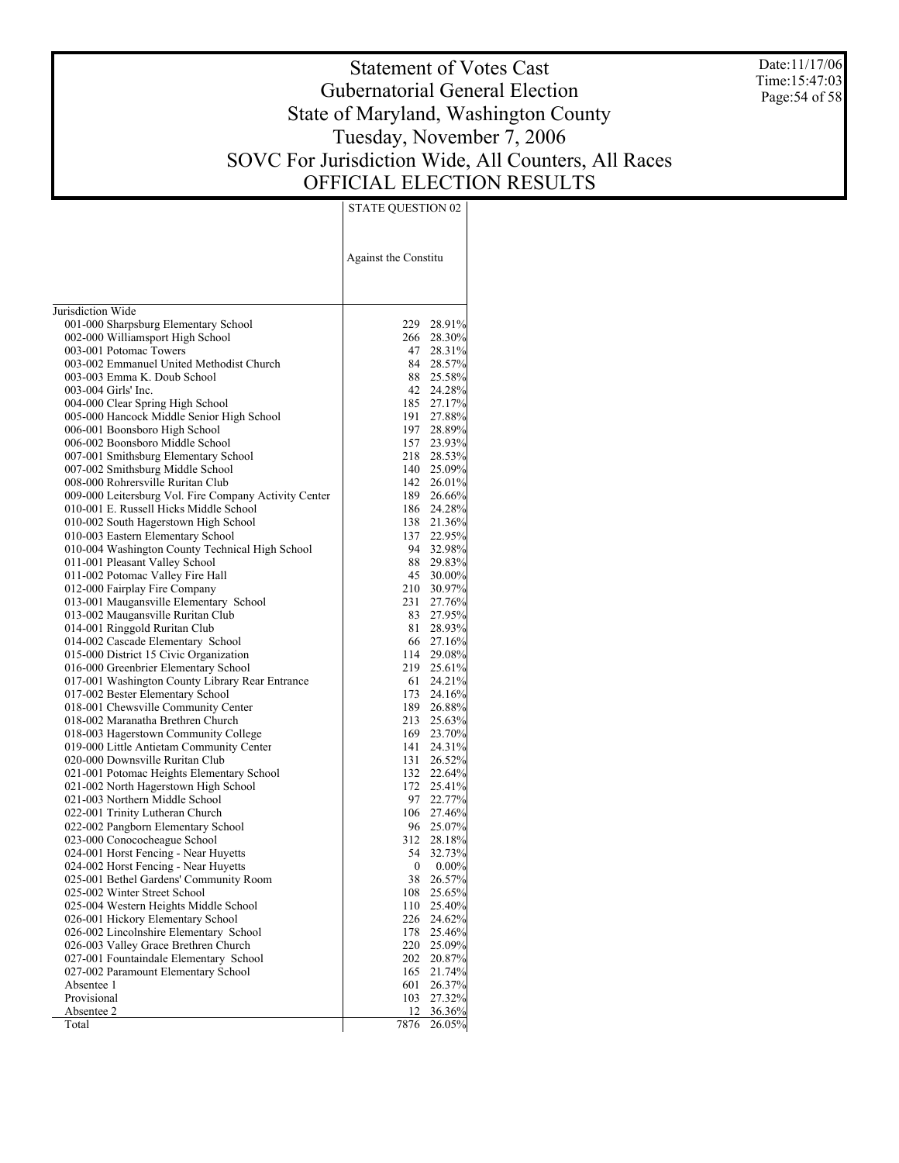Date:11/17/06 Time:15:47:03 Page:54 of 58

# Statement of Votes Cast Gubernatorial General Election State of Maryland, Washington County Tuesday, November 7, 2006 SOVC For Jurisdiction Wide, All Counters, All Races OFFICIAL ELECTION RESULTS

| Jurisdiction Wide<br>229 28.91%<br>001-000 Sharpsburg Elementary School<br>002-000 Williamsport High School<br>266 28.30%<br>003-001 Potomac Towers<br>47 28.31%<br>003-002 Emmanuel United Methodist Church<br>84 28.57%<br>88 25.58%<br>003-003 Emma K. Doub School<br>42 24.28%<br>003-004 Girls' Inc.<br>004-000 Clear Spring High School<br>185 27.17%<br>005-000 Hancock Middle Senior High School<br>191<br>27.88%<br>197 28.89%<br>006-001 Boonsboro High School<br>006-002 Boonsboro Middle School<br>157 23.93%<br>218 28.53%<br>007-001 Smithsburg Elementary School<br>140 25.09%<br>007-002 Smithsburg Middle School<br>142 26.01%<br>008-000 Rohrersville Ruritan Club<br>009-000 Leitersburg Vol. Fire Company Activity Center<br>189 26.66%<br>010-001 E. Russell Hicks Middle School<br>186 24.28%<br>138 21.36%<br>010-002 South Hagerstown High School<br>137 22.95%<br>010-003 Eastern Elementary School<br>94 32.98%<br>010-004 Washington County Technical High School<br>88 29.83%<br>011-001 Pleasant Valley School<br>011-002 Potomac Valley Fire Hall<br>45<br>30.00%<br>012-000 Fairplay Fire Company<br>210 30.97%<br>231<br>013-001 Maugansville Elementary School<br>27.76%<br>013-002 Maugansville Ruritan Club<br>83 27.95%<br>81<br>014-001 Ringgold Ruritan Club<br>28.93%<br>66 27.16%<br>014-002 Cascade Elementary School<br>015-000 District 15 Civic Organization<br>114 29.08%<br>219 25.61%<br>016-000 Greenbrier Elementary School<br>017-001 Washington County Library Rear Entrance<br>61<br>24.21%<br>173 24.16%<br>017-002 Bester Elementary School<br>189 26.88%<br>018-001 Chewsville Community Center<br>213 25.63%<br>018-002 Maranatha Brethren Church<br>018-003 Hagerstown Community College<br>169 23.70%<br>141<br>019-000 Little Antietam Community Center<br>24.31%<br>020-000 Downsville Ruritan Club<br>131<br>26.52%<br>132 22.64%<br>021-001 Potomac Heights Elementary School<br>172 25.41%<br>021-002 North Hagerstown High School<br>97 22.77%<br>021-003 Northern Middle School<br>022-001 Trinity Lutheran Church<br>106 27.46%<br>96 25.07%<br>022-002 Pangborn Elementary School<br>312 28.18%<br>023-000 Conococheague School<br>54 32.73%<br>024-001 Horst Fencing - Near Huyetts<br>024-002 Horst Fencing - Near Huyetts<br>0<br>$0.00\%$<br>025-001 Bethel Gardens' Community Room<br>38<br>26.57%<br>025-002 Winter Street School<br>108<br>25.65%<br>025-004 Western Heights Middle School<br>25.40%<br>110<br>026-001 Hickory Elementary School<br>226<br>24.62%<br>178<br>026-002 Lincolnshire Elementary School<br>25.46%<br>026-003 Valley Grace Brethren Church<br>220<br>25.09%<br>027-001 Fountaindale Elementary School<br>202<br>20.87%<br>027-002 Paramount Elementary School<br>165<br>21.74%<br>Absentee 1<br>601<br>26.37%<br>Provisional<br>103<br>27.32%<br>Absentee 2<br>12<br>36.36% |       | <b>Against the Constitu</b> |        |
|---------------------------------------------------------------------------------------------------------------------------------------------------------------------------------------------------------------------------------------------------------------------------------------------------------------------------------------------------------------------------------------------------------------------------------------------------------------------------------------------------------------------------------------------------------------------------------------------------------------------------------------------------------------------------------------------------------------------------------------------------------------------------------------------------------------------------------------------------------------------------------------------------------------------------------------------------------------------------------------------------------------------------------------------------------------------------------------------------------------------------------------------------------------------------------------------------------------------------------------------------------------------------------------------------------------------------------------------------------------------------------------------------------------------------------------------------------------------------------------------------------------------------------------------------------------------------------------------------------------------------------------------------------------------------------------------------------------------------------------------------------------------------------------------------------------------------------------------------------------------------------------------------------------------------------------------------------------------------------------------------------------------------------------------------------------------------------------------------------------------------------------------------------------------------------------------------------------------------------------------------------------------------------------------------------------------------------------------------------------------------------------------------------------------------------------------------------------------------------------------------------------------------------------------------------------------------------------------------------------------------------------------------------------------------------------------------------------------------------------------------------------------------------------------------------------------------------------------------------------------------------|-------|-----------------------------|--------|
|                                                                                                                                                                                                                                                                                                                                                                                                                                                                                                                                                                                                                                                                                                                                                                                                                                                                                                                                                                                                                                                                                                                                                                                                                                                                                                                                                                                                                                                                                                                                                                                                                                                                                                                                                                                                                                                                                                                                                                                                                                                                                                                                                                                                                                                                                                                                                                                                                                                                                                                                                                                                                                                                                                                                                                                                                                                                                 |       |                             |        |
|                                                                                                                                                                                                                                                                                                                                                                                                                                                                                                                                                                                                                                                                                                                                                                                                                                                                                                                                                                                                                                                                                                                                                                                                                                                                                                                                                                                                                                                                                                                                                                                                                                                                                                                                                                                                                                                                                                                                                                                                                                                                                                                                                                                                                                                                                                                                                                                                                                                                                                                                                                                                                                                                                                                                                                                                                                                                                 |       |                             |        |
|                                                                                                                                                                                                                                                                                                                                                                                                                                                                                                                                                                                                                                                                                                                                                                                                                                                                                                                                                                                                                                                                                                                                                                                                                                                                                                                                                                                                                                                                                                                                                                                                                                                                                                                                                                                                                                                                                                                                                                                                                                                                                                                                                                                                                                                                                                                                                                                                                                                                                                                                                                                                                                                                                                                                                                                                                                                                                 |       |                             |        |
|                                                                                                                                                                                                                                                                                                                                                                                                                                                                                                                                                                                                                                                                                                                                                                                                                                                                                                                                                                                                                                                                                                                                                                                                                                                                                                                                                                                                                                                                                                                                                                                                                                                                                                                                                                                                                                                                                                                                                                                                                                                                                                                                                                                                                                                                                                                                                                                                                                                                                                                                                                                                                                                                                                                                                                                                                                                                                 |       |                             |        |
|                                                                                                                                                                                                                                                                                                                                                                                                                                                                                                                                                                                                                                                                                                                                                                                                                                                                                                                                                                                                                                                                                                                                                                                                                                                                                                                                                                                                                                                                                                                                                                                                                                                                                                                                                                                                                                                                                                                                                                                                                                                                                                                                                                                                                                                                                                                                                                                                                                                                                                                                                                                                                                                                                                                                                                                                                                                                                 |       |                             |        |
|                                                                                                                                                                                                                                                                                                                                                                                                                                                                                                                                                                                                                                                                                                                                                                                                                                                                                                                                                                                                                                                                                                                                                                                                                                                                                                                                                                                                                                                                                                                                                                                                                                                                                                                                                                                                                                                                                                                                                                                                                                                                                                                                                                                                                                                                                                                                                                                                                                                                                                                                                                                                                                                                                                                                                                                                                                                                                 |       |                             |        |
|                                                                                                                                                                                                                                                                                                                                                                                                                                                                                                                                                                                                                                                                                                                                                                                                                                                                                                                                                                                                                                                                                                                                                                                                                                                                                                                                                                                                                                                                                                                                                                                                                                                                                                                                                                                                                                                                                                                                                                                                                                                                                                                                                                                                                                                                                                                                                                                                                                                                                                                                                                                                                                                                                                                                                                                                                                                                                 |       |                             |        |
|                                                                                                                                                                                                                                                                                                                                                                                                                                                                                                                                                                                                                                                                                                                                                                                                                                                                                                                                                                                                                                                                                                                                                                                                                                                                                                                                                                                                                                                                                                                                                                                                                                                                                                                                                                                                                                                                                                                                                                                                                                                                                                                                                                                                                                                                                                                                                                                                                                                                                                                                                                                                                                                                                                                                                                                                                                                                                 |       |                             |        |
|                                                                                                                                                                                                                                                                                                                                                                                                                                                                                                                                                                                                                                                                                                                                                                                                                                                                                                                                                                                                                                                                                                                                                                                                                                                                                                                                                                                                                                                                                                                                                                                                                                                                                                                                                                                                                                                                                                                                                                                                                                                                                                                                                                                                                                                                                                                                                                                                                                                                                                                                                                                                                                                                                                                                                                                                                                                                                 |       |                             |        |
|                                                                                                                                                                                                                                                                                                                                                                                                                                                                                                                                                                                                                                                                                                                                                                                                                                                                                                                                                                                                                                                                                                                                                                                                                                                                                                                                                                                                                                                                                                                                                                                                                                                                                                                                                                                                                                                                                                                                                                                                                                                                                                                                                                                                                                                                                                                                                                                                                                                                                                                                                                                                                                                                                                                                                                                                                                                                                 |       |                             |        |
|                                                                                                                                                                                                                                                                                                                                                                                                                                                                                                                                                                                                                                                                                                                                                                                                                                                                                                                                                                                                                                                                                                                                                                                                                                                                                                                                                                                                                                                                                                                                                                                                                                                                                                                                                                                                                                                                                                                                                                                                                                                                                                                                                                                                                                                                                                                                                                                                                                                                                                                                                                                                                                                                                                                                                                                                                                                                                 |       |                             |        |
|                                                                                                                                                                                                                                                                                                                                                                                                                                                                                                                                                                                                                                                                                                                                                                                                                                                                                                                                                                                                                                                                                                                                                                                                                                                                                                                                                                                                                                                                                                                                                                                                                                                                                                                                                                                                                                                                                                                                                                                                                                                                                                                                                                                                                                                                                                                                                                                                                                                                                                                                                                                                                                                                                                                                                                                                                                                                                 |       |                             |        |
|                                                                                                                                                                                                                                                                                                                                                                                                                                                                                                                                                                                                                                                                                                                                                                                                                                                                                                                                                                                                                                                                                                                                                                                                                                                                                                                                                                                                                                                                                                                                                                                                                                                                                                                                                                                                                                                                                                                                                                                                                                                                                                                                                                                                                                                                                                                                                                                                                                                                                                                                                                                                                                                                                                                                                                                                                                                                                 |       |                             |        |
|                                                                                                                                                                                                                                                                                                                                                                                                                                                                                                                                                                                                                                                                                                                                                                                                                                                                                                                                                                                                                                                                                                                                                                                                                                                                                                                                                                                                                                                                                                                                                                                                                                                                                                                                                                                                                                                                                                                                                                                                                                                                                                                                                                                                                                                                                                                                                                                                                                                                                                                                                                                                                                                                                                                                                                                                                                                                                 |       |                             |        |
|                                                                                                                                                                                                                                                                                                                                                                                                                                                                                                                                                                                                                                                                                                                                                                                                                                                                                                                                                                                                                                                                                                                                                                                                                                                                                                                                                                                                                                                                                                                                                                                                                                                                                                                                                                                                                                                                                                                                                                                                                                                                                                                                                                                                                                                                                                                                                                                                                                                                                                                                                                                                                                                                                                                                                                                                                                                                                 |       |                             |        |
|                                                                                                                                                                                                                                                                                                                                                                                                                                                                                                                                                                                                                                                                                                                                                                                                                                                                                                                                                                                                                                                                                                                                                                                                                                                                                                                                                                                                                                                                                                                                                                                                                                                                                                                                                                                                                                                                                                                                                                                                                                                                                                                                                                                                                                                                                                                                                                                                                                                                                                                                                                                                                                                                                                                                                                                                                                                                                 |       |                             |        |
|                                                                                                                                                                                                                                                                                                                                                                                                                                                                                                                                                                                                                                                                                                                                                                                                                                                                                                                                                                                                                                                                                                                                                                                                                                                                                                                                                                                                                                                                                                                                                                                                                                                                                                                                                                                                                                                                                                                                                                                                                                                                                                                                                                                                                                                                                                                                                                                                                                                                                                                                                                                                                                                                                                                                                                                                                                                                                 |       |                             |        |
|                                                                                                                                                                                                                                                                                                                                                                                                                                                                                                                                                                                                                                                                                                                                                                                                                                                                                                                                                                                                                                                                                                                                                                                                                                                                                                                                                                                                                                                                                                                                                                                                                                                                                                                                                                                                                                                                                                                                                                                                                                                                                                                                                                                                                                                                                                                                                                                                                                                                                                                                                                                                                                                                                                                                                                                                                                                                                 |       |                             |        |
|                                                                                                                                                                                                                                                                                                                                                                                                                                                                                                                                                                                                                                                                                                                                                                                                                                                                                                                                                                                                                                                                                                                                                                                                                                                                                                                                                                                                                                                                                                                                                                                                                                                                                                                                                                                                                                                                                                                                                                                                                                                                                                                                                                                                                                                                                                                                                                                                                                                                                                                                                                                                                                                                                                                                                                                                                                                                                 |       |                             |        |
|                                                                                                                                                                                                                                                                                                                                                                                                                                                                                                                                                                                                                                                                                                                                                                                                                                                                                                                                                                                                                                                                                                                                                                                                                                                                                                                                                                                                                                                                                                                                                                                                                                                                                                                                                                                                                                                                                                                                                                                                                                                                                                                                                                                                                                                                                                                                                                                                                                                                                                                                                                                                                                                                                                                                                                                                                                                                                 |       |                             |        |
|                                                                                                                                                                                                                                                                                                                                                                                                                                                                                                                                                                                                                                                                                                                                                                                                                                                                                                                                                                                                                                                                                                                                                                                                                                                                                                                                                                                                                                                                                                                                                                                                                                                                                                                                                                                                                                                                                                                                                                                                                                                                                                                                                                                                                                                                                                                                                                                                                                                                                                                                                                                                                                                                                                                                                                                                                                                                                 |       |                             |        |
|                                                                                                                                                                                                                                                                                                                                                                                                                                                                                                                                                                                                                                                                                                                                                                                                                                                                                                                                                                                                                                                                                                                                                                                                                                                                                                                                                                                                                                                                                                                                                                                                                                                                                                                                                                                                                                                                                                                                                                                                                                                                                                                                                                                                                                                                                                                                                                                                                                                                                                                                                                                                                                                                                                                                                                                                                                                                                 |       |                             |        |
|                                                                                                                                                                                                                                                                                                                                                                                                                                                                                                                                                                                                                                                                                                                                                                                                                                                                                                                                                                                                                                                                                                                                                                                                                                                                                                                                                                                                                                                                                                                                                                                                                                                                                                                                                                                                                                                                                                                                                                                                                                                                                                                                                                                                                                                                                                                                                                                                                                                                                                                                                                                                                                                                                                                                                                                                                                                                                 |       |                             |        |
|                                                                                                                                                                                                                                                                                                                                                                                                                                                                                                                                                                                                                                                                                                                                                                                                                                                                                                                                                                                                                                                                                                                                                                                                                                                                                                                                                                                                                                                                                                                                                                                                                                                                                                                                                                                                                                                                                                                                                                                                                                                                                                                                                                                                                                                                                                                                                                                                                                                                                                                                                                                                                                                                                                                                                                                                                                                                                 |       |                             |        |
|                                                                                                                                                                                                                                                                                                                                                                                                                                                                                                                                                                                                                                                                                                                                                                                                                                                                                                                                                                                                                                                                                                                                                                                                                                                                                                                                                                                                                                                                                                                                                                                                                                                                                                                                                                                                                                                                                                                                                                                                                                                                                                                                                                                                                                                                                                                                                                                                                                                                                                                                                                                                                                                                                                                                                                                                                                                                                 |       |                             |        |
|                                                                                                                                                                                                                                                                                                                                                                                                                                                                                                                                                                                                                                                                                                                                                                                                                                                                                                                                                                                                                                                                                                                                                                                                                                                                                                                                                                                                                                                                                                                                                                                                                                                                                                                                                                                                                                                                                                                                                                                                                                                                                                                                                                                                                                                                                                                                                                                                                                                                                                                                                                                                                                                                                                                                                                                                                                                                                 |       |                             |        |
|                                                                                                                                                                                                                                                                                                                                                                                                                                                                                                                                                                                                                                                                                                                                                                                                                                                                                                                                                                                                                                                                                                                                                                                                                                                                                                                                                                                                                                                                                                                                                                                                                                                                                                                                                                                                                                                                                                                                                                                                                                                                                                                                                                                                                                                                                                                                                                                                                                                                                                                                                                                                                                                                                                                                                                                                                                                                                 |       |                             |        |
|                                                                                                                                                                                                                                                                                                                                                                                                                                                                                                                                                                                                                                                                                                                                                                                                                                                                                                                                                                                                                                                                                                                                                                                                                                                                                                                                                                                                                                                                                                                                                                                                                                                                                                                                                                                                                                                                                                                                                                                                                                                                                                                                                                                                                                                                                                                                                                                                                                                                                                                                                                                                                                                                                                                                                                                                                                                                                 |       |                             |        |
|                                                                                                                                                                                                                                                                                                                                                                                                                                                                                                                                                                                                                                                                                                                                                                                                                                                                                                                                                                                                                                                                                                                                                                                                                                                                                                                                                                                                                                                                                                                                                                                                                                                                                                                                                                                                                                                                                                                                                                                                                                                                                                                                                                                                                                                                                                                                                                                                                                                                                                                                                                                                                                                                                                                                                                                                                                                                                 |       |                             |        |
|                                                                                                                                                                                                                                                                                                                                                                                                                                                                                                                                                                                                                                                                                                                                                                                                                                                                                                                                                                                                                                                                                                                                                                                                                                                                                                                                                                                                                                                                                                                                                                                                                                                                                                                                                                                                                                                                                                                                                                                                                                                                                                                                                                                                                                                                                                                                                                                                                                                                                                                                                                                                                                                                                                                                                                                                                                                                                 |       |                             |        |
|                                                                                                                                                                                                                                                                                                                                                                                                                                                                                                                                                                                                                                                                                                                                                                                                                                                                                                                                                                                                                                                                                                                                                                                                                                                                                                                                                                                                                                                                                                                                                                                                                                                                                                                                                                                                                                                                                                                                                                                                                                                                                                                                                                                                                                                                                                                                                                                                                                                                                                                                                                                                                                                                                                                                                                                                                                                                                 |       |                             |        |
|                                                                                                                                                                                                                                                                                                                                                                                                                                                                                                                                                                                                                                                                                                                                                                                                                                                                                                                                                                                                                                                                                                                                                                                                                                                                                                                                                                                                                                                                                                                                                                                                                                                                                                                                                                                                                                                                                                                                                                                                                                                                                                                                                                                                                                                                                                                                                                                                                                                                                                                                                                                                                                                                                                                                                                                                                                                                                 |       |                             |        |
|                                                                                                                                                                                                                                                                                                                                                                                                                                                                                                                                                                                                                                                                                                                                                                                                                                                                                                                                                                                                                                                                                                                                                                                                                                                                                                                                                                                                                                                                                                                                                                                                                                                                                                                                                                                                                                                                                                                                                                                                                                                                                                                                                                                                                                                                                                                                                                                                                                                                                                                                                                                                                                                                                                                                                                                                                                                                                 |       |                             |        |
|                                                                                                                                                                                                                                                                                                                                                                                                                                                                                                                                                                                                                                                                                                                                                                                                                                                                                                                                                                                                                                                                                                                                                                                                                                                                                                                                                                                                                                                                                                                                                                                                                                                                                                                                                                                                                                                                                                                                                                                                                                                                                                                                                                                                                                                                                                                                                                                                                                                                                                                                                                                                                                                                                                                                                                                                                                                                                 |       |                             |        |
|                                                                                                                                                                                                                                                                                                                                                                                                                                                                                                                                                                                                                                                                                                                                                                                                                                                                                                                                                                                                                                                                                                                                                                                                                                                                                                                                                                                                                                                                                                                                                                                                                                                                                                                                                                                                                                                                                                                                                                                                                                                                                                                                                                                                                                                                                                                                                                                                                                                                                                                                                                                                                                                                                                                                                                                                                                                                                 |       |                             |        |
|                                                                                                                                                                                                                                                                                                                                                                                                                                                                                                                                                                                                                                                                                                                                                                                                                                                                                                                                                                                                                                                                                                                                                                                                                                                                                                                                                                                                                                                                                                                                                                                                                                                                                                                                                                                                                                                                                                                                                                                                                                                                                                                                                                                                                                                                                                                                                                                                                                                                                                                                                                                                                                                                                                                                                                                                                                                                                 |       |                             |        |
|                                                                                                                                                                                                                                                                                                                                                                                                                                                                                                                                                                                                                                                                                                                                                                                                                                                                                                                                                                                                                                                                                                                                                                                                                                                                                                                                                                                                                                                                                                                                                                                                                                                                                                                                                                                                                                                                                                                                                                                                                                                                                                                                                                                                                                                                                                                                                                                                                                                                                                                                                                                                                                                                                                                                                                                                                                                                                 |       |                             |        |
|                                                                                                                                                                                                                                                                                                                                                                                                                                                                                                                                                                                                                                                                                                                                                                                                                                                                                                                                                                                                                                                                                                                                                                                                                                                                                                                                                                                                                                                                                                                                                                                                                                                                                                                                                                                                                                                                                                                                                                                                                                                                                                                                                                                                                                                                                                                                                                                                                                                                                                                                                                                                                                                                                                                                                                                                                                                                                 |       |                             |        |
|                                                                                                                                                                                                                                                                                                                                                                                                                                                                                                                                                                                                                                                                                                                                                                                                                                                                                                                                                                                                                                                                                                                                                                                                                                                                                                                                                                                                                                                                                                                                                                                                                                                                                                                                                                                                                                                                                                                                                                                                                                                                                                                                                                                                                                                                                                                                                                                                                                                                                                                                                                                                                                                                                                                                                                                                                                                                                 |       |                             |        |
|                                                                                                                                                                                                                                                                                                                                                                                                                                                                                                                                                                                                                                                                                                                                                                                                                                                                                                                                                                                                                                                                                                                                                                                                                                                                                                                                                                                                                                                                                                                                                                                                                                                                                                                                                                                                                                                                                                                                                                                                                                                                                                                                                                                                                                                                                                                                                                                                                                                                                                                                                                                                                                                                                                                                                                                                                                                                                 |       |                             |        |
|                                                                                                                                                                                                                                                                                                                                                                                                                                                                                                                                                                                                                                                                                                                                                                                                                                                                                                                                                                                                                                                                                                                                                                                                                                                                                                                                                                                                                                                                                                                                                                                                                                                                                                                                                                                                                                                                                                                                                                                                                                                                                                                                                                                                                                                                                                                                                                                                                                                                                                                                                                                                                                                                                                                                                                                                                                                                                 |       |                             |        |
|                                                                                                                                                                                                                                                                                                                                                                                                                                                                                                                                                                                                                                                                                                                                                                                                                                                                                                                                                                                                                                                                                                                                                                                                                                                                                                                                                                                                                                                                                                                                                                                                                                                                                                                                                                                                                                                                                                                                                                                                                                                                                                                                                                                                                                                                                                                                                                                                                                                                                                                                                                                                                                                                                                                                                                                                                                                                                 |       |                             |        |
|                                                                                                                                                                                                                                                                                                                                                                                                                                                                                                                                                                                                                                                                                                                                                                                                                                                                                                                                                                                                                                                                                                                                                                                                                                                                                                                                                                                                                                                                                                                                                                                                                                                                                                                                                                                                                                                                                                                                                                                                                                                                                                                                                                                                                                                                                                                                                                                                                                                                                                                                                                                                                                                                                                                                                                                                                                                                                 |       |                             |        |
|                                                                                                                                                                                                                                                                                                                                                                                                                                                                                                                                                                                                                                                                                                                                                                                                                                                                                                                                                                                                                                                                                                                                                                                                                                                                                                                                                                                                                                                                                                                                                                                                                                                                                                                                                                                                                                                                                                                                                                                                                                                                                                                                                                                                                                                                                                                                                                                                                                                                                                                                                                                                                                                                                                                                                                                                                                                                                 |       |                             |        |
|                                                                                                                                                                                                                                                                                                                                                                                                                                                                                                                                                                                                                                                                                                                                                                                                                                                                                                                                                                                                                                                                                                                                                                                                                                                                                                                                                                                                                                                                                                                                                                                                                                                                                                                                                                                                                                                                                                                                                                                                                                                                                                                                                                                                                                                                                                                                                                                                                                                                                                                                                                                                                                                                                                                                                                                                                                                                                 |       |                             |        |
|                                                                                                                                                                                                                                                                                                                                                                                                                                                                                                                                                                                                                                                                                                                                                                                                                                                                                                                                                                                                                                                                                                                                                                                                                                                                                                                                                                                                                                                                                                                                                                                                                                                                                                                                                                                                                                                                                                                                                                                                                                                                                                                                                                                                                                                                                                                                                                                                                                                                                                                                                                                                                                                                                                                                                                                                                                                                                 |       |                             |        |
|                                                                                                                                                                                                                                                                                                                                                                                                                                                                                                                                                                                                                                                                                                                                                                                                                                                                                                                                                                                                                                                                                                                                                                                                                                                                                                                                                                                                                                                                                                                                                                                                                                                                                                                                                                                                                                                                                                                                                                                                                                                                                                                                                                                                                                                                                                                                                                                                                                                                                                                                                                                                                                                                                                                                                                                                                                                                                 |       |                             |        |
|                                                                                                                                                                                                                                                                                                                                                                                                                                                                                                                                                                                                                                                                                                                                                                                                                                                                                                                                                                                                                                                                                                                                                                                                                                                                                                                                                                                                                                                                                                                                                                                                                                                                                                                                                                                                                                                                                                                                                                                                                                                                                                                                                                                                                                                                                                                                                                                                                                                                                                                                                                                                                                                                                                                                                                                                                                                                                 |       |                             |        |
|                                                                                                                                                                                                                                                                                                                                                                                                                                                                                                                                                                                                                                                                                                                                                                                                                                                                                                                                                                                                                                                                                                                                                                                                                                                                                                                                                                                                                                                                                                                                                                                                                                                                                                                                                                                                                                                                                                                                                                                                                                                                                                                                                                                                                                                                                                                                                                                                                                                                                                                                                                                                                                                                                                                                                                                                                                                                                 |       |                             |        |
|                                                                                                                                                                                                                                                                                                                                                                                                                                                                                                                                                                                                                                                                                                                                                                                                                                                                                                                                                                                                                                                                                                                                                                                                                                                                                                                                                                                                                                                                                                                                                                                                                                                                                                                                                                                                                                                                                                                                                                                                                                                                                                                                                                                                                                                                                                                                                                                                                                                                                                                                                                                                                                                                                                                                                                                                                                                                                 |       |                             |        |
|                                                                                                                                                                                                                                                                                                                                                                                                                                                                                                                                                                                                                                                                                                                                                                                                                                                                                                                                                                                                                                                                                                                                                                                                                                                                                                                                                                                                                                                                                                                                                                                                                                                                                                                                                                                                                                                                                                                                                                                                                                                                                                                                                                                                                                                                                                                                                                                                                                                                                                                                                                                                                                                                                                                                                                                                                                                                                 |       |                             |        |
|                                                                                                                                                                                                                                                                                                                                                                                                                                                                                                                                                                                                                                                                                                                                                                                                                                                                                                                                                                                                                                                                                                                                                                                                                                                                                                                                                                                                                                                                                                                                                                                                                                                                                                                                                                                                                                                                                                                                                                                                                                                                                                                                                                                                                                                                                                                                                                                                                                                                                                                                                                                                                                                                                                                                                                                                                                                                                 |       |                             |        |
|                                                                                                                                                                                                                                                                                                                                                                                                                                                                                                                                                                                                                                                                                                                                                                                                                                                                                                                                                                                                                                                                                                                                                                                                                                                                                                                                                                                                                                                                                                                                                                                                                                                                                                                                                                                                                                                                                                                                                                                                                                                                                                                                                                                                                                                                                                                                                                                                                                                                                                                                                                                                                                                                                                                                                                                                                                                                                 | Total | 7876                        | 26.05% |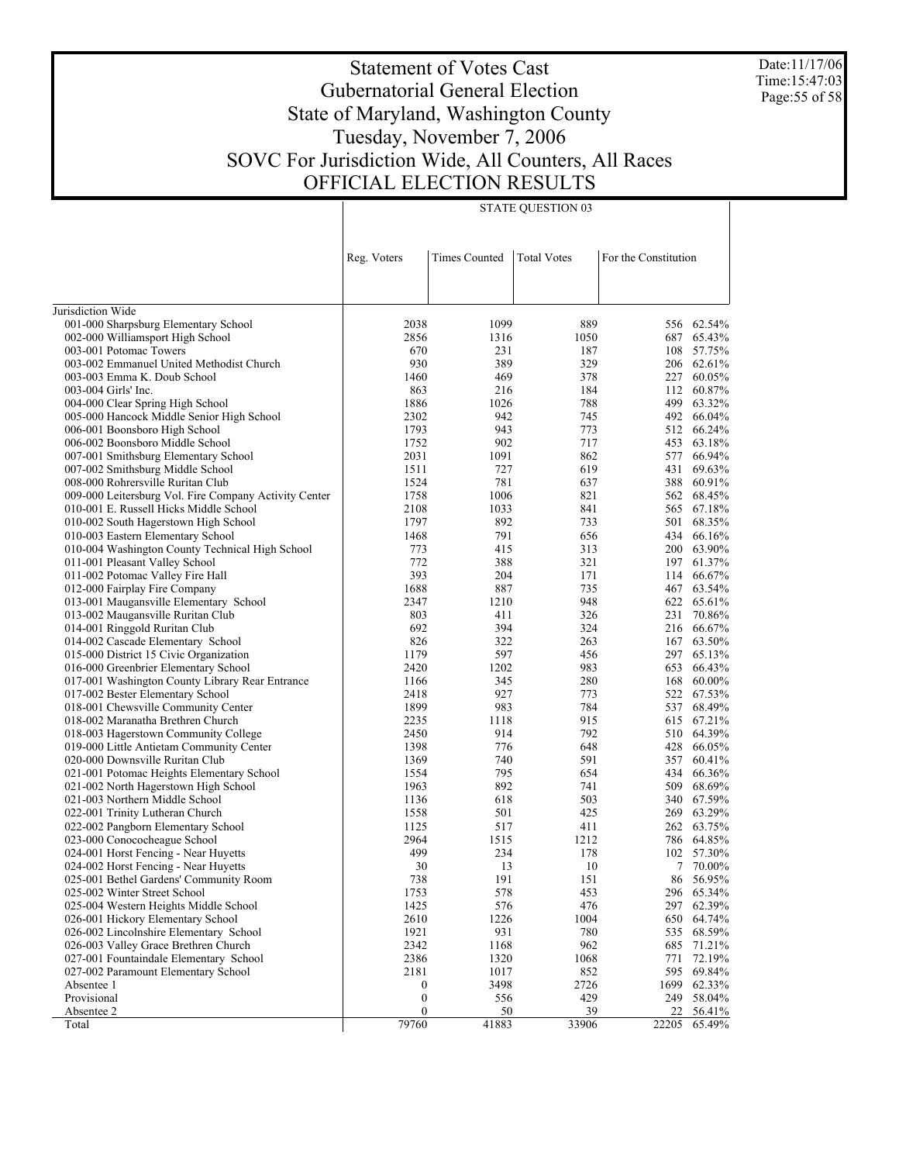Date:11/17/06 Time:15:47:03 Page:55 of 58

# Statement of Votes Cast Gubernatorial General Election State of Maryland, Washington County Tuesday, November 7, 2006 SOVC For Jurisdiction Wide, All Counters, All Races OFFICIAL ELECTION RESULTS

|                                                                             | Reg. Voters      | <b>Times Counted</b> | <b>Total Votes</b> | For the Constitution |                      |
|-----------------------------------------------------------------------------|------------------|----------------------|--------------------|----------------------|----------------------|
|                                                                             |                  |                      |                    |                      |                      |
|                                                                             |                  |                      |                    |                      |                      |
| Jurisdiction Wide                                                           |                  |                      |                    |                      |                      |
| 001-000 Sharpsburg Elementary School                                        | 2038             | 1099                 | 889                | 556                  | 62.54%               |
| 002-000 Williamsport High School                                            | 2856             | 1316                 | 1050               | 687                  | 65.43%               |
| 003-001 Potomac Towers                                                      | 670              | 231                  | 187                | 108                  | 57.75%               |
| 003-002 Emmanuel United Methodist Church                                    | 930              | 389                  | 329                |                      | 206 62.61%           |
| 003-003 Emma K. Doub School                                                 | 1460             | 469                  | 378                | 227                  | 60.05%               |
| 003-004 Girls' Inc.                                                         | 863              | 216                  | 184                | 112                  | 60.87%               |
| 004-000 Clear Spring High School                                            | 1886             | 1026                 | 788                | 499                  | 63.32%               |
| 005-000 Hancock Middle Senior High School                                   | 2302             | 942                  | 745                | 492                  | 66.04%               |
| 006-001 Boonsboro High School                                               | 1793             | 943                  | 773                | 512                  | 66.24%               |
| 006-002 Boonsboro Middle School                                             | 1752             | 902                  | 717                | 453                  | 63.18%               |
| 007-001 Smithsburg Elementary School                                        | 2031             | 1091                 | 862                | 577                  | 66.94%               |
| 007-002 Smithsburg Middle School                                            | 1511             | 727                  | 619                | 431                  | 69.63%               |
| 008-000 Rohrersville Ruritan Club                                           | 1524             | 781                  | 637                | 388                  | 60.91%               |
| 009-000 Leitersburg Vol. Fire Company Activity Center                       | 1758             | 1006                 | 821                |                      | 562 68.45%           |
| 010-001 E. Russell Hicks Middle School                                      | 2108             | 1033                 | 841                | 565                  | 67.18%               |
| 010-002 South Hagerstown High School                                        | 1797             | 892                  | 733                |                      | 501 68.35%           |
| 010-003 Eastern Elementary School                                           | 1468             | 791                  | 656                |                      | 434 66.16%           |
| 010-004 Washington County Technical High School                             | 773              | 415                  | 313                |                      | 200 63.90%           |
| 011-001 Pleasant Valley School                                              | 772              | 388                  | 321                |                      | 197 61.37%           |
| 011-002 Potomac Valley Fire Hall                                            | 393              | 204                  | 171                | 114                  | 66.67%               |
| 012-000 Fairplay Fire Company                                               | 1688             | 887                  | 735                |                      | 467 63.54%           |
| 013-001 Maugansville Elementary School                                      | 2347             | 1210                 | 948                | 622                  | 65.61%               |
| 013-002 Maugansville Ruritan Club                                           | 803              | 411                  | 326                | 231                  | 70.86%               |
| 014-001 Ringgold Ruritan Club                                               | 692              | 394                  | 324                |                      | 216 66.67%           |
| 014-002 Cascade Elementary School                                           | 826              | 322                  | 263                |                      | 167 63.50%           |
| 015-000 District 15 Civic Organization                                      | 1179             | 597                  | 456                |                      | 297 65.13%           |
| 016-000 Greenbrier Elementary School                                        | 2420             | 1202                 | 983                | 653                  | 66.43%               |
| 017-001 Washington County Library Rear Entrance                             | 1166             | 345                  | 280                | 168                  | 60.00%               |
| 017-002 Bester Elementary School                                            | 2418             | 927                  | 773                | 522                  | 67.53%               |
| 018-001 Chewsville Community Center                                         | 1899             | 983                  | 784                |                      | 537 68.49%           |
| 018-002 Maranatha Brethren Church                                           | 2235             | 1118                 | 915                | 615                  | 67.21%               |
| 018-003 Hagerstown Community College                                        | 2450<br>1398     | 914<br>776           | 792<br>648         | 428                  | 510 64.39%<br>66.05% |
| 019-000 Little Antietam Community Center<br>020-000 Downsville Ruritan Club | 1369             | 740                  | 591                | 357                  | 60.41%               |
| 021-001 Potomac Heights Elementary School                                   | 1554             | 795                  | 654                | 434                  | 66.36%               |
| 021-002 North Hagerstown High School                                        | 1963             | 892                  | 741                |                      | 509 68.69%           |
| 021-003 Northern Middle School                                              | 1136             | 618                  | 503                |                      | 340 67.59%           |
| 022-001 Trinity Lutheran Church                                             | 1558             | 501                  | 425                |                      | 269 63.29%           |
| 022-002 Pangborn Elementary School                                          | 1125             | 517                  | 411                |                      | 262 63.75%           |
| 023-000 Conococheague School                                                | 2964             | 1515                 | 1212               |                      | 786 64.85%           |
| 024-001 Horst Fencing - Near Huyetts                                        | 499              | 234                  | 178                | 102                  | 57.30%               |
| 024-002 Horst Fencing - Near Huyetts                                        | 30               | 13                   | 10                 |                      | 7 70.00%             |
| 025-001 Bethel Gardens' Community Room                                      | 738              | 191                  | 151                |                      | 86 56.95%            |
| 025-002 Winter Street School                                                | 1753             | 578                  | 453                |                      | 296 65.34%           |
| 025-004 Western Heights Middle School                                       | 1425             | 576                  | 476                |                      | 297 62.39%           |
| 026-001 Hickory Elementary School                                           | 2610             | 1226                 | 1004               | 650                  | 64.74%               |
| 026-002 Lincolnshire Elementary School                                      | 1921             | 931                  | 780                | 535                  | 68.59%               |
| 026-003 Valley Grace Brethren Church                                        | 2342             | 1168                 | 962                | 685                  | 71.21%               |
| 027-001 Fountaindale Elementary School                                      | 2386             | 1320                 | 1068               | 771                  | 72.19%               |
| 027-002 Paramount Elementary School                                         | 2181             | 1017                 | 852                | 595                  | 69.84%               |
| Absentee 1                                                                  | $\boldsymbol{0}$ | 3498                 | 2726               | 1699                 | 62.33%               |
| Provisional                                                                 | $\boldsymbol{0}$ | 556                  | 429                | 249                  | 58.04%               |
| Absentee 2                                                                  | $\boldsymbol{0}$ | 50                   | 39                 | 22                   | 56.41%               |
| Total                                                                       | 79760            | 41883                | 33906              | 22205                | 65.49%               |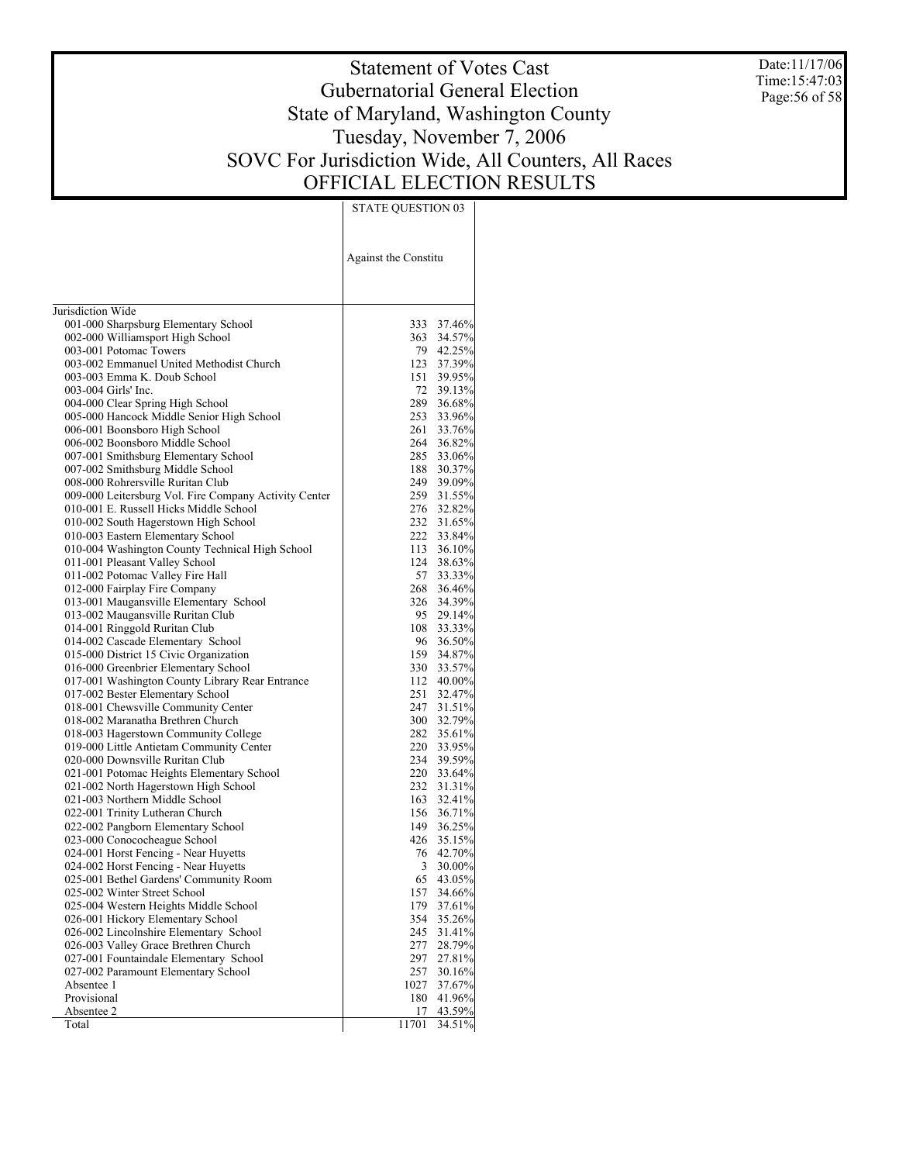Date:11/17/06 Time:15:47:03 Page:56 of 58

# Statement of Votes Cast Gubernatorial General Election State of Maryland, Washington County Tuesday, November 7, 2006 SOVC For Jurisdiction Wide, All Counters, All Races OFFICIAL ELECTION RESULTS

|                                                                             | Against the Constitu |                      |
|-----------------------------------------------------------------------------|----------------------|----------------------|
| Jurisdiction Wide                                                           |                      |                      |
| 001-000 Sharpsburg Elementary School                                        |                      | 333 37.46%           |
| 002-000 Williamsport High School                                            |                      | 363 34.57%           |
| 003-001 Potomac Towers                                                      |                      | 79 42.25%            |
| 003-002 Emmanuel United Methodist Church                                    |                      | 123 37.39%           |
| 003-003 Emma K. Doub School                                                 | 151                  | 39.95%               |
| 003-004 Girls' Inc.                                                         | 72                   | 39.13%               |
| 004-000 Clear Spring High School                                            | 289                  | 36.68%               |
| 005-000 Hancock Middle Senior High School                                   | 253                  | 33.96%               |
| 006-001 Boonsboro High School                                               | 261                  | 33.76%               |
| 006-002 Boonsboro Middle School                                             | 264                  | 36.82%               |
| 007-001 Smithsburg Elementary School                                        | 285                  | 33.06%               |
| 007-002 Smithsburg Middle School                                            | 188                  | 30.37%               |
| 008-000 Rohrersville Ruritan Club                                           | 249                  | 39.09%               |
| 009-000 Leitersburg Vol. Fire Company Activity Center                       |                      | 259 31.55%           |
| 010-001 E. Russell Hicks Middle School                                      | 276                  | 32.82%               |
| 010-002 South Hagerstown High School                                        |                      | 232 31.65%           |
| 010-003 Eastern Elementary School                                           | 222                  | 33.84%               |
| 010-004 Washington County Technical High School                             |                      | 113 36.10%           |
| 011-001 Pleasant Valley School                                              | 124                  | 38.63%               |
| 011-002 Potomac Valley Fire Hall                                            | 57                   | 33.33%               |
| 012-000 Fairplay Fire Company                                               | 268                  | 36.46%<br>326 34.39% |
| 013-001 Maugansville Elementary School                                      |                      |                      |
| 013-002 Maugansville Ruritan Club                                           |                      | 95 29.14%            |
| 014-001 Ringgold Ruritan Club                                               | 108<br>96            | 33.33%               |
| 014-002 Cascade Elementary School<br>015-000 District 15 Civic Organization | 159                  | 36.50%<br>34.87%     |
| 016-000 Greenbrier Elementary School                                        | 330                  | 33.57%               |
| 017-001 Washington County Library Rear Entrance                             |                      | 112 40.00%           |
| 017-002 Bester Elementary School                                            | 251                  | 32.47%               |
| 018-001 Chewsville Community Center                                         |                      | 247 31.51%           |
| 018-002 Maranatha Brethren Church                                           |                      | 300 32.79%           |
| 018-003 Hagerstown Community College                                        |                      | 282 35.61%           |
| 019-000 Little Antietam Community Center                                    | 220                  | 33.95%               |
| 020-000 Downsville Ruritan Club                                             |                      | 234 39.59%           |
| 021-001 Potomac Heights Elementary School                                   |                      | 220 33.64%           |
| 021-002 North Hagerstown High School                                        |                      | 232 31.31%           |
| 021-003 Northern Middle School                                              | 163                  | 32.41%               |
| 022-001 Trinity Lutheran Church                                             |                      | 156 36.71%           |
| 022-002 Pangborn Elementary School                                          |                      | 149 36.25%           |
| 023-000 Conococheague School                                                |                      | 426 35.15%           |
| 024-001 Horst Fencing - Near Huyetts                                        | 76                   | 42.70%               |
| 024-002 Horst Fencing - Near Huyetts                                        | 3                    | 30.00%               |
| 025-001 Bethel Gardens' Community Room                                      | 65                   | 43.05%               |
| 025-002 Winter Street School                                                | 157                  | 34.66%               |
| 025-004 Western Heights Middle School                                       | 179                  | 37.61%               |
| 026-001 Hickory Elementary School                                           | 354                  | 35.26%               |
| 026-002 Lincolnshire Elementary School                                      | 245                  | 31.41%               |
| 026-003 Valley Grace Brethren Church                                        | 277                  | 28.79%               |
| 027-001 Fountaindale Elementary School                                      | 297                  | 27.81%               |
| 027-002 Paramount Elementary School                                         | 257                  | 30.16%               |
| Absentee 1                                                                  | 1027                 | 37.67%               |
| Provisional                                                                 | 180                  | 41.96%               |
| Absentee 2                                                                  | 17                   | 43.59%               |
| Total                                                                       | 11701                | 34.51%               |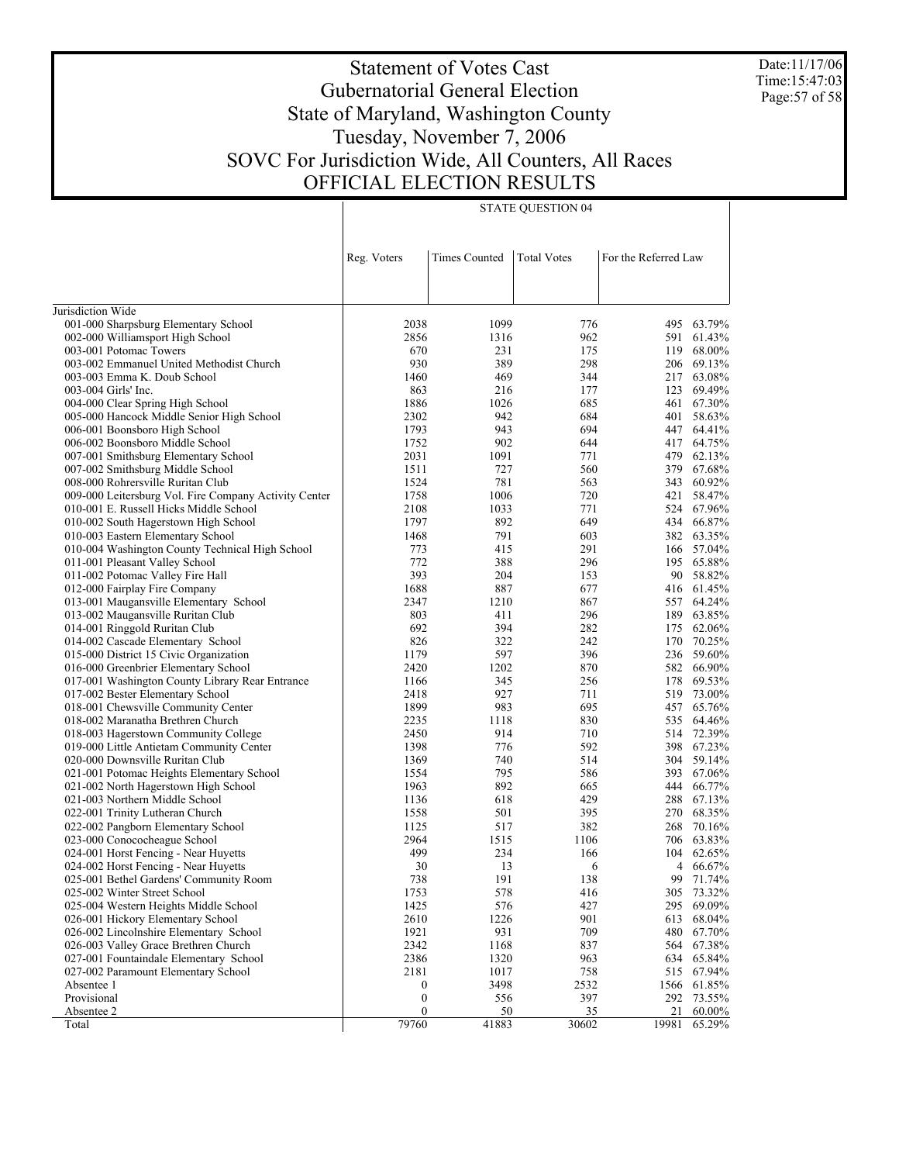Date:11/17/06 Time:15:47:03 Page:57 of 58

## Statement of Votes Cast Gubernatorial General Election State of Maryland, Washington County Tuesday, November 7, 2006 SOVC For Jurisdiction Wide, All Counters, All Races OFFICIAL ELECTION RESULTS

|                                                       | Reg. Voters      | <b>Times Counted</b> | <b>Total Votes</b> | For the Referred Law |            |
|-------------------------------------------------------|------------------|----------------------|--------------------|----------------------|------------|
|                                                       |                  |                      |                    |                      |            |
|                                                       |                  |                      |                    |                      |            |
| Jurisdiction Wide                                     |                  |                      |                    |                      |            |
| 001-000 Sharpsburg Elementary School                  | 2038             | 1099                 | 776                | 495                  | 63.79%     |
| 002-000 Williamsport High School                      | 2856             | 1316                 | 962                |                      | 591 61.43% |
| 003-001 Potomac Towers                                | 670              | 231                  | 175                | 119                  | 68.00%     |
| 003-002 Emmanuel United Methodist Church              | 930              | 389                  | 298                | 206                  | 69.13%     |
| 003-003 Emma K. Doub School                           | 1460             | 469                  | 344                | 217                  | 63.08%     |
| 003-004 Girls' Inc.                                   | 863              | 216                  | 177                | 123                  | 69.49%     |
| 004-000 Clear Spring High School                      | 1886             | 1026                 | 685                | 461                  | 67.30%     |
| 005-000 Hancock Middle Senior High School             | 2302             | 942                  | 684                | 401                  | 58.63%     |
| 006-001 Boonsboro High School                         | 1793             | 943                  | 694                | 447                  | 64.41%     |
| 006-002 Boonsboro Middle School                       | 1752             | 902                  | 644                | 417                  | 64.75%     |
| 007-001 Smithsburg Elementary School                  | 2031             | 1091                 | 771                | 479                  | 62.13%     |
| 007-002 Smithsburg Middle School                      | 1511             | 727                  | 560                | 379                  | 67.68%     |
| 008-000 Rohrersville Ruritan Club                     | 1524             | 781                  | 563                | 343                  | 60.92%     |
| 009-000 Leitersburg Vol. Fire Company Activity Center | 1758             | 1006                 | 720                |                      | 421 58.47% |
| 010-001 E. Russell Hicks Middle School                | 2108             | 1033                 | 771                |                      | 524 67.96% |
| 010-002 South Hagerstown High School                  | 1797             | 892                  | 649                |                      | 434 66.87% |
| 010-003 Eastern Elementary School                     | 1468             | 791                  | 603                |                      | 382 63.35% |
| 010-004 Washington County Technical High School       | 773              | 415                  | 291                |                      | 166 57.04% |
| 011-001 Pleasant Valley School                        | 772              | 388                  | 296                |                      | 195 65.88% |
| 011-002 Potomac Valley Fire Hall                      | 393              | 204                  | 153                | 90                   | 58.82%     |
| 012-000 Fairplay Fire Company                         | 1688             | 887                  | 677                |                      | 416 61.45% |
| 013-001 Maugansville Elementary School                | 2347             | 1210                 | 867                |                      | 557 64.24% |
| 013-002 Maugansville Ruritan Club                     | 803              | 411                  | 296                | 189                  | 63.85%     |
| 014-001 Ringgold Ruritan Club                         | 692              | 394                  | 282                | 175                  | 62.06%     |
| 014-002 Cascade Elementary School                     | 826              | 322                  | 242                | 170                  | 70.25%     |
| 015-000 District 15 Civic Organization                | 1179             | 597                  | 396                |                      | 236 59.60% |
| 016-000 Greenbrier Elementary School                  | 2420             | 1202                 | 870                |                      | 582 66.90% |
| 017-001 Washington County Library Rear Entrance       | 1166             | 345                  | 256                | 178                  | 69.53%     |
| 017-002 Bester Elementary School                      | 2418             | 927                  | 711                | 519                  | 73.00%     |
| 018-001 Chewsville Community Center                   | 1899             | 983                  | 695                | 457                  | 65.76%     |
| 018-002 Maranatha Brethren Church                     | 2235             | 1118                 | 830                | 535                  | 64.46%     |
| 018-003 Hagerstown Community College                  | 2450             | 914                  | 710                |                      | 514 72.39% |
| 019-000 Little Antietam Community Center              | 1398             | 776                  | 592                |                      | 398 67.23% |
| 020-000 Downsville Ruritan Club                       | 1369             | 740                  | 514                |                      | 304 59.14% |
| 021-001 Potomac Heights Elementary School             | 1554             | 795                  | 586                | 393                  | 67.06%     |
| 021-002 North Hagerstown High School                  | 1963             | 892                  | 665                | 444                  | 66.77%     |
| 021-003 Northern Middle School                        | 1136             | 618                  | 429                | 288                  | 67.13%     |
| 022-001 Trinity Lutheran Church                       | 1558             | 501                  | 395                | 270                  | 68.35%     |
| 022-002 Pangborn Elementary School                    | 1125             | 517                  | 382                | 268                  | 70.16%     |
| 023-000 Conococheague School                          | 2964             | 1515                 | 1106               | 706                  | 63.83%     |
| 024-001 Horst Fencing - Near Huyetts                  | 499              | 234                  | 166                | 104                  | 62.65%     |
| 024-002 Horst Fencing - Near Huyetts                  | 30               | 13                   | 6                  | 4                    | 66.67%     |
| 025-001 Bethel Gardens' Community Room                | 738              | 191                  | 138                | 99                   | 71.74%     |
| 025-002 Winter Street School                          | 1753             | 578                  | 416                | 305                  | 73.32%     |
| 025-004 Western Heights Middle School                 | 1425             | 576                  | 427                | 295                  | 69.09%     |
| 026-001 Hickory Elementary School                     | 2610             | 1226                 | 901                | 613                  | 68.04%     |
| 026-002 Lincolnshire Elementary School                | 1921             | 931                  | 709                | 480                  | 67.70%     |
| 026-003 Valley Grace Brethren Church                  | 2342             | 1168                 | 837                |                      | 564 67.38% |
| 027-001 Fountaindale Elementary School                | 2386             | 1320                 | 963                |                      | 634 65.84% |
| 027-002 Paramount Elementary School                   | 2181             | 1017                 | 758                |                      | 515 67.94% |
| Absentee 1                                            | $\boldsymbol{0}$ | 3498                 | 2532               | 1566                 | 61.85%     |
| Provisional                                           | $\boldsymbol{0}$ | 556                  | 397                |                      | 292 73.55% |
| Absentee 2                                            | $\boldsymbol{0}$ | 50                   | 35                 | 21                   | $60.00\%$  |
| Total                                                 | 79760            | 41883                | 30602              | 19981                | 65.29%     |